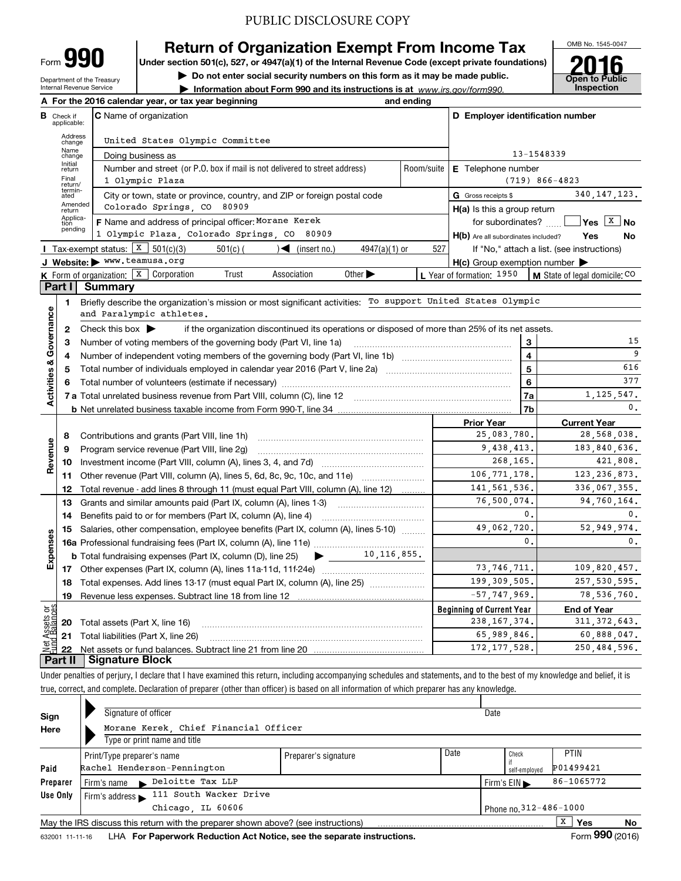Department of the Treasury Form**990**

Internal Revenue Service

# **Return of Organization Exempt From Income Tax**

**Under section 501(c), 527, or 4947(a)(1) of the Internal Revenue Code (except private foundations)**

**| Do not enter social security numbers on this form as it may be made public.**

**| Information about Form 990 and its instructions is at www.irs.gov/form990.** | Inspection



|                         |                                  | A For the 2016 calendar year, or tax year beginning                                                                                     | and ending |                                                     |                                            |
|-------------------------|----------------------------------|-----------------------------------------------------------------------------------------------------------------------------------------|------------|-----------------------------------------------------|--------------------------------------------|
|                         | <b>B</b> Check if<br>applicable: | <b>C</b> Name of organization                                                                                                           |            | D Employer identification number                    |                                            |
|                         | Address<br>change                | United States Olympic Committee                                                                                                         |            |                                                     |                                            |
|                         | Name<br>change                   | 13-1548339<br>Doing business as                                                                                                         |            |                                                     |                                            |
|                         | Initial<br>return                | Number and street (or P.O. box if mail is not delivered to street address)                                                              | Room/suite | E Telephone number                                  |                                            |
|                         | Final<br>return/                 | 1 Olympic Plaza                                                                                                                         |            |                                                     | $(719) 866 - 4823$                         |
|                         | termin-<br>ated                  | City or town, state or province, country, and ZIP or foreign postal code                                                                |            | G Gross receipts \$                                 | 340, 147, 123.                             |
|                         | Amended<br>return                | Colorado Springs, CO 80909                                                                                                              |            | H(a) Is this a group return                         |                                            |
|                         | Applica-<br>tion<br>pending      | F Name and address of principal officer: Morane Kerek                                                                                   |            | for subordinates?                                   | $ Yes X $ No                               |
|                         |                                  | 1 Olympic Plaza, Colorado Springs, CO 80909                                                                                             |            | H(b) Are all subordinates included?                 | Yes<br>No                                  |
|                         |                                  | <b>I</b> Tax-exempt status: $X \ 501(c)(3)$<br>$\sqrt{\frac{1}{1}}$ (insert no.)<br>$501(c)$ (<br>$4947(a)(1)$ or                       | 527        |                                                     | If "No," attach a list. (see instructions) |
|                         |                                  | J Website: > www.teamusa.org                                                                                                            |            | $H(c)$ Group exemption number $\blacktriangleright$ |                                            |
|                         |                                  | <b>K</b> Form of organization: $\boxed{\textbf{x}}$ Corporation<br>Trust<br>Association<br>Other $\blacktriangleright$                  |            | L Year of formation: 1950                           | M State of legal domicile: CO              |
|                         | Part I                           | <b>Summary</b>                                                                                                                          |            |                                                     |                                            |
|                         | 1                                | Briefly describe the organization's mission or most significant activities: To support United States Olympic                            |            |                                                     |                                            |
|                         |                                  | and Paralympic athletes.                                                                                                                |            |                                                     |                                            |
| Governance              | $\mathbf{2}$                     | Check this box $\blacktriangleright$<br>if the organization discontinued its operations or disposed of more than 25% of its net assets. |            |                                                     | 15                                         |
|                         | 3<br>4                           | Number of voting members of the governing body (Part VI, line 1a)                                                                       |            | 3<br>$\overline{4}$                                 | 9                                          |
|                         | 5                                |                                                                                                                                         | 5          | 616                                                 |                                            |
|                         | 6                                |                                                                                                                                         | 6          | 377                                                 |                                            |
| <b>Activities &amp;</b> |                                  |                                                                                                                                         |            | 7a                                                  | 1, 125, 547.                               |
|                         |                                  | <b>b</b> Net unrelated business taxable income from Form 990-T, line 34 manual content in the content of the business                   |            | 7b                                                  | $\mathbf{0}$ .                             |
|                         |                                  |                                                                                                                                         |            | <b>Prior Year</b>                                   | <b>Current Year</b>                        |
|                         | 8                                | Contributions and grants (Part VIII, line 1h)                                                                                           |            | 25,083,780.                                         | 28,568,038.                                |
| Revenue                 | 9                                | Program service revenue (Part VIII, line 2g)                                                                                            |            | 9,438,413.                                          | 183,840,636.                               |
|                         | 10                               |                                                                                                                                         |            | 268,165.                                            | 421,808.                                   |
|                         |                                  | 11 Other revenue (Part VIII, column (A), lines 5, 6d, 8c, 9c, 10c, and 11e)                                                             |            | 106, 771, 178.                                      | 123, 236, 873.                             |
|                         | 12                               | Total revenue - add lines 8 through 11 (must equal Part VIII, column (A), line 12)                                                      |            | 141, 561, 536.                                      | 336,067,355.                               |
|                         | 13                               | Grants and similar amounts paid (Part IX, column (A), lines 1-3)                                                                        |            | 76,500,074.                                         | 94,760,164.                                |
|                         | 14                               | Benefits paid to or for members (Part IX, column (A), line 4)                                                                           |            | 0.                                                  | 0.                                         |
|                         | 15                               | Salaries, other compensation, employee benefits (Part IX, column (A), lines 5-10)                                                       |            | 49.062.720.                                         | 52.949.974.                                |
| Expenses                |                                  |                                                                                                                                         |            | 0.                                                  | 0.                                         |
|                         |                                  | $\blacktriangleright$ ____ 10,116,855.<br><b>b</b> Total fundraising expenses (Part IX, column (D), line 25)                            |            |                                                     |                                            |
|                         |                                  |                                                                                                                                         |            | 73, 746, 711.                                       | 109,820,457.                               |
|                         | 18                               | Total expenses. Add lines 13-17 (must equal Part IX, column (A), line 25) <i>marrouum</i>                                               |            | 199, 309, 505.                                      | 257, 530, 595.                             |
|                         | 19                               |                                                                                                                                         |            | $-57, 747, 969.$                                    | 78,536,760.                                |
| ងន                      |                                  |                                                                                                                                         |            | <b>Beginning of Current Year</b>                    | <b>End of Year</b>                         |
| Assets<br>1 Balanc      |                                  | <b>20</b> Total assets (Part X, line 16)                                                                                                |            | 238, 167, 374.                                      | 311, 372, 643.                             |
| Net                     |                                  | <b>21</b> Total liabilities (Part X, line 26)                                                                                           |            | 65,989,846.                                         | 60,888,047.                                |
|                         |                                  |                                                                                                                                         |            | 172, 177, 528.                                      | 250.484.596.                               |
|                         | Part II                          | Signature Block                                                                                                                         |            |                                                     |                                            |

Under penalties of perjury, I declare that I have examined this return, including accompanying schedules and statements, and to the best of my knowledge and belief, it is true, correct, and complete. Declaration of preparer (other than officer) is based on all information of which preparer has any knowledge.

| Sign            | Signature of officer                                                              |                        |      | Date                             |                 |    |
|-----------------|-----------------------------------------------------------------------------------|------------------------|------|----------------------------------|-----------------|----|
| Here            | Morane Kerek, Chief Financial Officer                                             |                        |      |                                  |                 |    |
|                 | Type or print name and title                                                      |                        |      |                                  |                 |    |
|                 | Print/Type preparer's name                                                        | Preparer's signature   | Date | Check                            | <b>PTIN</b>     |    |
| Paid            | Rachel Henderson-Pennington                                                       |                        |      | self-emploved                    | P01499421       |    |
| Preparer        | Firm's name Deloitte Tax LLP                                                      |                        |      | Firm's $EIN \blacktriangleright$ | 86-1065772      |    |
| Use Only        | Firm's address 111 South Wacker Drive                                             |                        |      |                                  |                 |    |
|                 | Chicago, IL 60606                                                                 | Phone no. 312-486-1000 |      |                                  |                 |    |
|                 | May the IRS discuss this return with the preparer shown above? (see instructions) |                        |      |                                  | X<br>Yes        | No |
| 632001 11-11-16 | LHA For Paperwork Reduction Act Notice, see the separate instructions.            |                        |      |                                  | Form 990 (2016) |    |

632001 11-11-16 **For Paperwork Reduction Act Notice, see the separate instructions.** LHA Form (2016)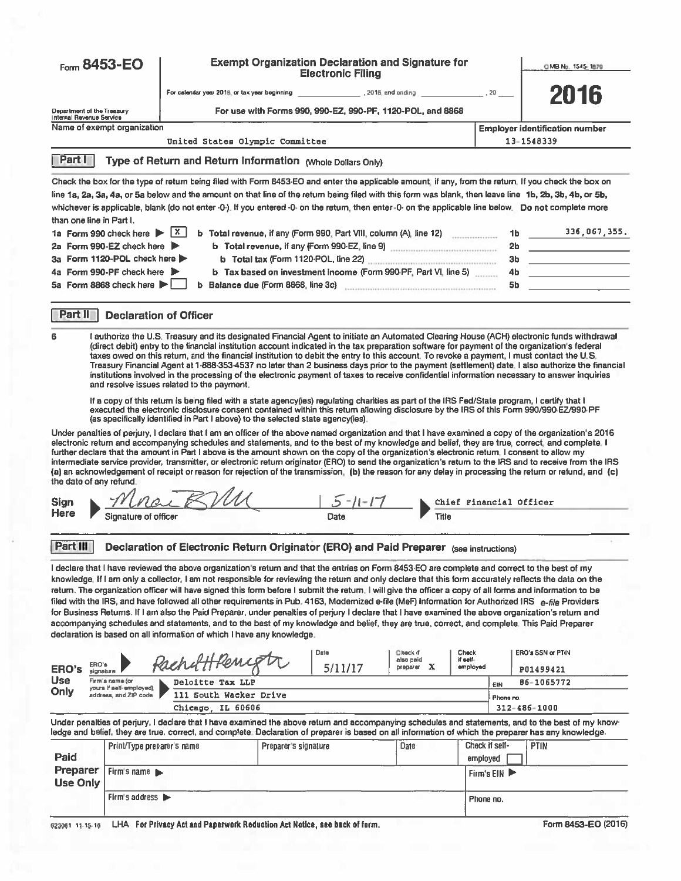| Form $8453 - EO$                                         |                                                   |                                                                                                                                                                                                                                                                                                                                                                                                                                                                                                                                                                                                                                                                                                                                                                                                                                                                                                                                                                                                                                                                                                                                                                                                                                                                                                                                                                                                                                                                                                                                                                                                                                                                                                                                                                                                                                                                                                                                                                                                                                                            |                      | <b>Exempt Organization Declaration and Signature for</b><br><b>Electronic Filing</b> |                                   |       |                               |                | OMB No. 1545-1879                                                                                                                                                                                                                                                                                                                                                                                                                                                                                                                                                                                                                                                                                                                                                                                          |
|----------------------------------------------------------|---------------------------------------------------|------------------------------------------------------------------------------------------------------------------------------------------------------------------------------------------------------------------------------------------------------------------------------------------------------------------------------------------------------------------------------------------------------------------------------------------------------------------------------------------------------------------------------------------------------------------------------------------------------------------------------------------------------------------------------------------------------------------------------------------------------------------------------------------------------------------------------------------------------------------------------------------------------------------------------------------------------------------------------------------------------------------------------------------------------------------------------------------------------------------------------------------------------------------------------------------------------------------------------------------------------------------------------------------------------------------------------------------------------------------------------------------------------------------------------------------------------------------------------------------------------------------------------------------------------------------------------------------------------------------------------------------------------------------------------------------------------------------------------------------------------------------------------------------------------------------------------------------------------------------------------------------------------------------------------------------------------------------------------------------------------------------------------------------------------------|----------------------|--------------------------------------------------------------------------------------|-----------------------------------|-------|-------------------------------|----------------|------------------------------------------------------------------------------------------------------------------------------------------------------------------------------------------------------------------------------------------------------------------------------------------------------------------------------------------------------------------------------------------------------------------------------------------------------------------------------------------------------------------------------------------------------------------------------------------------------------------------------------------------------------------------------------------------------------------------------------------------------------------------------------------------------------|
|                                                          |                                                   |                                                                                                                                                                                                                                                                                                                                                                                                                                                                                                                                                                                                                                                                                                                                                                                                                                                                                                                                                                                                                                                                                                                                                                                                                                                                                                                                                                                                                                                                                                                                                                                                                                                                                                                                                                                                                                                                                                                                                                                                                                                            |                      |                                                                                      |                                   |       |                               | $.20 -$        | 2016                                                                                                                                                                                                                                                                                                                                                                                                                                                                                                                                                                                                                                                                                                                                                                                                       |
| Department of the Treasury<br>Internal Revenue Service   |                                                   |                                                                                                                                                                                                                                                                                                                                                                                                                                                                                                                                                                                                                                                                                                                                                                                                                                                                                                                                                                                                                                                                                                                                                                                                                                                                                                                                                                                                                                                                                                                                                                                                                                                                                                                                                                                                                                                                                                                                                                                                                                                            |                      | For use with Forms 990, 990-EZ, 990-PF, 1120-POL, and 8868                           |                                   |       |                               |                |                                                                                                                                                                                                                                                                                                                                                                                                                                                                                                                                                                                                                                                                                                                                                                                                            |
|                                                          | Name of exempt organization                       |                                                                                                                                                                                                                                                                                                                                                                                                                                                                                                                                                                                                                                                                                                                                                                                                                                                                                                                                                                                                                                                                                                                                                                                                                                                                                                                                                                                                                                                                                                                                                                                                                                                                                                                                                                                                                                                                                                                                                                                                                                                            |                      |                                                                                      |                                   |       |                               |                | Employer identification number                                                                                                                                                                                                                                                                                                                                                                                                                                                                                                                                                                                                                                                                                                                                                                             |
|                                                          |                                                   | United States Olympic Committee                                                                                                                                                                                                                                                                                                                                                                                                                                                                                                                                                                                                                                                                                                                                                                                                                                                                                                                                                                                                                                                                                                                                                                                                                                                                                                                                                                                                                                                                                                                                                                                                                                                                                                                                                                                                                                                                                                                                                                                                                            |                      |                                                                                      |                                   |       |                               |                | 13-1548339                                                                                                                                                                                                                                                                                                                                                                                                                                                                                                                                                                                                                                                                                                                                                                                                 |
| <b>Part I</b>                                            |                                                   | Type of Return and Return Information (Whole Dollars Only)                                                                                                                                                                                                                                                                                                                                                                                                                                                                                                                                                                                                                                                                                                                                                                                                                                                                                                                                                                                                                                                                                                                                                                                                                                                                                                                                                                                                                                                                                                                                                                                                                                                                                                                                                                                                                                                                                                                                                                                                 |                      |                                                                                      |                                   |       |                               |                |                                                                                                                                                                                                                                                                                                                                                                                                                                                                                                                                                                                                                                                                                                                                                                                                            |
|                                                          |                                                   | Check the box for the type of return being filed with Form 8453-EO and enter the applicable amount, if any, from the return. If you check the box on                                                                                                                                                                                                                                                                                                                                                                                                                                                                                                                                                                                                                                                                                                                                                                                                                                                                                                                                                                                                                                                                                                                                                                                                                                                                                                                                                                                                                                                                                                                                                                                                                                                                                                                                                                                                                                                                                                       |                      |                                                                                      |                                   |       |                               |                |                                                                                                                                                                                                                                                                                                                                                                                                                                                                                                                                                                                                                                                                                                                                                                                                            |
| than one line in Part I.                                 |                                                   | line 1a, 2a, 3a, 4a, or 5a below and the amount on that line of the return being filed with this form was blank, then leave line 1b, 2b, 3b, 4b, or 5b,<br>whichever is applicable, blank (do not enter -0-). If you entered -0- on the return, then enter -0- on the applicable line below. Do not complete more                                                                                                                                                                                                                                                                                                                                                                                                                                                                                                                                                                                                                                                                                                                                                                                                                                                                                                                                                                                                                                                                                                                                                                                                                                                                                                                                                                                                                                                                                                                                                                                                                                                                                                                                          |                      |                                                                                      |                                   |       |                               |                |                                                                                                                                                                                                                                                                                                                                                                                                                                                                                                                                                                                                                                                                                                                                                                                                            |
|                                                          | 1a Form 990 check here ▶                          | X                                                                                                                                                                                                                                                                                                                                                                                                                                                                                                                                                                                                                                                                                                                                                                                                                                                                                                                                                                                                                                                                                                                                                                                                                                                                                                                                                                                                                                                                                                                                                                                                                                                                                                                                                                                                                                                                                                                                                                                                                                                          |                      | b Total revenue, if any (Form 990, Part VIII, column (A), line 12)                   |                                   |       |                               |                | 336,067,355.<br>1b                                                                                                                                                                                                                                                                                                                                                                                                                                                                                                                                                                                                                                                                                                                                                                                         |
|                                                          | 2a Form 990-EZ check here ▶                       |                                                                                                                                                                                                                                                                                                                                                                                                                                                                                                                                                                                                                                                                                                                                                                                                                                                                                                                                                                                                                                                                                                                                                                                                                                                                                                                                                                                                                                                                                                                                                                                                                                                                                                                                                                                                                                                                                                                                                                                                                                                            |                      |                                                                                      |                                   |       |                               | 2 <sub>b</sub> | <u> 1990 - Johann Barbara, martin a</u>                                                                                                                                                                                                                                                                                                                                                                                                                                                                                                                                                                                                                                                                                                                                                                    |
|                                                          | 3a Form 1120-POL check here ▶                     |                                                                                                                                                                                                                                                                                                                                                                                                                                                                                                                                                                                                                                                                                                                                                                                                                                                                                                                                                                                                                                                                                                                                                                                                                                                                                                                                                                                                                                                                                                                                                                                                                                                                                                                                                                                                                                                                                                                                                                                                                                                            |                      | b Total tax (Form 1120-POL, line 22)                                                 |                                   |       |                               | Зb             |                                                                                                                                                                                                                                                                                                                                                                                                                                                                                                                                                                                                                                                                                                                                                                                                            |
|                                                          | 4a Form 990-PF check here                         |                                                                                                                                                                                                                                                                                                                                                                                                                                                                                                                                                                                                                                                                                                                                                                                                                                                                                                                                                                                                                                                                                                                                                                                                                                                                                                                                                                                                                                                                                                                                                                                                                                                                                                                                                                                                                                                                                                                                                                                                                                                            |                      | b Tax based on investment income (Form 990-PF, Part VI, line 5)                      |                                   |       |                               | 4 <sub>b</sub> |                                                                                                                                                                                                                                                                                                                                                                                                                                                                                                                                                                                                                                                                                                                                                                                                            |
|                                                          | 5a Form 8868 check here $\blacktriangleright$     |                                                                                                                                                                                                                                                                                                                                                                                                                                                                                                                                                                                                                                                                                                                                                                                                                                                                                                                                                                                                                                                                                                                                                                                                                                                                                                                                                                                                                                                                                                                                                                                                                                                                                                                                                                                                                                                                                                                                                                                                                                                            |                      | b Balance due (Form 8868, line 3c) [11] Balance due (Form 8868, line 3c)             |                                   |       |                               | 5b             |                                                                                                                                                                                                                                                                                                                                                                                                                                                                                                                                                                                                                                                                                                                                                                                                            |
| Part II                                                  | <b>Declaration of Officer</b>                     |                                                                                                                                                                                                                                                                                                                                                                                                                                                                                                                                                                                                                                                                                                                                                                                                                                                                                                                                                                                                                                                                                                                                                                                                                                                                                                                                                                                                                                                                                                                                                                                                                                                                                                                                                                                                                                                                                                                                                                                                                                                            |                      |                                                                                      |                                   |       |                               |                |                                                                                                                                                                                                                                                                                                                                                                                                                                                                                                                                                                                                                                                                                                                                                                                                            |
| 6<br>the date of any refund.<br>Sign<br>Here<br>Part III | Signature of officer                              | (direct debit) entry to the financial institution account indicated in the tax preparation software for payment of the organization's federal<br>taxes owed on this return, and the financial institution to debit the entry to this account. To revoke a payment, I must contact the U.S.<br>institutions involved in the processing of the electronic payment of taxes to receive confidential information necessary to answer inquiries<br>and resolve issues related to the payment.<br>If a copy of this return is being filed with a state agency(ies) regulating charities as part of the IRS Fed/State program, I certify that I<br>executed the electronic disclosure consent contained within this return allowing disclosure by the IRS of this Form 990/990-EZ/990-PF<br>(as specifically identified in Part I above) to the selected state agency(ies).<br>electronic return and accompanying schedules and statements, and to the best of my knowledge and belief, they are true, correct, and complete. I<br>further declare that the amount in Part I above is the amount shown on the copy of the organization's electronic return. I consent to allow my<br>Declaration of Electronic Return Originator (ERO) and Paid Preparer (see instructions)<br>I declare that I have reviewed the above organization's return and that the entries on Form 8453-EO are complete and correct to the best of my<br>knowledge. If I am only a collector, I am not responsible for reviewing the return and only declare that this form accurately reflects the data on the<br>return. The organization officer will have signed this form before I submit the return. I will give the officer a copy of all forms and information to be<br>filed with the IRS, and have followed all other requirements in Pub. 4163, Modernized e-file (MeF) Information for Authorized IRS e-file Providers<br>for Business Returns. If I am also the Paid Preparer, under penalties of perjury I declare that I have examined the above organization's return and |                      | $5 - 11 - 17$<br>Date                                                                |                                   | Title |                               |                | I authorize the U.S. Treasury and its designated Financial Agent to initiate an Automated Clearing House (ACH) electronic funds withdrawal<br>Treasury Financial Agent at 1-888-353-4537 no later than 2 business days prior to the payment (settlement) date. I also authorize the financial<br>Under penalties of perjury, I declare that I am an officer of the above named organization and that I have examined a copy of the organization's 2016<br>intermediate service provider, transmitter, or electronic return originator (ERO) to send the organization's return to the IRS and to receive from the IRS<br>(a) an acknowledgement of receipt or reason for rejection of the transmission. (b) the reason for any delay in processing the return or refund, and (c)<br>Chief Financial Officer |
|                                                          |                                                   | accompanying schedules and statements, and to the best of my knowledge and belief, they are true, correct, and complete. This Paid Preparer<br>declaration is based on all information of which I have any knowledge.                                                                                                                                                                                                                                                                                                                                                                                                                                                                                                                                                                                                                                                                                                                                                                                                                                                                                                                                                                                                                                                                                                                                                                                                                                                                                                                                                                                                                                                                                                                                                                                                                                                                                                                                                                                                                                      |                      |                                                                                      |                                   |       |                               |                |                                                                                                                                                                                                                                                                                                                                                                                                                                                                                                                                                                                                                                                                                                                                                                                                            |
| ERO's                                                    |                                                   | PacholHRenigh                                                                                                                                                                                                                                                                                                                                                                                                                                                                                                                                                                                                                                                                                                                                                                                                                                                                                                                                                                                                                                                                                                                                                                                                                                                                                                                                                                                                                                                                                                                                                                                                                                                                                                                                                                                                                                                                                                                                                                                                                                              |                      | Date<br>5/11/17                                                                      | Check if<br>also paid<br>preparer | х     | Check<br>if self-<br>employed |                | ERO's SSN or PTIN                                                                                                                                                                                                                                                                                                                                                                                                                                                                                                                                                                                                                                                                                                                                                                                          |
| ERO's<br>eignature<br><b>Use</b>                         | Firm's name (or                                   | Deloitte Tax LLP                                                                                                                                                                                                                                                                                                                                                                                                                                                                                                                                                                                                                                                                                                                                                                                                                                                                                                                                                                                                                                                                                                                                                                                                                                                                                                                                                                                                                                                                                                                                                                                                                                                                                                                                                                                                                                                                                                                                                                                                                                           |                      |                                                                                      |                                   |       |                               |                | P01499421<br>86-1065772                                                                                                                                                                                                                                                                                                                                                                                                                                                                                                                                                                                                                                                                                                                                                                                    |
| Only                                                     | yours if self-employed),<br>address, and ZIP code | 111 South Wacker Drive                                                                                                                                                                                                                                                                                                                                                                                                                                                                                                                                                                                                                                                                                                                                                                                                                                                                                                                                                                                                                                                                                                                                                                                                                                                                                                                                                                                                                                                                                                                                                                                                                                                                                                                                                                                                                                                                                                                                                                                                                                     |                      |                                                                                      |                                   |       |                               | EIN            |                                                                                                                                                                                                                                                                                                                                                                                                                                                                                                                                                                                                                                                                                                                                                                                                            |
|                                                          |                                                   | Chicago, IL 60606                                                                                                                                                                                                                                                                                                                                                                                                                                                                                                                                                                                                                                                                                                                                                                                                                                                                                                                                                                                                                                                                                                                                                                                                                                                                                                                                                                                                                                                                                                                                                                                                                                                                                                                                                                                                                                                                                                                                                                                                                                          |                      |                                                                                      |                                   |       |                               | Phone no.      | $312 - 486 - 1000$                                                                                                                                                                                                                                                                                                                                                                                                                                                                                                                                                                                                                                                                                                                                                                                         |
|                                                          |                                                   | ledge and belief, they are true, correct, and complete. Declaration of preparer is based on all information of which the preparer has any knowledge.                                                                                                                                                                                                                                                                                                                                                                                                                                                                                                                                                                                                                                                                                                                                                                                                                                                                                                                                                                                                                                                                                                                                                                                                                                                                                                                                                                                                                                                                                                                                                                                                                                                                                                                                                                                                                                                                                                       |                      |                                                                                      |                                   |       |                               |                | Under penalties of perjury, I declare that I have examined the above return and accompanying schedules and statements, and to the best of my know-                                                                                                                                                                                                                                                                                                                                                                                                                                                                                                                                                                                                                                                         |
|                                                          | Print/Type preparer's name                        |                                                                                                                                                                                                                                                                                                                                                                                                                                                                                                                                                                                                                                                                                                                                                                                                                                                                                                                                                                                                                                                                                                                                                                                                                                                                                                                                                                                                                                                                                                                                                                                                                                                                                                                                                                                                                                                                                                                                                                                                                                                            | Preparer's signature |                                                                                      | <b>Date</b>                       |       | Check if self-                |                | <b>PTIN</b>                                                                                                                                                                                                                                                                                                                                                                                                                                                                                                                                                                                                                                                                                                                                                                                                |
| Paid                                                     |                                                   |                                                                                                                                                                                                                                                                                                                                                                                                                                                                                                                                                                                                                                                                                                                                                                                                                                                                                                                                                                                                                                                                                                                                                                                                                                                                                                                                                                                                                                                                                                                                                                                                                                                                                                                                                                                                                                                                                                                                                                                                                                                            |                      |                                                                                      |                                   |       | employed                      |                |                                                                                                                                                                                                                                                                                                                                                                                                                                                                                                                                                                                                                                                                                                                                                                                                            |
| Preparer<br><b>Use Only</b>                              | Firm's name                                       |                                                                                                                                                                                                                                                                                                                                                                                                                                                                                                                                                                                                                                                                                                                                                                                                                                                                                                                                                                                                                                                                                                                                                                                                                                                                                                                                                                                                                                                                                                                                                                                                                                                                                                                                                                                                                                                                                                                                                                                                                                                            |                      |                                                                                      |                                   |       |                               | Firm's EIN     |                                                                                                                                                                                                                                                                                                                                                                                                                                                                                                                                                                                                                                                                                                                                                                                                            |
|                                                          | Firm's address $\blacktriangleright$              |                                                                                                                                                                                                                                                                                                                                                                                                                                                                                                                                                                                                                                                                                                                                                                                                                                                                                                                                                                                                                                                                                                                                                                                                                                                                                                                                                                                                                                                                                                                                                                                                                                                                                                                                                                                                                                                                                                                                                                                                                                                            |                      |                                                                                      |                                   |       | Phone no.                     |                |                                                                                                                                                                                                                                                                                                                                                                                                                                                                                                                                                                                                                                                                                                                                                                                                            |

623061 11-15-16 LHA For Privacy Act and Paperwork Reduction Act Notice, see back of form.

Form 8453-EO (2016)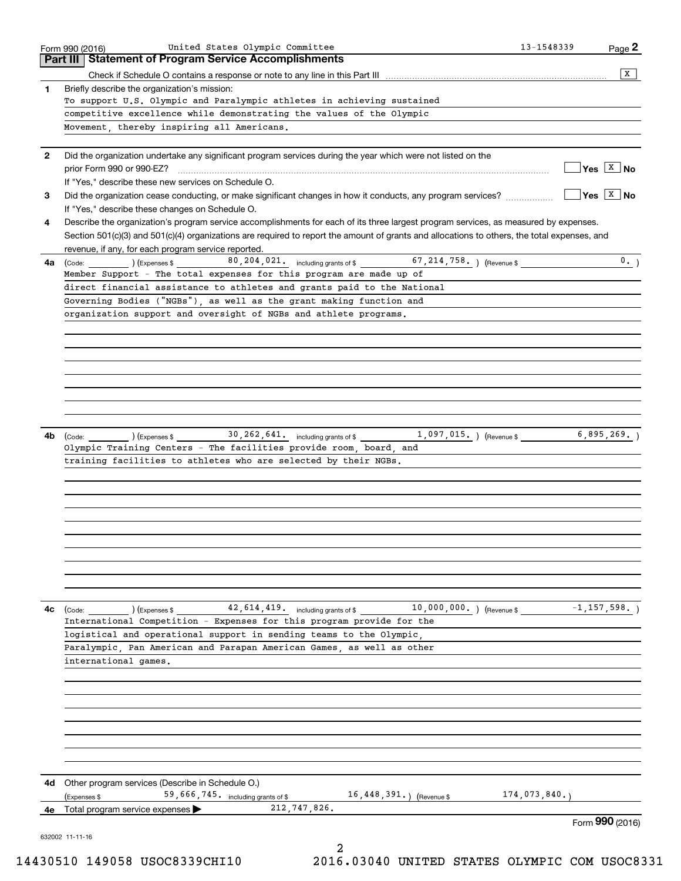|              | United States Olympic Committee<br>Form 990 (2016)                                                                                             | 13-1548339   | Page 2                                                      |
|--------------|------------------------------------------------------------------------------------------------------------------------------------------------|--------------|-------------------------------------------------------------|
|              | Part III   Statement of Program Service Accomplishments                                                                                        |              |                                                             |
|              |                                                                                                                                                |              | x                                                           |
| 1            | Briefly describe the organization's mission:                                                                                                   |              |                                                             |
|              | To support U.S. Olympic and Paralympic athletes in achieving sustained<br>competitive excellence while demonstrating the values of the Olympic |              |                                                             |
|              | Movement, thereby inspiring all Americans.                                                                                                     |              |                                                             |
|              |                                                                                                                                                |              |                                                             |
| $\mathbf{2}$ | Did the organization undertake any significant program services during the year which were not listed on the                                   |              |                                                             |
|              | prior Form 990 or 990-EZ?                                                                                                                      |              | $Yes \begin{array}{ c c } \hline X & \text{No} \end{array}$ |
|              | If "Yes," describe these new services on Schedule O.                                                                                           |              |                                                             |
| 3            | Did the organization cease conducting, or make significant changes in how it conducts, any program services?                                   |              | $Yes \quad \boxed{X}$ No                                    |
|              | If "Yes," describe these changes on Schedule O.                                                                                                |              |                                                             |
| 4            | Describe the organization's program service accomplishments for each of its three largest program services, as measured by expenses.           |              |                                                             |
|              | Section 501(c)(3) and 501(c)(4) organizations are required to report the amount of grants and allocations to others, the total expenses, and   |              |                                                             |
|              | revenue, if any, for each program service reported.                                                                                            |              |                                                             |
|              | 80, 204, 021. including grants of \$ 67, 214, 758. The Perenue \$<br><b>4a</b> (Code: ) (Expenses \$                                           |              | 0.                                                          |
|              | Member Support - The total expenses for this program are made up of                                                                            |              |                                                             |
|              | direct financial assistance to athletes and grants paid to the National                                                                        |              |                                                             |
|              | Governing Bodies ("NGBs"), as well as the grant making function and                                                                            |              |                                                             |
|              | organization support and oversight of NGBs and athlete programs.                                                                               |              |                                                             |
|              |                                                                                                                                                |              |                                                             |
|              |                                                                                                                                                |              |                                                             |
|              |                                                                                                                                                |              |                                                             |
|              |                                                                                                                                                |              |                                                             |
|              |                                                                                                                                                |              |                                                             |
|              |                                                                                                                                                |              |                                                             |
|              |                                                                                                                                                |              |                                                             |
|              |                                                                                                                                                |              |                                                             |
|              |                                                                                                                                                |              |                                                             |
| 4b           | $30, 262, 641$ . including grants of \$<br>$1,097,015.$ ) (Revenue \$<br>) (Expenses \$<br>(Code:                                              |              | 6,895,269.                                                  |
|              | Olympic Training Centers - The facilities provide room, board, and                                                                             |              |                                                             |
|              | training facilities to athletes who are selected by their NGBs.                                                                                |              |                                                             |
|              |                                                                                                                                                |              |                                                             |
|              |                                                                                                                                                |              |                                                             |
|              |                                                                                                                                                |              |                                                             |
|              |                                                                                                                                                |              |                                                             |
|              |                                                                                                                                                |              |                                                             |
|              |                                                                                                                                                |              |                                                             |
|              |                                                                                                                                                |              |                                                             |
|              |                                                                                                                                                |              |                                                             |
|              |                                                                                                                                                |              |                                                             |
|              |                                                                                                                                                |              |                                                             |
| 4c           | $42,614,419.$ including grants of \$ $10,000,000.$ (Revenue \$ $-1,157,598.$ )<br>(Expenses \$<br>(Code:                                       |              |                                                             |
|              | International Competition - Expenses for this program provide for the                                                                          |              |                                                             |
|              | logistical and operational support in sending teams to the Olympic.                                                                            |              |                                                             |
|              | Paralympic. Pan American and Parapan American Games, as well as other                                                                          |              |                                                             |
|              | international games.                                                                                                                           |              |                                                             |
|              |                                                                                                                                                |              |                                                             |
|              |                                                                                                                                                |              |                                                             |
|              |                                                                                                                                                |              |                                                             |
|              |                                                                                                                                                |              |                                                             |
|              |                                                                                                                                                |              |                                                             |
|              |                                                                                                                                                |              |                                                             |
|              |                                                                                                                                                |              |                                                             |
| 4d           | Other program services (Describe in Schedule O.)                                                                                               |              |                                                             |
|              | 16, 448, 391.) (Revenue \$<br>59,666,745. including grants of \$<br>(Expenses \$                                                               | 174,073,840. |                                                             |
| 4е           | 212,747,826.<br>Total program service expenses $\blacktriangleright$                                                                           |              | Form 990 (2016)                                             |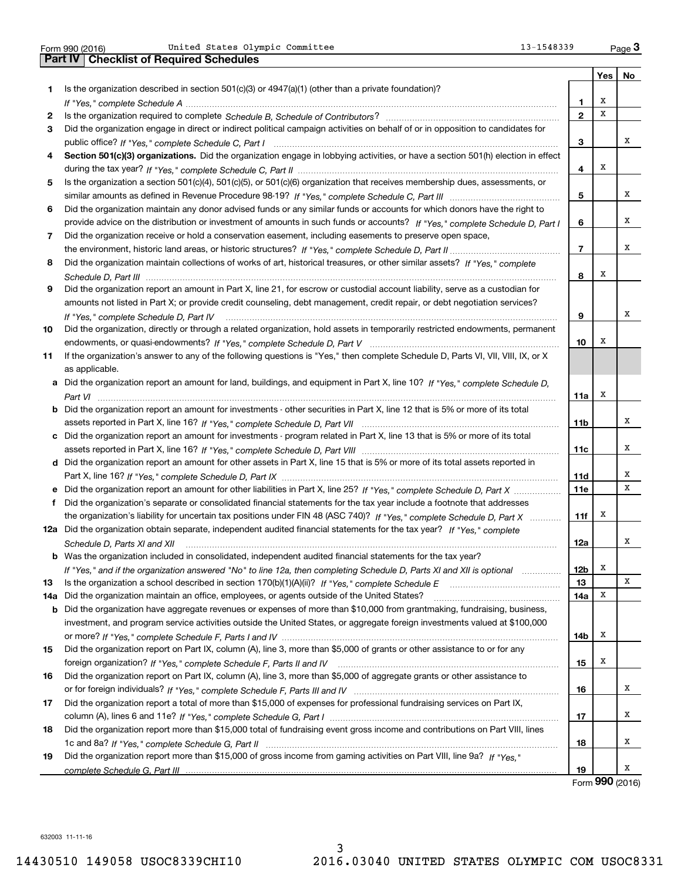United States Olympic Committee 13-1548339

|     | United States Olympic Committee<br>13-1548339<br>Form 990 (2016)                                                                                                        |                 |     | $_{\text{Page}}$ 3             |
|-----|-------------------------------------------------------------------------------------------------------------------------------------------------------------------------|-----------------|-----|--------------------------------|
|     | <b>Part IV   Checklist of Required Schedules</b>                                                                                                                        |                 |     |                                |
|     |                                                                                                                                                                         |                 | Yes | No                             |
| 1.  | Is the organization described in section $501(c)(3)$ or $4947(a)(1)$ (other than a private foundation)?                                                                 |                 |     |                                |
|     |                                                                                                                                                                         | 1               | X   |                                |
| 2   |                                                                                                                                                                         | $\overline{2}$  | X   |                                |
| 3   | Did the organization engage in direct or indirect political campaign activities on behalf of or in opposition to candidates for                                         |                 |     |                                |
|     |                                                                                                                                                                         | 3               |     | x                              |
| 4   | Section 501(c)(3) organizations. Did the organization engage in lobbying activities, or have a section 501(h) election in effect                                        |                 |     |                                |
|     |                                                                                                                                                                         | 4               | х   |                                |
| 5   | Is the organization a section 501(c)(4), 501(c)(5), or 501(c)(6) organization that receives membership dues, assessments, or                                            |                 |     |                                |
|     |                                                                                                                                                                         | 5               |     | х                              |
| 6   | Did the organization maintain any donor advised funds or any similar funds or accounts for which donors have the right to                                               |                 |     |                                |
|     | provide advice on the distribution or investment of amounts in such funds or accounts? If "Yes," complete Schedule D, Part I                                            | 6               |     | x                              |
| 7   | Did the organization receive or hold a conservation easement, including easements to preserve open space,                                                               |                 |     |                                |
|     |                                                                                                                                                                         | $\overline{7}$  |     | x                              |
| 8   | Did the organization maintain collections of works of art, historical treasures, or other similar assets? If "Yes," complete                                            |                 |     |                                |
|     |                                                                                                                                                                         | 8               | x   |                                |
| 9   | Did the organization report an amount in Part X, line 21, for escrow or custodial account liability, serve as a custodian for                                           |                 |     |                                |
|     | amounts not listed in Part X; or provide credit counseling, debt management, credit repair, or debt negotiation services?                                               |                 |     |                                |
|     |                                                                                                                                                                         | 9               |     | х                              |
| 10  | If "Yes," complete Schedule D, Part IV<br>Did the organization, directly or through a related organization, hold assets in temporarily restricted endowments, permanent |                 |     |                                |
|     |                                                                                                                                                                         | 10              | х   |                                |
| 11  |                                                                                                                                                                         |                 |     |                                |
|     | If the organization's answer to any of the following questions is "Yes," then complete Schedule D, Parts VI, VII, VIII, IX, or X                                        |                 |     |                                |
|     | as applicable.<br>a Did the organization report an amount for land, buildings, and equipment in Part X, line 10? If "Yes," complete Schedule D,                         |                 |     |                                |
|     |                                                                                                                                                                         |                 | x   |                                |
|     |                                                                                                                                                                         | 11a             |     |                                |
|     | <b>b</b> Did the organization report an amount for investments - other securities in Part X, line 12 that is 5% or more of its total                                    |                 |     | х                              |
|     |                                                                                                                                                                         | 11 <sub>b</sub> |     |                                |
|     | c Did the organization report an amount for investments - program related in Part X, line 13 that is 5% or more of its total                                            |                 |     | х                              |
|     |                                                                                                                                                                         | 11c             |     |                                |
|     | d Did the organization report an amount for other assets in Part X, line 15 that is 5% or more of its total assets reported in                                          |                 |     |                                |
|     |                                                                                                                                                                         | <b>11d</b>      |     | х                              |
|     | e Did the organization report an amount for other liabilities in Part X, line 25? If "Yes," complete Schedule D, Part X                                                 | 11e             |     | х                              |
| f   | Did the organization's separate or consolidated financial statements for the tax year include a footnote that addresses                                                 |                 |     |                                |
|     | the organization's liability for uncertain tax positions under FIN 48 (ASC 740)? If "Yes," complete Schedule D, Part X                                                  | 11f             | x   |                                |
|     | 12a Did the organization obtain separate, independent audited financial statements for the tax year? If "Yes," complete                                                 |                 |     |                                |
|     | Schedule D, Parts XI and XII <i>maching and the content of the content of the setter and the setter and the setter and</i>                                              | 12a             |     |                                |
| b   | Was the organization included in consolidated, independent audited financial statements for the tax year?                                                               |                 |     |                                |
|     | If "Yes," and if the organization answered "No" to line 12a, then completing Schedule D, Parts XI and XII is optional                                                   | 12 <sub>b</sub> | х   |                                |
| 13  |                                                                                                                                                                         | 13              |     | x                              |
| 14a | Did the organization maintain an office, employees, or agents outside of the United States?                                                                             | 14a             | X   |                                |
| b   | Did the organization have aggregate revenues or expenses of more than \$10,000 from grantmaking, fundraising, business,                                                 |                 |     |                                |
|     | investment, and program service activities outside the United States, or aggregate foreign investments valued at \$100,000                                              |                 |     |                                |
|     |                                                                                                                                                                         | 14b             | x   |                                |
| 15  | Did the organization report on Part IX, column (A), line 3, more than \$5,000 of grants or other assistance to or for any                                               |                 |     |                                |
|     |                                                                                                                                                                         | 15              | x   |                                |
| 16  | Did the organization report on Part IX, column (A), line 3, more than \$5,000 of aggregate grants or other assistance to                                                |                 |     |                                |
|     |                                                                                                                                                                         | 16              |     | х                              |
| 17  | Did the organization report a total of more than \$15,000 of expenses for professional fundraising services on Part IX,                                                 |                 |     |                                |
|     |                                                                                                                                                                         | 17              |     | х                              |
| 18  | Did the organization report more than \$15,000 total of fundraising event gross income and contributions on Part VIII, lines                                            |                 |     |                                |
|     |                                                                                                                                                                         | 18              |     | х                              |
| 19  | Did the organization report more than \$15,000 of gross income from gaming activities on Part VIII, line 9a? If "Yes."                                                  |                 |     |                                |
|     |                                                                                                                                                                         | 19              |     | x                              |
|     |                                                                                                                                                                         |                 |     | $\mathbf{QQ} \cap \mathbf{QQ}$ |

Form (2016) **990**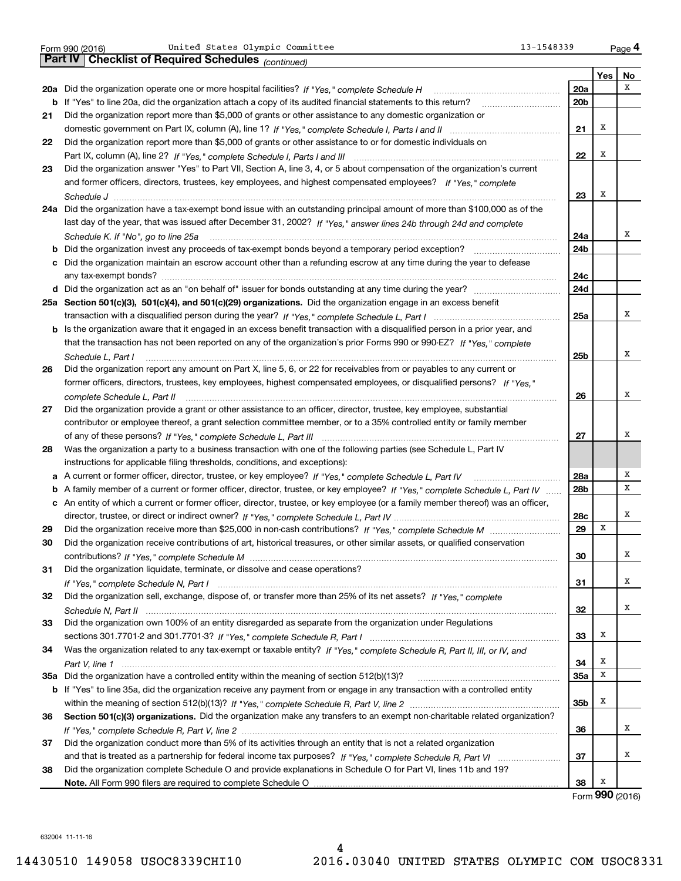|  | Form 990 (2016) |  |
|--|-----------------|--|
|  |                 |  |

|     | United States Olympic Committee<br>13-1548339<br>Form 990 (2016)                                                                  |                 |     | Page 4 |
|-----|-----------------------------------------------------------------------------------------------------------------------------------|-----------------|-----|--------|
|     | Part IV  <br><b>Checklist of Required Schedules</b> (continued)                                                                   |                 |     |        |
|     |                                                                                                                                   |                 | Yes | No     |
|     | 20a Did the organization operate one or more hospital facilities? If "Yes," complete Schedule H                                   | 20a             |     | x      |
| b   | If "Yes" to line 20a, did the organization attach a copy of its audited financial statements to this return?                      | 20b             |     |        |
| 21  | Did the organization report more than \$5,000 of grants or other assistance to any domestic organization or                       |                 |     |        |
|     |                                                                                                                                   | 21              | х   |        |
| 22  | Did the organization report more than \$5,000 of grants or other assistance to or for domestic individuals on                     |                 |     |        |
|     |                                                                                                                                   | 22              | х   |        |
| 23  | Did the organization answer "Yes" to Part VII, Section A, line 3, 4, or 5 about compensation of the organization's current        |                 |     |        |
|     | and former officers, directors, trustees, key employees, and highest compensated employees? If "Yes," complete                    |                 |     |        |
|     |                                                                                                                                   | 23              | х   |        |
|     | 24a Did the organization have a tax-exempt bond issue with an outstanding principal amount of more than \$100,000 as of the       |                 |     |        |
|     | last day of the year, that was issued after December 31, 2002? If "Yes," answer lines 24b through 24d and complete                |                 |     |        |
|     | Schedule K. If "No", go to line 25a                                                                                               | 24a             |     | х      |
|     | Did the organization invest any proceeds of tax-exempt bonds beyond a temporary period exception?                                 | 24b             |     |        |
|     | Did the organization maintain an escrow account other than a refunding escrow at any time during the year to defease              |                 |     |        |
|     |                                                                                                                                   | 24c             |     |        |
|     |                                                                                                                                   | 24d             |     |        |
|     | 25a Section 501(c)(3), 501(c)(4), and 501(c)(29) organizations. Did the organization engage in an excess benefit                  |                 |     |        |
|     |                                                                                                                                   | 25a             |     | х      |
| b   | Is the organization aware that it engaged in an excess benefit transaction with a disqualified person in a prior year, and        |                 |     |        |
|     | that the transaction has not been reported on any of the organization's prior Forms 990 or 990-EZ? If "Yes," complete             |                 |     |        |
|     | Schedule L, Part I                                                                                                                | 25 <sub>b</sub> |     | х      |
| 26  | Did the organization report any amount on Part X, line 5, 6, or 22 for receivables from or payables to any current or             |                 |     |        |
|     | former officers, directors, trustees, key employees, highest compensated employees, or disqualified persons? If "Yes."            |                 |     |        |
|     | complete Schedule L, Part II                                                                                                      | 26              |     | х      |
| 27  | Did the organization provide a grant or other assistance to an officer, director, trustee, key employee, substantial              |                 |     |        |
|     | contributor or employee thereof, a grant selection committee member, or to a 35% controlled entity or family member               |                 |     |        |
|     |                                                                                                                                   | 27              |     | х      |
| 28  | Was the organization a party to a business transaction with one of the following parties (see Schedule L, Part IV                 |                 |     |        |
|     | instructions for applicable filing thresholds, conditions, and exceptions):                                                       |                 |     |        |
| а   | A current or former officer, director, trustee, or key employee? If "Yes," complete Schedule L, Part IV                           | 28a             |     | Χ      |
| b   | A family member of a current or former officer, director, trustee, or key employee? If "Yes," complete Schedule L, Part IV        | 28b             |     | х      |
|     | c An entity of which a current or former officer, director, trustee, or key employee (or a family member thereof) was an officer, |                 |     |        |
|     |                                                                                                                                   | 28c             |     | Χ      |
| 29  |                                                                                                                                   | 29              | х   |        |
| 30  | Did the organization receive contributions of art, historical treasures, or other similar assets, or qualified conservation       |                 |     |        |
|     |                                                                                                                                   | 30              |     | х      |
| 31  | Did the organization liquidate, terminate, or dissolve and cease operations?                                                      |                 |     |        |
|     |                                                                                                                                   | 31              |     | х      |
| 32  | Did the organization sell, exchange, dispose of, or transfer more than 25% of its net assets? If "Yes," complete                  |                 |     |        |
|     |                                                                                                                                   | 32              |     | х      |
| 33  | Did the organization own 100% of an entity disregarded as separate from the organization under Regulations                        |                 |     |        |
|     |                                                                                                                                   | 33              | х   |        |
| 34  | Was the organization related to any tax-exempt or taxable entity? If "Yes," complete Schedule R, Part II, III, or IV, and         |                 |     |        |
|     |                                                                                                                                   | 34              | х   |        |
| 35a | Did the organization have a controlled entity within the meaning of section 512(b)(13)?                                           | 35a             | x   |        |
| b   | If "Yes" to line 35a, did the organization receive any payment from or engage in any transaction with a controlled entity         |                 |     |        |
|     |                                                                                                                                   | 35b             | х   |        |
| 36  | Section 501(c)(3) organizations. Did the organization make any transfers to an exempt non-charitable related organization?        |                 |     |        |
|     |                                                                                                                                   | 36              |     | х      |
| 37  | Did the organization conduct more than 5% of its activities through an entity that is not a related organization                  |                 |     |        |
|     |                                                                                                                                   | 37              |     | х      |
| 38  | Did the organization complete Schedule O and provide explanations in Schedule O for Part VI, lines 11b and 19?                    |                 |     |        |
|     |                                                                                                                                   | 38              | x   |        |

Form (2016) **990**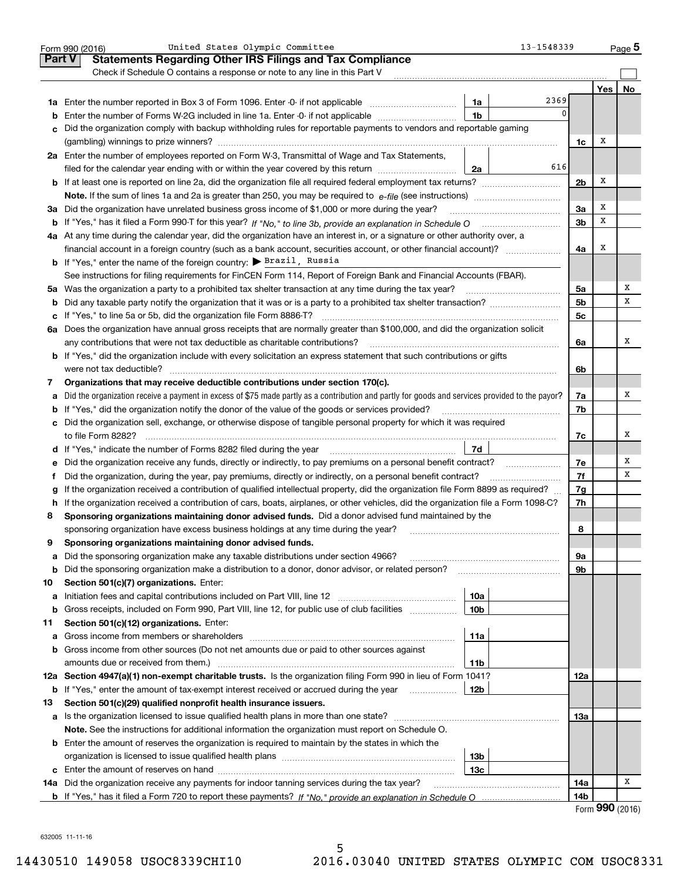|               | United States Olympic Committee<br>Form 990 (2016)                                                                                                                                                                               |                 | 13-1548339 |                 |                             | $_{\text{Page}}$ 5 |
|---------------|----------------------------------------------------------------------------------------------------------------------------------------------------------------------------------------------------------------------------------|-----------------|------------|-----------------|-----------------------------|--------------------|
| <b>Part V</b> | <b>Statements Regarding Other IRS Filings and Tax Compliance</b>                                                                                                                                                                 |                 |            |                 |                             |                    |
|               | Check if Schedule O contains a response or note to any line in this Part V                                                                                                                                                       |                 |            |                 |                             |                    |
|               |                                                                                                                                                                                                                                  |                 |            |                 | Yes                         | No                 |
|               |                                                                                                                                                                                                                                  | 1a              | 2369       |                 |                             |                    |
| b             | Enter the number of Forms W-2G included in line 1a. Enter -0- if not applicable                                                                                                                                                  | 1 <sub>b</sub>  | 0          |                 |                             |                    |
|               | Did the organization comply with backup withholding rules for reportable payments to vendors and reportable gaming                                                                                                               |                 |            |                 |                             |                    |
|               |                                                                                                                                                                                                                                  |                 |            | 1c              | x                           |                    |
|               | 2a Enter the number of employees reported on Form W-3, Transmittal of Wage and Tax Statements,                                                                                                                                   |                 |            |                 |                             |                    |
|               | filed for the calendar year ending with or within the year covered by this return                                                                                                                                                | 2a              | 616        |                 |                             |                    |
|               |                                                                                                                                                                                                                                  |                 |            | 2 <sub>b</sub>  | х                           |                    |
|               | <b>Note.</b> If the sum of lines 1a and 2a is greater than 250, you may be required to $e$ -file (see instructions) <i>marrouum</i> manu-                                                                                        |                 |            |                 |                             |                    |
| За            | Did the organization have unrelated business gross income of \$1,000 or more during the year?                                                                                                                                    |                 |            | 3a              | х                           |                    |
| b             |                                                                                                                                                                                                                                  |                 |            | 3 <sub>b</sub>  | х                           |                    |
|               | 4a At any time during the calendar year, did the organization have an interest in, or a signature or other authority over, a                                                                                                     |                 |            |                 |                             |                    |
|               | financial account in a foreign country (such as a bank account, securities account, or other financial account)?                                                                                                                 |                 |            | 4a              | х                           |                    |
|               | <b>b</b> If "Yes," enter the name of the foreign country: $\triangleright$ Brazil, Russia                                                                                                                                        |                 |            |                 |                             |                    |
|               | See instructions for filing requirements for FinCEN Form 114, Report of Foreign Bank and Financial Accounts (FBAR).                                                                                                              |                 |            |                 |                             |                    |
|               | 5a Was the organization a party to a prohibited tax shelter transaction at any time during the tax year?                                                                                                                         |                 |            | 5a              |                             | Χ                  |
| b             |                                                                                                                                                                                                                                  |                 |            | 5b              |                             | х                  |
| с             |                                                                                                                                                                                                                                  |                 |            | 5c              |                             |                    |
|               | 6a Does the organization have annual gross receipts that are normally greater than \$100,000, and did the organization solicit                                                                                                   |                 |            |                 |                             |                    |
|               | any contributions that were not tax deductible as charitable contributions?                                                                                                                                                      |                 |            | 6a              |                             | Χ                  |
|               | <b>b</b> If "Yes," did the organization include with every solicitation an express statement that such contributions or gifts                                                                                                    |                 |            |                 |                             |                    |
|               |                                                                                                                                                                                                                                  |                 |            | 6b              |                             |                    |
| 7             | Organizations that may receive deductible contributions under section 170(c).<br>Did the organization receive a payment in excess of \$75 made partly as a contribution and partly for goods and services provided to the payor? |                 |            |                 |                             | х                  |
| а             |                                                                                                                                                                                                                                  |                 |            | 7a<br>7b        |                             |                    |
| b             | If "Yes," did the organization notify the donor of the value of the goods or services provided?<br>c Did the organization sell, exchange, or otherwise dispose of tangible personal property for which it was required           |                 |            |                 |                             |                    |
|               |                                                                                                                                                                                                                                  |                 |            | 7c              |                             | х                  |
|               |                                                                                                                                                                                                                                  | 7d              |            |                 |                             |                    |
| е             | Did the organization receive any funds, directly or indirectly, to pay premiums on a personal benefit contract?                                                                                                                  |                 |            | 7e              |                             | Х                  |
| f             | Did the organization, during the year, pay premiums, directly or indirectly, on a personal benefit contract?                                                                                                                     |                 |            | 7f              |                             | х                  |
| g             | If the organization received a contribution of qualified intellectual property, did the organization file Form 8899 as required?                                                                                                 |                 |            | 7g              |                             |                    |
| h             | If the organization received a contribution of cars, boats, airplanes, or other vehicles, did the organization file a Form 1098-C?                                                                                               |                 |            | 7h              |                             |                    |
| 8             | Sponsoring organizations maintaining donor advised funds. Did a donor advised fund maintained by the                                                                                                                             |                 |            |                 |                             |                    |
|               | sponsoring organization have excess business holdings at any time during the year?                                                                                                                                               |                 |            | 8               |                             |                    |
|               | Sponsoring organizations maintaining donor advised funds.                                                                                                                                                                        |                 |            |                 |                             |                    |
| а             | Did the sponsoring organization make any taxable distributions under section 4966?                                                                                                                                               |                 |            | 9а              |                             |                    |
| b             | Did the sponsoring organization make a distribution to a donor, donor advisor, or related person?                                                                                                                                |                 |            | 9b              |                             |                    |
| 10            | Section 501(c)(7) organizations. Enter:                                                                                                                                                                                          |                 |            |                 |                             |                    |
| а             |                                                                                                                                                                                                                                  | 10a             |            |                 |                             |                    |
| b             | Gross receipts, included on Form 990, Part VIII, line 12, for public use of club facilities                                                                                                                                      | 10 <sub>b</sub> |            |                 |                             |                    |
| 11            | Section 501(c)(12) organizations. Enter:                                                                                                                                                                                         |                 |            |                 |                             |                    |
| а             | Gross income from members or shareholders                                                                                                                                                                                        | 11a             |            |                 |                             |                    |
| b             | Gross income from other sources (Do not net amounts due or paid to other sources against                                                                                                                                         |                 |            |                 |                             |                    |
|               | amounts due or received from them.)                                                                                                                                                                                              | 11b             |            |                 |                             |                    |
|               | 12a Section 4947(a)(1) non-exempt charitable trusts. Is the organization filing Form 990 in lieu of Form 1041?                                                                                                                   |                 |            | 12a             |                             |                    |
| b             | If "Yes," enter the amount of tax-exempt interest received or accrued during the year                                                                                                                                            | 12 <sub>b</sub> |            |                 |                             |                    |
| 13            | Section 501(c)(29) qualified nonprofit health insurance issuers.                                                                                                                                                                 |                 |            |                 |                             |                    |
| a             | Is the organization licensed to issue qualified health plans in more than one state?                                                                                                                                             |                 |            | 1За             |                             |                    |
|               | Note. See the instructions for additional information the organization must report on Schedule O.                                                                                                                                |                 |            |                 |                             |                    |
|               | <b>b</b> Enter the amount of reserves the organization is required to maintain by the states in which the                                                                                                                        |                 |            |                 |                             |                    |
|               |                                                                                                                                                                                                                                  | 13b             |            |                 |                             |                    |
| c             |                                                                                                                                                                                                                                  | 13c             |            |                 |                             |                    |
|               | 14a Did the organization receive any payments for indoor tanning services during the tax year?                                                                                                                                   |                 |            | 14a             |                             | х                  |
|               |                                                                                                                                                                                                                                  |                 |            | 14 <sub>b</sub> |                             |                    |
|               |                                                                                                                                                                                                                                  |                 |            |                 | $F_{\text{OCD}}$ 990 (2016) |                    |

|  |  | Form 990 (2016) |
|--|--|-----------------|
|--|--|-----------------|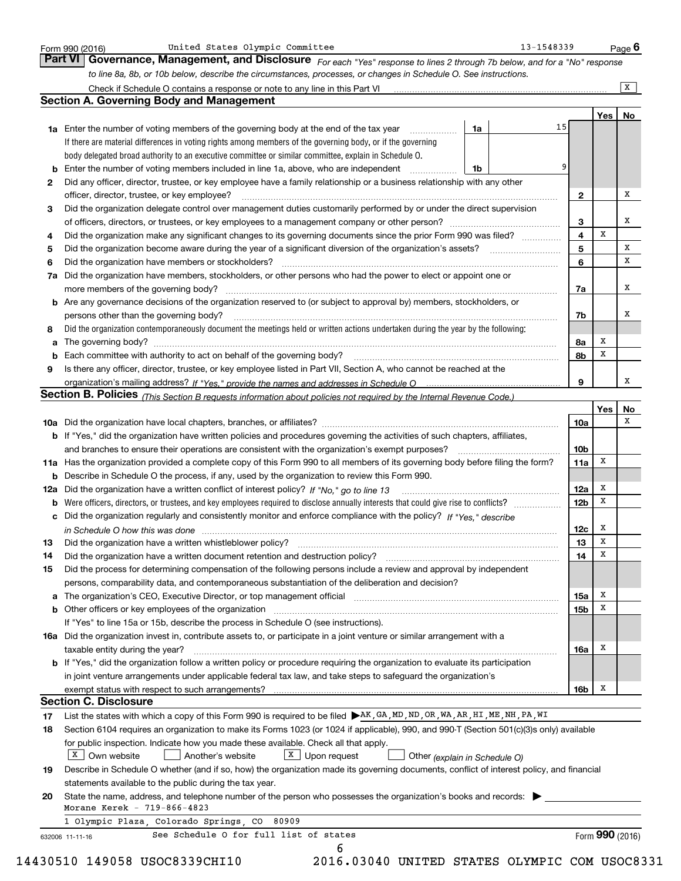|    | to line 8a, 8b, or 10b below, describe the circumstances, processes, or changes in Schedule O. See instructions.                                                                                                               |                         |     | $\overline{X}$ |
|----|--------------------------------------------------------------------------------------------------------------------------------------------------------------------------------------------------------------------------------|-------------------------|-----|----------------|
|    | <b>Section A. Governing Body and Management</b>                                                                                                                                                                                |                         |     |                |
|    |                                                                                                                                                                                                                                |                         | Yes | No             |
|    | 1a<br><b>1a</b> Enter the number of voting members of the governing body at the end of the tax year <i>manumum</i>                                                                                                             | 15                      |     |                |
|    | If there are material differences in voting rights among members of the governing body, or if the governing                                                                                                                    |                         |     |                |
|    | body delegated broad authority to an executive committee or similar committee, explain in Schedule O.                                                                                                                          |                         |     |                |
|    | Enter the number of voting members included in line 1a, above, who are independent<br>1b                                                                                                                                       |                         |     |                |
| 2  | Did any officer, director, trustee, or key employee have a family relationship or a business relationship with any other                                                                                                       |                         |     |                |
|    | officer, director, trustee, or key employee?                                                                                                                                                                                   | $\mathbf{2}$            |     | х              |
| 3  | Did the organization delegate control over management duties customarily performed by or under the direct supervision                                                                                                          |                         |     |                |
|    |                                                                                                                                                                                                                                | 3                       |     | х              |
| 4  | Did the organization make any significant changes to its governing documents since the prior Form 990 was filed?                                                                                                               | $\overline{\mathbf{4}}$ | X   |                |
| 5  |                                                                                                                                                                                                                                | 5                       |     | x              |
| 6  |                                                                                                                                                                                                                                | 6                       |     | X              |
| 7a | Did the organization have members, stockholders, or other persons who had the power to elect or appoint one or                                                                                                                 |                         |     |                |
|    |                                                                                                                                                                                                                                | 7a                      |     | х              |
|    | <b>b</b> Are any governance decisions of the organization reserved to (or subject to approval by) members, stockholders, or                                                                                                    |                         |     |                |
|    | persons other than the governing body?                                                                                                                                                                                         | 7b                      |     | х              |
| 8  | Did the organization contemporaneously document the meetings held or written actions undertaken during the year by the following:                                                                                              |                         |     |                |
| а  |                                                                                                                                                                                                                                | 8a                      | Х   |                |
|    | Each committee with authority to act on behalf of the governing body? [11] manufacture manufacture with authority to act on behalf of the governing body? [11] manufacture manufacture with authority of the state with an int | 8b                      | Х   |                |
| 9  | Is there any officer, director, trustee, or key employee listed in Part VII, Section A, who cannot be reached at the                                                                                                           |                         |     |                |
|    |                                                                                                                                                                                                                                | 9                       |     | х              |
|    | Section B. Policies (This Section B requests information about policies not required by the Internal Revenue Code.)                                                                                                            |                         |     |                |
|    |                                                                                                                                                                                                                                |                         | Yes | No             |
|    |                                                                                                                                                                                                                                | 10a                     |     | x              |
|    | <b>b</b> If "Yes," did the organization have written policies and procedures governing the activities of such chapters, affiliates,                                                                                            |                         |     |                |
|    |                                                                                                                                                                                                                                | 10b                     |     |                |
|    | 11a Has the organization provided a complete copy of this Form 990 to all members of its governing body before filing the form?                                                                                                | 11a                     | x   |                |
| b  | Describe in Schedule O the process, if any, used by the organization to review this Form 990.                                                                                                                                  |                         |     |                |
|    |                                                                                                                                                                                                                                | 12a                     | x   |                |
| b  |                                                                                                                                                                                                                                | 12 <sub>b</sub>         | x   |                |
| c  | Did the organization regularly and consistently monitor and enforce compliance with the policy? If "Yes," describe                                                                                                             |                         |     |                |
|    | in Schedule O how this was done manufactured and continuum and contact the United Schedule O how this was done                                                                                                                 | 12c                     | x   |                |
| 13 | Did the organization have a written whistleblower policy?                                                                                                                                                                      | 13                      | X   |                |
| 14 | Did the organization have a written document retention and destruction policy? manufactured and the organization have a written document retention and destruction policy?                                                     | 14                      | х   |                |
| 15 | Did the process for determining compensation of the following persons include a review and approval by independent                                                                                                             |                         |     |                |
|    | persons, comparability data, and contemporaneous substantiation of the deliberation and decision?                                                                                                                              |                         |     |                |
| a  | The organization's CEO, Executive Director, or top management official manufactured content content of the organization's CEO, Executive Director, or top management official                                                  | 15a                     | х   |                |
| b  | Other officers or key employees of the organization                                                                                                                                                                            | 15b                     | Х   |                |
|    | If "Yes" to line 15a or 15b, describe the process in Schedule O (see instructions).                                                                                                                                            |                         |     |                |
|    | 16a Did the organization invest in, contribute assets to, or participate in a joint venture or similar arrangement with a                                                                                                      |                         |     |                |
|    | taxable entity during the year?                                                                                                                                                                                                | 16a                     | х   |                |
|    | b If "Yes," did the organization follow a written policy or procedure requiring the organization to evaluate its participation                                                                                                 |                         |     |                |
|    | in joint venture arrangements under applicable federal tax law, and take steps to safeguard the organization's                                                                                                                 |                         |     |                |
|    |                                                                                                                                                                                                                                | 16b                     | x   |                |
|    | <b>Section C. Disclosure</b>                                                                                                                                                                                                   |                         |     |                |
| 17 | List the states with which a copy of this Form 990 is required to be filed AK, GA, MD, ND, OR, WA, AR, HI, ME, NH, PA, WI                                                                                                      |                         |     |                |
| 18 | Section 6104 requires an organization to make its Forms 1023 (or 1024 if applicable), 990, and 990-T (Section 501(c)(3)s only) available                                                                                       |                         |     |                |
|    | for public inspection. Indicate how you made these available. Check all that apply.                                                                                                                                            |                         |     |                |
|    | $X$ Own website<br>$X$ Upon request<br>Another's website<br>Other (explain in Schedule O)                                                                                                                                      |                         |     |                |
| 19 | Describe in Schedule O whether (and if so, how) the organization made its governing documents, conflict of interest policy, and financial                                                                                      |                         |     |                |
|    | statements available to the public during the tax year.                                                                                                                                                                        |                         |     |                |
|    | State the name, address, and telephone number of the person who possesses the organization's books and records:                                                                                                                |                         |     |                |
| 20 |                                                                                                                                                                                                                                |                         |     |                |
|    | Morane Kerek - 719-866-4823                                                                                                                                                                                                    |                         |     |                |
|    | 1 Olympic Plaza, Colorado Springs, CO 80909                                                                                                                                                                                    |                         |     |                |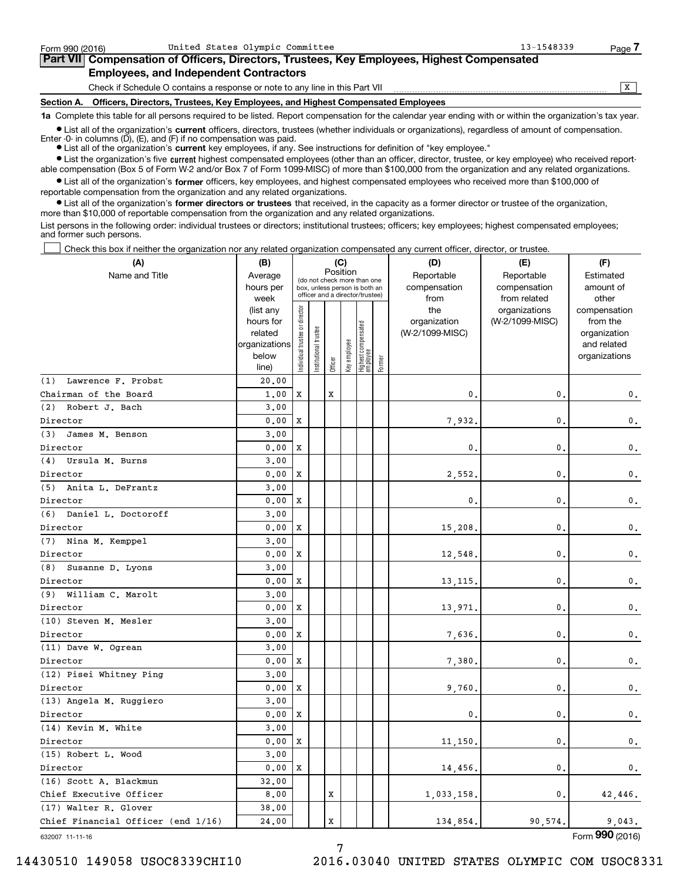| Form 990 (2016) | United States Olympic Committee                                                            | $13 - 1548339$ | Page |
|-----------------|--------------------------------------------------------------------------------------------|----------------|------|
|                 | Part VII Compensation of Officers, Directors, Trustees, Key Employees, Highest Compensated |                |      |
|                 | <b>Employees, and Independent Contractors</b>                                              |                |      |
|                 | Check if Schedule O contains a response or note to any line in this Part VII               |                |      |
| Section A.      | Officers, Directors, Trustees, Key Employees, and Highest Compensated Employees            |                |      |

**1a**  Complete this table for all persons required to be listed. Report compensation for the calendar year ending with or within the organization's tax year.

**•** List all of the organization's current officers, directors, trustees (whether individuals or organizations), regardless of amount of compensation. Enter -0- in columns  $(D)$ ,  $(E)$ , and  $(F)$  if no compensation was paid.

● List all of the organization's **current** key employees, if any. See instructions for definition of "key employee."

**•** List the organization's five current highest compensated employees (other than an officer, director, trustee, or key employee) who received reportable compensation (Box 5 of Form W-2 and/or Box 7 of Form 1099-MISC) of more than \$100,000 from the organization and any related organizations.

 $\bullet$  List all of the organization's **former** officers, key employees, and highest compensated employees who received more than \$100,000 of reportable compensation from the organization and any related organizations.

**•** List all of the organization's former directors or trustees that received, in the capacity as a former director or trustee of the organization, more than \$10,000 of reportable compensation from the organization and any related organizations.

List persons in the following order: individual trustees or directors; institutional trustees; officers; key employees; highest compensated employees; and former such persons.

Check this box if neither the organization nor any related organization compensated any current officer, director, or trustee.

| (A)                                | (B)                    | (C)<br>Position               |                       | (D)     | (E)          | (F)                                                              |        |                 |                                  |                          |
|------------------------------------|------------------------|-------------------------------|-----------------------|---------|--------------|------------------------------------------------------------------|--------|-----------------|----------------------------------|--------------------------|
| Name and Title                     | Average                |                               |                       |         |              | (do not check more than one                                      |        | Reportable      | Reportable                       | Estimated                |
|                                    | hours per              |                               |                       |         |              | box, unless person is both an<br>officer and a director/trustee) |        | compensation    | compensation                     | amount of                |
|                                    | week                   |                               |                       |         |              |                                                                  |        | from<br>the     | from related                     | other                    |
|                                    | (list any<br>hours for |                               |                       |         |              |                                                                  |        | organization    | organizations<br>(W-2/1099-MISC) | compensation<br>from the |
|                                    | related                |                               |                       |         |              |                                                                  |        | (W-2/1099-MISC) |                                  | organization             |
|                                    | organizations          |                               |                       |         |              |                                                                  |        |                 |                                  | and related              |
|                                    | below                  | ndividual trustee or director | Institutional trustee |         | Key employee | Highest compensated<br>employee                                  |        |                 |                                  | organizations            |
|                                    | line)                  |                               |                       | Officer |              |                                                                  | Former |                 |                                  |                          |
| (1) Lawrence F. Probst             | 20,00                  |                               |                       |         |              |                                                                  |        |                 |                                  |                          |
| Chairman of the Board              | 1.00                   | X                             |                       | X       |              |                                                                  |        | 0.              | $\mathbf{0}$                     | $\mathbf 0$ .            |
| (2) Robert J. Bach                 | 3,00                   |                               |                       |         |              |                                                                  |        |                 |                                  |                          |
| Director                           | 0.00                   | X                             |                       |         |              |                                                                  |        | 7,932.          | $\mathbf 0$                      | $\mathbf{0}$ .           |
| (3)<br>James M. Benson             | 3.00                   |                               |                       |         |              |                                                                  |        |                 |                                  |                          |
| Director                           | 0.00                   | X                             |                       |         |              |                                                                  |        | 0,              | $\mathbf{0}$                     | 0.                       |
| (4) Ursula M. Burns                | 3.00                   |                               |                       |         |              |                                                                  |        |                 |                                  |                          |
| Director                           | 0.00                   | X                             |                       |         |              |                                                                  |        | 2,552.          | $\mathbf 0$                      | 0.                       |
| (5) Anita L. DeFrantz              | 3.00                   |                               |                       |         |              |                                                                  |        |                 |                                  |                          |
| Director                           | 0.00                   | X                             |                       |         |              |                                                                  |        | 0.              | $\mathbf{0}$                     | 0.                       |
| (6) Daniel L. Doctoroff            | 3.00                   |                               |                       |         |              |                                                                  |        |                 |                                  |                          |
| Director                           | 0.00                   | X                             |                       |         |              |                                                                  |        | 15,208.         | $\mathbf 0$                      | $\mathbf 0$ .            |
| (7) Nina M. Kemppel                | 3.00                   |                               |                       |         |              |                                                                  |        |                 |                                  |                          |
| Director                           | 0.00                   | X                             |                       |         |              |                                                                  |        | 12,548          | $\mathbf{0}$                     | 0.                       |
| (8)<br>Susanne D. Lyons            | 3.00                   |                               |                       |         |              |                                                                  |        |                 |                                  |                          |
| Director                           | 0.00                   | X                             |                       |         |              |                                                                  |        | 13, 115.        | $\mathbf{0}$                     | 0.                       |
| (9) William C. Marolt              | 3.00                   |                               |                       |         |              |                                                                  |        |                 |                                  |                          |
| Director                           | 0.00                   | X                             |                       |         |              |                                                                  |        | 13,971.         | $\mathbf{0}$                     | 0.                       |
| (10) Steven M. Mesler              | 3.00                   |                               |                       |         |              |                                                                  |        |                 |                                  |                          |
| Director                           | 0.00                   | X                             |                       |         |              |                                                                  |        | 7,636.          | $\mathbf{0}$                     | $\mathbf{0}$ .           |
| (11) Dave W. Ogrean                | 3.00                   |                               |                       |         |              |                                                                  |        |                 |                                  |                          |
| Director                           | 0.00                   | X                             |                       |         |              |                                                                  |        | 7,380.          | $\mathbf{0}$                     | $\mathsf{0}\,.$          |
| (12) Pisei Whitney Ping            | 3.00                   |                               |                       |         |              |                                                                  |        |                 |                                  |                          |
| Director                           | 0.00                   | X                             |                       |         |              |                                                                  |        | 9,760.          | $\mathbf{0}$                     | 0.                       |
| (13) Angela M. Ruggiero            | 3.00                   |                               |                       |         |              |                                                                  |        |                 |                                  |                          |
| Director                           | 0.00                   | X                             |                       |         |              |                                                                  |        | 0.              | $\mathbf{0}$ .                   | $\mathbf 0$ .            |
| (14) Kevin M. White                | 3,00                   |                               |                       |         |              |                                                                  |        |                 |                                  |                          |
| Director                           | 0.00                   | X                             |                       |         |              |                                                                  |        | 11,150.         | $\mathbf{0}$ .                   | 0.                       |
| (15) Robert L. Wood                | 3,00                   |                               |                       |         |              |                                                                  |        |                 |                                  |                          |
| Director                           | 0.00                   | X                             |                       |         |              |                                                                  |        | 14,456.         | $\mathbf{0}$ .                   | 0.                       |
| (16) Scott A. Blackmun             | 32.00                  |                               |                       |         |              |                                                                  |        |                 |                                  |                          |
| Chief Executive Officer            | 8,00                   |                               |                       | X       |              |                                                                  |        | 1,033,158.      | 0.                               | 42,446.                  |
| (17) Walter R. Glover              | 38.00                  |                               |                       |         |              |                                                                  |        |                 |                                  |                          |
| Chief Financial Officer (end 1/16) | 24.00                  |                               |                       | X       |              |                                                                  |        | 134,854.        | 90,574.                          | 9,043.                   |

632007 11-11-16

Form (2016) **990**

7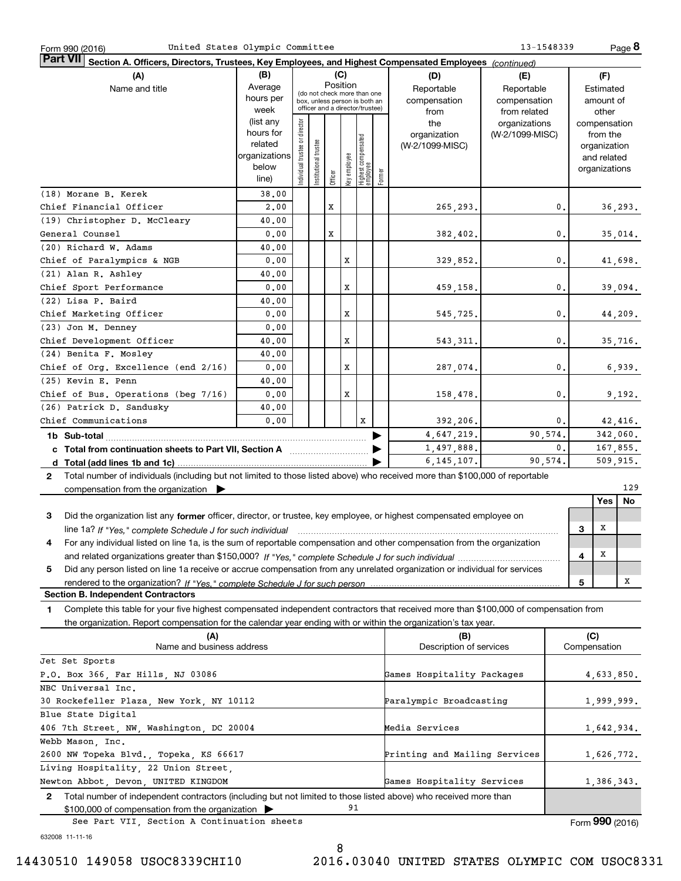| United States Olympic Committee<br>Form 990 (2016)                                                                                                                                                                                                                          |                      |                                |                       |         |          |                                                 |        |                               |                 | 13-1548339 |     |                             | Page 8   |
|-----------------------------------------------------------------------------------------------------------------------------------------------------------------------------------------------------------------------------------------------------------------------------|----------------------|--------------------------------|-----------------------|---------|----------|-------------------------------------------------|--------|-------------------------------|-----------------|------------|-----|-----------------------------|----------|
| <b>Part VII</b><br>Section A. Officers, Directors, Trustees, Key Employees, and Highest Compensated Employees (continued)                                                                                                                                                   |                      |                                |                       |         |          |                                                 |        |                               |                 |            |     |                             |          |
| (A)                                                                                                                                                                                                                                                                         | (B)                  |                                |                       |         | (C)      |                                                 |        | (D)                           | (E)             |            |     | (F)                         |          |
| Name and title                                                                                                                                                                                                                                                              | Average              |                                |                       |         | Position | (do not check more than one                     |        | Reportable                    | Reportable      |            |     | Estimated                   |          |
|                                                                                                                                                                                                                                                                             | hours per            |                                |                       |         |          | box, unless person is both an                   |        | compensation                  | compensation    |            |     | amount of                   |          |
|                                                                                                                                                                                                                                                                             | week                 |                                |                       |         |          | officer and a director/trustee)                 |        | from                          | from related    |            |     | other                       |          |
|                                                                                                                                                                                                                                                                             | (list any            |                                |                       |         |          |                                                 |        | the                           | organizations   |            |     | compensation                |          |
|                                                                                                                                                                                                                                                                             | hours for<br>related |                                |                       |         |          |                                                 |        | organization                  | (W-2/1099-MISC) |            |     | from the                    |          |
|                                                                                                                                                                                                                                                                             | organizations        |                                |                       |         |          |                                                 |        | (W-2/1099-MISC)               |                 |            |     | organization<br>and related |          |
|                                                                                                                                                                                                                                                                             | below                |                                |                       |         |          |                                                 |        |                               |                 |            |     | organizations               |          |
|                                                                                                                                                                                                                                                                             | line)                | Individual trustee or director | Institutional trustee | Officer |          | key employee<br>Highest compensated<br>employee | Former |                               |                 |            |     |                             |          |
| (18) Morane B. Kerek                                                                                                                                                                                                                                                        | 38,00                |                                |                       |         |          |                                                 |        |                               |                 |            |     |                             |          |
| Chief Financial Officer                                                                                                                                                                                                                                                     | 2,00                 |                                |                       | X       |          |                                                 |        | 265,293.                      |                 | 0.         |     |                             | 36, 293. |
| (19) Christopher D. McCleary                                                                                                                                                                                                                                                | 40.00                |                                |                       |         |          |                                                 |        |                               |                 |            |     |                             |          |
| General Counsel                                                                                                                                                                                                                                                             | 0.00                 |                                |                       | X       |          |                                                 |        | 382, 402.                     |                 | 0.         |     |                             | 35,014.  |
| (20) Richard W. Adams                                                                                                                                                                                                                                                       | 40.00                |                                |                       |         |          |                                                 |        |                               |                 |            |     |                             |          |
| Chief of Paralympics & NGB                                                                                                                                                                                                                                                  | 0.00                 |                                |                       |         | x        |                                                 |        | 329,852.                      |                 | 0.         |     |                             | 41,698.  |
| (21) Alan R. Ashley                                                                                                                                                                                                                                                         | 40.00                |                                |                       |         |          |                                                 |        |                               |                 |            |     |                             |          |
| Chief Sport Performance                                                                                                                                                                                                                                                     | 0.00                 |                                |                       |         | x        |                                                 |        | 459,158.                      |                 | 0.         |     |                             | 39,094.  |
| (22) Lisa P. Baird                                                                                                                                                                                                                                                          | 40.00                |                                |                       |         |          |                                                 |        |                               |                 |            |     |                             |          |
| Chief Marketing Officer                                                                                                                                                                                                                                                     | 0.00                 |                                |                       |         | x        |                                                 |        | 545,725.                      |                 | 0.         |     |                             | 44, 209. |
| (23) Jon M. Denney                                                                                                                                                                                                                                                          | 0.00                 |                                |                       |         |          |                                                 |        |                               |                 |            |     |                             |          |
| Chief Development Officer                                                                                                                                                                                                                                                   | 40.00                |                                |                       |         | x        |                                                 |        | 543, 311.                     |                 | 0.         |     |                             | 35,716.  |
| (24) Benita F. Mosley                                                                                                                                                                                                                                                       | 40.00                |                                |                       |         |          |                                                 |        |                               |                 |            |     |                             |          |
| Chief of Org. Excellence (end 2/16)                                                                                                                                                                                                                                         | 0.00                 |                                |                       |         | x        |                                                 |        | 287,074.                      |                 | 0.         |     |                             | 6,939.   |
| (25) Kevin E. Penn                                                                                                                                                                                                                                                          | 40.00                |                                |                       |         |          |                                                 |        |                               |                 |            |     |                             |          |
| Chief of Bus. Operations (beg 7/16)                                                                                                                                                                                                                                         | 0.00                 |                                |                       |         | x        |                                                 |        | 158,478.                      |                 | 0.         |     |                             | 9,192.   |
| (26) Patrick D. Sandusky                                                                                                                                                                                                                                                    | 40.00                |                                |                       |         |          |                                                 |        |                               |                 |            |     |                             |          |
| Chief Communications                                                                                                                                                                                                                                                        | 0.00                 |                                |                       |         |          | X                                               |        | 392, 206.                     |                 | 0.         |     |                             | 42,416.  |
|                                                                                                                                                                                                                                                                             |                      |                                |                       |         |          |                                                 |        | 4,647,219.                    |                 | 90,574.    |     | 342,060.                    |          |
| c Total from continuation sheets to Part VII, Section A manufactured in the Total from continuum                                                                                                                                                                            |                      |                                |                       |         |          |                                                 |        | 1,497,888.                    |                 | 0.         |     | 167,855.                    |          |
|                                                                                                                                                                                                                                                                             |                      |                                |                       |         |          |                                                 |        | 6, 145, 107.                  |                 | 90,574.    |     | 509, 915.                   |          |
| 2 Total number of individuals (including but not limited to those listed above) who received more than \$100,000 of reportable                                                                                                                                              |                      |                                |                       |         |          |                                                 |        |                               |                 |            |     |                             | 129      |
| compensation from the organization $\blacktriangleright$                                                                                                                                                                                                                    |                      |                                |                       |         |          |                                                 |        |                               |                 |            |     | <b>Yes</b>                  | No       |
|                                                                                                                                                                                                                                                                             |                      |                                |                       |         |          |                                                 |        |                               |                 |            |     |                             |          |
| 3<br>Did the organization list any former officer, director, or trustee, key employee, or highest compensated employee on                                                                                                                                                   |                      |                                |                       |         |          |                                                 |        |                               |                 |            |     | х                           |          |
| line 1a? If "Yes," complete Schedule J for such individual manufactured contained and the 1a? If "Yes," complete Schedule J for such individual<br>For any individual listed on line 1a, is the sum of reportable compensation and other compensation from the organization |                      |                                |                       |         |          |                                                 |        |                               |                 |            | 3   |                             |          |
|                                                                                                                                                                                                                                                                             |                      |                                |                       |         |          |                                                 |        |                               |                 |            | 4   | X                           |          |
| Did any person listed on line 1a receive or accrue compensation from any unrelated organization or individual for services<br>5                                                                                                                                             |                      |                                |                       |         |          |                                                 |        |                               |                 |            |     |                             |          |
| rendered to the organization? If "Yes." complete Schedule J for such person                                                                                                                                                                                                 |                      |                                |                       |         |          |                                                 |        |                               |                 |            | 5   |                             | x        |
| <b>Section B. Independent Contractors</b>                                                                                                                                                                                                                                   |                      |                                |                       |         |          |                                                 |        |                               |                 |            |     |                             |          |
| Complete this table for your five highest compensated independent contractors that received more than \$100,000 of compensation from<br>1                                                                                                                                   |                      |                                |                       |         |          |                                                 |        |                               |                 |            |     |                             |          |
| the organization. Report compensation for the calendar year ending with or within the organization's tax year.                                                                                                                                                              |                      |                                |                       |         |          |                                                 |        |                               |                 |            |     |                             |          |
| (A)                                                                                                                                                                                                                                                                         |                      |                                |                       |         |          |                                                 |        | (B)                           |                 |            | (C) |                             |          |
| Name and business address                                                                                                                                                                                                                                                   |                      |                                |                       |         |          |                                                 |        | Description of services       |                 |            |     | Compensation                |          |
| Jet Set Sports                                                                                                                                                                                                                                                              |                      |                                |                       |         |          |                                                 |        |                               |                 |            |     |                             |          |
| P.O. Box 366, Far Hills, NJ 03086                                                                                                                                                                                                                                           |                      |                                |                       |         |          |                                                 |        | Games Hospitality Packages    |                 |            |     | 4,633,850.                  |          |
| NBC Universal Inc.                                                                                                                                                                                                                                                          |                      |                                |                       |         |          |                                                 |        |                               |                 |            |     |                             |          |
| 30 Rockefeller Plaza, New York, NY 10112                                                                                                                                                                                                                                    |                      |                                |                       |         |          |                                                 |        | Paralympic Broadcasting       |                 |            |     | 1,999,999.                  |          |
| Blue State Digital                                                                                                                                                                                                                                                          |                      |                                |                       |         |          |                                                 |        |                               |                 |            |     |                             |          |
| 406 7th Street, NW, Washington, DC 20004                                                                                                                                                                                                                                    |                      |                                |                       |         |          |                                                 |        | Media Services                |                 |            |     | 1,642,934.                  |          |
| Webb Mason, Inc.                                                                                                                                                                                                                                                            |                      |                                |                       |         |          |                                                 |        |                               |                 |            |     |                             |          |
| 2600 NW Topeka Blvd., Topeka, KS 66617                                                                                                                                                                                                                                      |                      |                                |                       |         |          |                                                 |        | Printing and Mailing Services |                 |            |     | 1,626,772.                  |          |
| Living Hospitality, 22 Union Street,                                                                                                                                                                                                                                        |                      |                                |                       |         |          |                                                 |        |                               |                 |            |     |                             |          |
| Newton Abbot, Devon, UNITED KINGDOM                                                                                                                                                                                                                                         |                      |                                |                       |         |          |                                                 |        | Games Hospitality Services    |                 |            |     | 1,386,343.                  |          |
| 2 Total number of independent contractors (including but not limited to those listed above) who received more than                                                                                                                                                          |                      |                                |                       |         |          |                                                 |        |                               |                 |            |     |                             |          |

\$100,000 of compensation from the organization 91 See Part VII, Section A Continuation sheets

Form (2016) **990**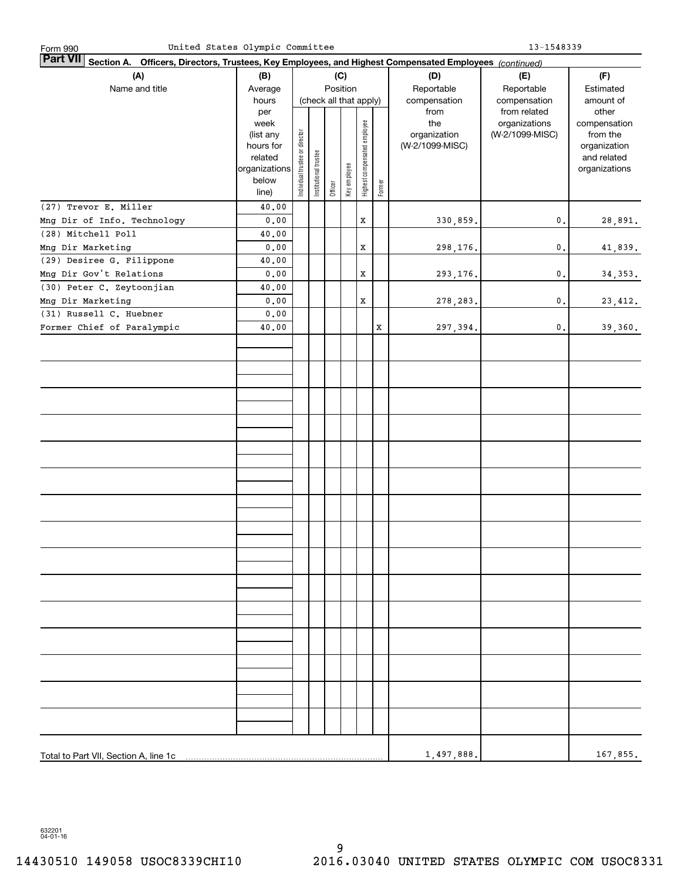| United States Olympic Committee<br>Form 990                                                                            |                   |                                | 13-1548339            |         |              |                              |        |                     |                                  |                          |  |  |  |
|------------------------------------------------------------------------------------------------------------------------|-------------------|--------------------------------|-----------------------|---------|--------------|------------------------------|--------|---------------------|----------------------------------|--------------------------|--|--|--|
| Part VII <br>Officers, Directors, Trustees, Key Employees, and Highest Compensated Employees (continued)<br>Section A. |                   |                                |                       |         |              |                              |        |                     |                                  |                          |  |  |  |
| (A)                                                                                                                    | (B)               | (C)                            |                       |         |              |                              |        | (D)                 | (E)                              | (F)                      |  |  |  |
| Name and title                                                                                                         | Average           |                                |                       |         | Position     |                              |        | Reportable          | Reportable                       | Estimated                |  |  |  |
|                                                                                                                        | hours             |                                |                       |         |              | (check all that apply)       |        | compensation        | compensation                     | amount of                |  |  |  |
|                                                                                                                        | per               |                                |                       |         |              |                              |        | from                | from related                     | other                    |  |  |  |
|                                                                                                                        | week<br>(list any |                                |                       |         |              |                              |        | the<br>organization | organizations<br>(W-2/1099-MISC) | compensation<br>from the |  |  |  |
|                                                                                                                        | hours for         |                                |                       |         |              |                              |        | (W-2/1099-MISC)     |                                  | organization             |  |  |  |
|                                                                                                                        | related           |                                |                       |         |              |                              |        |                     |                                  | and related              |  |  |  |
|                                                                                                                        | organizations     |                                |                       |         |              |                              |        |                     |                                  | organizations            |  |  |  |
|                                                                                                                        | below             | Individual trustee or director | Institutional trustee | Officer | Key employee | Highest compensated employee | Former |                     |                                  |                          |  |  |  |
|                                                                                                                        | line)             |                                |                       |         |              |                              |        |                     |                                  |                          |  |  |  |
| (27) Trevor E. Miller                                                                                                  | 40.00             |                                |                       |         |              |                              |        |                     |                                  |                          |  |  |  |
| Mng Dir of Info. Technology                                                                                            | 0.00              |                                |                       |         |              | X                            |        | 330,859.            | 0.                               | 28,891.                  |  |  |  |
| (28) Mitchell Poll                                                                                                     | 40.00             |                                |                       |         |              |                              |        |                     |                                  |                          |  |  |  |
| Mng Dir Marketing                                                                                                      | 0.00              |                                |                       |         |              | X                            |        | 298,176.            | $\mathbf{0}$ .                   | 41,839.                  |  |  |  |
| (29) Desiree G. Filippone                                                                                              | 40.00             |                                |                       |         |              |                              |        |                     |                                  |                          |  |  |  |
| Mng Dir Gov't Relations                                                                                                | 0.00              |                                |                       |         |              | X                            |        | 293,176.            | 0.                               | 34,353.                  |  |  |  |
| (30) Peter C. Zeytoonjian                                                                                              | 40.00             |                                |                       |         |              |                              |        |                     |                                  |                          |  |  |  |
| Mng Dir Marketing                                                                                                      | 0.00              |                                |                       |         |              | X                            |        | 278, 283.           | 0.                               | 23,412.                  |  |  |  |
| (31) Russell C. Huebner                                                                                                | 0.00              |                                |                       |         |              |                              |        |                     |                                  |                          |  |  |  |
| Former Chief of Paralympic                                                                                             | 40.00             |                                |                       |         |              |                              | X      | 297,394.            | 0.                               | 39,360.                  |  |  |  |
|                                                                                                                        |                   |                                |                       |         |              |                              |        |                     |                                  |                          |  |  |  |
|                                                                                                                        |                   |                                |                       |         |              |                              |        |                     |                                  |                          |  |  |  |
|                                                                                                                        |                   |                                |                       |         |              |                              |        |                     |                                  |                          |  |  |  |
|                                                                                                                        |                   |                                |                       |         |              |                              |        |                     |                                  |                          |  |  |  |
|                                                                                                                        |                   |                                |                       |         |              |                              |        |                     |                                  |                          |  |  |  |
|                                                                                                                        |                   |                                |                       |         |              |                              |        |                     |                                  |                          |  |  |  |
|                                                                                                                        |                   |                                |                       |         |              |                              |        |                     |                                  |                          |  |  |  |
|                                                                                                                        |                   |                                |                       |         |              |                              |        |                     |                                  |                          |  |  |  |
|                                                                                                                        |                   |                                |                       |         |              |                              |        |                     |                                  |                          |  |  |  |
|                                                                                                                        |                   |                                |                       |         |              |                              |        |                     |                                  |                          |  |  |  |
|                                                                                                                        |                   |                                |                       |         |              |                              |        |                     |                                  |                          |  |  |  |
|                                                                                                                        |                   |                                |                       |         |              |                              |        |                     |                                  |                          |  |  |  |
|                                                                                                                        |                   |                                |                       |         |              |                              |        |                     |                                  |                          |  |  |  |
|                                                                                                                        |                   |                                |                       |         |              |                              |        |                     |                                  |                          |  |  |  |
|                                                                                                                        |                   |                                |                       |         |              |                              |        |                     |                                  |                          |  |  |  |
|                                                                                                                        |                   |                                |                       |         |              |                              |        |                     |                                  |                          |  |  |  |
|                                                                                                                        |                   |                                |                       |         |              |                              |        |                     |                                  |                          |  |  |  |
|                                                                                                                        |                   |                                |                       |         |              |                              |        |                     |                                  |                          |  |  |  |
|                                                                                                                        |                   |                                |                       |         |              |                              |        |                     |                                  |                          |  |  |  |
|                                                                                                                        |                   |                                |                       |         |              |                              |        |                     |                                  |                          |  |  |  |
|                                                                                                                        |                   |                                |                       |         |              |                              |        |                     |                                  |                          |  |  |  |
|                                                                                                                        |                   |                                |                       |         |              |                              |        |                     |                                  |                          |  |  |  |
|                                                                                                                        |                   |                                |                       |         |              |                              |        |                     |                                  |                          |  |  |  |
|                                                                                                                        |                   |                                |                       |         |              |                              |        |                     |                                  |                          |  |  |  |
|                                                                                                                        |                   |                                |                       |         |              |                              |        |                     |                                  |                          |  |  |  |
|                                                                                                                        |                   |                                |                       |         |              |                              |        |                     |                                  |                          |  |  |  |
|                                                                                                                        |                   |                                |                       |         |              |                              |        |                     |                                  |                          |  |  |  |
|                                                                                                                        |                   |                                |                       |         |              |                              |        |                     |                                  |                          |  |  |  |
| Total to Part VII, Section A, line 1c                                                                                  | 1,497,888.        |                                | 167,855.              |         |              |                              |        |                     |                                  |                          |  |  |  |

632201 04-01-16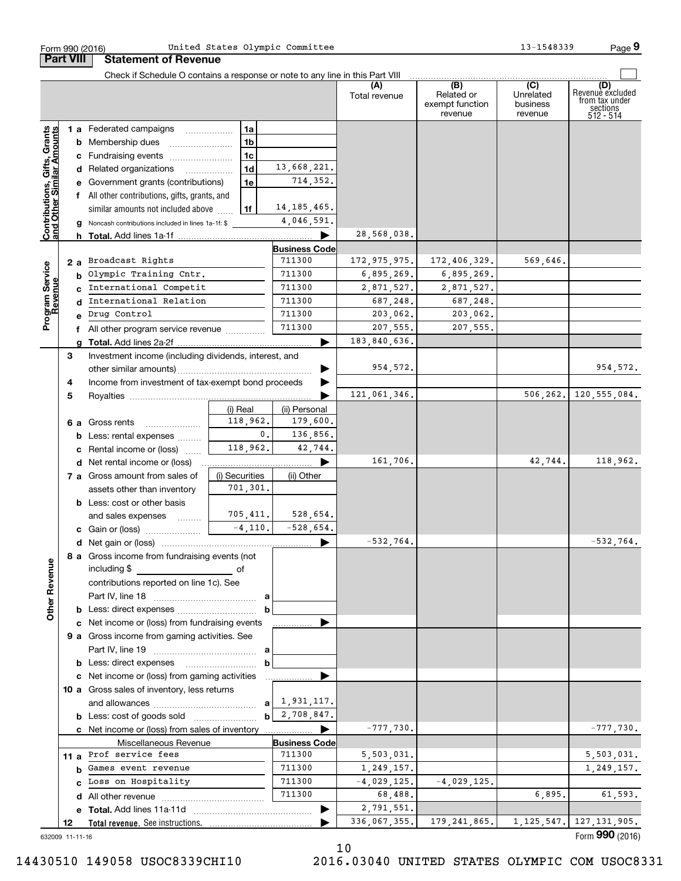|                                                           | <b>Part VIII</b> | <b>Statement of Revenue</b>                                                   |                |                       |                      |                                                 |                                         |                                                                    |
|-----------------------------------------------------------|------------------|-------------------------------------------------------------------------------|----------------|-----------------------|----------------------|-------------------------------------------------|-----------------------------------------|--------------------------------------------------------------------|
|                                                           |                  | Check if Schedule O contains a response or note to any line in this Part VIII |                |                       |                      |                                                 |                                         |                                                                    |
|                                                           |                  |                                                                               |                |                       | Total revenue        | (B)<br>Related or<br>exempt function<br>revenue | (C)<br>Unrelated<br>business<br>revenue | (D)<br>Revenuè excluded<br>from tax under<br>sections<br>512 - 514 |
|                                                           |                  | 1 a Federated campaigns                                                       | 1a             |                       |                      |                                                 |                                         |                                                                    |
|                                                           |                  | <b>b</b> Membership dues                                                      | 1 <sub>b</sub> |                       |                      |                                                 |                                         |                                                                    |
|                                                           |                  | c Fundraising events                                                          | 1 <sub>c</sub> |                       |                      |                                                 |                                         |                                                                    |
|                                                           |                  | d Related organizations                                                       | 1 <sub>d</sub> | 13,668,221.           |                      |                                                 |                                         |                                                                    |
|                                                           |                  | e Government grants (contributions)                                           | 1e             | 714,352.              |                      |                                                 |                                         |                                                                    |
|                                                           |                  | f All other contributions, gifts, grants, and                                 |                |                       |                      |                                                 |                                         |                                                                    |
|                                                           |                  | similar amounts not included above                                            | 1f             | 14, 185, 465.         |                      |                                                 |                                         |                                                                    |
| Contributions, Gifts, Grants<br>and Other Similar Amounts |                  | g Noncash contributions included in lines 1a-1f: \$                           |                | 4,046,591.            |                      |                                                 |                                         |                                                                    |
|                                                           |                  |                                                                               |                |                       | 28,568,038.          |                                                 |                                         |                                                                    |
|                                                           |                  |                                                                               |                | <b>Business Code</b>  |                      |                                                 |                                         |                                                                    |
|                                                           |                  | 2 a Broadcast Rights                                                          |                | 711300                | 172, 975, 975.       | 172,406,329.                                    | 569,646.                                |                                                                    |
|                                                           | b                | Olympic Training Cntr.                                                        |                | 711300                | 6,895,269.           | 6,895,269.                                      |                                         |                                                                    |
|                                                           |                  | International Competit                                                        |                | 711300                | 2,871,527.           | 2,871,527.                                      |                                         |                                                                    |
|                                                           | d                | International Relation<br>Drug Control                                        |                | 711300<br>711300      | 687,248.<br>203,062. | 687,248.<br>203,062.                            |                                         |                                                                    |
| Program Service<br>Revenue                                |                  |                                                                               |                | 711300                | 207,555.             | 207,555.                                        |                                         |                                                                    |
|                                                           | a                | f All other program service revenue                                           |                |                       | 183,840,636.         |                                                 |                                         |                                                                    |
|                                                           | 3                | Investment income (including dividends, interest, and                         |                |                       |                      |                                                 |                                         |                                                                    |
|                                                           |                  |                                                                               |                |                       | 954,572.             |                                                 |                                         | 954, 572.                                                          |
|                                                           | 4                | Income from investment of tax-exempt bond proceeds                            |                |                       |                      |                                                 |                                         |                                                                    |
|                                                           | 5                |                                                                               |                |                       | 121,061,346.         |                                                 |                                         | 506, 262. 120, 555, 084.                                           |
|                                                           |                  |                                                                               | (i) Real       | (ii) Personal         |                      |                                                 |                                         |                                                                    |
|                                                           |                  | 6 a Gross rents                                                               | 118,962.       | 179,600.              |                      |                                                 |                                         |                                                                    |
|                                                           |                  | <b>b</b> Less: rental expenses                                                | 0.             | 136,856.              |                      |                                                 |                                         |                                                                    |
|                                                           | c                | Rental income or (loss)                                                       | 118,962.       | 42,744.               |                      |                                                 |                                         |                                                                    |
|                                                           |                  | <b>d</b> Net rental income or (loss)                                          |                |                       | 161,706.             |                                                 | 42,744.                                 | 118,962.                                                           |
|                                                           |                  | 7 a Gross amount from sales of                                                | (i) Securities | (ii) Other            |                      |                                                 |                                         |                                                                    |
|                                                           |                  | assets other than inventory                                                   | 701,301.       |                       |                      |                                                 |                                         |                                                                    |
|                                                           |                  | <b>b</b> Less: cost or other basis                                            |                |                       |                      |                                                 |                                         |                                                                    |
|                                                           |                  | and sales expenses                                                            | 705,411.       | 528,654.              |                      |                                                 |                                         |                                                                    |
|                                                           |                  |                                                                               | $-4,110.$      | $-528,654.$           |                      |                                                 |                                         |                                                                    |
|                                                           |                  |                                                                               |                |                       | $-532,764.$          |                                                 |                                         | $-532,764.$                                                        |
| <b>Other Revenue</b>                                      |                  | 8 a Gross income from fundraising events (not<br>including \$                 |                |                       |                      |                                                 |                                         |                                                                    |
|                                                           |                  | contributions reported on line 1c). See                                       |                |                       |                      |                                                 |                                         |                                                                    |
|                                                           |                  |                                                                               |                |                       |                      |                                                 |                                         |                                                                    |
|                                                           |                  | c Net income or (loss) from fundraising events                                | b              |                       |                      |                                                 |                                         |                                                                    |
|                                                           |                  | 9 a Gross income from gaming activities. See                                  |                |                       |                      |                                                 |                                         |                                                                    |
|                                                           |                  |                                                                               |                |                       |                      |                                                 |                                         |                                                                    |
|                                                           |                  | <b>b</b> Less: direct expenses <b>manually contained</b>                      | b              |                       |                      |                                                 |                                         |                                                                    |
|                                                           |                  | c Net income or (loss) from gaming activities                                 |                |                       |                      |                                                 |                                         |                                                                    |
|                                                           |                  | 10 a Gross sales of inventory, less returns                                   |                |                       |                      |                                                 |                                         |                                                                    |
|                                                           |                  |                                                                               |                | $a \mid 1, 931, 117.$ |                      |                                                 |                                         |                                                                    |
|                                                           |                  |                                                                               |                | $b \mid 2,708,847.$   |                      |                                                 |                                         |                                                                    |
|                                                           |                  |                                                                               |                |                       | $-777,730.$          |                                                 |                                         | $-777,730.$                                                        |
|                                                           |                  | Miscellaneous Revenue                                                         |                | <b>Business Code</b>  |                      |                                                 |                                         |                                                                    |
|                                                           |                  | 11 a Prof service fees                                                        |                | 711300                | 5,503,031.           |                                                 |                                         | 5,503,031.                                                         |
|                                                           |                  | <b>b</b> Games event revenue                                                  |                | 711300                | 1,249,157.           |                                                 |                                         | 1,249,157.                                                         |
|                                                           |                  | Loss on Hospitality                                                           |                | 711300                | $-4,029,125.$        | $-4,029,125.$                                   |                                         |                                                                    |
|                                                           |                  |                                                                               |                | 711300                | 68,488.              |                                                 | 6,895.                                  | 61,593.                                                            |
|                                                           |                  |                                                                               |                |                       | 2,791,551.           |                                                 |                                         |                                                                    |
|                                                           | 12               |                                                                               |                |                       | 336,067,355.         | 179, 241, 865.                                  |                                         | $1, 125, 547.$ 127, 131, 905.                                      |

Form 990 (2016) United States Olympic Committee 13-1548339 Page

United States Olympic Committee 13-1548339

632009 11-11-16

10

14430510 149058 USOC8339CHI10 2016.03040 UNITED STATES OLYMPIC COM USOC8331

Form (2016) **990**

**9**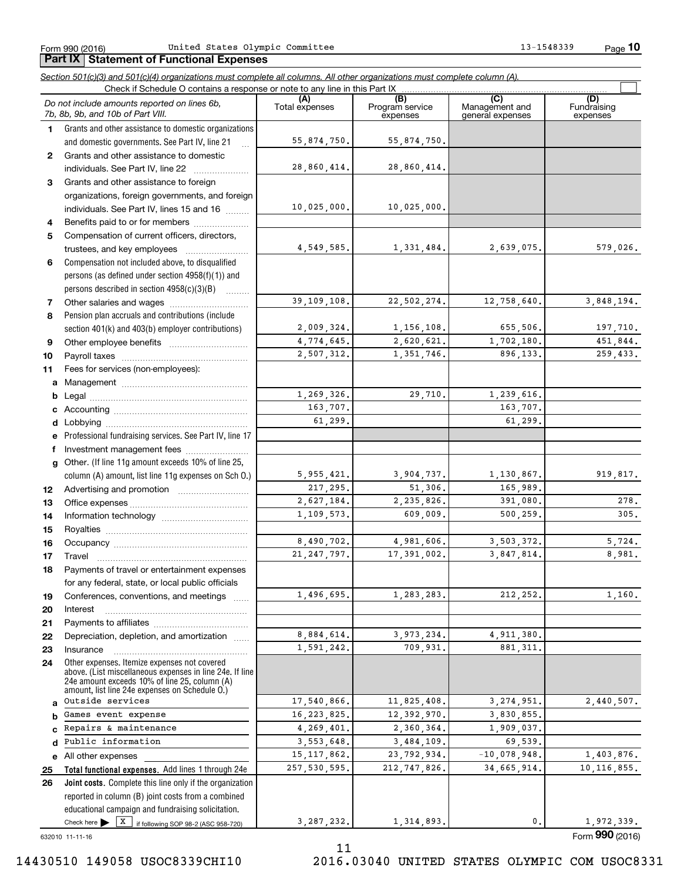Form 990 (2016) United States Olympic Committee 13-1548339 Page

**Part IX | Statement of Functional Expenses** 

**10**

|              | Section 501(c)(3) and 501(c)(4) organizations must complete all columns. All other organizations must complete column (A).<br>Check if Schedule O contains a response or note to any line in this Part IX   |                       |                                    |                                           |                                |
|--------------|-------------------------------------------------------------------------------------------------------------------------------------------------------------------------------------------------------------|-----------------------|------------------------------------|-------------------------------------------|--------------------------------|
|              | Do not include amounts reported on lines 6b,<br>7b, 8b, 9b, and 10b of Part VIII.                                                                                                                           | (A)<br>Total expenses | (B)<br>Program service<br>expenses | (C)<br>Management and<br>general expenses | (D)<br>Fundraising<br>expenses |
| $\mathbf 1$  | Grants and other assistance to domestic organizations                                                                                                                                                       |                       |                                    |                                           |                                |
|              | and domestic governments. See Part IV, line 21<br>$\ddotsc$                                                                                                                                                 | 55,874,750.           | 55,874,750.                        |                                           |                                |
| $\mathbf{2}$ | Grants and other assistance to domestic                                                                                                                                                                     |                       |                                    |                                           |                                |
|              | individuals. See Part IV, line 22                                                                                                                                                                           | 28,860,414.           | 28,860,414.                        |                                           |                                |
| 3            | Grants and other assistance to foreign                                                                                                                                                                      |                       |                                    |                                           |                                |
|              | organizations, foreign governments, and foreign                                                                                                                                                             |                       |                                    |                                           |                                |
|              | individuals. See Part IV, lines 15 and 16                                                                                                                                                                   | 10,025,000.           | 10,025,000.                        |                                           |                                |
| 4            | Benefits paid to or for members                                                                                                                                                                             |                       |                                    |                                           |                                |
| 5            | Compensation of current officers, directors,                                                                                                                                                                |                       |                                    |                                           |                                |
|              |                                                                                                                                                                                                             | 4,549,585.            | 1,331,484.                         | 2,639,075.                                | 579,026.                       |
| 6            | Compensation not included above, to disqualified                                                                                                                                                            |                       |                                    |                                           |                                |
|              | persons (as defined under section 4958(f)(1)) and                                                                                                                                                           |                       |                                    |                                           |                                |
|              | persons described in section 4958(c)(3)(B)                                                                                                                                                                  |                       |                                    |                                           |                                |
| 7            | Other salaries and wages                                                                                                                                                                                    | 39,109,108.           | 22,502,274.                        | 12,758,640.                               | 3,848,194.                     |
| 8            | Pension plan accruals and contributions (include                                                                                                                                                            |                       |                                    |                                           |                                |
|              | section 401(k) and 403(b) employer contributions)                                                                                                                                                           | 2,009,324.            | 1,156,108.                         | 655,506.                                  | 197,710.                       |
| 9            |                                                                                                                                                                                                             | 4,774,645.            | 2,620,621.                         | 1,702,180.                                | 451,844.                       |
| 10           |                                                                                                                                                                                                             | 2,507,312.            | 1,351,746.                         | 896,133.                                  | 259,433.                       |
| 11           | Fees for services (non-employees):                                                                                                                                                                          |                       |                                    |                                           |                                |
| a            |                                                                                                                                                                                                             |                       |                                    |                                           |                                |
| b            |                                                                                                                                                                                                             | 1,269,326.            | 29,710.                            | 1,239,616.                                |                                |
| c            |                                                                                                                                                                                                             | 163,707.              |                                    | 163,707.                                  |                                |
| d            |                                                                                                                                                                                                             | 61,299.               |                                    | 61,299.                                   |                                |
|              | Professional fundraising services. See Part IV, line 17                                                                                                                                                     |                       |                                    |                                           |                                |
| f            | Investment management fees                                                                                                                                                                                  |                       |                                    |                                           |                                |
| g            | Other. (If line 11g amount exceeds 10% of line 25,                                                                                                                                                          |                       |                                    |                                           |                                |
|              | column (A) amount, list line 11g expenses on Sch O.)                                                                                                                                                        | 5,955,421.            | 3,904,737.                         | 1, 130, 867.                              | 919,817.                       |
| 12           |                                                                                                                                                                                                             | 217,295.              | 51,306.                            | 165,989.                                  |                                |
| 13           |                                                                                                                                                                                                             | 2,627,184.            | 2,235,826.                         | 391,080.                                  | 278.                           |
| 14           |                                                                                                                                                                                                             | 1,109,573.            | 609,009.                           | 500, 259.                                 | 305.                           |
| 15           |                                                                                                                                                                                                             |                       |                                    |                                           |                                |
| 16           |                                                                                                                                                                                                             | 8,490,702.            | 4,981,606.                         | 3,503,372.                                | 5,724.                         |
| 17           |                                                                                                                                                                                                             | 21, 247, 797.         | 17,391,002.                        | 3,847,814.                                | 8,981.                         |
| 18           | Payments of travel or entertainment expenses                                                                                                                                                                |                       |                                    |                                           |                                |
|              | for any federal, state, or local public officials                                                                                                                                                           |                       |                                    |                                           |                                |
| 19           | Conferences, conventions, and meetings                                                                                                                                                                      | 1,496,695.            | 1,283,283.                         | 212, 252.                                 | 1,160.                         |
| 20           | Interest                                                                                                                                                                                                    |                       |                                    |                                           |                                |
| 21           |                                                                                                                                                                                                             |                       |                                    |                                           |                                |
| 22           | Depreciation, depletion, and amortization                                                                                                                                                                   | 8,884,614.            | 3,973,234.                         | 4,911,380.                                |                                |
| 23           | Insurance                                                                                                                                                                                                   | 1,591,242.            | 709,931.                           | 881, 311.                                 |                                |
| 24           | Other expenses. Itemize expenses not covered<br>above. (List miscellaneous expenses in line 24e. If line<br>24e amount exceeds 10% of line 25, column (A)<br>amount, list line 24e expenses on Schedule O.) |                       |                                    |                                           |                                |
| a            | Outside services                                                                                                                                                                                            | 17,540,866.           | 11,825,408.                        | 3, 274, 951.                              | 2,440,507.                     |
| b            | Games event expense                                                                                                                                                                                         | 16, 223, 825.         | 12,392,970.                        | 3,830,855.                                |                                |
| c            | Repairs & maintenance                                                                                                                                                                                       | 4,269,401.            | 2,360,364.                         | 1,909,037.                                |                                |
| d            | Public information                                                                                                                                                                                          | 3,553,648.            | 3,484,109.                         | 69,539.                                   |                                |
| е            | All other expenses                                                                                                                                                                                          | 15, 117, 862.         | 23,792,934.                        | $-10,078,948.$                            | 1,403,876.                     |
| 25           | Total functional expenses. Add lines 1 through 24e                                                                                                                                                          | 257,530,595.          | 212,747,826.                       | 34,665,914.                               | 10, 116, 855.                  |
| 26           | Joint costs. Complete this line only if the organization                                                                                                                                                    |                       |                                    |                                           |                                |
|              | reported in column (B) joint costs from a combined                                                                                                                                                          |                       |                                    |                                           |                                |
|              | educational campaign and fundraising solicitation.                                                                                                                                                          |                       |                                    |                                           |                                |
|              | Check here $\triangleright$ $\boxed{X}$ if following SOP 98-2 (ASC 958-720)                                                                                                                                 | 3, 287, 232.          | 1,314,893.                         | 0.                                        | 1,972,339.                     |

11

632010 11-11-16

Form (2016) **990**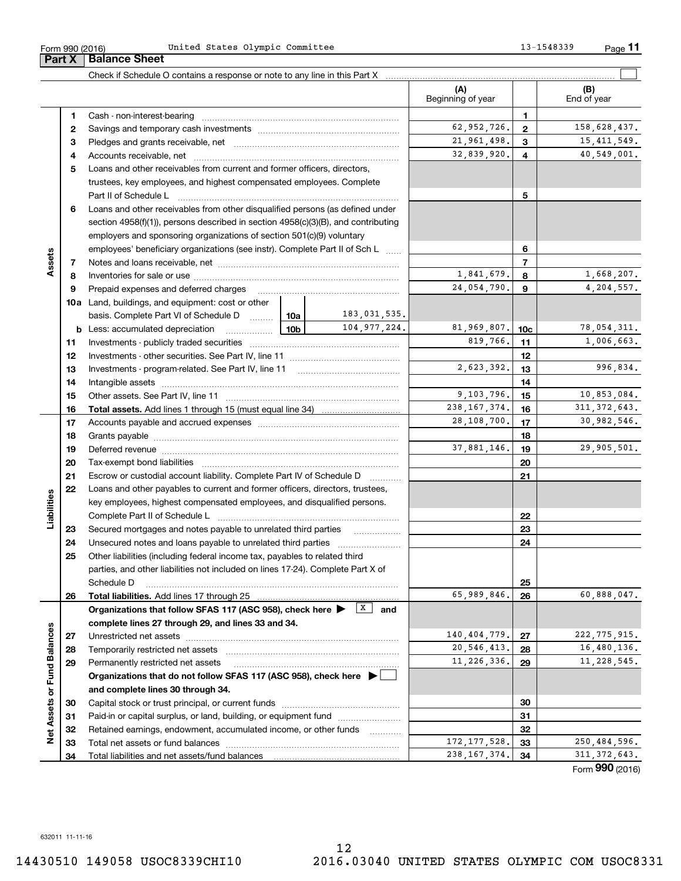Form (2016) **990**

Form 990 (2016) United States Olympic Committee 13-1548339 Page **Part X Balance Sheet**

|                             |    |                                                                                            |                 |                        | (A)<br>Beginning of year |                         | (B)<br>End of year |
|-----------------------------|----|--------------------------------------------------------------------------------------------|-----------------|------------------------|--------------------------|-------------------------|--------------------|
|                             | 1  |                                                                                            |                 |                        |                          | $\mathbf{1}$            |                    |
|                             | 2  |                                                                                            |                 |                        | 62,952,726.              | $\mathbf{2}$            | 158,628,437.       |
|                             | з  |                                                                                            |                 |                        | 21,961,498.              | 3                       | 15, 411, 549.      |
|                             | 4  |                                                                                            |                 |                        | 32,839,920.              | $\overline{\mathbf{4}}$ | 40,549,001.        |
|                             | 5  | Loans and other receivables from current and former officers, directors,                   |                 |                        |                          |                         |                    |
|                             |    | trustees, key employees, and highest compensated employees. Complete                       |                 |                        |                          |                         |                    |
|                             |    |                                                                                            |                 |                        |                          | 5                       |                    |
|                             | 6  | Loans and other receivables from other disqualified persons (as defined under              |                 |                        |                          |                         |                    |
|                             |    | section 4958(f)(1)), persons described in section 4958(c)(3)(B), and contributing          |                 |                        |                          |                         |                    |
|                             |    | employers and sponsoring organizations of section 501(c)(9) voluntary                      |                 |                        |                          |                         |                    |
|                             |    | employees' beneficiary organizations (see instr). Complete Part II of Sch L                |                 | 6                      |                          |                         |                    |
| Assets                      | 7  |                                                                                            |                 |                        |                          | $\overline{7}$          |                    |
|                             | 8  |                                                                                            |                 |                        | 1,841,679.               | 8                       | 1,668,207.         |
|                             | 9  | Prepaid expenses and deferred charges                                                      |                 |                        | 24,054,790.              | 9                       | 4,204,557.         |
|                             |    | <b>10a</b> Land, buildings, and equipment: cost or other                                   |                 |                        |                          |                         |                    |
|                             |    | basis. Complete Part VI of Schedule D  10a                                                 |                 | 183,031,535.           |                          |                         |                    |
|                             |    | <b>b</b> Less: accumulated depreciation                                                    | 10 <sub>b</sub> | 104, 977, 224.         | 81,969,807.              | 10 <sub>c</sub>         | 78,054,311.        |
|                             | 11 |                                                                                            |                 |                        | 819,766.                 | 11                      | 1,006,663.         |
|                             | 12 |                                                                                            |                 | 12                     |                          |                         |                    |
|                             | 13 |                                                                                            | 2,623,392.      | 13                     | 996,834.                 |                         |                    |
|                             | 14 |                                                                                            |                 | 14                     |                          |                         |                    |
|                             | 15 |                                                                                            |                 | 9,103,796.             | 15                       | 10,853,084.             |                    |
|                             | 16 |                                                                                            |                 |                        | 238, 167, 374.           | 16                      | 311, 372, 643.     |
|                             | 17 |                                                                                            | 28,108,700.     | 17                     | 30,982,546.              |                         |                    |
|                             | 18 |                                                                                            |                 | 18                     |                          |                         |                    |
|                             | 19 |                                                                                            | 37,881,146.     | 19                     | 29,905,501.              |                         |                    |
|                             | 20 |                                                                                            |                 | 20                     |                          |                         |                    |
|                             | 21 | Escrow or custodial account liability. Complete Part IV of Schedule D                      |                 | 21                     |                          |                         |                    |
|                             | 22 | Loans and other payables to current and former officers, directors, trustees,              |                 |                        |                          |                         |                    |
| Liabilities                 |    | key employees, highest compensated employees, and disqualified persons.                    |                 |                        |                          |                         |                    |
|                             |    |                                                                                            |                 |                        |                          | 22                      |                    |
|                             | 23 | Secured mortgages and notes payable to unrelated third parties                             |                 |                        |                          | 23                      |                    |
|                             | 24 |                                                                                            |                 |                        |                          | 24                      |                    |
|                             | 25 | Other liabilities (including federal income tax, payables to related third                 |                 |                        |                          |                         |                    |
|                             |    | parties, and other liabilities not included on lines 17-24). Complete Part X of            |                 |                        |                          |                         |                    |
|                             |    | Schedule D                                                                                 |                 |                        |                          | 25                      |                    |
|                             | 26 |                                                                                            |                 |                        | 65,989,846.              | 26                      | 60,888,047.        |
|                             |    | Organizations that follow SFAS 117 (ASC 958), check here >                                 |                 | $\vert x \vert$<br>and |                          |                         |                    |
|                             |    | complete lines 27 through 29, and lines 33 and 34.                                         |                 |                        |                          |                         |                    |
|                             | 27 | Unrestricted net assets                                                                    |                 |                        | 140,404,779.             | 27                      | 222, 775, 915.     |
|                             | 28 | Temporarily restricted net assets                                                          |                 |                        | 20, 546, 413.            | 28                      | 16,480,136.        |
|                             | 29 | Permanently restricted net assets                                                          |                 |                        | 11, 226, 336.            | 29                      | 11, 228, 545.      |
|                             |    | Organizations that do not follow SFAS 117 (ASC 958), check here $\blacktriangleright \Box$ |                 |                        |                          |                         |                    |
|                             |    | and complete lines 30 through 34.                                                          |                 |                        |                          |                         |                    |
|                             | 30 |                                                                                            |                 |                        |                          | 30                      |                    |
|                             | 31 | Paid-in or capital surplus, or land, building, or equipment fund                           |                 |                        |                          | 31                      |                    |
| Net Assets or Fund Balances | 32 | Retained earnings, endowment, accumulated income, or other funds                           |                 |                        | 172, 177, 528.           | 32                      | 250,484,596.       |
|                             | 33 | Total net assets or fund balances                                                          |                 |                        | 238, 167, 374.           | 33                      | 311, 372, 643.     |
|                             | 34 |                                                                                            |                 |                        |                          | 34                      |                    |

**11**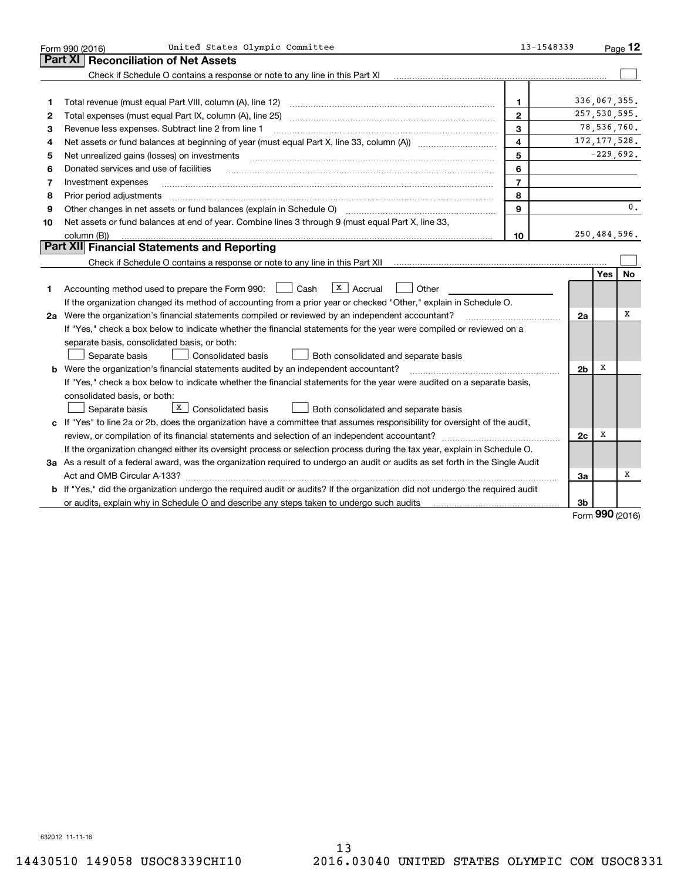|                                                                                                                                 | United States Olympic Committee<br>Form 990 (2016)                                                                            | 13-1548339     |                |            | Page $12$   |  |  |  |
|---------------------------------------------------------------------------------------------------------------------------------|-------------------------------------------------------------------------------------------------------------------------------|----------------|----------------|------------|-------------|--|--|--|
|                                                                                                                                 | <b>Reconciliation of Net Assets</b><br>Part XI                                                                                |                |                |            |             |  |  |  |
|                                                                                                                                 | Check if Schedule O contains a response or note to any line in this Part XI                                                   |                |                |            |             |  |  |  |
|                                                                                                                                 |                                                                                                                               |                |                |            |             |  |  |  |
| 1                                                                                                                               | Total revenue (must equal Part VIII, column (A), line 12)                                                                     | 1              | 336,067,355.   |            |             |  |  |  |
| $\mathbf{2}$                                                                                                                    |                                                                                                                               | $\mathbf{2}$   | 257, 530, 595. |            |             |  |  |  |
| 3                                                                                                                               | 3<br>Revenue less expenses. Subtract line 2 from line 1                                                                       |                |                |            |             |  |  |  |
| 4                                                                                                                               | $\overline{\mathbf{4}}$                                                                                                       |                |                |            |             |  |  |  |
| 5                                                                                                                               | Net unrealized gains (losses) on investments                                                                                  | 5              |                |            | $-229,692.$ |  |  |  |
| 6                                                                                                                               | Donated services and use of facilities                                                                                        | 6              |                |            |             |  |  |  |
| 7                                                                                                                               | Investment expenses                                                                                                           | $\overline{7}$ |                |            |             |  |  |  |
| 8                                                                                                                               | Prior period adjustments                                                                                                      | 8              |                |            |             |  |  |  |
| 9                                                                                                                               | 9                                                                                                                             |                |                |            |             |  |  |  |
| 10                                                                                                                              | Net assets or fund balances at end of year. Combine lines 3 through 9 (must equal Part X, line 33,                            |                |                |            |             |  |  |  |
|                                                                                                                                 | column (B))                                                                                                                   | 10             | 250,484,596.   |            |             |  |  |  |
|                                                                                                                                 | Part XII Financial Statements and Reporting                                                                                   |                |                |            |             |  |  |  |
|                                                                                                                                 |                                                                                                                               |                |                |            |             |  |  |  |
|                                                                                                                                 |                                                                                                                               |                |                | <b>Yes</b> | <b>No</b>   |  |  |  |
| 1                                                                                                                               | $\vert X \vert$ Accrual<br>Accounting method used to prepare the Form 990: <u>[16</u> ] Cash<br>Other                         |                |                |            |             |  |  |  |
|                                                                                                                                 | If the organization changed its method of accounting from a prior year or checked "Other," explain in Schedule O.             |                |                |            |             |  |  |  |
|                                                                                                                                 | 2a Were the organization's financial statements compiled or reviewed by an independent accountant?                            |                | 2a             |            | х           |  |  |  |
|                                                                                                                                 | If "Yes," check a box below to indicate whether the financial statements for the year were compiled or reviewed on a          |                |                |            |             |  |  |  |
|                                                                                                                                 | separate basis, consolidated basis, or both:                                                                                  |                |                |            |             |  |  |  |
|                                                                                                                                 | Separate basis<br>Both consolidated and separate basis<br><b>Consolidated basis</b>                                           |                |                |            |             |  |  |  |
|                                                                                                                                 | <b>b</b> Were the organization's financial statements audited by an independent accountant?                                   |                | 2 <sub>b</sub> | х          |             |  |  |  |
|                                                                                                                                 | If "Yes," check a box below to indicate whether the financial statements for the year were audited on a separate basis,       |                |                |            |             |  |  |  |
|                                                                                                                                 | consolidated basis, or both:                                                                                                  |                |                |            |             |  |  |  |
|                                                                                                                                 | X   Consolidated basis<br>Separate basis<br>Both consolidated and separate basis                                              |                |                |            |             |  |  |  |
|                                                                                                                                 | c If "Yes" to line 2a or 2b, does the organization have a committee that assumes responsibility for oversight of the audit,   |                |                |            |             |  |  |  |
|                                                                                                                                 | review, or compilation of its financial statements and selection of an independent accountant?                                |                | 2c             | х          |             |  |  |  |
|                                                                                                                                 | If the organization changed either its oversight process or selection process during the tax year, explain in Schedule O.     |                |                |            |             |  |  |  |
| 3a As a result of a federal award, was the organization required to undergo an audit or audits as set forth in the Single Audit |                                                                                                                               |                |                |            |             |  |  |  |
|                                                                                                                                 |                                                                                                                               |                | За             |            | х           |  |  |  |
|                                                                                                                                 | b If "Yes," did the organization undergo the required audit or audits? If the organization did not undergo the required audit |                |                |            |             |  |  |  |
|                                                                                                                                 | or audits, explain why in Schedule O and describe any steps taken to undergo such audits                                      |                | 3b             | $\Omega$   |             |  |  |  |

Form (2016) **990**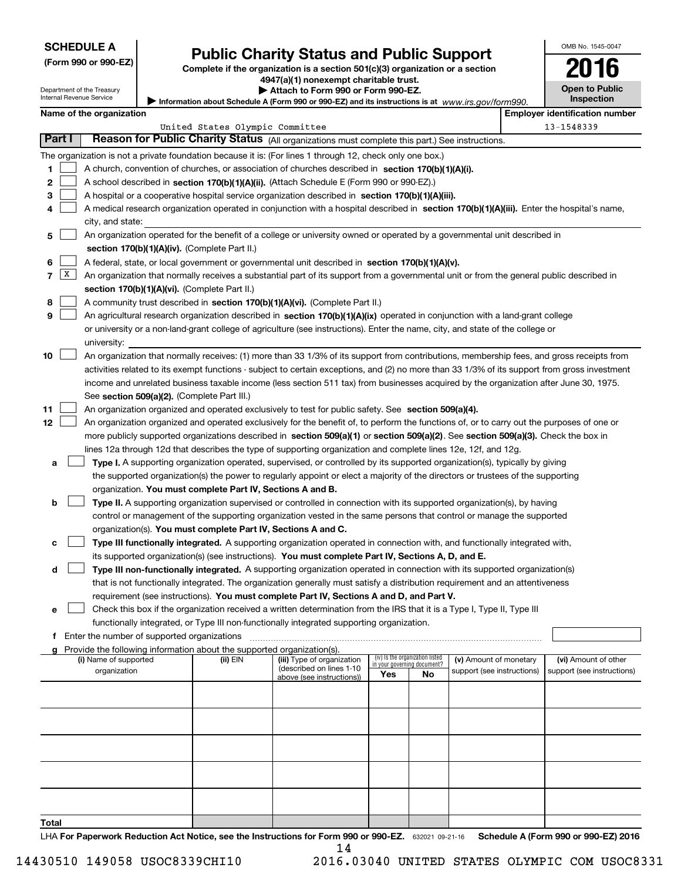| <b>SCHEDULE A</b> |
|-------------------|
|-------------------|

Department of the Treasury Internal Revenue Service

| (Form 990 or 990-EZ) |  |  |  |  |
|----------------------|--|--|--|--|
|----------------------|--|--|--|--|

# **Public Charity Status and Public Support**

**Complete if the organization is a section 501(c)(3) organization or a section 4947(a)(1) nonexempt charitable trust.**

| Attach to Form 990 or Form 990-EZ. |  |
|------------------------------------|--|
|------------------------------------|--|

Information about Schedule A (Form 990 or 990-EZ) and its instructions is at *www.irs.gov/form990.* 

OMB No. 1545-0047

**Open to Public Inspection**

**2016**

|  |  | Name of the organization |
|--|--|--------------------------|
|--|--|--------------------------|

|       |                                                                                                                                                                                                                                                      | Name of the organization                                                                                                                                                                   |                                 |                            |                                    |    |                            |  | <b>Employer identification number</b> |  |  |  |
|-------|------------------------------------------------------------------------------------------------------------------------------------------------------------------------------------------------------------------------------------------------------|--------------------------------------------------------------------------------------------------------------------------------------------------------------------------------------------|---------------------------------|----------------------------|------------------------------------|----|----------------------------|--|---------------------------------------|--|--|--|
|       |                                                                                                                                                                                                                                                      |                                                                                                                                                                                            | United States Olympic Committee |                            |                                    |    |                            |  | 13-1548339                            |  |  |  |
|       | Part I                                                                                                                                                                                                                                               | Reason for Public Charity Status (All organizations must complete this part.) See instructions.                                                                                            |                                 |                            |                                    |    |                            |  |                                       |  |  |  |
|       |                                                                                                                                                                                                                                                      | The organization is not a private foundation because it is: (For lines 1 through 12, check only one box.)                                                                                  |                                 |                            |                                    |    |                            |  |                                       |  |  |  |
| 1     |                                                                                                                                                                                                                                                      | A church, convention of churches, or association of churches described in section 170(b)(1)(A)(i).                                                                                         |                                 |                            |                                    |    |                            |  |                                       |  |  |  |
| 2     |                                                                                                                                                                                                                                                      | A school described in section 170(b)(1)(A)(ii). (Attach Schedule E (Form 990 or 990-EZ).)                                                                                                  |                                 |                            |                                    |    |                            |  |                                       |  |  |  |
| 3     |                                                                                                                                                                                                                                                      | A hospital or a cooperative hospital service organization described in section $170(b)(1)(A)(iii)$ .                                                                                       |                                 |                            |                                    |    |                            |  |                                       |  |  |  |
| 4     |                                                                                                                                                                                                                                                      | A medical research organization operated in conjunction with a hospital described in section 170(b)(1)(A)(iii). Enter the hospital's name,                                                 |                                 |                            |                                    |    |                            |  |                                       |  |  |  |
|       |                                                                                                                                                                                                                                                      | city, and state:                                                                                                                                                                           |                                 |                            |                                    |    |                            |  |                                       |  |  |  |
| 5     |                                                                                                                                                                                                                                                      | An organization operated for the benefit of a college or university owned or operated by a governmental unit described in                                                                  |                                 |                            |                                    |    |                            |  |                                       |  |  |  |
|       |                                                                                                                                                                                                                                                      | section 170(b)(1)(A)(iv). (Complete Part II.)                                                                                                                                              |                                 |                            |                                    |    |                            |  |                                       |  |  |  |
| 6     |                                                                                                                                                                                                                                                      | A federal, state, or local government or governmental unit described in section 170(b)(1)(A)(v).                                                                                           |                                 |                            |                                    |    |                            |  |                                       |  |  |  |
| 7     | X                                                                                                                                                                                                                                                    |                                                                                                                                                                                            |                                 |                            |                                    |    |                            |  |                                       |  |  |  |
|       |                                                                                                                                                                                                                                                      | An organization that normally receives a substantial part of its support from a governmental unit or from the general public described in<br>section 170(b)(1)(A)(vi). (Complete Part II.) |                                 |                            |                                    |    |                            |  |                                       |  |  |  |
| 8     |                                                                                                                                                                                                                                                      | A community trust described in section 170(b)(1)(A)(vi). (Complete Part II.)                                                                                                               |                                 |                            |                                    |    |                            |  |                                       |  |  |  |
| 9     |                                                                                                                                                                                                                                                      | An agricultural research organization described in section 170(b)(1)(A)(ix) operated in conjunction with a land-grant college                                                              |                                 |                            |                                    |    |                            |  |                                       |  |  |  |
|       |                                                                                                                                                                                                                                                      | or university or a non-land-grant college of agriculture (see instructions). Enter the name, city, and state of the college or                                                             |                                 |                            |                                    |    |                            |  |                                       |  |  |  |
|       |                                                                                                                                                                                                                                                      | university:                                                                                                                                                                                |                                 |                            |                                    |    |                            |  |                                       |  |  |  |
| 10    |                                                                                                                                                                                                                                                      | An organization that normally receives: (1) more than 33 1/3% of its support from contributions, membership fees, and gross receipts from                                                  |                                 |                            |                                    |    |                            |  |                                       |  |  |  |
|       |                                                                                                                                                                                                                                                      |                                                                                                                                                                                            |                                 |                            |                                    |    |                            |  |                                       |  |  |  |
|       |                                                                                                                                                                                                                                                      | activities related to its exempt functions - subject to certain exceptions, and (2) no more than 33 1/3% of its support from gross investment                                              |                                 |                            |                                    |    |                            |  |                                       |  |  |  |
|       |                                                                                                                                                                                                                                                      | income and unrelated business taxable income (less section 511 tax) from businesses acquired by the organization after June 30, 1975.<br>See section 509(a)(2). (Complete Part III.)       |                                 |                            |                                    |    |                            |  |                                       |  |  |  |
| 11    |                                                                                                                                                                                                                                                      | An organization organized and operated exclusively to test for public safety. See section 509(a)(4).                                                                                       |                                 |                            |                                    |    |                            |  |                                       |  |  |  |
| 12    |                                                                                                                                                                                                                                                      | An organization organized and operated exclusively for the benefit of, to perform the functions of, or to carry out the purposes of one or                                                 |                                 |                            |                                    |    |                            |  |                                       |  |  |  |
|       |                                                                                                                                                                                                                                                      |                                                                                                                                                                                            |                                 |                            |                                    |    |                            |  |                                       |  |  |  |
|       | more publicly supported organizations described in section 509(a)(1) or section 509(a)(2). See section 509(a)(3). Check the box in<br>lines 12a through 12d that describes the type of supporting organization and complete lines 12e, 12f, and 12g. |                                                                                                                                                                                            |                                 |                            |                                    |    |                            |  |                                       |  |  |  |
|       |                                                                                                                                                                                                                                                      |                                                                                                                                                                                            |                                 |                            |                                    |    |                            |  |                                       |  |  |  |
| a     |                                                                                                                                                                                                                                                      | Type I. A supporting organization operated, supervised, or controlled by its supported organization(s), typically by giving                                                                |                                 |                            |                                    |    |                            |  |                                       |  |  |  |
|       |                                                                                                                                                                                                                                                      | the supported organization(s) the power to regularly appoint or elect a majority of the directors or trustees of the supporting                                                            |                                 |                            |                                    |    |                            |  |                                       |  |  |  |
|       |                                                                                                                                                                                                                                                      | organization. You must complete Part IV, Sections A and B.                                                                                                                                 |                                 |                            |                                    |    |                            |  |                                       |  |  |  |
| b     |                                                                                                                                                                                                                                                      | Type II. A supporting organization supervised or controlled in connection with its supported organization(s), by having                                                                    |                                 |                            |                                    |    |                            |  |                                       |  |  |  |
|       |                                                                                                                                                                                                                                                      | control or management of the supporting organization vested in the same persons that control or manage the supported                                                                       |                                 |                            |                                    |    |                            |  |                                       |  |  |  |
|       |                                                                                                                                                                                                                                                      | organization(s). You must complete Part IV, Sections A and C.                                                                                                                              |                                 |                            |                                    |    |                            |  |                                       |  |  |  |
| c     |                                                                                                                                                                                                                                                      | Type III functionally integrated. A supporting organization operated in connection with, and functionally integrated with,                                                                 |                                 |                            |                                    |    |                            |  |                                       |  |  |  |
|       |                                                                                                                                                                                                                                                      | its supported organization(s) (see instructions). You must complete Part IV, Sections A, D, and E.                                                                                         |                                 |                            |                                    |    |                            |  |                                       |  |  |  |
| d     |                                                                                                                                                                                                                                                      | Type III non-functionally integrated. A supporting organization operated in connection with its supported organization(s)                                                                  |                                 |                            |                                    |    |                            |  |                                       |  |  |  |
|       |                                                                                                                                                                                                                                                      | that is not functionally integrated. The organization generally must satisfy a distribution requirement and an attentiveness                                                               |                                 |                            |                                    |    |                            |  |                                       |  |  |  |
|       |                                                                                                                                                                                                                                                      | requirement (see instructions). You must complete Part IV, Sections A and D, and Part V.                                                                                                   |                                 |                            |                                    |    |                            |  |                                       |  |  |  |
|       |                                                                                                                                                                                                                                                      | Check this box if the organization received a written determination from the IRS that it is a Type I, Type II, Type III                                                                    |                                 |                            |                                    |    |                            |  |                                       |  |  |  |
|       |                                                                                                                                                                                                                                                      | functionally integrated, or Type III non-functionally integrated supporting organization.                                                                                                  |                                 |                            |                                    |    |                            |  |                                       |  |  |  |
|       |                                                                                                                                                                                                                                                      | f Enter the number of supported organizations                                                                                                                                              |                                 |                            |                                    |    |                            |  |                                       |  |  |  |
|       |                                                                                                                                                                                                                                                      | g Provide the following information about the supported organization(s).<br>(i) Name of supported                                                                                          | (ii) EIN                        | (iii) Type of organization | (iv) Is the organization listed    |    | (v) Amount of monetary     |  | (vi) Amount of other                  |  |  |  |
|       |                                                                                                                                                                                                                                                      | organization                                                                                                                                                                               |                                 | (described on lines 1-10   | in your governing document?<br>Yes | No | support (see instructions) |  | support (see instructions)            |  |  |  |
|       |                                                                                                                                                                                                                                                      |                                                                                                                                                                                            |                                 | above (see instructions))  |                                    |    |                            |  |                                       |  |  |  |
|       |                                                                                                                                                                                                                                                      |                                                                                                                                                                                            |                                 |                            |                                    |    |                            |  |                                       |  |  |  |
|       |                                                                                                                                                                                                                                                      |                                                                                                                                                                                            |                                 |                            |                                    |    |                            |  |                                       |  |  |  |
|       |                                                                                                                                                                                                                                                      |                                                                                                                                                                                            |                                 |                            |                                    |    |                            |  |                                       |  |  |  |
|       |                                                                                                                                                                                                                                                      |                                                                                                                                                                                            |                                 |                            |                                    |    |                            |  |                                       |  |  |  |
|       |                                                                                                                                                                                                                                                      |                                                                                                                                                                                            |                                 |                            |                                    |    |                            |  |                                       |  |  |  |
|       |                                                                                                                                                                                                                                                      |                                                                                                                                                                                            |                                 |                            |                                    |    |                            |  |                                       |  |  |  |
|       |                                                                                                                                                                                                                                                      |                                                                                                                                                                                            |                                 |                            |                                    |    |                            |  |                                       |  |  |  |
|       |                                                                                                                                                                                                                                                      |                                                                                                                                                                                            |                                 |                            |                                    |    |                            |  |                                       |  |  |  |
|       |                                                                                                                                                                                                                                                      |                                                                                                                                                                                            |                                 |                            |                                    |    |                            |  |                                       |  |  |  |
|       |                                                                                                                                                                                                                                                      |                                                                                                                                                                                            |                                 |                            |                                    |    |                            |  |                                       |  |  |  |
| Total |                                                                                                                                                                                                                                                      |                                                                                                                                                                                            |                                 |                            |                                    |    |                            |  |                                       |  |  |  |

LHA For Paperwork Reduction Act Notice, see the Instructions for Form 990 or 990-EZ. 632021 09-21-16 Schedule A (Form 990 or 990-EZ) 2016 14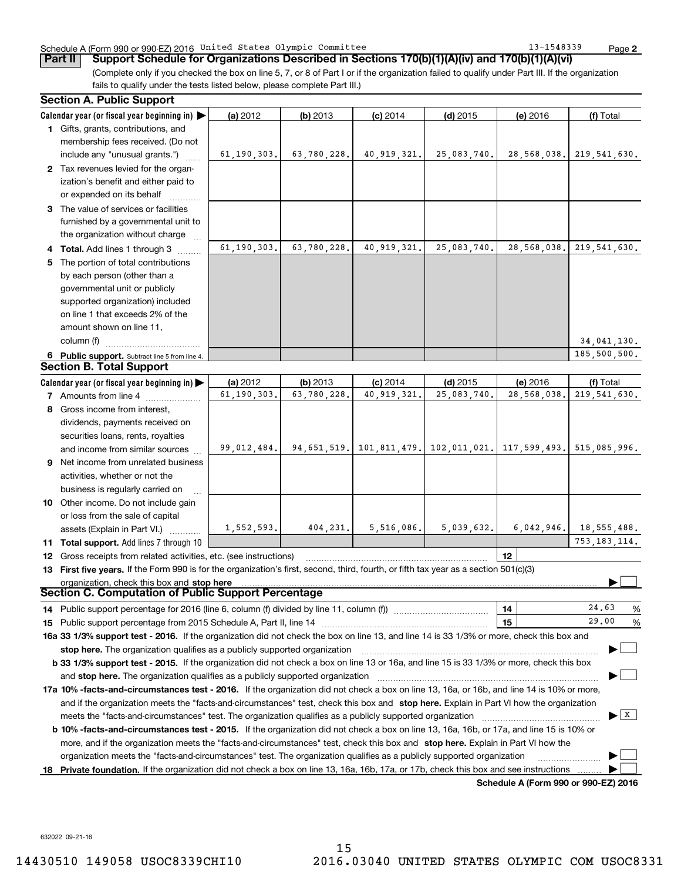### Schedule A (Form 990 or 990-EZ) 2016 Page United States Olympic Committee 13-1548339

**Part II Support Schedule for Organizations Described in Sections 170(b)(1)(A)(iv) and 170(b)(1)(A)(vi)**

(Complete only if you checked the box on line 5, 7, or 8 of Part I or if the organization failed to qualify under Part III. If the organization fails to qualify under the tests listed below, please complete Part III.)

|    | <b>Section A. Public Support</b>                                                                                                               |               |             |               |                                                                 |                                      |                                |
|----|------------------------------------------------------------------------------------------------------------------------------------------------|---------------|-------------|---------------|-----------------------------------------------------------------|--------------------------------------|--------------------------------|
|    | Calendar year (or fiscal year beginning in) $\blacktriangleright$                                                                              | (a) 2012      | $(b)$ 2013  | $(c)$ 2014    | $(d)$ 2015                                                      | (e) 2016                             | (f) Total                      |
|    | 1 Gifts, grants, contributions, and                                                                                                            |               |             |               |                                                                 |                                      |                                |
|    | membership fees received. (Do not                                                                                                              |               |             |               |                                                                 |                                      |                                |
|    | include any "unusual grants.")                                                                                                                 | 61, 190, 303. | 63,780,228. | 40,919,321.   | 25,083,740.                                                     | 28,568,038.                          | 219,541,630.                   |
|    | 2 Tax revenues levied for the organ-                                                                                                           |               |             |               |                                                                 |                                      |                                |
|    | ization's benefit and either paid to                                                                                                           |               |             |               |                                                                 |                                      |                                |
|    | or expended on its behalf                                                                                                                      |               |             |               |                                                                 |                                      |                                |
|    | 3 The value of services or facilities                                                                                                          |               |             |               |                                                                 |                                      |                                |
|    | furnished by a governmental unit to                                                                                                            |               |             |               |                                                                 |                                      |                                |
|    | the organization without charge                                                                                                                |               |             |               |                                                                 |                                      |                                |
|    | <b>Total.</b> Add lines 1 through 3                                                                                                            | 61, 190, 303. | 63,780,228. | 40, 919, 321. | 25,083,740.                                                     | 28,568,038.                          | 219,541,630.                   |
| 5. | The portion of total contributions                                                                                                             |               |             |               |                                                                 |                                      |                                |
|    | by each person (other than a                                                                                                                   |               |             |               |                                                                 |                                      |                                |
|    | governmental unit or publicly                                                                                                                  |               |             |               |                                                                 |                                      |                                |
|    | supported organization) included                                                                                                               |               |             |               |                                                                 |                                      |                                |
|    | on line 1 that exceeds 2% of the                                                                                                               |               |             |               |                                                                 |                                      |                                |
|    | amount shown on line 11,                                                                                                                       |               |             |               |                                                                 |                                      |                                |
|    | column (f)                                                                                                                                     |               |             |               |                                                                 |                                      | 34,041,130.                    |
|    | 6 Public support. Subtract line 5 from line 4.                                                                                                 |               |             |               |                                                                 |                                      | 185,500,500.                   |
|    | <b>Section B. Total Support</b>                                                                                                                |               |             |               |                                                                 |                                      |                                |
|    | Calendar year (or fiscal year beginning in)                                                                                                    | (a) 2012      | (b) 2013    | $(c)$ 2014    | $(d)$ 2015                                                      | (e) 2016                             | (f) Total                      |
|    | 7 Amounts from line 4                                                                                                                          | 61,190,303.   | 63,780,228. | 40, 919, 321. | 25,083,740.                                                     | 28,568,038.                          | 219, 541, 630.                 |
|    | 8 Gross income from interest,                                                                                                                  |               |             |               |                                                                 |                                      |                                |
|    | dividends, payments received on                                                                                                                |               |             |               |                                                                 |                                      |                                |
|    | securities loans, rents, royalties                                                                                                             |               |             |               |                                                                 |                                      |                                |
|    | and income from similar sources                                                                                                                | 99,012,484.   |             |               | 94,651,519. 101,811,479. 102,011,021. 117,599,493. 515,085,996. |                                      |                                |
| 9  | Net income from unrelated business                                                                                                             |               |             |               |                                                                 |                                      |                                |
|    | activities, whether or not the                                                                                                                 |               |             |               |                                                                 |                                      |                                |
|    | business is regularly carried on                                                                                                               |               |             |               |                                                                 |                                      |                                |
|    | 10 Other income. Do not include gain                                                                                                           |               |             |               |                                                                 |                                      |                                |
|    | or loss from the sale of capital                                                                                                               |               |             |               |                                                                 |                                      |                                |
|    | assets (Explain in Part VI.)                                                                                                                   | 1,552,593.    | 404,231.    | 5,516,086.    | 5,039,632.                                                      | 6,042,946.                           | 18,555,488.                    |
|    | 11 Total support. Add lines 7 through 10                                                                                                       |               |             |               |                                                                 |                                      | 753, 183, 114.                 |
|    | 12 Gross receipts from related activities, etc. (see instructions)                                                                             |               |             |               |                                                                 | 12                                   |                                |
|    | 13 First five years. If the Form 990 is for the organization's first, second, third, fourth, or fifth tax year as a section 501(c)(3)          |               |             |               |                                                                 |                                      |                                |
|    |                                                                                                                                                |               |             |               |                                                                 |                                      |                                |
|    | Section C. Computation of Public Support Percentage                                                                                            |               |             |               |                                                                 |                                      |                                |
|    |                                                                                                                                                |               |             |               |                                                                 | 14                                   | 24.63<br>%                     |
| 15 |                                                                                                                                                |               |             |               |                                                                 | 15                                   | 29,00<br>%                     |
|    | 16a 33 1/3% support test - 2016. If the organization did not check the box on line 13, and line 14 is 33 1/3% or more, check this box and      |               |             |               |                                                                 |                                      |                                |
|    |                                                                                                                                                |               |             |               |                                                                 |                                      |                                |
|    | b 33 1/3% support test - 2015. If the organization did not check a box on line 13 or 16a, and line 15 is 33 1/3% or more, check this box       |               |             |               |                                                                 |                                      |                                |
|    | and stop here. The organization qualifies as a publicly supported organization                                                                 |               |             |               |                                                                 |                                      |                                |
|    | 17a 10% -facts-and-circumstances test - 2016. If the organization did not check a box on line 13, 16a, or 16b, and line 14 is 10% or more,     |               |             |               |                                                                 |                                      |                                |
|    | and if the organization meets the "facts-and-circumstances" test, check this box and stop here. Explain in Part VI how the organization        |               |             |               |                                                                 |                                      |                                |
|    | meets the "facts-and-circumstances" test. The organization qualifies as a publicly supported organization                                      |               |             |               |                                                                 |                                      | $\blacktriangleright$ $\mid$ X |
|    | <b>b 10% -facts-and-circumstances test - 2015.</b> If the organization did not check a box on line 13, 16a, 16b, or 17a, and line 15 is 10% or |               |             |               |                                                                 |                                      |                                |
|    | more, and if the organization meets the "facts-and-circumstances" test, check this box and stop here. Explain in Part VI how the               |               |             |               |                                                                 |                                      |                                |
|    | organization meets the "facts-and-circumstances" test. The organization qualifies as a publicly supported organization                         |               |             |               |                                                                 |                                      |                                |
|    | <b>18</b> Private foundation. If the organization did not check a box on line 13, 16a, 16b, 17a, or 17b, check this box and see instructions   |               |             |               |                                                                 |                                      |                                |
|    |                                                                                                                                                |               |             |               |                                                                 | Schedule A (Form 990 or 990-EZ) 2016 |                                |

632022 09-21-16

15 14430510 149058 USOC8339CHI10 2016.03040 UNITED STATES OLYMPIC COM USOC8331

**2**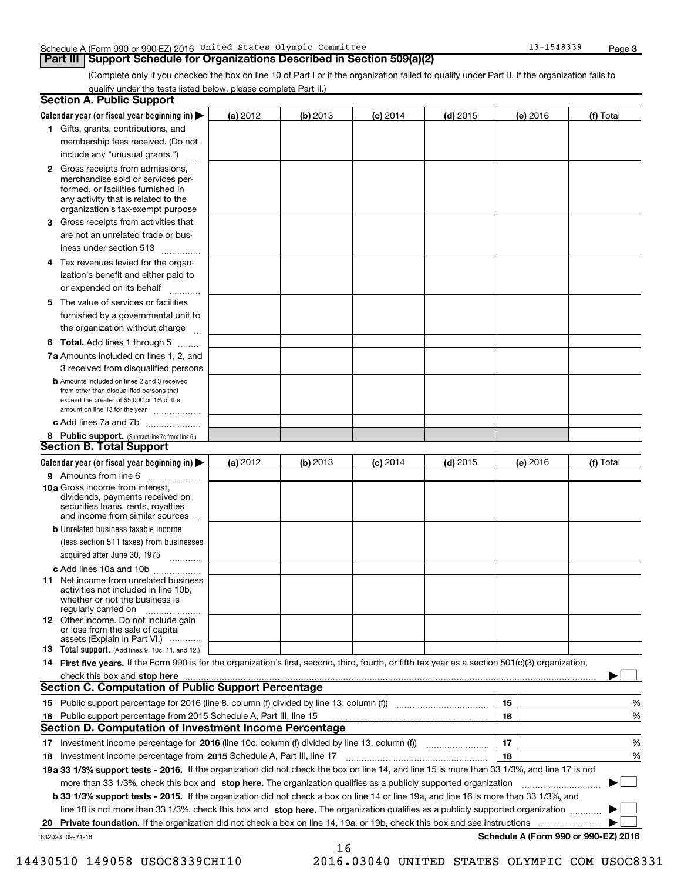#### Schedule A (Form 990 or 990-EZ) 2016 Page United States Olympic Committee 13-1548339

## **Part III Support Schedule for Organizations Described in Section 509(a)(2)**

(Complete only if you checked the box on line 10 of Part I or if the organization failed to qualify under Part II. If the organization fails to qualify under the tests listed below, please complete Part II.)

|    | <b>Section A. Public Support</b>                                                                                                                                                                                                                                         |            |            |            |            |          |                                      |
|----|--------------------------------------------------------------------------------------------------------------------------------------------------------------------------------------------------------------------------------------------------------------------------|------------|------------|------------|------------|----------|--------------------------------------|
|    | Calendar year (or fiscal year beginning in) $\blacktriangleright$                                                                                                                                                                                                        | (a) 2012   | $(b)$ 2013 | $(c)$ 2014 | $(d)$ 2015 | (e) 2016 | (f) Total                            |
|    | 1 Gifts, grants, contributions, and                                                                                                                                                                                                                                      |            |            |            |            |          |                                      |
|    | membership fees received. (Do not                                                                                                                                                                                                                                        |            |            |            |            |          |                                      |
|    | include any "unusual grants.")                                                                                                                                                                                                                                           |            |            |            |            |          |                                      |
|    | 2 Gross receipts from admissions,<br>merchandise sold or services per-<br>formed, or facilities furnished in<br>any activity that is related to the<br>organization's tax-exempt purpose                                                                                 |            |            |            |            |          |                                      |
|    | 3 Gross receipts from activities that<br>are not an unrelated trade or bus-                                                                                                                                                                                              |            |            |            |            |          |                                      |
|    | iness under section 513                                                                                                                                                                                                                                                  |            |            |            |            |          |                                      |
|    | 4 Tax revenues levied for the organ-                                                                                                                                                                                                                                     |            |            |            |            |          |                                      |
|    | ization's benefit and either paid to<br>or expended on its behalf<br>.                                                                                                                                                                                                   |            |            |            |            |          |                                      |
|    | 5 The value of services or facilities                                                                                                                                                                                                                                    |            |            |            |            |          |                                      |
|    | furnished by a governmental unit to                                                                                                                                                                                                                                      |            |            |            |            |          |                                      |
|    | the organization without charge                                                                                                                                                                                                                                          |            |            |            |            |          |                                      |
|    | <b>6 Total.</b> Add lines 1 through 5                                                                                                                                                                                                                                    |            |            |            |            |          |                                      |
|    | 7a Amounts included on lines 1, 2, and<br>3 received from disqualified persons                                                                                                                                                                                           |            |            |            |            |          |                                      |
|    | <b>b</b> Amounts included on lines 2 and 3 received<br>from other than disqualified persons that<br>exceed the greater of \$5,000 or 1% of the<br>amount on line 13 for the year                                                                                         |            |            |            |            |          |                                      |
|    | c Add lines 7a and 7b                                                                                                                                                                                                                                                    |            |            |            |            |          |                                      |
|    | 8 Public support. (Subtract line 7c from line 6.)                                                                                                                                                                                                                        |            |            |            |            |          |                                      |
|    | <b>Section B. Total Support</b>                                                                                                                                                                                                                                          |            |            |            |            |          |                                      |
|    | Calendar year (or fiscal year beginning in) $\blacktriangleright$                                                                                                                                                                                                        | (a) $2012$ | (b) 2013   | $(c)$ 2014 | $(d)$ 2015 | (e) 2016 | (f) Total                            |
|    | 9 Amounts from line 6                                                                                                                                                                                                                                                    |            |            |            |            |          |                                      |
|    | 10a Gross income from interest,<br>dividends, payments received on<br>securities loans, rents, royalties<br>and income from similar sources                                                                                                                              |            |            |            |            |          |                                      |
|    | <b>b</b> Unrelated business taxable income<br>(less section 511 taxes) from businesses<br>acquired after June 30, 1975                                                                                                                                                   |            |            |            |            |          |                                      |
|    |                                                                                                                                                                                                                                                                          |            |            |            |            |          |                                      |
|    | c Add lines 10a and 10b<br>11 Net income from unrelated business<br>activities not included in line 10b,<br>whether or not the business is<br>regularly carried on                                                                                                       |            |            |            |            |          |                                      |
|    | <b>12</b> Other income. Do not include gain<br>or loss from the sale of capital<br>assets (Explain in Part VI.)                                                                                                                                                          |            |            |            |            |          |                                      |
|    | <b>13</b> Total support. (Add lines 9, 10c, 11, and 12.)                                                                                                                                                                                                                 |            |            |            |            |          |                                      |
|    | 14 First five years. If the Form 990 is for the organization's first, second, third, fourth, or fifth tax year as a section 501(c)(3) organization,                                                                                                                      |            |            |            |            |          |                                      |
|    | check this box and stop here with the continuum control to the state of the state of the state of the state of                                                                                                                                                           |            |            |            |            |          |                                      |
|    | <b>Section C. Computation of Public Support Percentage</b>                                                                                                                                                                                                               |            |            |            |            |          |                                      |
|    |                                                                                                                                                                                                                                                                          |            |            |            |            | 15       | %                                    |
|    | 16 Public support percentage from 2015 Schedule A, Part III, line 15                                                                                                                                                                                                     |            |            |            |            | 16       | %                                    |
|    | <b>Section D. Computation of Investment Income Percentage</b>                                                                                                                                                                                                            |            |            |            |            |          |                                      |
|    | 17 Investment income percentage for 2016 (line 10c, column (f) divided by line 13, column (f))                                                                                                                                                                           |            |            |            |            | 17       | %                                    |
|    | <b>18</b> Investment income percentage from <b>2015</b> Schedule A, Part III, line 17<br>19a 33 1/3% support tests - 2016. If the organization did not check the box on line 14, and line 15 is more than 33 1/3%, and line 17 is not                                    |            |            |            |            | 18       | %                                    |
|    |                                                                                                                                                                                                                                                                          |            |            |            |            |          |                                      |
|    | more than 33 1/3%, check this box and stop here. The organization qualifies as a publicly supported organization                                                                                                                                                         |            |            |            |            |          | ▶                                    |
|    | b 33 1/3% support tests - 2015. If the organization did not check a box on line 14 or line 19a, and line 16 is more than 33 1/3%, and<br>line 18 is not more than 33 1/3%, check this box and stop here. The organization qualifies as a publicly supported organization |            |            |            |            |          |                                      |
| 20 | <b>Private foundation.</b> If the organization did not check a box on line 14, 19a, or 19b, check this box and see instructions <i>manimum</i>                                                                                                                           |            |            |            |            |          |                                      |
|    | 632023 09-21-16                                                                                                                                                                                                                                                          |            |            |            |            |          | Schedule A (Form 990 or 990-EZ) 2016 |
|    |                                                                                                                                                                                                                                                                          |            | 16         |            |            |          |                                      |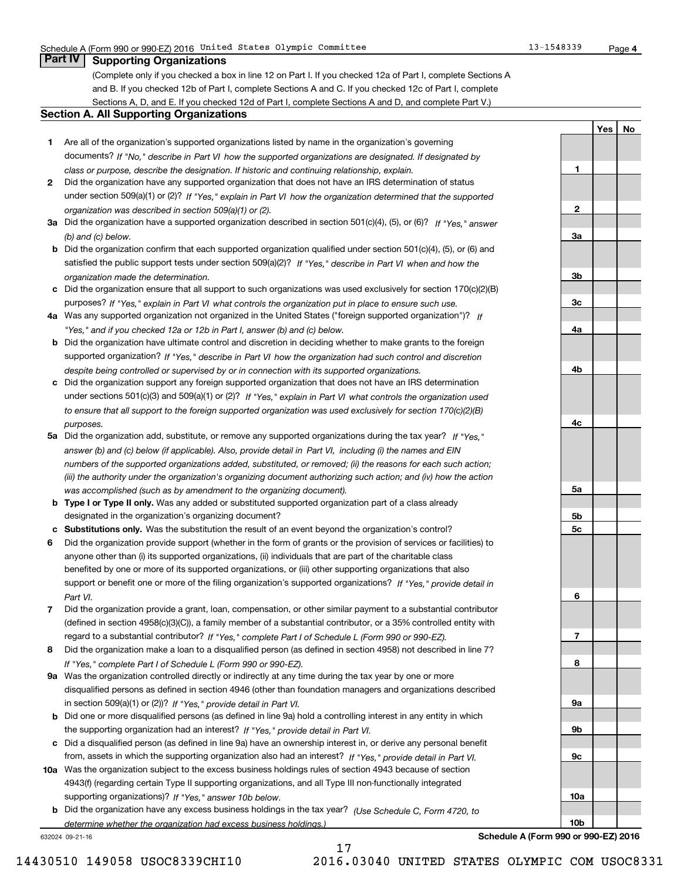**1**

**2**

**3a**

**3b**

**3c**

**4a**

**4b**

**4c**

**5a**

**5b5c**

**6**

**7**

**8**

**9a**

**9b**

**9c**

**10a**

**10b**

**YesNo**

# **Part IV Supporting Organizations**

(Complete only if you checked a box in line 12 on Part I. If you checked 12a of Part I, complete Sections A and B. If you checked 12b of Part I, complete Sections A and C. If you checked 12c of Part I, complete Sections A, D, and E. If you checked 12d of Part I, complete Sections A and D, and complete Part V.)

### **Section A. All Supporting Organizations**

- **1** Are all of the organization's supported organizations listed by name in the organization's governing documents? If "No," describe in Part VI how the supported organizations are designated. If designated by *class or purpose, describe the designation. If historic and continuing relationship, explain.*
- **2** Did the organization have any supported organization that does not have an IRS determination of status under section 509(a)(1) or (2)? If "Yes," explain in Part VI how the organization determined that the supported *organization was described in section 509(a)(1) or (2).*
- **3a** Did the organization have a supported organization described in section 501(c)(4), (5), or (6)? If "Yes," answer *(b) and (c) below.*
- **b** Did the organization confirm that each supported organization qualified under section 501(c)(4), (5), or (6) and satisfied the public support tests under section 509(a)(2)? If "Yes," describe in Part VI when and how the *organization made the determination.*
- **c**Did the organization ensure that all support to such organizations was used exclusively for section 170(c)(2)(B) purposes? If "Yes," explain in Part VI what controls the organization put in place to ensure such use.
- **4a***If* Was any supported organization not organized in the United States ("foreign supported organization")? *"Yes," and if you checked 12a or 12b in Part I, answer (b) and (c) below.*
- **b** Did the organization have ultimate control and discretion in deciding whether to make grants to the foreign supported organization? If "Yes," describe in Part VI how the organization had such control and discretion *despite being controlled or supervised by or in connection with its supported organizations.*
- **c** Did the organization support any foreign supported organization that does not have an IRS determination under sections 501(c)(3) and 509(a)(1) or (2)? If "Yes," explain in Part VI what controls the organization used *to ensure that all support to the foreign supported organization was used exclusively for section 170(c)(2)(B) purposes.*
- **5a** Did the organization add, substitute, or remove any supported organizations during the tax year? If "Yes," answer (b) and (c) below (if applicable). Also, provide detail in Part VI, including (i) the names and EIN *numbers of the supported organizations added, substituted, or removed; (ii) the reasons for each such action; (iii) the authority under the organization's organizing document authorizing such action; and (iv) how the action was accomplished (such as by amendment to the organizing document).*
- **b** Type I or Type II only. Was any added or substituted supported organization part of a class already designated in the organization's organizing document?
- **cSubstitutions only.**  Was the substitution the result of an event beyond the organization's control?
- **6** Did the organization provide support (whether in the form of grants or the provision of services or facilities) to *If "Yes," provide detail in* support or benefit one or more of the filing organization's supported organizations? anyone other than (i) its supported organizations, (ii) individuals that are part of the charitable class benefited by one or more of its supported organizations, or (iii) other supporting organizations that also *Part VI.*
- **7**Did the organization provide a grant, loan, compensation, or other similar payment to a substantial contributor *If "Yes," complete Part I of Schedule L (Form 990 or 990-EZ).* regard to a substantial contributor? (defined in section 4958(c)(3)(C)), a family member of a substantial contributor, or a 35% controlled entity with
- **8** Did the organization make a loan to a disqualified person (as defined in section 4958) not described in line 7? *If "Yes," complete Part I of Schedule L (Form 990 or 990-EZ).*
- **9a** Was the organization controlled directly or indirectly at any time during the tax year by one or more in section 509(a)(1) or (2))? If "Yes," *provide detail in Part VI.* disqualified persons as defined in section 4946 (other than foundation managers and organizations described
- **b** Did one or more disqualified persons (as defined in line 9a) hold a controlling interest in any entity in which the supporting organization had an interest? If "Yes," provide detail in Part VI.
- **c**Did a disqualified person (as defined in line 9a) have an ownership interest in, or derive any personal benefit from, assets in which the supporting organization also had an interest? If "Yes," provide detail in Part VI.
- **10a** Was the organization subject to the excess business holdings rules of section 4943 because of section supporting organizations)? If "Yes," answer 10b below. 4943(f) (regarding certain Type II supporting organizations, and all Type III non-functionally integrated
- **b** Did the organization have any excess business holdings in the tax year? (Use Schedule C, Form 4720, to *determine whether the organization had excess business holdings.)*

17

632024 09-21-16

**Schedule A (Form 990 or 990-EZ) 2016**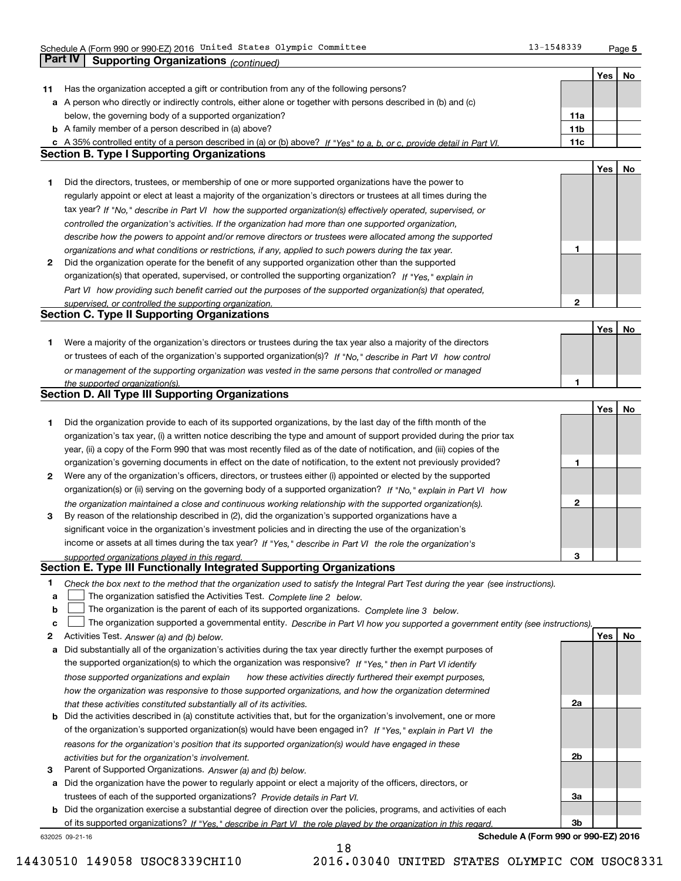Schedule A (Form 990 or 990-EZ) 2016 Page United States Olympic Committee 13-1548339

**5**

| Yes<br>$N_{0}$<br>Has the organization accepted a gift or contribution from any of the following persons?<br>11.<br>a A person who directly or indirectly controls, either alone or together with persons described in (b) and (c)<br>below, the governing body of a supported organization?<br>11a<br><b>b</b> A family member of a person described in (a) above?<br>11 <sub>b</sub><br>c A 35% controlled entity of a person described in (a) or (b) above? If "Yes" to a, b, or c, provide detail in Part VI.<br>11c<br><b>Section B. Type I Supporting Organizations</b><br>Yes  <br>No<br>1<br>Did the directors, trustees, or membership of one or more supported organizations have the power to<br>regularly appoint or elect at least a majority of the organization's directors or trustees at all times during the<br>tax year? If "No," describe in Part VI how the supported organization(s) effectively operated, supervised, or<br>controlled the organization's activities. If the organization had more than one supported organization,<br>describe how the powers to appoint and/or remove directors or trustees were allocated among the supported<br>1<br>organizations and what conditions or restrictions, if any, applied to such powers during the tax year.<br>Did the organization operate for the benefit of any supported organization other than the supported<br>2<br>organization(s) that operated, supervised, or controlled the supporting organization? If "Yes," explain in<br>Part VI how providing such benefit carried out the purposes of the supported organization(s) that operated,<br>$\mathbf{2}$<br>supervised, or controlled the supporting organization.<br><b>Section C. Type II Supporting Organizations</b><br>Yes  <br>No<br>Were a majority of the organization's directors or trustees during the tax year also a majority of the directors<br>1<br>or trustees of each of the organization's supported organization(s)? If "No," describe in Part VI how control<br>or management of the supporting organization was vested in the same persons that controlled or managed<br>1<br>the supported organization(s).<br>Section D. All Type III Supporting Organizations<br>Yes  <br>No<br>1<br>Did the organization provide to each of its supported organizations, by the last day of the fifth month of the<br>organization's tax year, (i) a written notice describing the type and amount of support provided during the prior tax<br>year, (ii) a copy of the Form 990 that was most recently filed as of the date of notification, and (iii) copies of the<br>organization's governing documents in effect on the date of notification, to the extent not previously provided?<br>1<br>2<br>Were any of the organization's officers, directors, or trustees either (i) appointed or elected by the supported<br>organization(s) or (ii) serving on the governing body of a supported organization? If "No," explain in Part VI how<br>2<br>the organization maintained a close and continuous working relationship with the supported organization(s).<br>By reason of the relationship described in (2), did the organization's supported organizations have a<br>3<br>significant voice in the organization's investment policies and in directing the use of the organization's<br>income or assets at all times during the tax year? If "Yes," describe in Part VI the role the organization's<br>3<br>supported organizations played in this regard.<br>Section E. Type III Functionally Integrated Supporting Organizations<br>1<br>Check the box next to the method that the organization used to satisfy the Integral Part Test during the year (see instructions).<br>The organization satisfied the Activities Test. Complete line 2 below.<br>a<br>The organization is the parent of each of its supported organizations. Complete line 3 below.<br>b<br>The organization supported a governmental entity. Describe in Part VI how you supported a government entity (see instructions).<br>c<br>Yes<br>Activities Test. Answer (a) and (b) below.<br>No.<br>2<br>Did substantially all of the organization's activities during the tax year directly further the exempt purposes of<br>а<br>the supported organization(s) to which the organization was responsive? If "Yes," then in Part VI identify<br>those supported organizations and explain<br>how these activities directly furthered their exempt purposes,<br>how the organization was responsive to those supported organizations, and how the organization determined<br>2a<br>that these activities constituted substantially all of its activities.<br><b>b</b> Did the activities described in (a) constitute activities that, but for the organization's involvement, one or more<br>of the organization's supported organization(s) would have been engaged in? If "Yes," explain in Part VI the<br>reasons for the organization's position that its supported organization(s) would have engaged in these<br>2b<br>activities but for the organization's involvement.<br>Parent of Supported Organizations. Answer (a) and (b) below.<br>з<br>a Did the organization have the power to regularly appoint or elect a majority of the officers, directors, or<br>trustees of each of the supported organizations? Provide details in Part VI.<br>За<br><b>b</b> Did the organization exercise a substantial degree of direction over the policies, programs, and activities of each<br>3b<br>of its supported organizations? If "Yes." describe in Part VI the role played by the organization in this regard. | <b>Part IV</b><br><b>Supporting Organizations (continued)</b> |  |  |
|---------------------------------------------------------------------------------------------------------------------------------------------------------------------------------------------------------------------------------------------------------------------------------------------------------------------------------------------------------------------------------------------------------------------------------------------------------------------------------------------------------------------------------------------------------------------------------------------------------------------------------------------------------------------------------------------------------------------------------------------------------------------------------------------------------------------------------------------------------------------------------------------------------------------------------------------------------------------------------------------------------------------------------------------------------------------------------------------------------------------------------------------------------------------------------------------------------------------------------------------------------------------------------------------------------------------------------------------------------------------------------------------------------------------------------------------------------------------------------------------------------------------------------------------------------------------------------------------------------------------------------------------------------------------------------------------------------------------------------------------------------------------------------------------------------------------------------------------------------------------------------------------------------------------------------------------------------------------------------------------------------------------------------------------------------------------------------------------------------------------------------------------------------------------------------------------------------------------------------------------------------------------------------------------------------------------------------------------------------------------------------------------------------------------------------------------------------------------------------------------------------------------------------------------------------------------------------------------------------------------------------------------------------------------------------------------------------------------------------------------------------------------------------------------------------------------------------------------------------------------------------------------------------------------------------------------------------------------------------------------------------------------------------------------------------------------------------------------------------------------------------------------------------------------------------------------------------------------------------------------------------------------------------------------------------------------------------------------------------------------------------------------------------------------------------------------------------------------------------------------------------------------------------------------------------------------------------------------------------------------------------------------------------------------------------------------------------------------------------------------------------------------------------------------------------------------------------------------------------------------------------------------------------------------------------------------------------------------------------------------------------------------------------------------------------------------------------------------------------------------------------------------------------------------------------------------------------------------------------------------------------------------------------------------------------------------------------------------------------------------------------------------------------------------------------------------------------------------------------------------------------------------------------------------------------------------------------------------------------------------------------------------------------------------------------------------------------------------------------------------------------------------------------------------------------------------------------------------------------------------------------------------------------------------------------------------------------------------------------------------------------------------------------------------------------------------------------------------------------------------------------------------------------------------------------------------------------------------------------------------------------------------------------------------------------------------------------------------------------------------------------------------------------------------------------------------------------------------------------------------------------------------------------------------------------------------------------------------------------------------------------------------------------|---------------------------------------------------------------|--|--|
|                                                                                                                                                                                                                                                                                                                                                                                                                                                                                                                                                                                                                                                                                                                                                                                                                                                                                                                                                                                                                                                                                                                                                                                                                                                                                                                                                                                                                                                                                                                                                                                                                                                                                                                                                                                                                                                                                                                                                                                                                                                                                                                                                                                                                                                                                                                                                                                                                                                                                                                                                                                                                                                                                                                                                                                                                                                                                                                                                                                                                                                                                                                                                                                                                                                                                                                                                                                                                                                                                                                                                                                                                                                                                                                                                                                                                                                                                                                                                                                                                                                                                                                                                                                                                                                                                                                                                                                                                                                                                                                                                                                                                                                                                                                                                                                                                                                                                                                                                                                                                                                                                                                                                                                                                                                                                                                                                                                                                                                                                                                                                                                                                                                         |                                                               |  |  |
|                                                                                                                                                                                                                                                                                                                                                                                                                                                                                                                                                                                                                                                                                                                                                                                                                                                                                                                                                                                                                                                                                                                                                                                                                                                                                                                                                                                                                                                                                                                                                                                                                                                                                                                                                                                                                                                                                                                                                                                                                                                                                                                                                                                                                                                                                                                                                                                                                                                                                                                                                                                                                                                                                                                                                                                                                                                                                                                                                                                                                                                                                                                                                                                                                                                                                                                                                                                                                                                                                                                                                                                                                                                                                                                                                                                                                                                                                                                                                                                                                                                                                                                                                                                                                                                                                                                                                                                                                                                                                                                                                                                                                                                                                                                                                                                                                                                                                                                                                                                                                                                                                                                                                                                                                                                                                                                                                                                                                                                                                                                                                                                                                                                         |                                                               |  |  |
|                                                                                                                                                                                                                                                                                                                                                                                                                                                                                                                                                                                                                                                                                                                                                                                                                                                                                                                                                                                                                                                                                                                                                                                                                                                                                                                                                                                                                                                                                                                                                                                                                                                                                                                                                                                                                                                                                                                                                                                                                                                                                                                                                                                                                                                                                                                                                                                                                                                                                                                                                                                                                                                                                                                                                                                                                                                                                                                                                                                                                                                                                                                                                                                                                                                                                                                                                                                                                                                                                                                                                                                                                                                                                                                                                                                                                                                                                                                                                                                                                                                                                                                                                                                                                                                                                                                                                                                                                                                                                                                                                                                                                                                                                                                                                                                                                                                                                                                                                                                                                                                                                                                                                                                                                                                                                                                                                                                                                                                                                                                                                                                                                                                         |                                                               |  |  |
|                                                                                                                                                                                                                                                                                                                                                                                                                                                                                                                                                                                                                                                                                                                                                                                                                                                                                                                                                                                                                                                                                                                                                                                                                                                                                                                                                                                                                                                                                                                                                                                                                                                                                                                                                                                                                                                                                                                                                                                                                                                                                                                                                                                                                                                                                                                                                                                                                                                                                                                                                                                                                                                                                                                                                                                                                                                                                                                                                                                                                                                                                                                                                                                                                                                                                                                                                                                                                                                                                                                                                                                                                                                                                                                                                                                                                                                                                                                                                                                                                                                                                                                                                                                                                                                                                                                                                                                                                                                                                                                                                                                                                                                                                                                                                                                                                                                                                                                                                                                                                                                                                                                                                                                                                                                                                                                                                                                                                                                                                                                                                                                                                                                         |                                                               |  |  |
|                                                                                                                                                                                                                                                                                                                                                                                                                                                                                                                                                                                                                                                                                                                                                                                                                                                                                                                                                                                                                                                                                                                                                                                                                                                                                                                                                                                                                                                                                                                                                                                                                                                                                                                                                                                                                                                                                                                                                                                                                                                                                                                                                                                                                                                                                                                                                                                                                                                                                                                                                                                                                                                                                                                                                                                                                                                                                                                                                                                                                                                                                                                                                                                                                                                                                                                                                                                                                                                                                                                                                                                                                                                                                                                                                                                                                                                                                                                                                                                                                                                                                                                                                                                                                                                                                                                                                                                                                                                                                                                                                                                                                                                                                                                                                                                                                                                                                                                                                                                                                                                                                                                                                                                                                                                                                                                                                                                                                                                                                                                                                                                                                                                         |                                                               |  |  |
|                                                                                                                                                                                                                                                                                                                                                                                                                                                                                                                                                                                                                                                                                                                                                                                                                                                                                                                                                                                                                                                                                                                                                                                                                                                                                                                                                                                                                                                                                                                                                                                                                                                                                                                                                                                                                                                                                                                                                                                                                                                                                                                                                                                                                                                                                                                                                                                                                                                                                                                                                                                                                                                                                                                                                                                                                                                                                                                                                                                                                                                                                                                                                                                                                                                                                                                                                                                                                                                                                                                                                                                                                                                                                                                                                                                                                                                                                                                                                                                                                                                                                                                                                                                                                                                                                                                                                                                                                                                                                                                                                                                                                                                                                                                                                                                                                                                                                                                                                                                                                                                                                                                                                                                                                                                                                                                                                                                                                                                                                                                                                                                                                                                         |                                                               |  |  |
|                                                                                                                                                                                                                                                                                                                                                                                                                                                                                                                                                                                                                                                                                                                                                                                                                                                                                                                                                                                                                                                                                                                                                                                                                                                                                                                                                                                                                                                                                                                                                                                                                                                                                                                                                                                                                                                                                                                                                                                                                                                                                                                                                                                                                                                                                                                                                                                                                                                                                                                                                                                                                                                                                                                                                                                                                                                                                                                                                                                                                                                                                                                                                                                                                                                                                                                                                                                                                                                                                                                                                                                                                                                                                                                                                                                                                                                                                                                                                                                                                                                                                                                                                                                                                                                                                                                                                                                                                                                                                                                                                                                                                                                                                                                                                                                                                                                                                                                                                                                                                                                                                                                                                                                                                                                                                                                                                                                                                                                                                                                                                                                                                                                         |                                                               |  |  |
|                                                                                                                                                                                                                                                                                                                                                                                                                                                                                                                                                                                                                                                                                                                                                                                                                                                                                                                                                                                                                                                                                                                                                                                                                                                                                                                                                                                                                                                                                                                                                                                                                                                                                                                                                                                                                                                                                                                                                                                                                                                                                                                                                                                                                                                                                                                                                                                                                                                                                                                                                                                                                                                                                                                                                                                                                                                                                                                                                                                                                                                                                                                                                                                                                                                                                                                                                                                                                                                                                                                                                                                                                                                                                                                                                                                                                                                                                                                                                                                                                                                                                                                                                                                                                                                                                                                                                                                                                                                                                                                                                                                                                                                                                                                                                                                                                                                                                                                                                                                                                                                                                                                                                                                                                                                                                                                                                                                                                                                                                                                                                                                                                                                         |                                                               |  |  |
|                                                                                                                                                                                                                                                                                                                                                                                                                                                                                                                                                                                                                                                                                                                                                                                                                                                                                                                                                                                                                                                                                                                                                                                                                                                                                                                                                                                                                                                                                                                                                                                                                                                                                                                                                                                                                                                                                                                                                                                                                                                                                                                                                                                                                                                                                                                                                                                                                                                                                                                                                                                                                                                                                                                                                                                                                                                                                                                                                                                                                                                                                                                                                                                                                                                                                                                                                                                                                                                                                                                                                                                                                                                                                                                                                                                                                                                                                                                                                                                                                                                                                                                                                                                                                                                                                                                                                                                                                                                                                                                                                                                                                                                                                                                                                                                                                                                                                                                                                                                                                                                                                                                                                                                                                                                                                                                                                                                                                                                                                                                                                                                                                                                         |                                                               |  |  |
|                                                                                                                                                                                                                                                                                                                                                                                                                                                                                                                                                                                                                                                                                                                                                                                                                                                                                                                                                                                                                                                                                                                                                                                                                                                                                                                                                                                                                                                                                                                                                                                                                                                                                                                                                                                                                                                                                                                                                                                                                                                                                                                                                                                                                                                                                                                                                                                                                                                                                                                                                                                                                                                                                                                                                                                                                                                                                                                                                                                                                                                                                                                                                                                                                                                                                                                                                                                                                                                                                                                                                                                                                                                                                                                                                                                                                                                                                                                                                                                                                                                                                                                                                                                                                                                                                                                                                                                                                                                                                                                                                                                                                                                                                                                                                                                                                                                                                                                                                                                                                                                                                                                                                                                                                                                                                                                                                                                                                                                                                                                                                                                                                                                         |                                                               |  |  |
|                                                                                                                                                                                                                                                                                                                                                                                                                                                                                                                                                                                                                                                                                                                                                                                                                                                                                                                                                                                                                                                                                                                                                                                                                                                                                                                                                                                                                                                                                                                                                                                                                                                                                                                                                                                                                                                                                                                                                                                                                                                                                                                                                                                                                                                                                                                                                                                                                                                                                                                                                                                                                                                                                                                                                                                                                                                                                                                                                                                                                                                                                                                                                                                                                                                                                                                                                                                                                                                                                                                                                                                                                                                                                                                                                                                                                                                                                                                                                                                                                                                                                                                                                                                                                                                                                                                                                                                                                                                                                                                                                                                                                                                                                                                                                                                                                                                                                                                                                                                                                                                                                                                                                                                                                                                                                                                                                                                                                                                                                                                                                                                                                                                         |                                                               |  |  |
|                                                                                                                                                                                                                                                                                                                                                                                                                                                                                                                                                                                                                                                                                                                                                                                                                                                                                                                                                                                                                                                                                                                                                                                                                                                                                                                                                                                                                                                                                                                                                                                                                                                                                                                                                                                                                                                                                                                                                                                                                                                                                                                                                                                                                                                                                                                                                                                                                                                                                                                                                                                                                                                                                                                                                                                                                                                                                                                                                                                                                                                                                                                                                                                                                                                                                                                                                                                                                                                                                                                                                                                                                                                                                                                                                                                                                                                                                                                                                                                                                                                                                                                                                                                                                                                                                                                                                                                                                                                                                                                                                                                                                                                                                                                                                                                                                                                                                                                                                                                                                                                                                                                                                                                                                                                                                                                                                                                                                                                                                                                                                                                                                                                         |                                                               |  |  |
|                                                                                                                                                                                                                                                                                                                                                                                                                                                                                                                                                                                                                                                                                                                                                                                                                                                                                                                                                                                                                                                                                                                                                                                                                                                                                                                                                                                                                                                                                                                                                                                                                                                                                                                                                                                                                                                                                                                                                                                                                                                                                                                                                                                                                                                                                                                                                                                                                                                                                                                                                                                                                                                                                                                                                                                                                                                                                                                                                                                                                                                                                                                                                                                                                                                                                                                                                                                                                                                                                                                                                                                                                                                                                                                                                                                                                                                                                                                                                                                                                                                                                                                                                                                                                                                                                                                                                                                                                                                                                                                                                                                                                                                                                                                                                                                                                                                                                                                                                                                                                                                                                                                                                                                                                                                                                                                                                                                                                                                                                                                                                                                                                                                         |                                                               |  |  |
|                                                                                                                                                                                                                                                                                                                                                                                                                                                                                                                                                                                                                                                                                                                                                                                                                                                                                                                                                                                                                                                                                                                                                                                                                                                                                                                                                                                                                                                                                                                                                                                                                                                                                                                                                                                                                                                                                                                                                                                                                                                                                                                                                                                                                                                                                                                                                                                                                                                                                                                                                                                                                                                                                                                                                                                                                                                                                                                                                                                                                                                                                                                                                                                                                                                                                                                                                                                                                                                                                                                                                                                                                                                                                                                                                                                                                                                                                                                                                                                                                                                                                                                                                                                                                                                                                                                                                                                                                                                                                                                                                                                                                                                                                                                                                                                                                                                                                                                                                                                                                                                                                                                                                                                                                                                                                                                                                                                                                                                                                                                                                                                                                                                         |                                                               |  |  |
|                                                                                                                                                                                                                                                                                                                                                                                                                                                                                                                                                                                                                                                                                                                                                                                                                                                                                                                                                                                                                                                                                                                                                                                                                                                                                                                                                                                                                                                                                                                                                                                                                                                                                                                                                                                                                                                                                                                                                                                                                                                                                                                                                                                                                                                                                                                                                                                                                                                                                                                                                                                                                                                                                                                                                                                                                                                                                                                                                                                                                                                                                                                                                                                                                                                                                                                                                                                                                                                                                                                                                                                                                                                                                                                                                                                                                                                                                                                                                                                                                                                                                                                                                                                                                                                                                                                                                                                                                                                                                                                                                                                                                                                                                                                                                                                                                                                                                                                                                                                                                                                                                                                                                                                                                                                                                                                                                                                                                                                                                                                                                                                                                                                         |                                                               |  |  |
|                                                                                                                                                                                                                                                                                                                                                                                                                                                                                                                                                                                                                                                                                                                                                                                                                                                                                                                                                                                                                                                                                                                                                                                                                                                                                                                                                                                                                                                                                                                                                                                                                                                                                                                                                                                                                                                                                                                                                                                                                                                                                                                                                                                                                                                                                                                                                                                                                                                                                                                                                                                                                                                                                                                                                                                                                                                                                                                                                                                                                                                                                                                                                                                                                                                                                                                                                                                                                                                                                                                                                                                                                                                                                                                                                                                                                                                                                                                                                                                                                                                                                                                                                                                                                                                                                                                                                                                                                                                                                                                                                                                                                                                                                                                                                                                                                                                                                                                                                                                                                                                                                                                                                                                                                                                                                                                                                                                                                                                                                                                                                                                                                                                         |                                                               |  |  |
|                                                                                                                                                                                                                                                                                                                                                                                                                                                                                                                                                                                                                                                                                                                                                                                                                                                                                                                                                                                                                                                                                                                                                                                                                                                                                                                                                                                                                                                                                                                                                                                                                                                                                                                                                                                                                                                                                                                                                                                                                                                                                                                                                                                                                                                                                                                                                                                                                                                                                                                                                                                                                                                                                                                                                                                                                                                                                                                                                                                                                                                                                                                                                                                                                                                                                                                                                                                                                                                                                                                                                                                                                                                                                                                                                                                                                                                                                                                                                                                                                                                                                                                                                                                                                                                                                                                                                                                                                                                                                                                                                                                                                                                                                                                                                                                                                                                                                                                                                                                                                                                                                                                                                                                                                                                                                                                                                                                                                                                                                                                                                                                                                                                         |                                                               |  |  |
|                                                                                                                                                                                                                                                                                                                                                                                                                                                                                                                                                                                                                                                                                                                                                                                                                                                                                                                                                                                                                                                                                                                                                                                                                                                                                                                                                                                                                                                                                                                                                                                                                                                                                                                                                                                                                                                                                                                                                                                                                                                                                                                                                                                                                                                                                                                                                                                                                                                                                                                                                                                                                                                                                                                                                                                                                                                                                                                                                                                                                                                                                                                                                                                                                                                                                                                                                                                                                                                                                                                                                                                                                                                                                                                                                                                                                                                                                                                                                                                                                                                                                                                                                                                                                                                                                                                                                                                                                                                                                                                                                                                                                                                                                                                                                                                                                                                                                                                                                                                                                                                                                                                                                                                                                                                                                                                                                                                                                                                                                                                                                                                                                                                         |                                                               |  |  |
|                                                                                                                                                                                                                                                                                                                                                                                                                                                                                                                                                                                                                                                                                                                                                                                                                                                                                                                                                                                                                                                                                                                                                                                                                                                                                                                                                                                                                                                                                                                                                                                                                                                                                                                                                                                                                                                                                                                                                                                                                                                                                                                                                                                                                                                                                                                                                                                                                                                                                                                                                                                                                                                                                                                                                                                                                                                                                                                                                                                                                                                                                                                                                                                                                                                                                                                                                                                                                                                                                                                                                                                                                                                                                                                                                                                                                                                                                                                                                                                                                                                                                                                                                                                                                                                                                                                                                                                                                                                                                                                                                                                                                                                                                                                                                                                                                                                                                                                                                                                                                                                                                                                                                                                                                                                                                                                                                                                                                                                                                                                                                                                                                                                         |                                                               |  |  |
|                                                                                                                                                                                                                                                                                                                                                                                                                                                                                                                                                                                                                                                                                                                                                                                                                                                                                                                                                                                                                                                                                                                                                                                                                                                                                                                                                                                                                                                                                                                                                                                                                                                                                                                                                                                                                                                                                                                                                                                                                                                                                                                                                                                                                                                                                                                                                                                                                                                                                                                                                                                                                                                                                                                                                                                                                                                                                                                                                                                                                                                                                                                                                                                                                                                                                                                                                                                                                                                                                                                                                                                                                                                                                                                                                                                                                                                                                                                                                                                                                                                                                                                                                                                                                                                                                                                                                                                                                                                                                                                                                                                                                                                                                                                                                                                                                                                                                                                                                                                                                                                                                                                                                                                                                                                                                                                                                                                                                                                                                                                                                                                                                                                         |                                                               |  |  |
|                                                                                                                                                                                                                                                                                                                                                                                                                                                                                                                                                                                                                                                                                                                                                                                                                                                                                                                                                                                                                                                                                                                                                                                                                                                                                                                                                                                                                                                                                                                                                                                                                                                                                                                                                                                                                                                                                                                                                                                                                                                                                                                                                                                                                                                                                                                                                                                                                                                                                                                                                                                                                                                                                                                                                                                                                                                                                                                                                                                                                                                                                                                                                                                                                                                                                                                                                                                                                                                                                                                                                                                                                                                                                                                                                                                                                                                                                                                                                                                                                                                                                                                                                                                                                                                                                                                                                                                                                                                                                                                                                                                                                                                                                                                                                                                                                                                                                                                                                                                                                                                                                                                                                                                                                                                                                                                                                                                                                                                                                                                                                                                                                                                         |                                                               |  |  |
|                                                                                                                                                                                                                                                                                                                                                                                                                                                                                                                                                                                                                                                                                                                                                                                                                                                                                                                                                                                                                                                                                                                                                                                                                                                                                                                                                                                                                                                                                                                                                                                                                                                                                                                                                                                                                                                                                                                                                                                                                                                                                                                                                                                                                                                                                                                                                                                                                                                                                                                                                                                                                                                                                                                                                                                                                                                                                                                                                                                                                                                                                                                                                                                                                                                                                                                                                                                                                                                                                                                                                                                                                                                                                                                                                                                                                                                                                                                                                                                                                                                                                                                                                                                                                                                                                                                                                                                                                                                                                                                                                                                                                                                                                                                                                                                                                                                                                                                                                                                                                                                                                                                                                                                                                                                                                                                                                                                                                                                                                                                                                                                                                                                         |                                                               |  |  |
|                                                                                                                                                                                                                                                                                                                                                                                                                                                                                                                                                                                                                                                                                                                                                                                                                                                                                                                                                                                                                                                                                                                                                                                                                                                                                                                                                                                                                                                                                                                                                                                                                                                                                                                                                                                                                                                                                                                                                                                                                                                                                                                                                                                                                                                                                                                                                                                                                                                                                                                                                                                                                                                                                                                                                                                                                                                                                                                                                                                                                                                                                                                                                                                                                                                                                                                                                                                                                                                                                                                                                                                                                                                                                                                                                                                                                                                                                                                                                                                                                                                                                                                                                                                                                                                                                                                                                                                                                                                                                                                                                                                                                                                                                                                                                                                                                                                                                                                                                                                                                                                                                                                                                                                                                                                                                                                                                                                                                                                                                                                                                                                                                                                         |                                                               |  |  |
|                                                                                                                                                                                                                                                                                                                                                                                                                                                                                                                                                                                                                                                                                                                                                                                                                                                                                                                                                                                                                                                                                                                                                                                                                                                                                                                                                                                                                                                                                                                                                                                                                                                                                                                                                                                                                                                                                                                                                                                                                                                                                                                                                                                                                                                                                                                                                                                                                                                                                                                                                                                                                                                                                                                                                                                                                                                                                                                                                                                                                                                                                                                                                                                                                                                                                                                                                                                                                                                                                                                                                                                                                                                                                                                                                                                                                                                                                                                                                                                                                                                                                                                                                                                                                                                                                                                                                                                                                                                                                                                                                                                                                                                                                                                                                                                                                                                                                                                                                                                                                                                                                                                                                                                                                                                                                                                                                                                                                                                                                                                                                                                                                                                         |                                                               |  |  |
|                                                                                                                                                                                                                                                                                                                                                                                                                                                                                                                                                                                                                                                                                                                                                                                                                                                                                                                                                                                                                                                                                                                                                                                                                                                                                                                                                                                                                                                                                                                                                                                                                                                                                                                                                                                                                                                                                                                                                                                                                                                                                                                                                                                                                                                                                                                                                                                                                                                                                                                                                                                                                                                                                                                                                                                                                                                                                                                                                                                                                                                                                                                                                                                                                                                                                                                                                                                                                                                                                                                                                                                                                                                                                                                                                                                                                                                                                                                                                                                                                                                                                                                                                                                                                                                                                                                                                                                                                                                                                                                                                                                                                                                                                                                                                                                                                                                                                                                                                                                                                                                                                                                                                                                                                                                                                                                                                                                                                                                                                                                                                                                                                                                         |                                                               |  |  |
|                                                                                                                                                                                                                                                                                                                                                                                                                                                                                                                                                                                                                                                                                                                                                                                                                                                                                                                                                                                                                                                                                                                                                                                                                                                                                                                                                                                                                                                                                                                                                                                                                                                                                                                                                                                                                                                                                                                                                                                                                                                                                                                                                                                                                                                                                                                                                                                                                                                                                                                                                                                                                                                                                                                                                                                                                                                                                                                                                                                                                                                                                                                                                                                                                                                                                                                                                                                                                                                                                                                                                                                                                                                                                                                                                                                                                                                                                                                                                                                                                                                                                                                                                                                                                                                                                                                                                                                                                                                                                                                                                                                                                                                                                                                                                                                                                                                                                                                                                                                                                                                                                                                                                                                                                                                                                                                                                                                                                                                                                                                                                                                                                                                         |                                                               |  |  |
|                                                                                                                                                                                                                                                                                                                                                                                                                                                                                                                                                                                                                                                                                                                                                                                                                                                                                                                                                                                                                                                                                                                                                                                                                                                                                                                                                                                                                                                                                                                                                                                                                                                                                                                                                                                                                                                                                                                                                                                                                                                                                                                                                                                                                                                                                                                                                                                                                                                                                                                                                                                                                                                                                                                                                                                                                                                                                                                                                                                                                                                                                                                                                                                                                                                                                                                                                                                                                                                                                                                                                                                                                                                                                                                                                                                                                                                                                                                                                                                                                                                                                                                                                                                                                                                                                                                                                                                                                                                                                                                                                                                                                                                                                                                                                                                                                                                                                                                                                                                                                                                                                                                                                                                                                                                                                                                                                                                                                                                                                                                                                                                                                                                         |                                                               |  |  |
|                                                                                                                                                                                                                                                                                                                                                                                                                                                                                                                                                                                                                                                                                                                                                                                                                                                                                                                                                                                                                                                                                                                                                                                                                                                                                                                                                                                                                                                                                                                                                                                                                                                                                                                                                                                                                                                                                                                                                                                                                                                                                                                                                                                                                                                                                                                                                                                                                                                                                                                                                                                                                                                                                                                                                                                                                                                                                                                                                                                                                                                                                                                                                                                                                                                                                                                                                                                                                                                                                                                                                                                                                                                                                                                                                                                                                                                                                                                                                                                                                                                                                                                                                                                                                                                                                                                                                                                                                                                                                                                                                                                                                                                                                                                                                                                                                                                                                                                                                                                                                                                                                                                                                                                                                                                                                                                                                                                                                                                                                                                                                                                                                                                         |                                                               |  |  |
|                                                                                                                                                                                                                                                                                                                                                                                                                                                                                                                                                                                                                                                                                                                                                                                                                                                                                                                                                                                                                                                                                                                                                                                                                                                                                                                                                                                                                                                                                                                                                                                                                                                                                                                                                                                                                                                                                                                                                                                                                                                                                                                                                                                                                                                                                                                                                                                                                                                                                                                                                                                                                                                                                                                                                                                                                                                                                                                                                                                                                                                                                                                                                                                                                                                                                                                                                                                                                                                                                                                                                                                                                                                                                                                                                                                                                                                                                                                                                                                                                                                                                                                                                                                                                                                                                                                                                                                                                                                                                                                                                                                                                                                                                                                                                                                                                                                                                                                                                                                                                                                                                                                                                                                                                                                                                                                                                                                                                                                                                                                                                                                                                                                         |                                                               |  |  |
|                                                                                                                                                                                                                                                                                                                                                                                                                                                                                                                                                                                                                                                                                                                                                                                                                                                                                                                                                                                                                                                                                                                                                                                                                                                                                                                                                                                                                                                                                                                                                                                                                                                                                                                                                                                                                                                                                                                                                                                                                                                                                                                                                                                                                                                                                                                                                                                                                                                                                                                                                                                                                                                                                                                                                                                                                                                                                                                                                                                                                                                                                                                                                                                                                                                                                                                                                                                                                                                                                                                                                                                                                                                                                                                                                                                                                                                                                                                                                                                                                                                                                                                                                                                                                                                                                                                                                                                                                                                                                                                                                                                                                                                                                                                                                                                                                                                                                                                                                                                                                                                                                                                                                                                                                                                                                                                                                                                                                                                                                                                                                                                                                                                         |                                                               |  |  |
|                                                                                                                                                                                                                                                                                                                                                                                                                                                                                                                                                                                                                                                                                                                                                                                                                                                                                                                                                                                                                                                                                                                                                                                                                                                                                                                                                                                                                                                                                                                                                                                                                                                                                                                                                                                                                                                                                                                                                                                                                                                                                                                                                                                                                                                                                                                                                                                                                                                                                                                                                                                                                                                                                                                                                                                                                                                                                                                                                                                                                                                                                                                                                                                                                                                                                                                                                                                                                                                                                                                                                                                                                                                                                                                                                                                                                                                                                                                                                                                                                                                                                                                                                                                                                                                                                                                                                                                                                                                                                                                                                                                                                                                                                                                                                                                                                                                                                                                                                                                                                                                                                                                                                                                                                                                                                                                                                                                                                                                                                                                                                                                                                                                         |                                                               |  |  |
|                                                                                                                                                                                                                                                                                                                                                                                                                                                                                                                                                                                                                                                                                                                                                                                                                                                                                                                                                                                                                                                                                                                                                                                                                                                                                                                                                                                                                                                                                                                                                                                                                                                                                                                                                                                                                                                                                                                                                                                                                                                                                                                                                                                                                                                                                                                                                                                                                                                                                                                                                                                                                                                                                                                                                                                                                                                                                                                                                                                                                                                                                                                                                                                                                                                                                                                                                                                                                                                                                                                                                                                                                                                                                                                                                                                                                                                                                                                                                                                                                                                                                                                                                                                                                                                                                                                                                                                                                                                                                                                                                                                                                                                                                                                                                                                                                                                                                                                                                                                                                                                                                                                                                                                                                                                                                                                                                                                                                                                                                                                                                                                                                                                         |                                                               |  |  |
|                                                                                                                                                                                                                                                                                                                                                                                                                                                                                                                                                                                                                                                                                                                                                                                                                                                                                                                                                                                                                                                                                                                                                                                                                                                                                                                                                                                                                                                                                                                                                                                                                                                                                                                                                                                                                                                                                                                                                                                                                                                                                                                                                                                                                                                                                                                                                                                                                                                                                                                                                                                                                                                                                                                                                                                                                                                                                                                                                                                                                                                                                                                                                                                                                                                                                                                                                                                                                                                                                                                                                                                                                                                                                                                                                                                                                                                                                                                                                                                                                                                                                                                                                                                                                                                                                                                                                                                                                                                                                                                                                                                                                                                                                                                                                                                                                                                                                                                                                                                                                                                                                                                                                                                                                                                                                                                                                                                                                                                                                                                                                                                                                                                         |                                                               |  |  |
|                                                                                                                                                                                                                                                                                                                                                                                                                                                                                                                                                                                                                                                                                                                                                                                                                                                                                                                                                                                                                                                                                                                                                                                                                                                                                                                                                                                                                                                                                                                                                                                                                                                                                                                                                                                                                                                                                                                                                                                                                                                                                                                                                                                                                                                                                                                                                                                                                                                                                                                                                                                                                                                                                                                                                                                                                                                                                                                                                                                                                                                                                                                                                                                                                                                                                                                                                                                                                                                                                                                                                                                                                                                                                                                                                                                                                                                                                                                                                                                                                                                                                                                                                                                                                                                                                                                                                                                                                                                                                                                                                                                                                                                                                                                                                                                                                                                                                                                                                                                                                                                                                                                                                                                                                                                                                                                                                                                                                                                                                                                                                                                                                                                         |                                                               |  |  |
|                                                                                                                                                                                                                                                                                                                                                                                                                                                                                                                                                                                                                                                                                                                                                                                                                                                                                                                                                                                                                                                                                                                                                                                                                                                                                                                                                                                                                                                                                                                                                                                                                                                                                                                                                                                                                                                                                                                                                                                                                                                                                                                                                                                                                                                                                                                                                                                                                                                                                                                                                                                                                                                                                                                                                                                                                                                                                                                                                                                                                                                                                                                                                                                                                                                                                                                                                                                                                                                                                                                                                                                                                                                                                                                                                                                                                                                                                                                                                                                                                                                                                                                                                                                                                                                                                                                                                                                                                                                                                                                                                                                                                                                                                                                                                                                                                                                                                                                                                                                                                                                                                                                                                                                                                                                                                                                                                                                                                                                                                                                                                                                                                                                         |                                                               |  |  |
|                                                                                                                                                                                                                                                                                                                                                                                                                                                                                                                                                                                                                                                                                                                                                                                                                                                                                                                                                                                                                                                                                                                                                                                                                                                                                                                                                                                                                                                                                                                                                                                                                                                                                                                                                                                                                                                                                                                                                                                                                                                                                                                                                                                                                                                                                                                                                                                                                                                                                                                                                                                                                                                                                                                                                                                                                                                                                                                                                                                                                                                                                                                                                                                                                                                                                                                                                                                                                                                                                                                                                                                                                                                                                                                                                                                                                                                                                                                                                                                                                                                                                                                                                                                                                                                                                                                                                                                                                                                                                                                                                                                                                                                                                                                                                                                                                                                                                                                                                                                                                                                                                                                                                                                                                                                                                                                                                                                                                                                                                                                                                                                                                                                         |                                                               |  |  |
|                                                                                                                                                                                                                                                                                                                                                                                                                                                                                                                                                                                                                                                                                                                                                                                                                                                                                                                                                                                                                                                                                                                                                                                                                                                                                                                                                                                                                                                                                                                                                                                                                                                                                                                                                                                                                                                                                                                                                                                                                                                                                                                                                                                                                                                                                                                                                                                                                                                                                                                                                                                                                                                                                                                                                                                                                                                                                                                                                                                                                                                                                                                                                                                                                                                                                                                                                                                                                                                                                                                                                                                                                                                                                                                                                                                                                                                                                                                                                                                                                                                                                                                                                                                                                                                                                                                                                                                                                                                                                                                                                                                                                                                                                                                                                                                                                                                                                                                                                                                                                                                                                                                                                                                                                                                                                                                                                                                                                                                                                                                                                                                                                                                         |                                                               |  |  |
|                                                                                                                                                                                                                                                                                                                                                                                                                                                                                                                                                                                                                                                                                                                                                                                                                                                                                                                                                                                                                                                                                                                                                                                                                                                                                                                                                                                                                                                                                                                                                                                                                                                                                                                                                                                                                                                                                                                                                                                                                                                                                                                                                                                                                                                                                                                                                                                                                                                                                                                                                                                                                                                                                                                                                                                                                                                                                                                                                                                                                                                                                                                                                                                                                                                                                                                                                                                                                                                                                                                                                                                                                                                                                                                                                                                                                                                                                                                                                                                                                                                                                                                                                                                                                                                                                                                                                                                                                                                                                                                                                                                                                                                                                                                                                                                                                                                                                                                                                                                                                                                                                                                                                                                                                                                                                                                                                                                                                                                                                                                                                                                                                                                         |                                                               |  |  |
|                                                                                                                                                                                                                                                                                                                                                                                                                                                                                                                                                                                                                                                                                                                                                                                                                                                                                                                                                                                                                                                                                                                                                                                                                                                                                                                                                                                                                                                                                                                                                                                                                                                                                                                                                                                                                                                                                                                                                                                                                                                                                                                                                                                                                                                                                                                                                                                                                                                                                                                                                                                                                                                                                                                                                                                                                                                                                                                                                                                                                                                                                                                                                                                                                                                                                                                                                                                                                                                                                                                                                                                                                                                                                                                                                                                                                                                                                                                                                                                                                                                                                                                                                                                                                                                                                                                                                                                                                                                                                                                                                                                                                                                                                                                                                                                                                                                                                                                                                                                                                                                                                                                                                                                                                                                                                                                                                                                                                                                                                                                                                                                                                                                         |                                                               |  |  |
|                                                                                                                                                                                                                                                                                                                                                                                                                                                                                                                                                                                                                                                                                                                                                                                                                                                                                                                                                                                                                                                                                                                                                                                                                                                                                                                                                                                                                                                                                                                                                                                                                                                                                                                                                                                                                                                                                                                                                                                                                                                                                                                                                                                                                                                                                                                                                                                                                                                                                                                                                                                                                                                                                                                                                                                                                                                                                                                                                                                                                                                                                                                                                                                                                                                                                                                                                                                                                                                                                                                                                                                                                                                                                                                                                                                                                                                                                                                                                                                                                                                                                                                                                                                                                                                                                                                                                                                                                                                                                                                                                                                                                                                                                                                                                                                                                                                                                                                                                                                                                                                                                                                                                                                                                                                                                                                                                                                                                                                                                                                                                                                                                                                         |                                                               |  |  |
|                                                                                                                                                                                                                                                                                                                                                                                                                                                                                                                                                                                                                                                                                                                                                                                                                                                                                                                                                                                                                                                                                                                                                                                                                                                                                                                                                                                                                                                                                                                                                                                                                                                                                                                                                                                                                                                                                                                                                                                                                                                                                                                                                                                                                                                                                                                                                                                                                                                                                                                                                                                                                                                                                                                                                                                                                                                                                                                                                                                                                                                                                                                                                                                                                                                                                                                                                                                                                                                                                                                                                                                                                                                                                                                                                                                                                                                                                                                                                                                                                                                                                                                                                                                                                                                                                                                                                                                                                                                                                                                                                                                                                                                                                                                                                                                                                                                                                                                                                                                                                                                                                                                                                                                                                                                                                                                                                                                                                                                                                                                                                                                                                                                         |                                                               |  |  |
|                                                                                                                                                                                                                                                                                                                                                                                                                                                                                                                                                                                                                                                                                                                                                                                                                                                                                                                                                                                                                                                                                                                                                                                                                                                                                                                                                                                                                                                                                                                                                                                                                                                                                                                                                                                                                                                                                                                                                                                                                                                                                                                                                                                                                                                                                                                                                                                                                                                                                                                                                                                                                                                                                                                                                                                                                                                                                                                                                                                                                                                                                                                                                                                                                                                                                                                                                                                                                                                                                                                                                                                                                                                                                                                                                                                                                                                                                                                                                                                                                                                                                                                                                                                                                                                                                                                                                                                                                                                                                                                                                                                                                                                                                                                                                                                                                                                                                                                                                                                                                                                                                                                                                                                                                                                                                                                                                                                                                                                                                                                                                                                                                                                         |                                                               |  |  |
|                                                                                                                                                                                                                                                                                                                                                                                                                                                                                                                                                                                                                                                                                                                                                                                                                                                                                                                                                                                                                                                                                                                                                                                                                                                                                                                                                                                                                                                                                                                                                                                                                                                                                                                                                                                                                                                                                                                                                                                                                                                                                                                                                                                                                                                                                                                                                                                                                                                                                                                                                                                                                                                                                                                                                                                                                                                                                                                                                                                                                                                                                                                                                                                                                                                                                                                                                                                                                                                                                                                                                                                                                                                                                                                                                                                                                                                                                                                                                                                                                                                                                                                                                                                                                                                                                                                                                                                                                                                                                                                                                                                                                                                                                                                                                                                                                                                                                                                                                                                                                                                                                                                                                                                                                                                                                                                                                                                                                                                                                                                                                                                                                                                         |                                                               |  |  |
|                                                                                                                                                                                                                                                                                                                                                                                                                                                                                                                                                                                                                                                                                                                                                                                                                                                                                                                                                                                                                                                                                                                                                                                                                                                                                                                                                                                                                                                                                                                                                                                                                                                                                                                                                                                                                                                                                                                                                                                                                                                                                                                                                                                                                                                                                                                                                                                                                                                                                                                                                                                                                                                                                                                                                                                                                                                                                                                                                                                                                                                                                                                                                                                                                                                                                                                                                                                                                                                                                                                                                                                                                                                                                                                                                                                                                                                                                                                                                                                                                                                                                                                                                                                                                                                                                                                                                                                                                                                                                                                                                                                                                                                                                                                                                                                                                                                                                                                                                                                                                                                                                                                                                                                                                                                                                                                                                                                                                                                                                                                                                                                                                                                         |                                                               |  |  |
|                                                                                                                                                                                                                                                                                                                                                                                                                                                                                                                                                                                                                                                                                                                                                                                                                                                                                                                                                                                                                                                                                                                                                                                                                                                                                                                                                                                                                                                                                                                                                                                                                                                                                                                                                                                                                                                                                                                                                                                                                                                                                                                                                                                                                                                                                                                                                                                                                                                                                                                                                                                                                                                                                                                                                                                                                                                                                                                                                                                                                                                                                                                                                                                                                                                                                                                                                                                                                                                                                                                                                                                                                                                                                                                                                                                                                                                                                                                                                                                                                                                                                                                                                                                                                                                                                                                                                                                                                                                                                                                                                                                                                                                                                                                                                                                                                                                                                                                                                                                                                                                                                                                                                                                                                                                                                                                                                                                                                                                                                                                                                                                                                                                         |                                                               |  |  |
|                                                                                                                                                                                                                                                                                                                                                                                                                                                                                                                                                                                                                                                                                                                                                                                                                                                                                                                                                                                                                                                                                                                                                                                                                                                                                                                                                                                                                                                                                                                                                                                                                                                                                                                                                                                                                                                                                                                                                                                                                                                                                                                                                                                                                                                                                                                                                                                                                                                                                                                                                                                                                                                                                                                                                                                                                                                                                                                                                                                                                                                                                                                                                                                                                                                                                                                                                                                                                                                                                                                                                                                                                                                                                                                                                                                                                                                                                                                                                                                                                                                                                                                                                                                                                                                                                                                                                                                                                                                                                                                                                                                                                                                                                                                                                                                                                                                                                                                                                                                                                                                                                                                                                                                                                                                                                                                                                                                                                                                                                                                                                                                                                                                         |                                                               |  |  |
|                                                                                                                                                                                                                                                                                                                                                                                                                                                                                                                                                                                                                                                                                                                                                                                                                                                                                                                                                                                                                                                                                                                                                                                                                                                                                                                                                                                                                                                                                                                                                                                                                                                                                                                                                                                                                                                                                                                                                                                                                                                                                                                                                                                                                                                                                                                                                                                                                                                                                                                                                                                                                                                                                                                                                                                                                                                                                                                                                                                                                                                                                                                                                                                                                                                                                                                                                                                                                                                                                                                                                                                                                                                                                                                                                                                                                                                                                                                                                                                                                                                                                                                                                                                                                                                                                                                                                                                                                                                                                                                                                                                                                                                                                                                                                                                                                                                                                                                                                                                                                                                                                                                                                                                                                                                                                                                                                                                                                                                                                                                                                                                                                                                         |                                                               |  |  |
|                                                                                                                                                                                                                                                                                                                                                                                                                                                                                                                                                                                                                                                                                                                                                                                                                                                                                                                                                                                                                                                                                                                                                                                                                                                                                                                                                                                                                                                                                                                                                                                                                                                                                                                                                                                                                                                                                                                                                                                                                                                                                                                                                                                                                                                                                                                                                                                                                                                                                                                                                                                                                                                                                                                                                                                                                                                                                                                                                                                                                                                                                                                                                                                                                                                                                                                                                                                                                                                                                                                                                                                                                                                                                                                                                                                                                                                                                                                                                                                                                                                                                                                                                                                                                                                                                                                                                                                                                                                                                                                                                                                                                                                                                                                                                                                                                                                                                                                                                                                                                                                                                                                                                                                                                                                                                                                                                                                                                                                                                                                                                                                                                                                         |                                                               |  |  |
|                                                                                                                                                                                                                                                                                                                                                                                                                                                                                                                                                                                                                                                                                                                                                                                                                                                                                                                                                                                                                                                                                                                                                                                                                                                                                                                                                                                                                                                                                                                                                                                                                                                                                                                                                                                                                                                                                                                                                                                                                                                                                                                                                                                                                                                                                                                                                                                                                                                                                                                                                                                                                                                                                                                                                                                                                                                                                                                                                                                                                                                                                                                                                                                                                                                                                                                                                                                                                                                                                                                                                                                                                                                                                                                                                                                                                                                                                                                                                                                                                                                                                                                                                                                                                                                                                                                                                                                                                                                                                                                                                                                                                                                                                                                                                                                                                                                                                                                                                                                                                                                                                                                                                                                                                                                                                                                                                                                                                                                                                                                                                                                                                                                         |                                                               |  |  |
|                                                                                                                                                                                                                                                                                                                                                                                                                                                                                                                                                                                                                                                                                                                                                                                                                                                                                                                                                                                                                                                                                                                                                                                                                                                                                                                                                                                                                                                                                                                                                                                                                                                                                                                                                                                                                                                                                                                                                                                                                                                                                                                                                                                                                                                                                                                                                                                                                                                                                                                                                                                                                                                                                                                                                                                                                                                                                                                                                                                                                                                                                                                                                                                                                                                                                                                                                                                                                                                                                                                                                                                                                                                                                                                                                                                                                                                                                                                                                                                                                                                                                                                                                                                                                                                                                                                                                                                                                                                                                                                                                                                                                                                                                                                                                                                                                                                                                                                                                                                                                                                                                                                                                                                                                                                                                                                                                                                                                                                                                                                                                                                                                                                         |                                                               |  |  |
|                                                                                                                                                                                                                                                                                                                                                                                                                                                                                                                                                                                                                                                                                                                                                                                                                                                                                                                                                                                                                                                                                                                                                                                                                                                                                                                                                                                                                                                                                                                                                                                                                                                                                                                                                                                                                                                                                                                                                                                                                                                                                                                                                                                                                                                                                                                                                                                                                                                                                                                                                                                                                                                                                                                                                                                                                                                                                                                                                                                                                                                                                                                                                                                                                                                                                                                                                                                                                                                                                                                                                                                                                                                                                                                                                                                                                                                                                                                                                                                                                                                                                                                                                                                                                                                                                                                                                                                                                                                                                                                                                                                                                                                                                                                                                                                                                                                                                                                                                                                                                                                                                                                                                                                                                                                                                                                                                                                                                                                                                                                                                                                                                                                         |                                                               |  |  |
|                                                                                                                                                                                                                                                                                                                                                                                                                                                                                                                                                                                                                                                                                                                                                                                                                                                                                                                                                                                                                                                                                                                                                                                                                                                                                                                                                                                                                                                                                                                                                                                                                                                                                                                                                                                                                                                                                                                                                                                                                                                                                                                                                                                                                                                                                                                                                                                                                                                                                                                                                                                                                                                                                                                                                                                                                                                                                                                                                                                                                                                                                                                                                                                                                                                                                                                                                                                                                                                                                                                                                                                                                                                                                                                                                                                                                                                                                                                                                                                                                                                                                                                                                                                                                                                                                                                                                                                                                                                                                                                                                                                                                                                                                                                                                                                                                                                                                                                                                                                                                                                                                                                                                                                                                                                                                                                                                                                                                                                                                                                                                                                                                                                         |                                                               |  |  |
|                                                                                                                                                                                                                                                                                                                                                                                                                                                                                                                                                                                                                                                                                                                                                                                                                                                                                                                                                                                                                                                                                                                                                                                                                                                                                                                                                                                                                                                                                                                                                                                                                                                                                                                                                                                                                                                                                                                                                                                                                                                                                                                                                                                                                                                                                                                                                                                                                                                                                                                                                                                                                                                                                                                                                                                                                                                                                                                                                                                                                                                                                                                                                                                                                                                                                                                                                                                                                                                                                                                                                                                                                                                                                                                                                                                                                                                                                                                                                                                                                                                                                                                                                                                                                                                                                                                                                                                                                                                                                                                                                                                                                                                                                                                                                                                                                                                                                                                                                                                                                                                                                                                                                                                                                                                                                                                                                                                                                                                                                                                                                                                                                                                         |                                                               |  |  |
|                                                                                                                                                                                                                                                                                                                                                                                                                                                                                                                                                                                                                                                                                                                                                                                                                                                                                                                                                                                                                                                                                                                                                                                                                                                                                                                                                                                                                                                                                                                                                                                                                                                                                                                                                                                                                                                                                                                                                                                                                                                                                                                                                                                                                                                                                                                                                                                                                                                                                                                                                                                                                                                                                                                                                                                                                                                                                                                                                                                                                                                                                                                                                                                                                                                                                                                                                                                                                                                                                                                                                                                                                                                                                                                                                                                                                                                                                                                                                                                                                                                                                                                                                                                                                                                                                                                                                                                                                                                                                                                                                                                                                                                                                                                                                                                                                                                                                                                                                                                                                                                                                                                                                                                                                                                                                                                                                                                                                                                                                                                                                                                                                                                         |                                                               |  |  |
|                                                                                                                                                                                                                                                                                                                                                                                                                                                                                                                                                                                                                                                                                                                                                                                                                                                                                                                                                                                                                                                                                                                                                                                                                                                                                                                                                                                                                                                                                                                                                                                                                                                                                                                                                                                                                                                                                                                                                                                                                                                                                                                                                                                                                                                                                                                                                                                                                                                                                                                                                                                                                                                                                                                                                                                                                                                                                                                                                                                                                                                                                                                                                                                                                                                                                                                                                                                                                                                                                                                                                                                                                                                                                                                                                                                                                                                                                                                                                                                                                                                                                                                                                                                                                                                                                                                                                                                                                                                                                                                                                                                                                                                                                                                                                                                                                                                                                                                                                                                                                                                                                                                                                                                                                                                                                                                                                                                                                                                                                                                                                                                                                                                         |                                                               |  |  |
|                                                                                                                                                                                                                                                                                                                                                                                                                                                                                                                                                                                                                                                                                                                                                                                                                                                                                                                                                                                                                                                                                                                                                                                                                                                                                                                                                                                                                                                                                                                                                                                                                                                                                                                                                                                                                                                                                                                                                                                                                                                                                                                                                                                                                                                                                                                                                                                                                                                                                                                                                                                                                                                                                                                                                                                                                                                                                                                                                                                                                                                                                                                                                                                                                                                                                                                                                                                                                                                                                                                                                                                                                                                                                                                                                                                                                                                                                                                                                                                                                                                                                                                                                                                                                                                                                                                                                                                                                                                                                                                                                                                                                                                                                                                                                                                                                                                                                                                                                                                                                                                                                                                                                                                                                                                                                                                                                                                                                                                                                                                                                                                                                                                         |                                                               |  |  |

18

632025 09-21-16

**Schedule A (Form 990 or 990-EZ) 2016**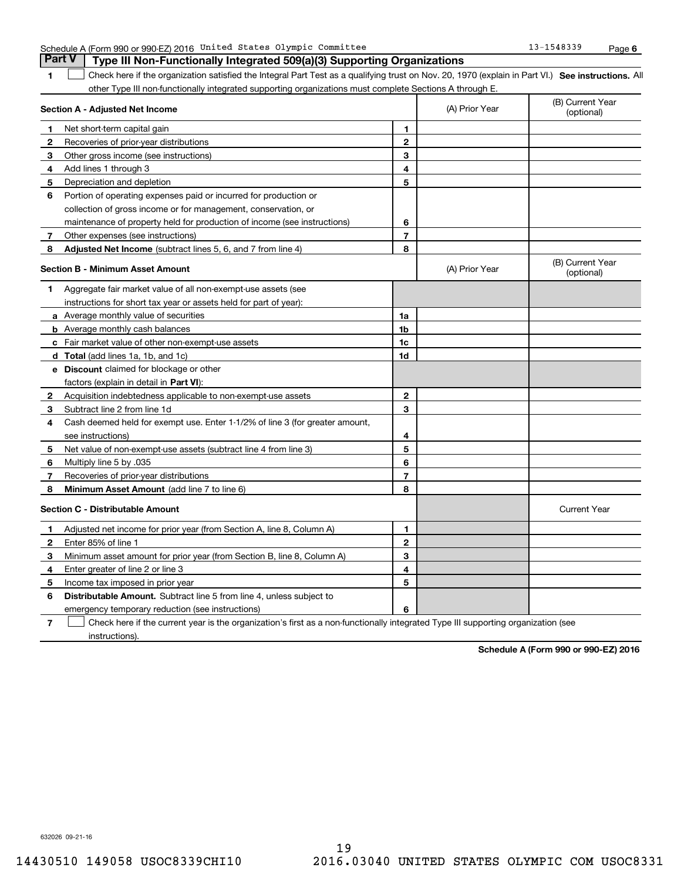|                | <b>Part V</b><br>Type III Non-Functionally Integrated 509(a)(3) Supporting Organizations                                                          |                |                |                                |
|----------------|---------------------------------------------------------------------------------------------------------------------------------------------------|----------------|----------------|--------------------------------|
| 1              | Check here if the organization satisfied the Integral Part Test as a qualifying trust on Nov. 20, 1970 (explain in Part VI.) See instructions. Al |                |                |                                |
|                | other Type III non-functionally integrated supporting organizations must complete Sections A through E.                                           |                |                |                                |
|                | Section A - Adjusted Net Income                                                                                                                   |                | (A) Prior Year | (B) Current Year<br>(optional) |
| 1              | Net short-term capital gain                                                                                                                       | 1              |                |                                |
| 2              | Recoveries of prior-year distributions                                                                                                            | $\mathbf{2}$   |                |                                |
| 3              | Other gross income (see instructions)                                                                                                             | 3              |                |                                |
| 4              | Add lines 1 through 3                                                                                                                             | 4              |                |                                |
| 5              | Depreciation and depletion                                                                                                                        | 5              |                |                                |
| 6              | Portion of operating expenses paid or incurred for production or                                                                                  |                |                |                                |
|                | collection of gross income or for management, conservation, or                                                                                    |                |                |                                |
|                | maintenance of property held for production of income (see instructions)                                                                          | 6              |                |                                |
| 7              | Other expenses (see instructions)                                                                                                                 | 7              |                |                                |
| 8              | Adjusted Net Income (subtract lines 5, 6, and 7 from line 4)                                                                                      | 8              |                |                                |
|                | Section B - Minimum Asset Amount                                                                                                                  |                | (A) Prior Year | (B) Current Year<br>(optional) |
| 1              | Aggregate fair market value of all non-exempt-use assets (see                                                                                     |                |                |                                |
|                | instructions for short tax year or assets held for part of year):                                                                                 |                |                |                                |
|                | <b>a</b> Average monthly value of securities                                                                                                      | 1a             |                |                                |
|                | <b>b</b> Average monthly cash balances                                                                                                            | 1b             |                |                                |
|                | c Fair market value of other non-exempt-use assets                                                                                                | 1c             |                |                                |
|                | d Total (add lines 1a, 1b, and 1c)                                                                                                                | 1d             |                |                                |
|                | e Discount claimed for blockage or other                                                                                                          |                |                |                                |
|                | factors (explain in detail in Part VI):                                                                                                           |                |                |                                |
| $\mathbf{2}$   | Acquisition indebtedness applicable to non-exempt-use assets                                                                                      | $\mathbf 2$    |                |                                |
| 3              | Subtract line 2 from line 1d                                                                                                                      | 3              |                |                                |
| 4              | Cash deemed held for exempt use. Enter 1-1/2% of line 3 (for greater amount,                                                                      |                |                |                                |
|                | see instructions)                                                                                                                                 | 4              |                |                                |
| 5              | Net value of non-exempt-use assets (subtract line 4 from line 3)                                                                                  | 5              |                |                                |
| 6              | 035. Multiply line 5 by                                                                                                                           | 6              |                |                                |
| 7              | Recoveries of prior-year distributions                                                                                                            | $\overline{7}$ |                |                                |
| 8              | Minimum Asset Amount (add line 7 to line 6)                                                                                                       | 8              |                |                                |
|                | <b>Section C - Distributable Amount</b>                                                                                                           |                |                | <b>Current Year</b>            |
| 1              | Adjusted net income for prior year (from Section A, line 8, Column A)                                                                             | 1              |                |                                |
| $\overline{2}$ | Enter 85% of line 1                                                                                                                               | $\mathbf{2}$   |                |                                |
| 3              | Minimum asset amount for prior year (from Section B, line 8, Column A)                                                                            | 3              |                |                                |
| 4              | Enter greater of line 2 or line 3                                                                                                                 | 4              |                |                                |
| 5              | Income tax imposed in prior year                                                                                                                  | 5              |                |                                |
| 6              | <b>Distributable Amount.</b> Subtract line 5 from line 4, unless subject to                                                                       |                |                |                                |
|                | emergency temporary reduction (see instructions)                                                                                                  | 6              |                |                                |
| 7              | Check here if the current year is the organization's first as a non-functionally integrated Type III supporting organization (see                 |                |                |                                |

Schedule A (Form 990 or 990-EZ) 2016 United States Olympic Committee 13-1548339 Page

United States Olympic Committee 13-1548339

instructions).

**Schedule A (Form 990 or 990-EZ) 2016**

**6**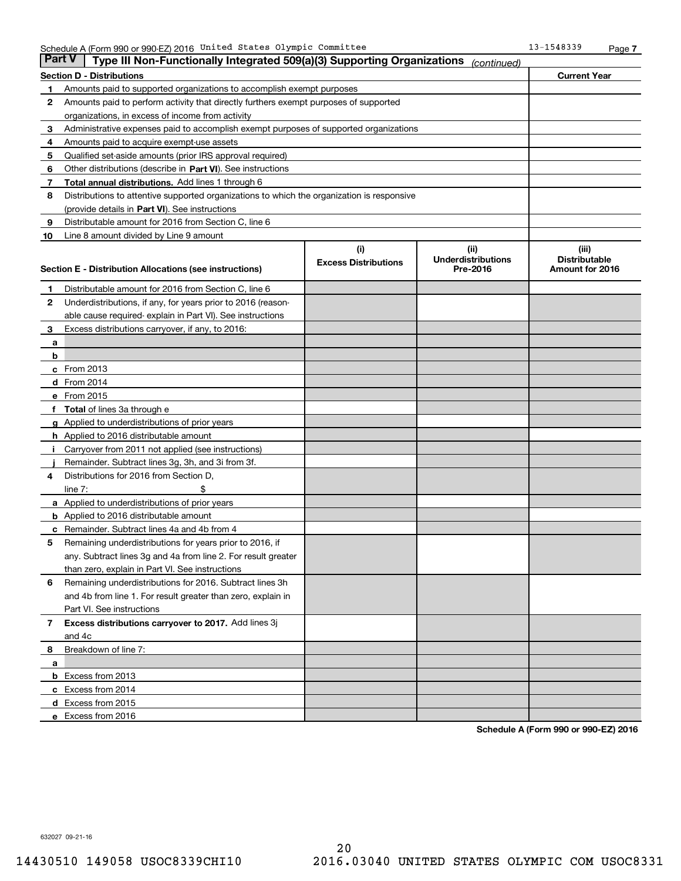| <b>Part V</b> | Type III Non-Functionally Integrated 509(a)(3) Supporting Organizations                    |                             | (continued)                           |                      |
|---------------|--------------------------------------------------------------------------------------------|-----------------------------|---------------------------------------|----------------------|
|               | Section D - Distributions                                                                  |                             |                                       | <b>Current Year</b>  |
| 1             | Amounts paid to supported organizations to accomplish exempt purposes                      |                             |                                       |                      |
| 2             | Amounts paid to perform activity that directly furthers exempt purposes of supported       |                             |                                       |                      |
|               | organizations, in excess of income from activity                                           |                             |                                       |                      |
| 3             | Administrative expenses paid to accomplish exempt purposes of supported organizations      |                             |                                       |                      |
| 4             | Amounts paid to acquire exempt-use assets                                                  |                             |                                       |                      |
| 5             | Qualified set-aside amounts (prior IRS approval required)                                  |                             |                                       |                      |
| 6             | Other distributions (describe in Part VI). See instructions                                |                             |                                       |                      |
| 7             | <b>Total annual distributions.</b> Add lines 1 through 6                                   |                             |                                       |                      |
| 8             | Distributions to attentive supported organizations to which the organization is responsive |                             |                                       |                      |
|               | (provide details in Part VI). See instructions                                             |                             |                                       |                      |
| 9             | Distributable amount for 2016 from Section C, line 6                                       |                             |                                       |                      |
| 10            | Line 8 amount divided by Line 9 amount                                                     |                             |                                       |                      |
|               |                                                                                            | (i)                         | (ii)                                  | (iii)                |
|               |                                                                                            | <b>Excess Distributions</b> | <b>Underdistributions</b><br>Pre-2016 | <b>Distributable</b> |
|               | Section E - Distribution Allocations (see instructions)                                    |                             |                                       | Amount for 2016      |
| 1             | Distributable amount for 2016 from Section C, line 6                                       |                             |                                       |                      |
| $\mathbf{2}$  | Underdistributions, if any, for years prior to 2016 (reason-                               |                             |                                       |                      |
|               | able cause required-explain in Part VI). See instructions                                  |                             |                                       |                      |
| 3             | Excess distributions carryover, if any, to 2016:                                           |                             |                                       |                      |
| a             |                                                                                            |                             |                                       |                      |
| b             |                                                                                            |                             |                                       |                      |
|               | c From 2013                                                                                |                             |                                       |                      |
|               | d From 2014                                                                                |                             |                                       |                      |
|               | e From 2015                                                                                |                             |                                       |                      |
|               | f Total of lines 3a through e                                                              |                             |                                       |                      |
|               | g Applied to underdistributions of prior years                                             |                             |                                       |                      |
|               | <b>h</b> Applied to 2016 distributable amount                                              |                             |                                       |                      |
|               | i Carryover from 2011 not applied (see instructions)                                       |                             |                                       |                      |
|               | Remainder. Subtract lines 3g, 3h, and 3i from 3f.                                          |                             |                                       |                      |
| 4             | Distributions for 2016 from Section D,                                                     |                             |                                       |                      |
|               | \$<br>line $7:$                                                                            |                             |                                       |                      |
|               | <b>a</b> Applied to underdistributions of prior years                                      |                             |                                       |                      |
|               | <b>b</b> Applied to 2016 distributable amount                                              |                             |                                       |                      |
|               | <b>c</b> Remainder. Subtract lines 4a and 4b from 4                                        |                             |                                       |                      |
| 5             | Remaining underdistributions for years prior to 2016, if                                   |                             |                                       |                      |
|               | any. Subtract lines 3g and 4a from line 2. For result greater                              |                             |                                       |                      |
|               | than zero, explain in Part VI. See instructions                                            |                             |                                       |                      |
| 6             | Remaining underdistributions for 2016. Subtract lines 3h                                   |                             |                                       |                      |
|               | and 4b from line 1. For result greater than zero, explain in                               |                             |                                       |                      |
|               | Part VI. See instructions                                                                  |                             |                                       |                      |
| 7             | Excess distributions carryover to 2017. Add lines 3j                                       |                             |                                       |                      |
|               | and 4c                                                                                     |                             |                                       |                      |
| 8             | Breakdown of line 7:                                                                       |                             |                                       |                      |
| a             |                                                                                            |                             |                                       |                      |
|               | <b>b</b> Excess from 2013                                                                  |                             |                                       |                      |
|               | c Excess from 2014                                                                         |                             |                                       |                      |
|               | d Excess from 2015                                                                         |                             |                                       |                      |
|               | e Excess from 2016                                                                         |                             |                                       |                      |

**Schedule A (Form 990 or 990-EZ) 2016**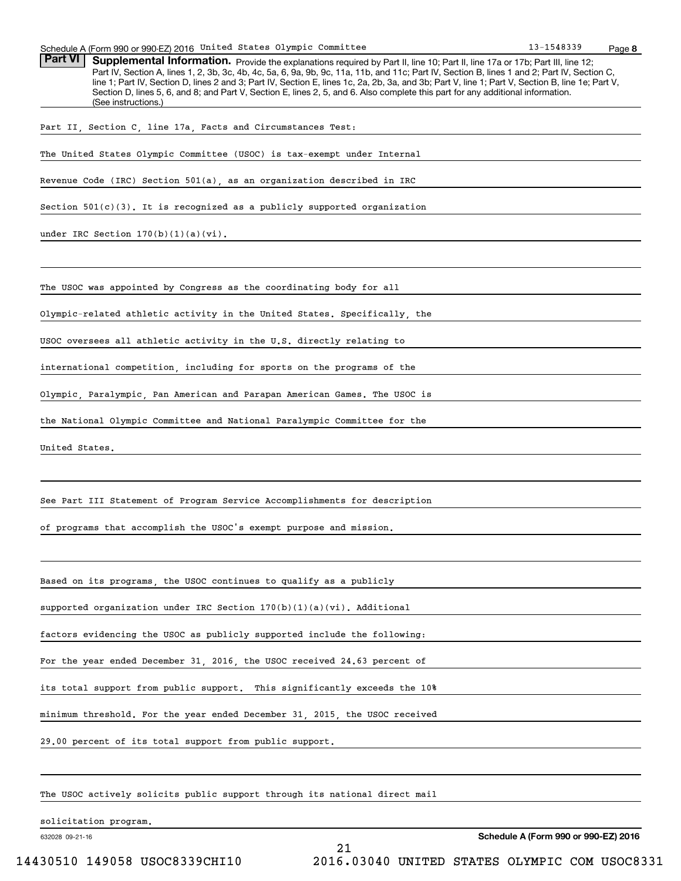| Schedule A (Form 990 or 990-EZ) 2016 United States Olympic Committee                                                                                                                                                                                                                                                                                                                                                                                                                                                                                                                                   | 13-1548339 | Page 8 |
|--------------------------------------------------------------------------------------------------------------------------------------------------------------------------------------------------------------------------------------------------------------------------------------------------------------------------------------------------------------------------------------------------------------------------------------------------------------------------------------------------------------------------------------------------------------------------------------------------------|------------|--------|
| Part VI<br>Supplemental Information. Provide the explanations required by Part II, line 10; Part II, line 17a or 17b; Part III, line 12;<br>Part IV, Section A, lines 1, 2, 3b, 3c, 4b, 4c, 5a, 6, 9a, 9b, 9c, 11a, 11b, and 11c; Part IV, Section B, lines 1 and 2; Part IV, Section C,<br>line 1; Part IV, Section D, lines 2 and 3; Part IV, Section E, lines 1c, 2a, 2b, 3a, and 3b; Part V, line 1; Part V, Section B, line 1e; Part V,<br>Section D, lines 5, 6, and 8; and Part V, Section E, lines 2, 5, and 6. Also complete this part for any additional information.<br>(See instructions.) |            |        |
| Part II, Section C, line 17a, Facts and Circumstances Test:                                                                                                                                                                                                                                                                                                                                                                                                                                                                                                                                            |            |        |
| The United States Olympic Committee (USOC) is tax-exempt under Internal                                                                                                                                                                                                                                                                                                                                                                                                                                                                                                                                |            |        |
| Revenue Code (IRC) Section 501(a), as an organization described in IRC                                                                                                                                                                                                                                                                                                                                                                                                                                                                                                                                 |            |        |
| Section $501(c)(3)$ . It is recognized as a publicly supported organization                                                                                                                                                                                                                                                                                                                                                                                                                                                                                                                            |            |        |
| under IRC Section $170(b)(1)(a)(vi)$ .                                                                                                                                                                                                                                                                                                                                                                                                                                                                                                                                                                 |            |        |
| The USOC was appointed by Congress as the coordinating body for all                                                                                                                                                                                                                                                                                                                                                                                                                                                                                                                                    |            |        |
| Olympic-related athletic activity in the United States. Specifically, the                                                                                                                                                                                                                                                                                                                                                                                                                                                                                                                              |            |        |
| USOC oversees all athletic activity in the U.S. directly relating to                                                                                                                                                                                                                                                                                                                                                                                                                                                                                                                                   |            |        |
| international competition, including for sports on the programs of the                                                                                                                                                                                                                                                                                                                                                                                                                                                                                                                                 |            |        |
| Olympic, Paralympic, Pan American and Parapan American Games. The USOC is                                                                                                                                                                                                                                                                                                                                                                                                                                                                                                                              |            |        |
| the National Olympic Committee and National Paralympic Committee for the                                                                                                                                                                                                                                                                                                                                                                                                                                                                                                                               |            |        |
| United States.                                                                                                                                                                                                                                                                                                                                                                                                                                                                                                                                                                                         |            |        |
|                                                                                                                                                                                                                                                                                                                                                                                                                                                                                                                                                                                                        |            |        |
| See Part III Statement of Program Service Accomplishments for description                                                                                                                                                                                                                                                                                                                                                                                                                                                                                                                              |            |        |
| of programs that accomplish the USOC's exempt purpose and mission.                                                                                                                                                                                                                                                                                                                                                                                                                                                                                                                                     |            |        |
|                                                                                                                                                                                                                                                                                                                                                                                                                                                                                                                                                                                                        |            |        |
| Based on its programs, the USOC continues to qualify as a publicly                                                                                                                                                                                                                                                                                                                                                                                                                                                                                                                                     |            |        |
| supported organization under IRC Section 170(b)(1)(a)(vi). Additional                                                                                                                                                                                                                                                                                                                                                                                                                                                                                                                                  |            |        |
| factors evidencing the USOC as publicly supported include the following:                                                                                                                                                                                                                                                                                                                                                                                                                                                                                                                               |            |        |
| For the year ended December 31, 2016, the USOC received 24.63 percent of                                                                                                                                                                                                                                                                                                                                                                                                                                                                                                                               |            |        |
| its total support from public support. This significantly exceeds the 10%                                                                                                                                                                                                                                                                                                                                                                                                                                                                                                                              |            |        |
| minimum threshold. For the year ended December 31, 2015, the USOC received                                                                                                                                                                                                                                                                                                                                                                                                                                                                                                                             |            |        |
| 29.00 percent of its total support from public support.                                                                                                                                                                                                                                                                                                                                                                                                                                                                                                                                                |            |        |
|                                                                                                                                                                                                                                                                                                                                                                                                                                                                                                                                                                                                        |            |        |
|                                                                                                                                                                                                                                                                                                                                                                                                                                                                                                                                                                                                        |            |        |

The USOC actively solicits public support through its national direct mail

solicitation program.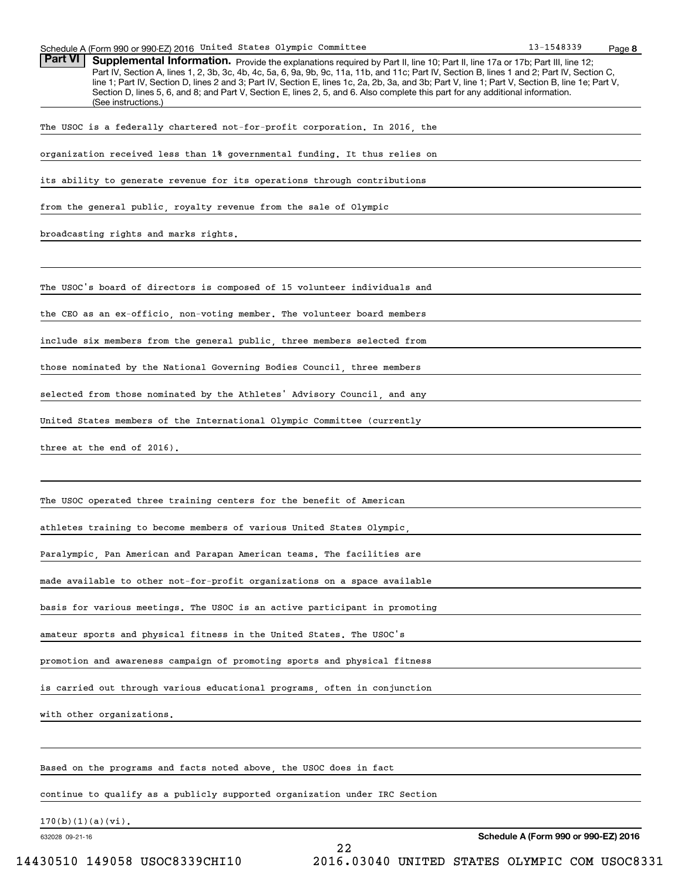| Schedule A (Form 990 or 990-EZ) 2016 United States Olympic Committee                                                                                                                                                                                                                                                                                                                                                                                                                                                                                                                                   | 13-1548339 | Page 8 |
|--------------------------------------------------------------------------------------------------------------------------------------------------------------------------------------------------------------------------------------------------------------------------------------------------------------------------------------------------------------------------------------------------------------------------------------------------------------------------------------------------------------------------------------------------------------------------------------------------------|------------|--------|
| Part VI<br>Supplemental Information. Provide the explanations required by Part II, line 10; Part II, line 17a or 17b; Part III, line 12;<br>Part IV, Section A, lines 1, 2, 3b, 3c, 4b, 4c, 5a, 6, 9a, 9b, 9c, 11a, 11b, and 11c; Part IV, Section B, lines 1 and 2; Part IV, Section C,<br>line 1; Part IV, Section D, lines 2 and 3; Part IV, Section E, lines 1c, 2a, 2b, 3a, and 3b; Part V, line 1; Part V, Section B, line 1e; Part V,<br>Section D, lines 5, 6, and 8; and Part V, Section E, lines 2, 5, and 6. Also complete this part for any additional information.<br>(See instructions.) |            |        |
| The USOC is a federally chartered not-for-profit corporation. In 2016, the                                                                                                                                                                                                                                                                                                                                                                                                                                                                                                                             |            |        |
| organization received less than 1% governmental funding. It thus relies on                                                                                                                                                                                                                                                                                                                                                                                                                                                                                                                             |            |        |
| its ability to generate revenue for its operations through contributions                                                                                                                                                                                                                                                                                                                                                                                                                                                                                                                               |            |        |
| from the general public, royalty revenue from the sale of Olympic                                                                                                                                                                                                                                                                                                                                                                                                                                                                                                                                      |            |        |
| broadcasting rights and marks rights.                                                                                                                                                                                                                                                                                                                                                                                                                                                                                                                                                                  |            |        |
|                                                                                                                                                                                                                                                                                                                                                                                                                                                                                                                                                                                                        |            |        |
| The USOC's board of directors is composed of 15 volunteer individuals and                                                                                                                                                                                                                                                                                                                                                                                                                                                                                                                              |            |        |
| the CEO as an ex-officio, non-voting member. The volunteer board members                                                                                                                                                                                                                                                                                                                                                                                                                                                                                                                               |            |        |
| include six members from the general public, three members selected from                                                                                                                                                                                                                                                                                                                                                                                                                                                                                                                               |            |        |
| those nominated by the National Governing Bodies Council, three members                                                                                                                                                                                                                                                                                                                                                                                                                                                                                                                                |            |        |
| selected from those nominated by the Athletes' Advisory Council, and any                                                                                                                                                                                                                                                                                                                                                                                                                                                                                                                               |            |        |
| United States members of the International Olympic Committee (currently                                                                                                                                                                                                                                                                                                                                                                                                                                                                                                                                |            |        |
| three at the end of 2016).                                                                                                                                                                                                                                                                                                                                                                                                                                                                                                                                                                             |            |        |
|                                                                                                                                                                                                                                                                                                                                                                                                                                                                                                                                                                                                        |            |        |
| The USOC operated three training centers for the benefit of American                                                                                                                                                                                                                                                                                                                                                                                                                                                                                                                                   |            |        |
| athletes training to become members of various United States Olympic,                                                                                                                                                                                                                                                                                                                                                                                                                                                                                                                                  |            |        |
| Paralympic, Pan American and Parapan American teams. The facilities are                                                                                                                                                                                                                                                                                                                                                                                                                                                                                                                                |            |        |
| made available to other not-for-profit organizations on a space available                                                                                                                                                                                                                                                                                                                                                                                                                                                                                                                              |            |        |
| basis for various meetings. The USOC is an active participant in promoting                                                                                                                                                                                                                                                                                                                                                                                                                                                                                                                             |            |        |
| amateur sports and physical fitness in the United States. The USOC's                                                                                                                                                                                                                                                                                                                                                                                                                                                                                                                                   |            |        |
| promotion and awareness campaign of promoting sports and physical fitness                                                                                                                                                                                                                                                                                                                                                                                                                                                                                                                              |            |        |
| is carried out through various educational programs, often in conjunction                                                                                                                                                                                                                                                                                                                                                                                                                                                                                                                              |            |        |
| with other organizations.                                                                                                                                                                                                                                                                                                                                                                                                                                                                                                                                                                              |            |        |
|                                                                                                                                                                                                                                                                                                                                                                                                                                                                                                                                                                                                        |            |        |
| Based on the programs and facts noted above, the USOC does in fact                                                                                                                                                                                                                                                                                                                                                                                                                                                                                                                                     |            |        |
| continue to qualify as a publicly supported organization under IRC Section                                                                                                                                                                                                                                                                                                                                                                                                                                                                                                                             |            |        |

22

632028 09-21-16 170(b)(1)(a)(vi).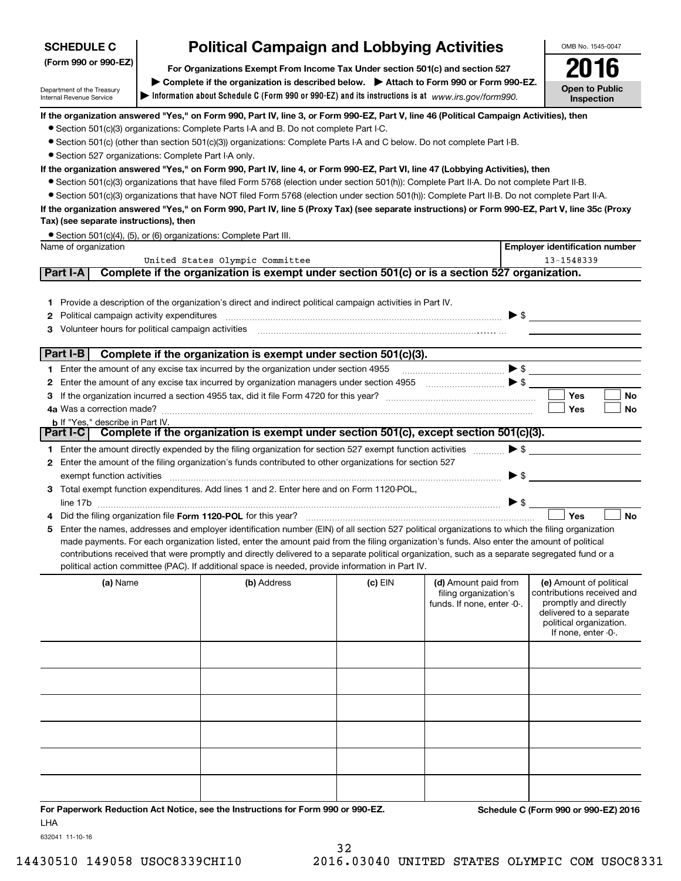| <b>SCHEDULE C</b>                                                                                     | <b>Political Campaign and Lobbying Activities</b>                                                                                                                                            |                                                                                                                                                                                                                        |         |                                                                             |                          | OMB No. 1545-0047                                                                                                                                           |
|-------------------------------------------------------------------------------------------------------|----------------------------------------------------------------------------------------------------------------------------------------------------------------------------------------------|------------------------------------------------------------------------------------------------------------------------------------------------------------------------------------------------------------------------|---------|-----------------------------------------------------------------------------|--------------------------|-------------------------------------------------------------------------------------------------------------------------------------------------------------|
| (Form 990 or 990-EZ)<br>For Organizations Exempt From Income Tax Under section 501(c) and section 527 |                                                                                                                                                                                              |                                                                                                                                                                                                                        |         | 2016                                                                        |                          |                                                                                                                                                             |
| Department of the Treasury<br>Internal Revenue Service                                                | > Complete if the organization is described below. > Attach to Form 990 or Form 990-EZ.<br>Information about Schedule C (Form 990 or 990-EZ) and its instructions is at www.irs.gov/form990. |                                                                                                                                                                                                                        |         |                                                                             |                          | <b>Open to Public</b><br><b>Inspection</b>                                                                                                                  |
|                                                                                                       |                                                                                                                                                                                              | If the organization answered "Yes," on Form 990, Part IV, line 3, or Form 990-EZ, Part V, line 46 (Political Campaign Activities), then                                                                                |         |                                                                             |                          |                                                                                                                                                             |
|                                                                                                       |                                                                                                                                                                                              | • Section 501(c)(3) organizations: Complete Parts I-A and B. Do not complete Part I-C.                                                                                                                                 |         |                                                                             |                          |                                                                                                                                                             |
|                                                                                                       |                                                                                                                                                                                              | ● Section 501(c) (other than section 501(c)(3)) organizations: Complete Parts I-A and C below. Do not complete Part I-B.                                                                                               |         |                                                                             |                          |                                                                                                                                                             |
| · Section 527 organizations: Complete Part I-A only.                                                  |                                                                                                                                                                                              |                                                                                                                                                                                                                        |         |                                                                             |                          |                                                                                                                                                             |
|                                                                                                       |                                                                                                                                                                                              | If the organization answered "Yes," on Form 990, Part IV, line 4, or Form 990-EZ, Part VI, line 47 (Lobbying Activities), then                                                                                         |         |                                                                             |                          |                                                                                                                                                             |
|                                                                                                       |                                                                                                                                                                                              | • Section 501(c)(3) organizations that have filed Form 5768 (election under section 501(h)): Complete Part II-A. Do not complete Part II-B.                                                                            |         |                                                                             |                          |                                                                                                                                                             |
|                                                                                                       |                                                                                                                                                                                              | • Section 501(c)(3) organizations that have NOT filed Form 5768 (election under section 501(h)): Complete Part II-B. Do not complete Part II-A.                                                                        |         |                                                                             |                          |                                                                                                                                                             |
| Tax) (see separate instructions), then                                                                |                                                                                                                                                                                              | If the organization answered "Yes," on Form 990, Part IV, line 5 (Proxy Tax) (see separate instructions) or Form 990-EZ, Part V, line 35c (Proxy                                                                       |         |                                                                             |                          |                                                                                                                                                             |
|                                                                                                       |                                                                                                                                                                                              | • Section 501(c)(4), (5), or (6) organizations: Complete Part III.                                                                                                                                                     |         |                                                                             |                          |                                                                                                                                                             |
| Name of organization                                                                                  |                                                                                                                                                                                              |                                                                                                                                                                                                                        |         |                                                                             |                          | <b>Employer identification number</b>                                                                                                                       |
| Part I-A                                                                                              |                                                                                                                                                                                              | United States Olympic Committee<br>Complete if the organization is exempt under section 501(c) or is a section 527 organization.                                                                                       |         |                                                                             |                          | 13-1548339                                                                                                                                                  |
|                                                                                                       |                                                                                                                                                                                              |                                                                                                                                                                                                                        |         |                                                                             |                          |                                                                                                                                                             |
|                                                                                                       |                                                                                                                                                                                              | 1 Provide a description of the organization's direct and indirect political campaign activities in Part IV.                                                                                                            |         |                                                                             |                          |                                                                                                                                                             |
| Political campaign activity expenditures                                                              |                                                                                                                                                                                              |                                                                                                                                                                                                                        |         |                                                                             |                          | $\blacktriangleright$ \$                                                                                                                                    |
|                                                                                                       |                                                                                                                                                                                              |                                                                                                                                                                                                                        |         |                                                                             |                          |                                                                                                                                                             |
|                                                                                                       |                                                                                                                                                                                              |                                                                                                                                                                                                                        |         |                                                                             |                          |                                                                                                                                                             |
| Part I-B                                                                                              |                                                                                                                                                                                              | Complete if the organization is exempt under section 501(c)(3).                                                                                                                                                        |         |                                                                             |                          |                                                                                                                                                             |
|                                                                                                       |                                                                                                                                                                                              | Enter the amount of any excise tax incurred by the organization under section 4955                                                                                                                                     |         | $\bullet$                                                                   |                          |                                                                                                                                                             |
|                                                                                                       |                                                                                                                                                                                              |                                                                                                                                                                                                                        |         |                                                                             |                          |                                                                                                                                                             |
|                                                                                                       |                                                                                                                                                                                              |                                                                                                                                                                                                                        |         |                                                                             |                          | Yes<br>No                                                                                                                                                   |
|                                                                                                       |                                                                                                                                                                                              |                                                                                                                                                                                                                        |         |                                                                             |                          | Yes<br>No                                                                                                                                                   |
| <b>b</b> If "Yes," describe in Part IV.<br>Part I-C $\vert$                                           |                                                                                                                                                                                              | Complete if the organization is exempt under section 501(c), except section 501(c)(3).                                                                                                                                 |         |                                                                             |                          |                                                                                                                                                             |
|                                                                                                       |                                                                                                                                                                                              |                                                                                                                                                                                                                        |         |                                                                             | $\triangleright$ \$      |                                                                                                                                                             |
|                                                                                                       |                                                                                                                                                                                              | 1 Enter the amount directly expended by the filing organization for section 527 exempt function activities<br>2 Enter the amount of the filing organization's funds contributed to other organizations for section 527 |         |                                                                             |                          |                                                                                                                                                             |
| exempt function activities                                                                            |                                                                                                                                                                                              |                                                                                                                                                                                                                        |         |                                                                             | $\blacktriangleright$ \$ |                                                                                                                                                             |
|                                                                                                       |                                                                                                                                                                                              | 3 Total exempt function expenditures. Add lines 1 and 2. Enter here and on Form 1120-POL,                                                                                                                              |         |                                                                             |                          |                                                                                                                                                             |
|                                                                                                       |                                                                                                                                                                                              |                                                                                                                                                                                                                        |         |                                                                             | $\blacktriangleright$ \$ |                                                                                                                                                             |
|                                                                                                       |                                                                                                                                                                                              |                                                                                                                                                                                                                        |         |                                                                             |                          | Yes<br>No                                                                                                                                                   |
|                                                                                                       |                                                                                                                                                                                              | Enter the names, addresses and employer identification number (EIN) of all section 527 political organizations to which the filing organization                                                                        |         |                                                                             |                          |                                                                                                                                                             |
|                                                                                                       |                                                                                                                                                                                              | made payments. For each organization listed, enter the amount paid from the filing organization's funds. Also enter the amount of political                                                                            |         |                                                                             |                          |                                                                                                                                                             |
|                                                                                                       |                                                                                                                                                                                              | contributions received that were promptly and directly delivered to a separate political organization, such as a separate segregated fund or a                                                                         |         |                                                                             |                          |                                                                                                                                                             |
|                                                                                                       |                                                                                                                                                                                              | political action committee (PAC). If additional space is needed, provide information in Part IV.                                                                                                                       |         |                                                                             |                          |                                                                                                                                                             |
| (a) Name                                                                                              |                                                                                                                                                                                              | (b) Address                                                                                                                                                                                                            | (c) EIN | (d) Amount paid from<br>filing organization's<br>funds. If none, enter -0-. |                          | (e) Amount of political<br>contributions received and<br>promptly and directly<br>delivered to a separate<br>political organization.<br>If none, enter -0-. |
|                                                                                                       |                                                                                                                                                                                              |                                                                                                                                                                                                                        |         |                                                                             |                          |                                                                                                                                                             |
|                                                                                                       |                                                                                                                                                                                              |                                                                                                                                                                                                                        |         |                                                                             |                          |                                                                                                                                                             |
|                                                                                                       |                                                                                                                                                                                              |                                                                                                                                                                                                                        |         |                                                                             |                          |                                                                                                                                                             |
|                                                                                                       |                                                                                                                                                                                              |                                                                                                                                                                                                                        |         |                                                                             |                          |                                                                                                                                                             |
|                                                                                                       |                                                                                                                                                                                              |                                                                                                                                                                                                                        |         |                                                                             |                          |                                                                                                                                                             |
|                                                                                                       |                                                                                                                                                                                              |                                                                                                                                                                                                                        |         |                                                                             |                          |                                                                                                                                                             |

**For Paperwork Reduction Act Notice, see the Instructions for Form 990 or 990-EZ. Schedule C (Form 990 or 990-EZ) 2016** LHA

 $\blacksquare$ 

632041 11-10-16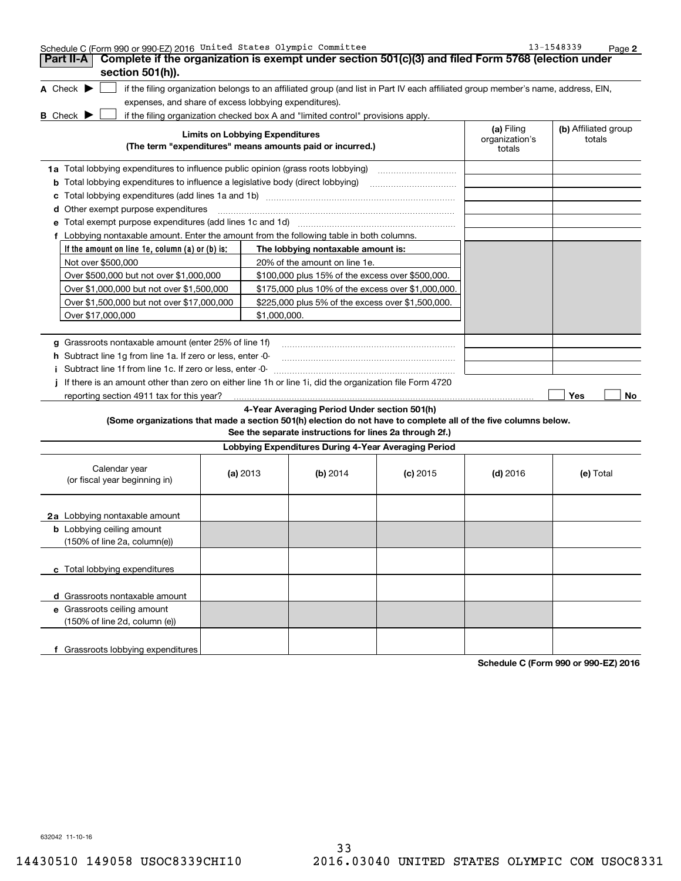| Schedule C (Form 990 or 990-EZ) 2016 United States Olympic Committee<br>Complete if the organization is exempt under section 501(c)(3) and filed Form 5768 (election under<br>Part II-A<br>section 501(h)).                                                                                                                                     |                                        |                                                                                                                                                                                                                                    |            |                                        | 13-1548339<br>Page 2           |
|-------------------------------------------------------------------------------------------------------------------------------------------------------------------------------------------------------------------------------------------------------------------------------------------------------------------------------------------------|----------------------------------------|------------------------------------------------------------------------------------------------------------------------------------------------------------------------------------------------------------------------------------|------------|----------------------------------------|--------------------------------|
| A Check $\blacktriangleright$<br>if the filing organization belongs to an affiliated group (and list in Part IV each affiliated group member's name, address, EIN,<br>expenses, and share of excess lobbying expenditures).<br>if the filing organization checked box A and "limited control" provisions apply.<br><b>B</b> Check <b>D</b>      |                                        |                                                                                                                                                                                                                                    |            |                                        |                                |
| (The term "expenditures" means amounts paid or incurred.)                                                                                                                                                                                                                                                                                       | <b>Limits on Lobbying Expenditures</b> |                                                                                                                                                                                                                                    |            | (a) Filing<br>organization's<br>totals | (b) Affiliated group<br>totals |
| 1a Total lobbying expenditures to influence public opinion (grass roots lobbying)<br><b>b</b> Total lobbying expenditures to influence a legislative body (direct lobbying)<br>с                                                                                                                                                                |                                        |                                                                                                                                                                                                                                    |            |                                        |                                |
| Other exempt purpose expenditures<br>d<br>Total exempt purpose expenditures (add lines 1c and 1d)<br>е                                                                                                                                                                                                                                          |                                        |                                                                                                                                                                                                                                    |            |                                        |                                |
| f Lobbying nontaxable amount. Enter the amount from the following table in both columns.<br>If the amount on line 1e, column (a) or (b) is:<br>Not over \$500,000<br>Over \$500,000 but not over \$1,000,000<br>Over \$1,000,000 but not over \$1,500,000<br>Over \$1,500,000 but not over \$17,000,000<br>Over \$17,000,000                    | \$1,000,000.                           | The lobbying nontaxable amount is:<br>20% of the amount on line 1e.<br>\$100,000 plus 15% of the excess over \$500,000.<br>\$175,000 plus 10% of the excess over \$1,000,000.<br>\$225,000 plus 5% of the excess over \$1,500,000. |            |                                        |                                |
| g Grassroots nontaxable amount (enter 25% of line 1f)<br>h Subtract line 1g from line 1a. If zero or less, enter -0-<br>Subtract line 1f from line 1c. If zero or less, enter -0-<br>Ť.<br>If there is an amount other than zero on either line 1h or line 1i, did the organization file Form 4720<br>reporting section 4911 tax for this year? |                                        |                                                                                                                                                                                                                                    |            |                                        | Yes<br>No                      |
| (Some organizations that made a section 501(h) election do not have to complete all of the five columns below.                                                                                                                                                                                                                                  |                                        | 4-Year Averaging Period Under section 501(h)<br>See the separate instructions for lines 2a through 2f.)                                                                                                                            |            |                                        |                                |
|                                                                                                                                                                                                                                                                                                                                                 |                                        | Lobbying Expenditures During 4-Year Averaging Period                                                                                                                                                                               |            |                                        |                                |
| Calendar year<br>(or fiscal year beginning in)                                                                                                                                                                                                                                                                                                  | (a) 2013                               | (b) 2014                                                                                                                                                                                                                           | $(c)$ 2015 | $(d)$ 2016                             | (e) Total                      |
| 2a Lobbying nontaxable amount<br><b>b</b> Lobbying ceiling amount<br>(150% of line 2a, column(e))                                                                                                                                                                                                                                               |                                        |                                                                                                                                                                                                                                    |            |                                        |                                |
| c Total lobbying expenditures                                                                                                                                                                                                                                                                                                                   |                                        |                                                                                                                                                                                                                                    |            |                                        |                                |
| d Grassroots nontaxable amount<br>e Grassroots ceiling amount<br>(150% of line 2d, column (e))                                                                                                                                                                                                                                                  |                                        |                                                                                                                                                                                                                                    |            |                                        |                                |
| f Grassroots lobbying expenditures                                                                                                                                                                                                                                                                                                              |                                        |                                                                                                                                                                                                                                    |            |                                        |                                |

**Schedule C (Form 990 or 990-EZ) 2016**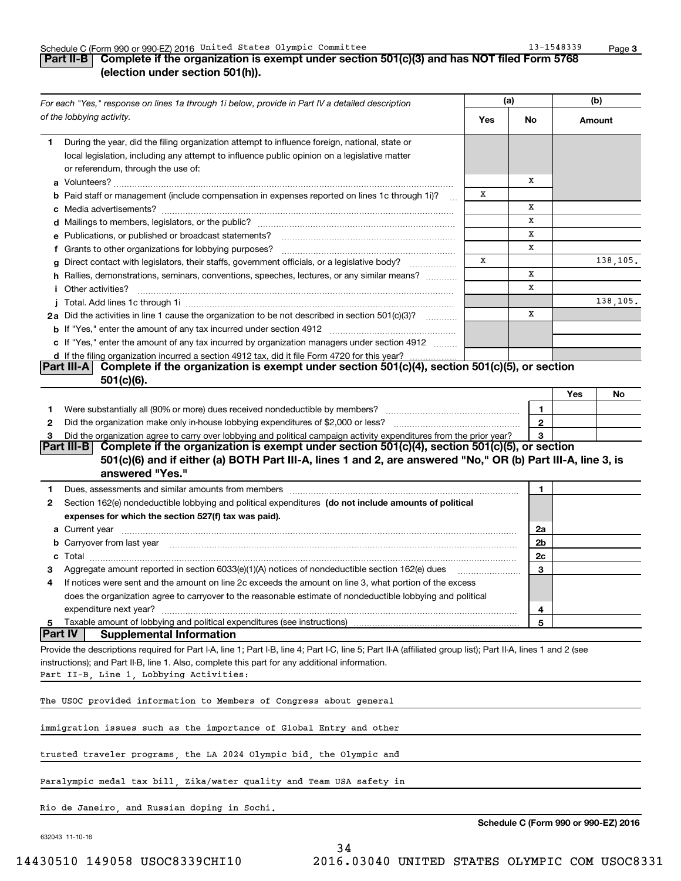### Schedule C (Form 990 or 990-EZ) 2016 Page United States Olympic Committee 13-1548339

## **Part II-B Complete if the organization is exempt under section 501(c)(3) and has NOT filed Form 5768 (election under section 501(h)).**

|                | For each "Yes," response on lines 1a through 1i below, provide in Part IV a detailed description                                                             |     | (a)            |     | (b)                                  |
|----------------|--------------------------------------------------------------------------------------------------------------------------------------------------------------|-----|----------------|-----|--------------------------------------|
|                | of the lobbying activity.                                                                                                                                    | Yes | No.            |     | Amount                               |
| 1.             | During the year, did the filing organization attempt to influence foreign, national, state or                                                                |     |                |     |                                      |
|                | local legislation, including any attempt to influence public opinion on a legislative matter                                                                 |     |                |     |                                      |
|                | or referendum, through the use of:                                                                                                                           |     | х              |     |                                      |
|                | <b>b</b> Paid staff or management (include compensation in expenses reported on lines 1c through 1i)?                                                        | х   |                |     |                                      |
|                |                                                                                                                                                              |     | х              |     |                                      |
|                |                                                                                                                                                              |     | x              |     |                                      |
|                | e Publications, or published or broadcast statements?                                                                                                        |     | X              |     |                                      |
|                | f Grants to other organizations for lobbying purposes?                                                                                                       |     | х              |     |                                      |
|                | Direct contact with legislators, their staffs, government officials, or a legislative body?                                                                  | х   |                |     | 138,105.                             |
|                | h Rallies, demonstrations, seminars, conventions, speeches, lectures, or any similar means?                                                                  |     | X              |     |                                      |
|                | <i>i</i> Other activities?                                                                                                                                   |     | x              |     |                                      |
|                |                                                                                                                                                              |     |                |     | 138,105.                             |
|                | 2a Did the activities in line 1 cause the organization to be not described in section 501(c)(3)?                                                             |     | х              |     |                                      |
|                |                                                                                                                                                              |     |                |     |                                      |
|                | c If "Yes," enter the amount of any tax incurred by organization managers under section 4912                                                                 |     |                |     |                                      |
|                | d If the filing organization incurred a section 4912 tax, did it file Form 4720 for this year?                                                               |     |                |     |                                      |
|                | Complete if the organization is exempt under section 501(c)(4), section 501(c)(5), or section<br><b>Part III-A</b><br>$501(c)(6)$ .                          |     |                |     |                                      |
|                |                                                                                                                                                              |     |                | Yes | No                                   |
| 1              |                                                                                                                                                              |     | 1              |     |                                      |
| 2              |                                                                                                                                                              |     | $\mathbf{2}$   |     |                                      |
| З              | Did the organization agree to carry over lobbying and political campaign activity expenditures from the prior year?                                          |     | 3              |     |                                      |
|                | Complete if the organization is exempt under section 501(c)(4), section 501(c)(5), or section<br> Part III-B                                                 |     |                |     |                                      |
|                | 501(c)(6) and if either (a) BOTH Part III-A, lines 1 and 2, are answered "No," OR (b) Part III-A, line 3, is                                                 |     |                |     |                                      |
|                | answered "Yes."                                                                                                                                              |     |                |     |                                      |
| 1              |                                                                                                                                                              |     | 1              |     |                                      |
| 2              | Section 162(e) nondeductible lobbying and political expenditures (do not include amounts of political                                                        |     |                |     |                                      |
|                | expenses for which the section 527(f) tax was paid).                                                                                                         |     |                |     |                                      |
|                |                                                                                                                                                              |     | 2a             |     |                                      |
|                |                                                                                                                                                              |     | 2 <sub>b</sub> |     |                                      |
|                |                                                                                                                                                              |     | 2c             |     |                                      |
|                | Aggregate amount reported in section 6033(e)(1)(A) notices of nondeductible section 162(e) dues                                                              |     | 3              |     |                                      |
| 4              | If notices were sent and the amount on line 2c exceeds the amount on line 3, what portion of the excess                                                      |     |                |     |                                      |
|                | does the organization agree to carryover to the reasonable estimate of nondeductible lobbying and political                                                  |     |                |     |                                      |
|                | expenditure next year?                                                                                                                                       |     | 4              |     |                                      |
| 5              | Taxable amount of lobbying and political expenditures (see instructions)                                                                                     |     | 5              |     |                                      |
| <b>Part IV</b> | <b>Supplemental Information</b>                                                                                                                              |     |                |     |                                      |
|                | Provide the descriptions required for Part I-A, line 1; Part I-B, line 4; Part I-C, line 5; Part II-A (affiliated group list); Part II-A, lines 1 and 2 (see |     |                |     |                                      |
|                | instructions); and Part II-B, line 1. Also, complete this part for any additional information.                                                               |     |                |     |                                      |
|                | Part II-B, Line 1, Lobbying Activities:                                                                                                                      |     |                |     |                                      |
|                | The USOC provided information to Members of Congress about general                                                                                           |     |                |     |                                      |
|                | immigration issues such as the importance of Global Entry and other                                                                                          |     |                |     |                                      |
|                | trusted traveler programs, the LA 2024 Olympic bid, the Olympic and                                                                                          |     |                |     |                                      |
|                | Paralympic medal tax bill, Zika/water quality and Team USA safety in                                                                                         |     |                |     |                                      |
|                | Rio de Janeiro, and Russian doping in Sochi.                                                                                                                 |     |                |     |                                      |
|                |                                                                                                                                                              |     |                |     | Schedule C (Form 990 or 990-EZ) 2016 |

34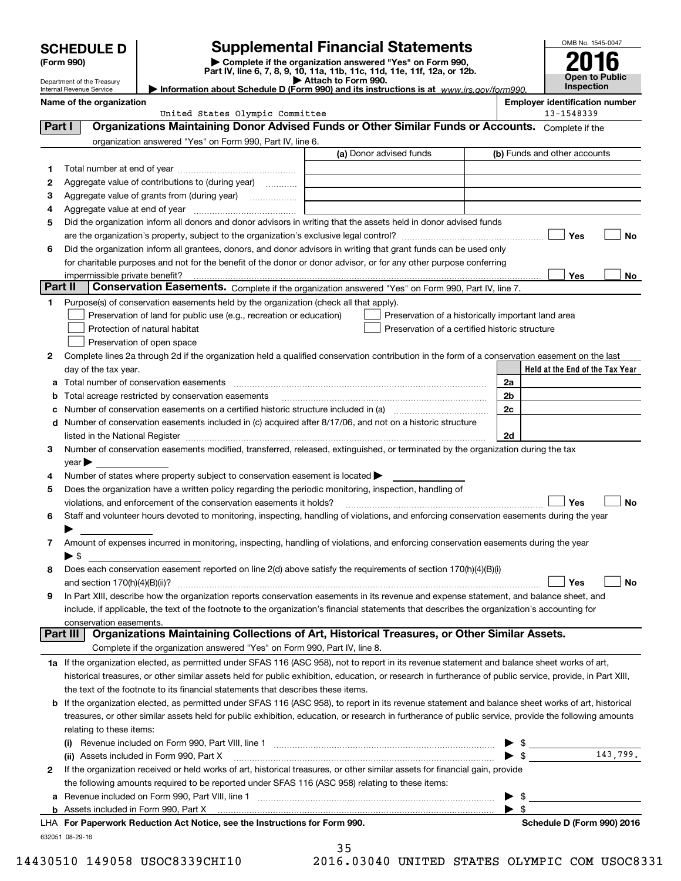|         | <b>SCHEDULE D</b>                                                                                                                                                                                                                                       |                                                                                                        | <b>Supplemental Financial Statements</b>                                                                                                                                                                                      |                         | OMB No. 1545-0047                                   |                       |
|---------|---------------------------------------------------------------------------------------------------------------------------------------------------------------------------------------------------------------------------------------------------------|--------------------------------------------------------------------------------------------------------|-------------------------------------------------------------------------------------------------------------------------------------------------------------------------------------------------------------------------------|-------------------------|-----------------------------------------------------|-----------------------|
|         | (Form 990)                                                                                                                                                                                                                                              |                                                                                                        | Complete if the organization answered "Yes" on Form 990,                                                                                                                                                                      |                         |                                                     |                       |
|         | Part IV, line 6, 7, 8, 9, 10, 11a, 11b, 11c, 11d, 11e, 11f, 12a, or 12b.<br>Attach to Form 990.<br>Department of the Treasury<br>Information about Schedule D (Form 990) and its instructions is at $www.irs.gov/form990$ .<br>Internal Revenue Service |                                                                                                        |                                                                                                                                                                                                                               |                         |                                                     | <b>Open to Public</b> |
|         |                                                                                                                                                                                                                                                         |                                                                                                        |                                                                                                                                                                                                                               |                         |                                                     | Inspection            |
|         | Name of the organization                                                                                                                                                                                                                                | United States Olympic Committee                                                                        |                                                                                                                                                                                                                               |                         | <b>Employer identification number</b><br>13-1548339 |                       |
| Part I  |                                                                                                                                                                                                                                                         |                                                                                                        | Organizations Maintaining Donor Advised Funds or Other Similar Funds or Accounts. Complete if the                                                                                                                             |                         |                                                     |                       |
|         |                                                                                                                                                                                                                                                         | organization answered "Yes" on Form 990, Part IV, line 6.                                              |                                                                                                                                                                                                                               |                         |                                                     |                       |
|         |                                                                                                                                                                                                                                                         |                                                                                                        | (a) Donor advised funds                                                                                                                                                                                                       |                         | (b) Funds and other accounts                        |                       |
| 1.      |                                                                                                                                                                                                                                                         |                                                                                                        |                                                                                                                                                                                                                               |                         |                                                     |                       |
| 2       |                                                                                                                                                                                                                                                         | Aggregate value of contributions to (during year)                                                      |                                                                                                                                                                                                                               |                         |                                                     |                       |
| 3       |                                                                                                                                                                                                                                                         | Aggregate value of grants from (during year)                                                           |                                                                                                                                                                                                                               |                         |                                                     |                       |
| 4       |                                                                                                                                                                                                                                                         |                                                                                                        |                                                                                                                                                                                                                               |                         |                                                     |                       |
| 5       |                                                                                                                                                                                                                                                         |                                                                                                        | Did the organization inform all donors and donor advisors in writing that the assets held in donor advised funds                                                                                                              |                         |                                                     |                       |
|         |                                                                                                                                                                                                                                                         |                                                                                                        |                                                                                                                                                                                                                               |                         | Yes                                                 | No                    |
| 6       |                                                                                                                                                                                                                                                         |                                                                                                        | Did the organization inform all grantees, donors, and donor advisors in writing that grant funds can be used only                                                                                                             |                         |                                                     |                       |
|         |                                                                                                                                                                                                                                                         |                                                                                                        | for charitable purposes and not for the benefit of the donor or donor advisor, or for any other purpose conferring                                                                                                            |                         |                                                     |                       |
| Part II | impermissible private benefit?                                                                                                                                                                                                                          |                                                                                                        | Conservation Easements. Complete if the organization answered "Yes" on Form 990, Part IV, line 7.                                                                                                                             |                         | Yes                                                 | No.                   |
| 1       |                                                                                                                                                                                                                                                         | Purpose(s) of conservation easements held by the organization (check all that apply).                  |                                                                                                                                                                                                                               |                         |                                                     |                       |
|         |                                                                                                                                                                                                                                                         | Preservation of land for public use (e.g., recreation or education)                                    | Preservation of a historically important land area                                                                                                                                                                            |                         |                                                     |                       |
|         |                                                                                                                                                                                                                                                         | Protection of natural habitat                                                                          | Preservation of a certified historic structure                                                                                                                                                                                |                         |                                                     |                       |
|         |                                                                                                                                                                                                                                                         | Preservation of open space                                                                             |                                                                                                                                                                                                                               |                         |                                                     |                       |
| 2       |                                                                                                                                                                                                                                                         |                                                                                                        | Complete lines 2a through 2d if the organization held a qualified conservation contribution in the form of a conservation easement on the last                                                                                |                         |                                                     |                       |
|         | day of the tax year.                                                                                                                                                                                                                                    |                                                                                                        |                                                                                                                                                                                                                               |                         | Held at the End of the Tax Year                     |                       |
| а       |                                                                                                                                                                                                                                                         |                                                                                                        |                                                                                                                                                                                                                               | 2a                      |                                                     |                       |
| b       |                                                                                                                                                                                                                                                         | Total acreage restricted by conservation easements                                                     |                                                                                                                                                                                                                               | 2b                      |                                                     |                       |
| с       |                                                                                                                                                                                                                                                         |                                                                                                        |                                                                                                                                                                                                                               | 2c                      |                                                     |                       |
| d       |                                                                                                                                                                                                                                                         |                                                                                                        | Number of conservation easements included in (c) acquired after 8/17/06, and not on a historic structure                                                                                                                      |                         |                                                     |                       |
|         |                                                                                                                                                                                                                                                         |                                                                                                        | listed in the National Register [111] Marshall Register [11] Marshall Register [11] Marshall Register [11] Marshall Register [11] Marshall Register [11] Marshall Register [11] Marshall Register [11] Marshall Register [11] | 2d                      |                                                     |                       |
| З.      |                                                                                                                                                                                                                                                         |                                                                                                        | Number of conservation easements modified, transferred, released, extinguished, or terminated by the organization during the tax                                                                                              |                         |                                                     |                       |
|         | year                                                                                                                                                                                                                                                    |                                                                                                        |                                                                                                                                                                                                                               |                         |                                                     |                       |
| 4       |                                                                                                                                                                                                                                                         | Number of states where property subject to conservation easement is located                            |                                                                                                                                                                                                                               |                         |                                                     |                       |
| 5       |                                                                                                                                                                                                                                                         | Does the organization have a written policy regarding the periodic monitoring, inspection, handling of |                                                                                                                                                                                                                               |                         |                                                     |                       |
|         |                                                                                                                                                                                                                                                         | violations, and enforcement of the conservation easements it holds?                                    |                                                                                                                                                                                                                               |                         | Yes                                                 | <b>No</b>             |
| 6       |                                                                                                                                                                                                                                                         |                                                                                                        | Staff and volunteer hours devoted to monitoring, inspecting, handling of violations, and enforcing conservation easements during the year                                                                                     |                         |                                                     |                       |
|         |                                                                                                                                                                                                                                                         |                                                                                                        |                                                                                                                                                                                                                               |                         |                                                     |                       |
| 7       |                                                                                                                                                                                                                                                         |                                                                                                        | Amount of expenses incurred in monitoring, inspecting, handling of violations, and enforcing conservation easements during the year                                                                                           |                         |                                                     |                       |
|         | $\blacktriangleright$ \$                                                                                                                                                                                                                                |                                                                                                        |                                                                                                                                                                                                                               |                         |                                                     |                       |
| 8       |                                                                                                                                                                                                                                                         |                                                                                                        | Does each conservation easement reported on line 2(d) above satisfy the requirements of section 170(h)(4)(B)(i)                                                                                                               |                         | Yes                                                 | No                    |
| 9       |                                                                                                                                                                                                                                                         |                                                                                                        | In Part XIII, describe how the organization reports conservation easements in its revenue and expense statement, and balance sheet, and                                                                                       |                         |                                                     |                       |
|         |                                                                                                                                                                                                                                                         |                                                                                                        | include, if applicable, the text of the footnote to the organization's financial statements that describes the organization's accounting for                                                                                  |                         |                                                     |                       |
|         | conservation easements.                                                                                                                                                                                                                                 |                                                                                                        |                                                                                                                                                                                                                               |                         |                                                     |                       |
|         | Part III                                                                                                                                                                                                                                                |                                                                                                        | Organizations Maintaining Collections of Art, Historical Treasures, or Other Similar Assets.                                                                                                                                  |                         |                                                     |                       |
|         |                                                                                                                                                                                                                                                         | Complete if the organization answered "Yes" on Form 990, Part IV, line 8.                              |                                                                                                                                                                                                                               |                         |                                                     |                       |
|         |                                                                                                                                                                                                                                                         |                                                                                                        | 1a If the organization elected, as permitted under SFAS 116 (ASC 958), not to report in its revenue statement and balance sheet works of art,                                                                                 |                         |                                                     |                       |
|         |                                                                                                                                                                                                                                                         |                                                                                                        | historical treasures, or other similar assets held for public exhibition, education, or research in furtherance of public service, provide, in Part XIII,                                                                     |                         |                                                     |                       |
|         |                                                                                                                                                                                                                                                         | the text of the footnote to its financial statements that describes these items.                       |                                                                                                                                                                                                                               |                         |                                                     |                       |
| b       |                                                                                                                                                                                                                                                         |                                                                                                        | If the organization elected, as permitted under SFAS 116 (ASC 958), to report in its revenue statement and balance sheet works of art, historical                                                                             |                         |                                                     |                       |
|         |                                                                                                                                                                                                                                                         |                                                                                                        | treasures, or other similar assets held for public exhibition, education, or research in furtherance of public service, provide the following amounts                                                                         |                         |                                                     |                       |
|         | relating to these items:                                                                                                                                                                                                                                |                                                                                                        |                                                                                                                                                                                                                               |                         |                                                     |                       |
|         | $\left( 0 \right)$                                                                                                                                                                                                                                      |                                                                                                        |                                                                                                                                                                                                                               |                         | $$\overline{\hspace{1.5cm}}$$                       |                       |
|         |                                                                                                                                                                                                                                                         | (ii) Assets included in Form 990, Part X                                                               |                                                                                                                                                                                                                               |                         | $\blacktriangleright$ \$                            | 143,799.              |
| 2       |                                                                                                                                                                                                                                                         |                                                                                                        | If the organization received or held works of art, historical treasures, or other similar assets for financial gain, provide                                                                                                  |                         |                                                     |                       |
|         |                                                                                                                                                                                                                                                         | the following amounts required to be reported under SFAS 116 (ASC 958) relating to these items:        |                                                                                                                                                                                                                               |                         |                                                     |                       |
| а       |                                                                                                                                                                                                                                                         |                                                                                                        |                                                                                                                                                                                                                               |                         | $\frac{1}{2}$                                       |                       |
|         |                                                                                                                                                                                                                                                         |                                                                                                        |                                                                                                                                                                                                                               | $\blacktriangleright$ s |                                                     |                       |

| LHA For Paperwork Reduction Act Notice, see the Instructions for Form 990. | Schedule D (Form 990) 2016 |
|----------------------------------------------------------------------------|----------------------------|
| 632051 08-29-16                                                            |                            |

35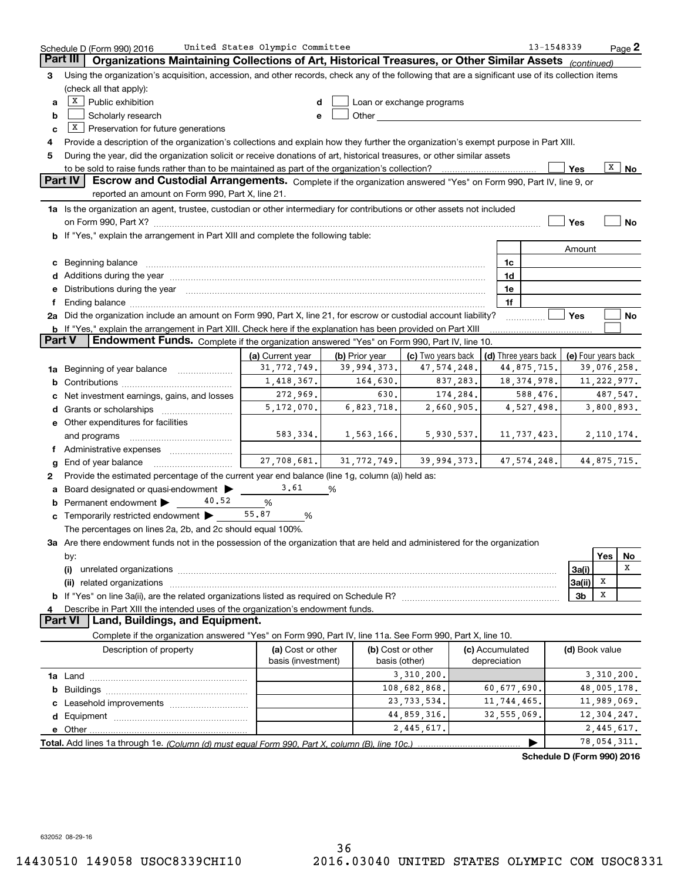|               | Schedule D (Form 990) 2016                                                                                                                                                                                                     | United States Olympic Committee         |                          |                                                                                                                                                                                                                                |            |                                 | 13-1548339                                 |                |     | $Page$ <sup>2</sup> |
|---------------|--------------------------------------------------------------------------------------------------------------------------------------------------------------------------------------------------------------------------------|-----------------------------------------|--------------------------|--------------------------------------------------------------------------------------------------------------------------------------------------------------------------------------------------------------------------------|------------|---------------------------------|--------------------------------------------|----------------|-----|---------------------|
|               | Part III<br>Organizations Maintaining Collections of Art, Historical Treasures, or Other Similar Assets (continued)                                                                                                            |                                         |                          |                                                                                                                                                                                                                                |            |                                 |                                            |                |     |                     |
| 3             | Using the organization's acquisition, accession, and other records, check any of the following that are a significant use of its collection items                                                                              |                                         |                          |                                                                                                                                                                                                                                |            |                                 |                                            |                |     |                     |
|               | (check all that apply):                                                                                                                                                                                                        |                                         |                          |                                                                                                                                                                                                                                |            |                                 |                                            |                |     |                     |
| a             | $X$ Public exhibition                                                                                                                                                                                                          | d                                       |                          | Loan or exchange programs                                                                                                                                                                                                      |            |                                 |                                            |                |     |                     |
| b             | Scholarly research                                                                                                                                                                                                             | e                                       |                          | Other and the control of the control of the control of the control of the control of the control of the control of the control of the control of the control of the control of the control of the control of the control of th |            |                                 |                                            |                |     |                     |
| c             | $X$ Preservation for future generations                                                                                                                                                                                        |                                         |                          |                                                                                                                                                                                                                                |            |                                 |                                            |                |     |                     |
| 4             | Provide a description of the organization's collections and explain how they further the organization's exempt purpose in Part XIII.                                                                                           |                                         |                          |                                                                                                                                                                                                                                |            |                                 |                                            |                |     |                     |
| 5             | During the year, did the organization solicit or receive donations of art, historical treasures, or other similar assets                                                                                                       |                                         |                          |                                                                                                                                                                                                                                |            |                                 |                                            |                |     |                     |
|               |                                                                                                                                                                                                                                |                                         |                          |                                                                                                                                                                                                                                |            |                                 |                                            | Yes            | X   | No                  |
|               | Part IV<br>Escrow and Custodial Arrangements. Complete if the organization answered "Yes" on Form 990, Part IV, line 9, or                                                                                                     |                                         |                          |                                                                                                                                                                                                                                |            |                                 |                                            |                |     |                     |
|               | reported an amount on Form 990, Part X, line 21.                                                                                                                                                                               |                                         |                          |                                                                                                                                                                                                                                |            |                                 |                                            |                |     |                     |
|               | 1a Is the organization an agent, trustee, custodian or other intermediary for contributions or other assets not included                                                                                                       |                                         |                          |                                                                                                                                                                                                                                |            |                                 |                                            |                |     |                     |
|               |                                                                                                                                                                                                                                |                                         |                          |                                                                                                                                                                                                                                |            |                                 |                                            | Yes            |     | No                  |
|               | on Form 990, Part X? [11] matter and matter and matter and matter and matter and matter and matter and matter<br>b If "Yes," explain the arrangement in Part XIII and complete the following table:                            |                                         |                          |                                                                                                                                                                                                                                |            |                                 |                                            |                |     |                     |
|               |                                                                                                                                                                                                                                |                                         |                          |                                                                                                                                                                                                                                |            |                                 |                                            |                |     |                     |
|               |                                                                                                                                                                                                                                |                                         |                          |                                                                                                                                                                                                                                |            |                                 |                                            | Amount         |     |                     |
|               | c Beginning balance manufactured and the contract of Beginning balance manufactured and the contract of the contract of the contract of the contract of the contract of the contract of the contract of the contract of the co |                                         |                          |                                                                                                                                                                                                                                |            | 1c                              |                                            |                |     |                     |
|               | d Additions during the year measurement contains and a state of the year measurement of the year measurement of                                                                                                                |                                         |                          |                                                                                                                                                                                                                                |            | 1d                              |                                            |                |     |                     |
|               | e Distributions during the year manufactured and contained and contained and contained and contained and contained and contained and contained and contained and contained and contained and contained and contained and conta |                                         |                          |                                                                                                                                                                                                                                |            | 1e                              |                                            |                |     |                     |
|               |                                                                                                                                                                                                                                |                                         |                          |                                                                                                                                                                                                                                |            | 1f                              |                                            |                |     |                     |
|               | 2a Did the organization include an amount on Form 990, Part X, line 21, for escrow or custodial account liability?                                                                                                             |                                         |                          |                                                                                                                                                                                                                                |            |                                 |                                            | Yes            |     | No                  |
|               | <b>b</b> If "Yes," explain the arrangement in Part XIII. Check here if the explanation has been provided on Part XIII                                                                                                          |                                         |                          |                                                                                                                                                                                                                                |            |                                 |                                            |                |     |                     |
| <b>Part V</b> | Endowment Funds. Complete if the organization answered "Yes" on Form 990, Part IV, line 10.                                                                                                                                    |                                         |                          |                                                                                                                                                                                                                                |            |                                 |                                            |                |     |                     |
|               |                                                                                                                                                                                                                                | (a) Current year                        | (b) Prior year           | (c) Two years back                                                                                                                                                                                                             |            |                                 | (d) Three years back   (e) Four years back |                |     |                     |
|               | <b>1a</b> Beginning of year balance <i>manumumum</i>                                                                                                                                                                           | 31,772,749.                             | 39,994,373.              | 47, 574, 248.                                                                                                                                                                                                                  |            |                                 | 44,875,715.                                |                |     | 39,076,258.         |
| b             |                                                                                                                                                                                                                                | 1,418,367.                              | 164,630.                 |                                                                                                                                                                                                                                | 837,283.   |                                 | 18, 374, 978.                              |                |     | 11, 222, 977.       |
| c             | Net investment earnings, gains, and losses                                                                                                                                                                                     | 272,969.                                | 630.                     |                                                                                                                                                                                                                                | 174,284.   |                                 | 588,476.                                   |                |     | 487,547.            |
|               |                                                                                                                                                                                                                                | 5, 172, 070.                            | 6,823,718.               |                                                                                                                                                                                                                                | 2,660,905. |                                 | 4,527,498.                                 |                |     | 3,800,893.          |
|               | e Other expenditures for facilities                                                                                                                                                                                            |                                         |                          |                                                                                                                                                                                                                                |            |                                 |                                            |                |     |                     |
|               | and programs                                                                                                                                                                                                                   |                                         | $583, 334.$ 1, 563, 166. |                                                                                                                                                                                                                                | 5,930,537. |                                 | 11,737,423.                                |                |     | 2,110,174.          |
|               | f Administrative expenses <i></i>                                                                                                                                                                                              |                                         |                          |                                                                                                                                                                                                                                |            |                                 |                                            |                |     |                     |
| g             | End of year balance                                                                                                                                                                                                            | 27,708,681.                             | 31,772,749.              | 39,994,373.                                                                                                                                                                                                                    |            |                                 | 47,574,248.                                |                |     | 44,875,715.         |
| 2             | Provide the estimated percentage of the current year end balance (line 1g, column (a)) held as:                                                                                                                                |                                         |                          |                                                                                                                                                                                                                                |            |                                 |                                            |                |     |                     |
| a             | Board designated or quasi-endowment                                                                                                                                                                                            | 3.61                                    | %                        |                                                                                                                                                                                                                                |            |                                 |                                            |                |     |                     |
| b             | 40.52<br>Permanent endowment >                                                                                                                                                                                                 | %                                       |                          |                                                                                                                                                                                                                                |            |                                 |                                            |                |     |                     |
|               | <b>c</b> Temporarily restricted endowment $\blacktriangleright$                                                                                                                                                                | 55.87<br>%                              |                          |                                                                                                                                                                                                                                |            |                                 |                                            |                |     |                     |
|               | The percentages on lines 2a, 2b, and 2c should equal 100%.                                                                                                                                                                     |                                         |                          |                                                                                                                                                                                                                                |            |                                 |                                            |                |     |                     |
|               | 3a Are there endowment funds not in the possession of the organization that are held and administered for the organization                                                                                                     |                                         |                          |                                                                                                                                                                                                                                |            |                                 |                                            |                |     |                     |
|               | by:                                                                                                                                                                                                                            |                                         |                          |                                                                                                                                                                                                                                |            |                                 |                                            |                | Yes | No                  |
|               | (i)                                                                                                                                                                                                                            |                                         |                          |                                                                                                                                                                                                                                |            |                                 |                                            | 3a(i)          |     | x                   |
|               |                                                                                                                                                                                                                                |                                         |                          |                                                                                                                                                                                                                                |            |                                 |                                            | 3a(ii)         | Х   |                     |
|               |                                                                                                                                                                                                                                |                                         |                          |                                                                                                                                                                                                                                |            |                                 |                                            | 3 <sub>b</sub> | х   |                     |
| 4             | Describe in Part XIII the intended uses of the organization's endowment funds.                                                                                                                                                 |                                         |                          |                                                                                                                                                                                                                                |            |                                 |                                            |                |     |                     |
|               | Land, Buildings, and Equipment.<br><b>Part VI</b>                                                                                                                                                                              |                                         |                          |                                                                                                                                                                                                                                |            |                                 |                                            |                |     |                     |
|               | Complete if the organization answered "Yes" on Form 990, Part IV, line 11a. See Form 990, Part X, line 10.                                                                                                                     |                                         |                          |                                                                                                                                                                                                                                |            |                                 |                                            |                |     |                     |
|               |                                                                                                                                                                                                                                |                                         |                          |                                                                                                                                                                                                                                |            |                                 |                                            |                |     |                     |
|               | Description of property                                                                                                                                                                                                        | (a) Cost or other<br>basis (investment) |                          | (b) Cost or other<br>basis (other)                                                                                                                                                                                             |            | (c) Accumulated<br>depreciation |                                            | (d) Book value |     |                     |
|               |                                                                                                                                                                                                                                |                                         |                          |                                                                                                                                                                                                                                |            |                                 |                                            |                |     |                     |
|               |                                                                                                                                                                                                                                |                                         |                          | 3,310,200.<br>108,682,868.                                                                                                                                                                                                     |            |                                 |                                            |                |     | 3,310,200.          |
|               |                                                                                                                                                                                                                                |                                         |                          |                                                                                                                                                                                                                                |            | 60,677,690.                     |                                            |                |     | 48,005,178.         |
|               |                                                                                                                                                                                                                                |                                         |                          | 23, 733, 534.                                                                                                                                                                                                                  |            | 11,744,465.                     |                                            |                |     | 11,989,069.         |
|               |                                                                                                                                                                                                                                |                                         |                          | 44,859,316.                                                                                                                                                                                                                    |            | 32,555,069.                     |                                            |                |     | 12,304,247.         |
|               |                                                                                                                                                                                                                                |                                         |                          | 2,445,617.                                                                                                                                                                                                                     |            |                                 |                                            |                |     | 2,445,617.          |
|               |                                                                                                                                                                                                                                |                                         |                          |                                                                                                                                                                                                                                |            |                                 |                                            |                |     | 78,054,311.         |
|               |                                                                                                                                                                                                                                |                                         |                          |                                                                                                                                                                                                                                |            |                                 | Schedule D (Form 990) 2016                 |                |     |                     |

**Schedule D (Form 990) 2016**

632052 08-29-16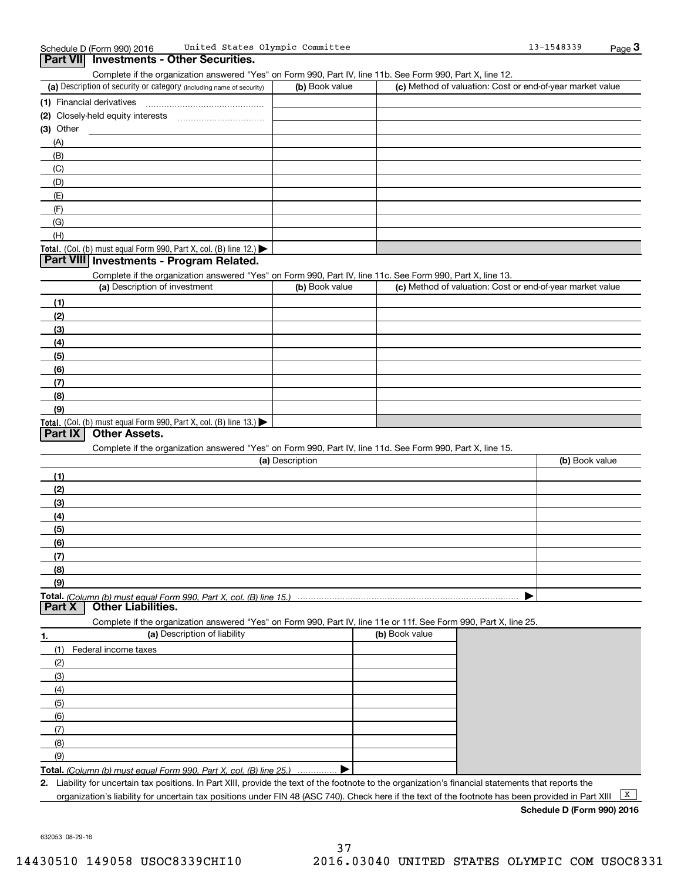| United States Olympic Committee<br>Schedule D (Form 990) 2016                                                                                        |                 |                | 13-1548339                                                | $_{\text{Page}}$ 3 |
|------------------------------------------------------------------------------------------------------------------------------------------------------|-----------------|----------------|-----------------------------------------------------------|--------------------|
| Part VII Investments - Other Securities.                                                                                                             |                 |                |                                                           |                    |
| Complete if the organization answered "Yes" on Form 990, Part IV, line 11b. See Form 990, Part X, line 12.                                           |                 |                |                                                           |                    |
| (a) Description of security or category (including name of security)                                                                                 | (b) Book value  |                | (c) Method of valuation: Cost or end-of-year market value |                    |
|                                                                                                                                                      |                 |                |                                                           |                    |
|                                                                                                                                                      |                 |                |                                                           |                    |
|                                                                                                                                                      |                 |                |                                                           |                    |
| (3) Other                                                                                                                                            |                 |                |                                                           |                    |
| (A)                                                                                                                                                  |                 |                |                                                           |                    |
| (B)                                                                                                                                                  |                 |                |                                                           |                    |
| (C)                                                                                                                                                  |                 |                |                                                           |                    |
| (D)                                                                                                                                                  |                 |                |                                                           |                    |
| (E)                                                                                                                                                  |                 |                |                                                           |                    |
| (F)                                                                                                                                                  |                 |                |                                                           |                    |
| (G)                                                                                                                                                  |                 |                |                                                           |                    |
| (H)                                                                                                                                                  |                 |                |                                                           |                    |
| Total. (Col. (b) must equal Form 990, Part X, col. (B) line 12.)                                                                                     |                 |                |                                                           |                    |
| Part VIII Investments - Program Related.                                                                                                             |                 |                |                                                           |                    |
|                                                                                                                                                      |                 |                |                                                           |                    |
| Complete if the organization answered "Yes" on Form 990, Part IV, line 11c. See Form 990, Part X, line 13.<br>(a) Description of investment          |                 |                |                                                           |                    |
|                                                                                                                                                      | (b) Book value  |                | (c) Method of valuation: Cost or end-of-year market value |                    |
| (1)                                                                                                                                                  |                 |                |                                                           |                    |
| (2)                                                                                                                                                  |                 |                |                                                           |                    |
| (3)                                                                                                                                                  |                 |                |                                                           |                    |
| (4)                                                                                                                                                  |                 |                |                                                           |                    |
| (5)                                                                                                                                                  |                 |                |                                                           |                    |
| (6)                                                                                                                                                  |                 |                |                                                           |                    |
| (7)                                                                                                                                                  |                 |                |                                                           |                    |
|                                                                                                                                                      |                 |                |                                                           |                    |
| (8)                                                                                                                                                  |                 |                |                                                           |                    |
| (9)                                                                                                                                                  |                 |                |                                                           |                    |
| Total. (Col. (b) must equal Form 990, Part X, col. (B) line 13.)<br><b>Other Assets.</b><br>Part IX                                                  |                 |                |                                                           |                    |
|                                                                                                                                                      |                 |                |                                                           |                    |
| Complete if the organization answered "Yes" on Form 990, Part IV, line 11d. See Form 990, Part X, line 15.                                           |                 |                |                                                           |                    |
|                                                                                                                                                      | (a) Description |                | (b) Book value                                            |                    |
| (1)                                                                                                                                                  |                 |                |                                                           |                    |
| (2)                                                                                                                                                  |                 |                |                                                           |                    |
| (3)                                                                                                                                                  |                 |                |                                                           |                    |
| (4)                                                                                                                                                  |                 |                |                                                           |                    |
| (5)                                                                                                                                                  |                 |                |                                                           |                    |
| (6)                                                                                                                                                  |                 |                |                                                           |                    |
|                                                                                                                                                      |                 |                |                                                           |                    |
| (7)                                                                                                                                                  |                 |                |                                                           |                    |
| (8)                                                                                                                                                  |                 |                |                                                           |                    |
| (9)                                                                                                                                                  |                 |                |                                                           |                    |
| Total. (Column (b) must equal Form 990. Part X, col. (B) line 15.) ………………………………………………………………………                                                       |                 |                |                                                           |                    |
| <b>Other Liabilities.</b><br>Part X                                                                                                                  |                 |                |                                                           |                    |
| Complete if the organization answered "Yes" on Form 990, Part IV, line 11e or 11f. See Form 990, Part X, line 25.                                    |                 |                |                                                           |                    |
| (a) Description of liability<br>٦.                                                                                                                   |                 | (b) Book value |                                                           |                    |
| (1)<br>Federal income taxes                                                                                                                          |                 |                |                                                           |                    |
| (2)                                                                                                                                                  |                 |                |                                                           |                    |
| (3)                                                                                                                                                  |                 |                |                                                           |                    |
|                                                                                                                                                      |                 |                |                                                           |                    |
| (4)                                                                                                                                                  |                 |                |                                                           |                    |
| (5)                                                                                                                                                  |                 |                |                                                           |                    |
| (6)                                                                                                                                                  |                 |                |                                                           |                    |
| (7)                                                                                                                                                  |                 |                |                                                           |                    |
| (8)                                                                                                                                                  |                 |                |                                                           |                    |
| (9)                                                                                                                                                  |                 |                |                                                           |                    |
| Total. (Column (b) must equal Form 990. Part X, col. (B) line 25.)                                                                                   |                 |                |                                                           |                    |
| 2. Liability for uncertain tax positions. In Part XIII, provide the text of the footnote to the organization's financial statements that reports the |                 |                |                                                           |                    |
|                                                                                                                                                      |                 |                |                                                           |                    |

632053 08-29-16

**Schedule D (Form 990) 2016**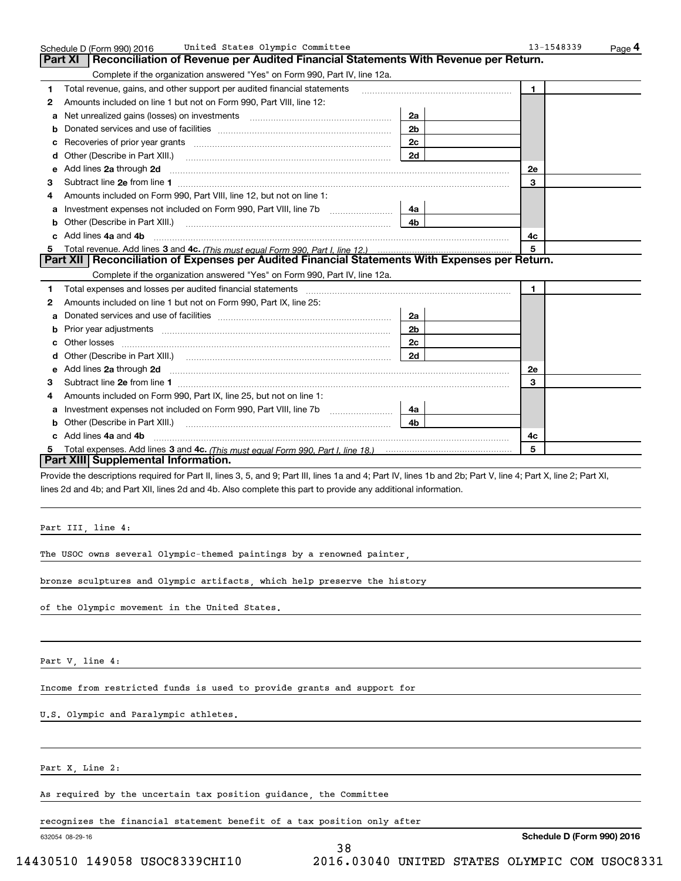| Reconciliation of Revenue per Audited Financial Statements With Revenue per Return.<br>Complete if the organization answered "Yes" on Form 990, Part IV, line 12a.<br>2a<br>2 <sub>b</sub><br>2c | 1                                                                                                                                                                                                                                   |                                                                                                                                                                                                                                                                                                                                                                                                                                                                                                           |
|--------------------------------------------------------------------------------------------------------------------------------------------------------------------------------------------------|-------------------------------------------------------------------------------------------------------------------------------------------------------------------------------------------------------------------------------------|-----------------------------------------------------------------------------------------------------------------------------------------------------------------------------------------------------------------------------------------------------------------------------------------------------------------------------------------------------------------------------------------------------------------------------------------------------------------------------------------------------------|
|                                                                                                                                                                                                  |                                                                                                                                                                                                                                     |                                                                                                                                                                                                                                                                                                                                                                                                                                                                                                           |
|                                                                                                                                                                                                  |                                                                                                                                                                                                                                     |                                                                                                                                                                                                                                                                                                                                                                                                                                                                                                           |
|                                                                                                                                                                                                  |                                                                                                                                                                                                                                     |                                                                                                                                                                                                                                                                                                                                                                                                                                                                                                           |
|                                                                                                                                                                                                  |                                                                                                                                                                                                                                     |                                                                                                                                                                                                                                                                                                                                                                                                                                                                                                           |
|                                                                                                                                                                                                  |                                                                                                                                                                                                                                     |                                                                                                                                                                                                                                                                                                                                                                                                                                                                                                           |
|                                                                                                                                                                                                  |                                                                                                                                                                                                                                     |                                                                                                                                                                                                                                                                                                                                                                                                                                                                                                           |
|                                                                                                                                                                                                  |                                                                                                                                                                                                                                     |                                                                                                                                                                                                                                                                                                                                                                                                                                                                                                           |
| 2d                                                                                                                                                                                               |                                                                                                                                                                                                                                     |                                                                                                                                                                                                                                                                                                                                                                                                                                                                                                           |
|                                                                                                                                                                                                  | 2e                                                                                                                                                                                                                                  |                                                                                                                                                                                                                                                                                                                                                                                                                                                                                                           |
|                                                                                                                                                                                                  | 3                                                                                                                                                                                                                                   |                                                                                                                                                                                                                                                                                                                                                                                                                                                                                                           |
|                                                                                                                                                                                                  |                                                                                                                                                                                                                                     |                                                                                                                                                                                                                                                                                                                                                                                                                                                                                                           |
| 4a l                                                                                                                                                                                             |                                                                                                                                                                                                                                     |                                                                                                                                                                                                                                                                                                                                                                                                                                                                                                           |
| 4 <sub>b</sub>                                                                                                                                                                                   |                                                                                                                                                                                                                                     |                                                                                                                                                                                                                                                                                                                                                                                                                                                                                                           |
|                                                                                                                                                                                                  | 4c                                                                                                                                                                                                                                  |                                                                                                                                                                                                                                                                                                                                                                                                                                                                                                           |
|                                                                                                                                                                                                  | 5                                                                                                                                                                                                                                   |                                                                                                                                                                                                                                                                                                                                                                                                                                                                                                           |
|                                                                                                                                                                                                  |                                                                                                                                                                                                                                     |                                                                                                                                                                                                                                                                                                                                                                                                                                                                                                           |
| Complete if the organization answered "Yes" on Form 990, Part IV, line 12a.                                                                                                                      |                                                                                                                                                                                                                                     |                                                                                                                                                                                                                                                                                                                                                                                                                                                                                                           |
|                                                                                                                                                                                                  | $\mathbf{1}$                                                                                                                                                                                                                        |                                                                                                                                                                                                                                                                                                                                                                                                                                                                                                           |
|                                                                                                                                                                                                  |                                                                                                                                                                                                                                     |                                                                                                                                                                                                                                                                                                                                                                                                                                                                                                           |
| 2a                                                                                                                                                                                               |                                                                                                                                                                                                                                     |                                                                                                                                                                                                                                                                                                                                                                                                                                                                                                           |
| 2b                                                                                                                                                                                               |                                                                                                                                                                                                                                     |                                                                                                                                                                                                                                                                                                                                                                                                                                                                                                           |
| 2 <sub>c</sub>                                                                                                                                                                                   |                                                                                                                                                                                                                                     |                                                                                                                                                                                                                                                                                                                                                                                                                                                                                                           |
| 2d                                                                                                                                                                                               |                                                                                                                                                                                                                                     |                                                                                                                                                                                                                                                                                                                                                                                                                                                                                                           |
|                                                                                                                                                                                                  | 2e                                                                                                                                                                                                                                  |                                                                                                                                                                                                                                                                                                                                                                                                                                                                                                           |
|                                                                                                                                                                                                  | 3                                                                                                                                                                                                                                   |                                                                                                                                                                                                                                                                                                                                                                                                                                                                                                           |
|                                                                                                                                                                                                  |                                                                                                                                                                                                                                     |                                                                                                                                                                                                                                                                                                                                                                                                                                                                                                           |
| 4a                                                                                                                                                                                               |                                                                                                                                                                                                                                     |                                                                                                                                                                                                                                                                                                                                                                                                                                                                                                           |
| 4b.                                                                                                                                                                                              |                                                                                                                                                                                                                                     |                                                                                                                                                                                                                                                                                                                                                                                                                                                                                                           |
|                                                                                                                                                                                                  | 4c                                                                                                                                                                                                                                  |                                                                                                                                                                                                                                                                                                                                                                                                                                                                                                           |
|                                                                                                                                                                                                  | 5                                                                                                                                                                                                                                   |                                                                                                                                                                                                                                                                                                                                                                                                                                                                                                           |
|                                                                                                                                                                                                  |                                                                                                                                                                                                                                     |                                                                                                                                                                                                                                                                                                                                                                                                                                                                                                           |
|                                                                                                                                                                                                  |                                                                                                                                                                                                                                     |                                                                                                                                                                                                                                                                                                                                                                                                                                                                                                           |
|                                                                                                                                                                                                  | Other (Describe in Part XIII.) <b>Construction Contract Construction</b> Chern Construction Chern Chern Chern Chern Chern Chern Chern Chern Chern Chern Chern Chern Chern Chern Chern Chern Chern Chern Chern Chern Chern Chern Che | Part XII   Reconciliation of Expenses per Audited Financial Statements With Expenses per Return.<br>Add lines 2a through 2d <b>contained a contained a contained a contained a</b> contained a contained a contained a contained a contained a contained a contained a contained a contained a contained a contained a contained a cont<br>Provide the descriptions required for Part II, lines 3, 5, and 9; Part III, lines 1a and 4; Part IV, lines 1b and 2b; Part V, line 4; Part X, line 2; Part XI, |

lines 2d and 4b; and Part XII, lines 2d and 4b. Also complete this part to provide any additional information.

Part III, line 4:

The USOC owns several Olympic-themed paintings by a renowned painter,

bronze sculptures and Olympic artifacts, which help preserve the history

of the Olympic movement in the United States.

Part V, line 4:

Income from restricted funds is used to provide grants and support for

U.S. Olympic and Paralympic athletes.

Part X, Line 2:

As required by the uncertain tax position guidance, the Committee

recognizes the financial statement benefit of a tax position only after

38

632054 08-29-16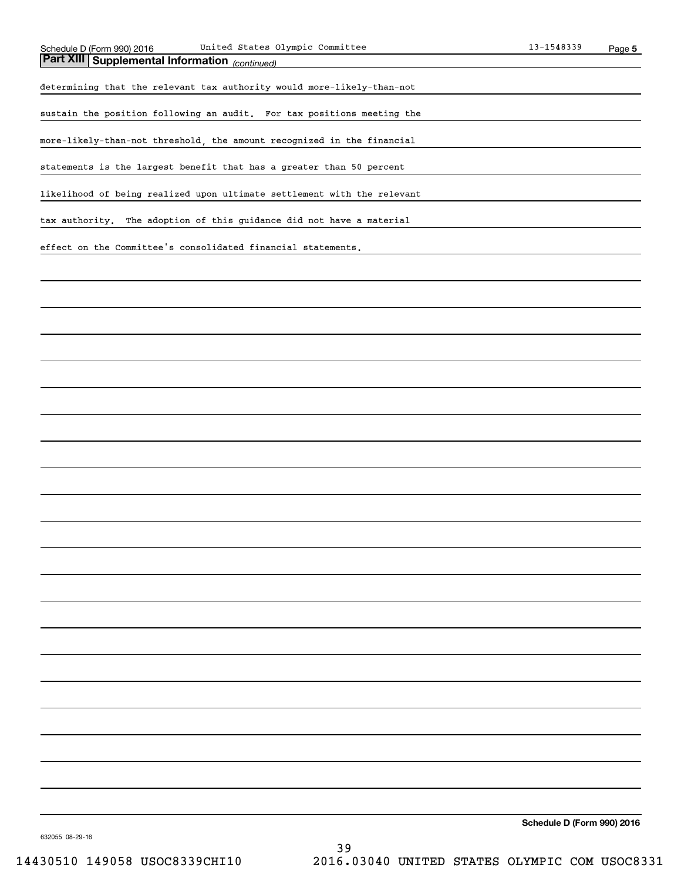*(continued)* **Part XIII Supplemental Information** 

determining that the relevant tax authority would more-likely-than-not

sustain the position following an audit. For tax positions meeting the

more-likely-than-not threshold, the amount recognized in the financial

statements is the largest benefit that has a greater than 50 percent

likelihood of being realized upon ultimate settlement with the relevant

tax authority. The adoption of this guidance did not have a material

effect on the Committee's consolidated financial statements.

**Schedule D (Form 990) 2016**

632055 08-29-16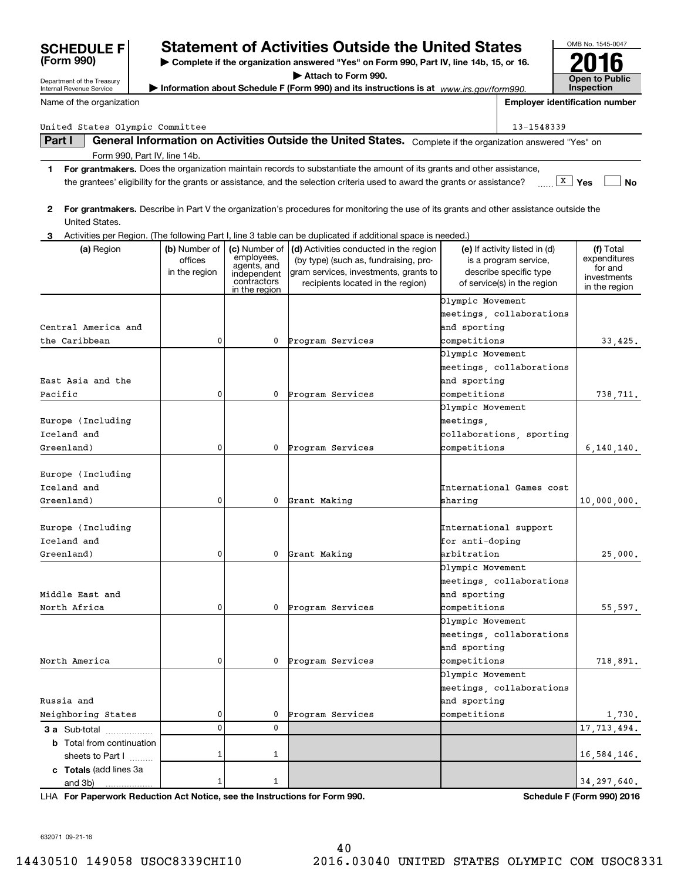| Information about Schedule F (Form 990) and its instructions is at www.irs.gov/form990.<br><b>Inspection</b><br><b>Employer identification number</b><br>Name of the organization<br>United States Olympic Committee<br>13-1548339<br>General Information on Activities Outside the United States. Complete if the organization answered "Yes" on<br>Part I<br>Form 990, Part IV, line 14b.<br>For grantmakers. Does the organization maintain records to substantiate the amount of its grants and other assistance,<br>1.<br>$\boxed{\texttt{X}}$ Yes<br>No<br>the grantees' eligibility for the grants or assistance, and the selection criteria used to award the grants or assistance?<br>For grantmakers. Describe in Part V the organization's procedures for monitoring the use of its grants and other assistance outside the<br>$\mathbf{2}$<br>United States.<br>Activities per Region. (The following Part I, line 3 table can be duplicated if additional space is needed.)<br>3<br>(d) Activities conducted in the region<br>(f) Total<br>(a) Region<br>(b) Number of<br>(c) Number of<br>(e) If activity listed in (d)<br>employees,<br>expenditures<br>offices<br>(by type) (such as, fundraising, pro-<br>is a program service,<br>agents, and<br>for and<br>describe specific type<br>in the region<br>gram services, investments, grants to<br>independent<br>investments<br>contractors<br>of service(s) in the region<br>recipients located in the region)<br>in the region<br>in the region<br>Olympic Movement<br>meetings, collaborations<br>Central America and<br>and sporting<br>0<br>competitions<br>0<br>Program Services<br>33,425.<br>Olympic Movement<br>meetings, collaborations<br>and sporting<br>0<br>competitions<br>0<br>Program Services<br>738,711.<br>Olympic Movement<br>meetings,<br>collaborations, sporting<br>0<br>competitions<br>0<br>Program Services<br>6, 140, 140.<br>International Games cost<br>0<br>0<br>Grant Making<br>sharing<br>10,000,000.<br>International support<br>Europe (Including<br>Iceland and<br>for anti-doping<br>arbitration<br>Greenland)<br>0<br>0<br>Grant Making<br>25,000.<br>Olympic Movement<br>meetings, collaborations<br>Middle East and<br>and sporting<br>North Africa<br>0<br>0<br>Program Services<br>competitions<br>55,597.<br>Olympic Movement<br>meetings, collaborations<br>and sporting<br>North America<br>0<br>Program Services<br>competitions<br>0<br>718,891.<br>Olympic Movement<br>meetings, collaborations<br>Russia and<br>and sporting<br>Neighboring States<br>0<br>Program Services<br>competitions<br>0<br>$\frac{1,730}{17,713,494}$<br>0<br>0<br><b>3 a</b> Sub-total<br><b>b</b> Total from continuation<br>1<br>1<br>16, 584, 146.<br>sheets to Part I<br>c Totals (add lines 3a | Department of the Treasury |   |   | Attach to Form 990. |  | <b>Open to Public</b> |
|------------------------------------------------------------------------------------------------------------------------------------------------------------------------------------------------------------------------------------------------------------------------------------------------------------------------------------------------------------------------------------------------------------------------------------------------------------------------------------------------------------------------------------------------------------------------------------------------------------------------------------------------------------------------------------------------------------------------------------------------------------------------------------------------------------------------------------------------------------------------------------------------------------------------------------------------------------------------------------------------------------------------------------------------------------------------------------------------------------------------------------------------------------------------------------------------------------------------------------------------------------------------------------------------------------------------------------------------------------------------------------------------------------------------------------------------------------------------------------------------------------------------------------------------------------------------------------------------------------------------------------------------------------------------------------------------------------------------------------------------------------------------------------------------------------------------------------------------------------------------------------------------------------------------------------------------------------------------------------------------------------------------------------------------------------------------------------------------------------------------------------------------------------------------------------------------------------------------------------------------------------------------------------------------------------------------------------------------------------------------------------------------------------------------------------------------------------------------------------------------------------------------------------------------------------------------------------------------------------------------------------------------------------------------------------------------------------------------------------------------------------------------------------------------|----------------------------|---|---|---------------------|--|-----------------------|
|                                                                                                                                                                                                                                                                                                                                                                                                                                                                                                                                                                                                                                                                                                                                                                                                                                                                                                                                                                                                                                                                                                                                                                                                                                                                                                                                                                                                                                                                                                                                                                                                                                                                                                                                                                                                                                                                                                                                                                                                                                                                                                                                                                                                                                                                                                                                                                                                                                                                                                                                                                                                                                                                                                                                                                                                | Internal Revenue Service   |   |   |                     |  |                       |
|                                                                                                                                                                                                                                                                                                                                                                                                                                                                                                                                                                                                                                                                                                                                                                                                                                                                                                                                                                                                                                                                                                                                                                                                                                                                                                                                                                                                                                                                                                                                                                                                                                                                                                                                                                                                                                                                                                                                                                                                                                                                                                                                                                                                                                                                                                                                                                                                                                                                                                                                                                                                                                                                                                                                                                                                |                            |   |   |                     |  |                       |
|                                                                                                                                                                                                                                                                                                                                                                                                                                                                                                                                                                                                                                                                                                                                                                                                                                                                                                                                                                                                                                                                                                                                                                                                                                                                                                                                                                                                                                                                                                                                                                                                                                                                                                                                                                                                                                                                                                                                                                                                                                                                                                                                                                                                                                                                                                                                                                                                                                                                                                                                                                                                                                                                                                                                                                                                |                            |   |   |                     |  |                       |
|                                                                                                                                                                                                                                                                                                                                                                                                                                                                                                                                                                                                                                                                                                                                                                                                                                                                                                                                                                                                                                                                                                                                                                                                                                                                                                                                                                                                                                                                                                                                                                                                                                                                                                                                                                                                                                                                                                                                                                                                                                                                                                                                                                                                                                                                                                                                                                                                                                                                                                                                                                                                                                                                                                                                                                                                |                            |   |   |                     |  |                       |
|                                                                                                                                                                                                                                                                                                                                                                                                                                                                                                                                                                                                                                                                                                                                                                                                                                                                                                                                                                                                                                                                                                                                                                                                                                                                                                                                                                                                                                                                                                                                                                                                                                                                                                                                                                                                                                                                                                                                                                                                                                                                                                                                                                                                                                                                                                                                                                                                                                                                                                                                                                                                                                                                                                                                                                                                |                            |   |   |                     |  |                       |
|                                                                                                                                                                                                                                                                                                                                                                                                                                                                                                                                                                                                                                                                                                                                                                                                                                                                                                                                                                                                                                                                                                                                                                                                                                                                                                                                                                                                                                                                                                                                                                                                                                                                                                                                                                                                                                                                                                                                                                                                                                                                                                                                                                                                                                                                                                                                                                                                                                                                                                                                                                                                                                                                                                                                                                                                |                            |   |   |                     |  |                       |
|                                                                                                                                                                                                                                                                                                                                                                                                                                                                                                                                                                                                                                                                                                                                                                                                                                                                                                                                                                                                                                                                                                                                                                                                                                                                                                                                                                                                                                                                                                                                                                                                                                                                                                                                                                                                                                                                                                                                                                                                                                                                                                                                                                                                                                                                                                                                                                                                                                                                                                                                                                                                                                                                                                                                                                                                |                            |   |   |                     |  |                       |
|                                                                                                                                                                                                                                                                                                                                                                                                                                                                                                                                                                                                                                                                                                                                                                                                                                                                                                                                                                                                                                                                                                                                                                                                                                                                                                                                                                                                                                                                                                                                                                                                                                                                                                                                                                                                                                                                                                                                                                                                                                                                                                                                                                                                                                                                                                                                                                                                                                                                                                                                                                                                                                                                                                                                                                                                |                            |   |   |                     |  |                       |
|                                                                                                                                                                                                                                                                                                                                                                                                                                                                                                                                                                                                                                                                                                                                                                                                                                                                                                                                                                                                                                                                                                                                                                                                                                                                                                                                                                                                                                                                                                                                                                                                                                                                                                                                                                                                                                                                                                                                                                                                                                                                                                                                                                                                                                                                                                                                                                                                                                                                                                                                                                                                                                                                                                                                                                                                |                            |   |   |                     |  |                       |
|                                                                                                                                                                                                                                                                                                                                                                                                                                                                                                                                                                                                                                                                                                                                                                                                                                                                                                                                                                                                                                                                                                                                                                                                                                                                                                                                                                                                                                                                                                                                                                                                                                                                                                                                                                                                                                                                                                                                                                                                                                                                                                                                                                                                                                                                                                                                                                                                                                                                                                                                                                                                                                                                                                                                                                                                |                            |   |   |                     |  |                       |
|                                                                                                                                                                                                                                                                                                                                                                                                                                                                                                                                                                                                                                                                                                                                                                                                                                                                                                                                                                                                                                                                                                                                                                                                                                                                                                                                                                                                                                                                                                                                                                                                                                                                                                                                                                                                                                                                                                                                                                                                                                                                                                                                                                                                                                                                                                                                                                                                                                                                                                                                                                                                                                                                                                                                                                                                |                            |   |   |                     |  |                       |
|                                                                                                                                                                                                                                                                                                                                                                                                                                                                                                                                                                                                                                                                                                                                                                                                                                                                                                                                                                                                                                                                                                                                                                                                                                                                                                                                                                                                                                                                                                                                                                                                                                                                                                                                                                                                                                                                                                                                                                                                                                                                                                                                                                                                                                                                                                                                                                                                                                                                                                                                                                                                                                                                                                                                                                                                |                            |   |   |                     |  |                       |
|                                                                                                                                                                                                                                                                                                                                                                                                                                                                                                                                                                                                                                                                                                                                                                                                                                                                                                                                                                                                                                                                                                                                                                                                                                                                                                                                                                                                                                                                                                                                                                                                                                                                                                                                                                                                                                                                                                                                                                                                                                                                                                                                                                                                                                                                                                                                                                                                                                                                                                                                                                                                                                                                                                                                                                                                |                            |   |   |                     |  |                       |
|                                                                                                                                                                                                                                                                                                                                                                                                                                                                                                                                                                                                                                                                                                                                                                                                                                                                                                                                                                                                                                                                                                                                                                                                                                                                                                                                                                                                                                                                                                                                                                                                                                                                                                                                                                                                                                                                                                                                                                                                                                                                                                                                                                                                                                                                                                                                                                                                                                                                                                                                                                                                                                                                                                                                                                                                |                            |   |   |                     |  |                       |
|                                                                                                                                                                                                                                                                                                                                                                                                                                                                                                                                                                                                                                                                                                                                                                                                                                                                                                                                                                                                                                                                                                                                                                                                                                                                                                                                                                                                                                                                                                                                                                                                                                                                                                                                                                                                                                                                                                                                                                                                                                                                                                                                                                                                                                                                                                                                                                                                                                                                                                                                                                                                                                                                                                                                                                                                | the Caribbean              |   |   |                     |  |                       |
|                                                                                                                                                                                                                                                                                                                                                                                                                                                                                                                                                                                                                                                                                                                                                                                                                                                                                                                                                                                                                                                                                                                                                                                                                                                                                                                                                                                                                                                                                                                                                                                                                                                                                                                                                                                                                                                                                                                                                                                                                                                                                                                                                                                                                                                                                                                                                                                                                                                                                                                                                                                                                                                                                                                                                                                                |                            |   |   |                     |  |                       |
|                                                                                                                                                                                                                                                                                                                                                                                                                                                                                                                                                                                                                                                                                                                                                                                                                                                                                                                                                                                                                                                                                                                                                                                                                                                                                                                                                                                                                                                                                                                                                                                                                                                                                                                                                                                                                                                                                                                                                                                                                                                                                                                                                                                                                                                                                                                                                                                                                                                                                                                                                                                                                                                                                                                                                                                                |                            |   |   |                     |  |                       |
|                                                                                                                                                                                                                                                                                                                                                                                                                                                                                                                                                                                                                                                                                                                                                                                                                                                                                                                                                                                                                                                                                                                                                                                                                                                                                                                                                                                                                                                                                                                                                                                                                                                                                                                                                                                                                                                                                                                                                                                                                                                                                                                                                                                                                                                                                                                                                                                                                                                                                                                                                                                                                                                                                                                                                                                                | East Asia and the          |   |   |                     |  |                       |
|                                                                                                                                                                                                                                                                                                                                                                                                                                                                                                                                                                                                                                                                                                                                                                                                                                                                                                                                                                                                                                                                                                                                                                                                                                                                                                                                                                                                                                                                                                                                                                                                                                                                                                                                                                                                                                                                                                                                                                                                                                                                                                                                                                                                                                                                                                                                                                                                                                                                                                                                                                                                                                                                                                                                                                                                | Pacific                    |   |   |                     |  |                       |
|                                                                                                                                                                                                                                                                                                                                                                                                                                                                                                                                                                                                                                                                                                                                                                                                                                                                                                                                                                                                                                                                                                                                                                                                                                                                                                                                                                                                                                                                                                                                                                                                                                                                                                                                                                                                                                                                                                                                                                                                                                                                                                                                                                                                                                                                                                                                                                                                                                                                                                                                                                                                                                                                                                                                                                                                |                            |   |   |                     |  |                       |
|                                                                                                                                                                                                                                                                                                                                                                                                                                                                                                                                                                                                                                                                                                                                                                                                                                                                                                                                                                                                                                                                                                                                                                                                                                                                                                                                                                                                                                                                                                                                                                                                                                                                                                                                                                                                                                                                                                                                                                                                                                                                                                                                                                                                                                                                                                                                                                                                                                                                                                                                                                                                                                                                                                                                                                                                | Europe (Including          |   |   |                     |  |                       |
|                                                                                                                                                                                                                                                                                                                                                                                                                                                                                                                                                                                                                                                                                                                                                                                                                                                                                                                                                                                                                                                                                                                                                                                                                                                                                                                                                                                                                                                                                                                                                                                                                                                                                                                                                                                                                                                                                                                                                                                                                                                                                                                                                                                                                                                                                                                                                                                                                                                                                                                                                                                                                                                                                                                                                                                                | Iceland and                |   |   |                     |  |                       |
|                                                                                                                                                                                                                                                                                                                                                                                                                                                                                                                                                                                                                                                                                                                                                                                                                                                                                                                                                                                                                                                                                                                                                                                                                                                                                                                                                                                                                                                                                                                                                                                                                                                                                                                                                                                                                                                                                                                                                                                                                                                                                                                                                                                                                                                                                                                                                                                                                                                                                                                                                                                                                                                                                                                                                                                                | Greenland)                 |   |   |                     |  |                       |
|                                                                                                                                                                                                                                                                                                                                                                                                                                                                                                                                                                                                                                                                                                                                                                                                                                                                                                                                                                                                                                                                                                                                                                                                                                                                                                                                                                                                                                                                                                                                                                                                                                                                                                                                                                                                                                                                                                                                                                                                                                                                                                                                                                                                                                                                                                                                                                                                                                                                                                                                                                                                                                                                                                                                                                                                |                            |   |   |                     |  |                       |
|                                                                                                                                                                                                                                                                                                                                                                                                                                                                                                                                                                                                                                                                                                                                                                                                                                                                                                                                                                                                                                                                                                                                                                                                                                                                                                                                                                                                                                                                                                                                                                                                                                                                                                                                                                                                                                                                                                                                                                                                                                                                                                                                                                                                                                                                                                                                                                                                                                                                                                                                                                                                                                                                                                                                                                                                | Europe (Including          |   |   |                     |  |                       |
|                                                                                                                                                                                                                                                                                                                                                                                                                                                                                                                                                                                                                                                                                                                                                                                                                                                                                                                                                                                                                                                                                                                                                                                                                                                                                                                                                                                                                                                                                                                                                                                                                                                                                                                                                                                                                                                                                                                                                                                                                                                                                                                                                                                                                                                                                                                                                                                                                                                                                                                                                                                                                                                                                                                                                                                                | Iceland and                |   |   |                     |  |                       |
|                                                                                                                                                                                                                                                                                                                                                                                                                                                                                                                                                                                                                                                                                                                                                                                                                                                                                                                                                                                                                                                                                                                                                                                                                                                                                                                                                                                                                                                                                                                                                                                                                                                                                                                                                                                                                                                                                                                                                                                                                                                                                                                                                                                                                                                                                                                                                                                                                                                                                                                                                                                                                                                                                                                                                                                                | Greenland)                 |   |   |                     |  |                       |
|                                                                                                                                                                                                                                                                                                                                                                                                                                                                                                                                                                                                                                                                                                                                                                                                                                                                                                                                                                                                                                                                                                                                                                                                                                                                                                                                                                                                                                                                                                                                                                                                                                                                                                                                                                                                                                                                                                                                                                                                                                                                                                                                                                                                                                                                                                                                                                                                                                                                                                                                                                                                                                                                                                                                                                                                |                            |   |   |                     |  |                       |
|                                                                                                                                                                                                                                                                                                                                                                                                                                                                                                                                                                                                                                                                                                                                                                                                                                                                                                                                                                                                                                                                                                                                                                                                                                                                                                                                                                                                                                                                                                                                                                                                                                                                                                                                                                                                                                                                                                                                                                                                                                                                                                                                                                                                                                                                                                                                                                                                                                                                                                                                                                                                                                                                                                                                                                                                |                            |   |   |                     |  |                       |
|                                                                                                                                                                                                                                                                                                                                                                                                                                                                                                                                                                                                                                                                                                                                                                                                                                                                                                                                                                                                                                                                                                                                                                                                                                                                                                                                                                                                                                                                                                                                                                                                                                                                                                                                                                                                                                                                                                                                                                                                                                                                                                                                                                                                                                                                                                                                                                                                                                                                                                                                                                                                                                                                                                                                                                                                |                            |   |   |                     |  |                       |
|                                                                                                                                                                                                                                                                                                                                                                                                                                                                                                                                                                                                                                                                                                                                                                                                                                                                                                                                                                                                                                                                                                                                                                                                                                                                                                                                                                                                                                                                                                                                                                                                                                                                                                                                                                                                                                                                                                                                                                                                                                                                                                                                                                                                                                                                                                                                                                                                                                                                                                                                                                                                                                                                                                                                                                                                |                            |   |   |                     |  |                       |
|                                                                                                                                                                                                                                                                                                                                                                                                                                                                                                                                                                                                                                                                                                                                                                                                                                                                                                                                                                                                                                                                                                                                                                                                                                                                                                                                                                                                                                                                                                                                                                                                                                                                                                                                                                                                                                                                                                                                                                                                                                                                                                                                                                                                                                                                                                                                                                                                                                                                                                                                                                                                                                                                                                                                                                                                |                            |   |   |                     |  |                       |
|                                                                                                                                                                                                                                                                                                                                                                                                                                                                                                                                                                                                                                                                                                                                                                                                                                                                                                                                                                                                                                                                                                                                                                                                                                                                                                                                                                                                                                                                                                                                                                                                                                                                                                                                                                                                                                                                                                                                                                                                                                                                                                                                                                                                                                                                                                                                                                                                                                                                                                                                                                                                                                                                                                                                                                                                |                            |   |   |                     |  |                       |
|                                                                                                                                                                                                                                                                                                                                                                                                                                                                                                                                                                                                                                                                                                                                                                                                                                                                                                                                                                                                                                                                                                                                                                                                                                                                                                                                                                                                                                                                                                                                                                                                                                                                                                                                                                                                                                                                                                                                                                                                                                                                                                                                                                                                                                                                                                                                                                                                                                                                                                                                                                                                                                                                                                                                                                                                |                            |   |   |                     |  |                       |
|                                                                                                                                                                                                                                                                                                                                                                                                                                                                                                                                                                                                                                                                                                                                                                                                                                                                                                                                                                                                                                                                                                                                                                                                                                                                                                                                                                                                                                                                                                                                                                                                                                                                                                                                                                                                                                                                                                                                                                                                                                                                                                                                                                                                                                                                                                                                                                                                                                                                                                                                                                                                                                                                                                                                                                                                |                            |   |   |                     |  |                       |
|                                                                                                                                                                                                                                                                                                                                                                                                                                                                                                                                                                                                                                                                                                                                                                                                                                                                                                                                                                                                                                                                                                                                                                                                                                                                                                                                                                                                                                                                                                                                                                                                                                                                                                                                                                                                                                                                                                                                                                                                                                                                                                                                                                                                                                                                                                                                                                                                                                                                                                                                                                                                                                                                                                                                                                                                |                            |   |   |                     |  |                       |
|                                                                                                                                                                                                                                                                                                                                                                                                                                                                                                                                                                                                                                                                                                                                                                                                                                                                                                                                                                                                                                                                                                                                                                                                                                                                                                                                                                                                                                                                                                                                                                                                                                                                                                                                                                                                                                                                                                                                                                                                                                                                                                                                                                                                                                                                                                                                                                                                                                                                                                                                                                                                                                                                                                                                                                                                |                            |   |   |                     |  |                       |
|                                                                                                                                                                                                                                                                                                                                                                                                                                                                                                                                                                                                                                                                                                                                                                                                                                                                                                                                                                                                                                                                                                                                                                                                                                                                                                                                                                                                                                                                                                                                                                                                                                                                                                                                                                                                                                                                                                                                                                                                                                                                                                                                                                                                                                                                                                                                                                                                                                                                                                                                                                                                                                                                                                                                                                                                |                            |   |   |                     |  |                       |
|                                                                                                                                                                                                                                                                                                                                                                                                                                                                                                                                                                                                                                                                                                                                                                                                                                                                                                                                                                                                                                                                                                                                                                                                                                                                                                                                                                                                                                                                                                                                                                                                                                                                                                                                                                                                                                                                                                                                                                                                                                                                                                                                                                                                                                                                                                                                                                                                                                                                                                                                                                                                                                                                                                                                                                                                |                            |   |   |                     |  |                       |
|                                                                                                                                                                                                                                                                                                                                                                                                                                                                                                                                                                                                                                                                                                                                                                                                                                                                                                                                                                                                                                                                                                                                                                                                                                                                                                                                                                                                                                                                                                                                                                                                                                                                                                                                                                                                                                                                                                                                                                                                                                                                                                                                                                                                                                                                                                                                                                                                                                                                                                                                                                                                                                                                                                                                                                                                |                            |   |   |                     |  |                       |
|                                                                                                                                                                                                                                                                                                                                                                                                                                                                                                                                                                                                                                                                                                                                                                                                                                                                                                                                                                                                                                                                                                                                                                                                                                                                                                                                                                                                                                                                                                                                                                                                                                                                                                                                                                                                                                                                                                                                                                                                                                                                                                                                                                                                                                                                                                                                                                                                                                                                                                                                                                                                                                                                                                                                                                                                |                            |   |   |                     |  |                       |
|                                                                                                                                                                                                                                                                                                                                                                                                                                                                                                                                                                                                                                                                                                                                                                                                                                                                                                                                                                                                                                                                                                                                                                                                                                                                                                                                                                                                                                                                                                                                                                                                                                                                                                                                                                                                                                                                                                                                                                                                                                                                                                                                                                                                                                                                                                                                                                                                                                                                                                                                                                                                                                                                                                                                                                                                |                            |   |   |                     |  |                       |
|                                                                                                                                                                                                                                                                                                                                                                                                                                                                                                                                                                                                                                                                                                                                                                                                                                                                                                                                                                                                                                                                                                                                                                                                                                                                                                                                                                                                                                                                                                                                                                                                                                                                                                                                                                                                                                                                                                                                                                                                                                                                                                                                                                                                                                                                                                                                                                                                                                                                                                                                                                                                                                                                                                                                                                                                |                            |   |   |                     |  |                       |
|                                                                                                                                                                                                                                                                                                                                                                                                                                                                                                                                                                                                                                                                                                                                                                                                                                                                                                                                                                                                                                                                                                                                                                                                                                                                                                                                                                                                                                                                                                                                                                                                                                                                                                                                                                                                                                                                                                                                                                                                                                                                                                                                                                                                                                                                                                                                                                                                                                                                                                                                                                                                                                                                                                                                                                                                |                            |   |   |                     |  |                       |
|                                                                                                                                                                                                                                                                                                                                                                                                                                                                                                                                                                                                                                                                                                                                                                                                                                                                                                                                                                                                                                                                                                                                                                                                                                                                                                                                                                                                                                                                                                                                                                                                                                                                                                                                                                                                                                                                                                                                                                                                                                                                                                                                                                                                                                                                                                                                                                                                                                                                                                                                                                                                                                                                                                                                                                                                |                            |   |   |                     |  |                       |
|                                                                                                                                                                                                                                                                                                                                                                                                                                                                                                                                                                                                                                                                                                                                                                                                                                                                                                                                                                                                                                                                                                                                                                                                                                                                                                                                                                                                                                                                                                                                                                                                                                                                                                                                                                                                                                                                                                                                                                                                                                                                                                                                                                                                                                                                                                                                                                                                                                                                                                                                                                                                                                                                                                                                                                                                |                            |   |   |                     |  |                       |
| and 3b)                                                                                                                                                                                                                                                                                                                                                                                                                                                                                                                                                                                                                                                                                                                                                                                                                                                                                                                                                                                                                                                                                                                                                                                                                                                                                                                                                                                                                                                                                                                                                                                                                                                                                                                                                                                                                                                                                                                                                                                                                                                                                                                                                                                                                                                                                                                                                                                                                                                                                                                                                                                                                                                                                                                                                                                        |                            | 1 | 1 |                     |  | 34, 297, 640.         |

**| Complete if the organization answered "Yes" on Form 990, Part IV, line 14b, 15, or 16.**

**Statement of Activities Outside the United States** 

**For Paperwork Reduction Act Notice, see the Instructions for Form 990. Schedule F (Form 990) 2016** LHA

OMB No. 1545-0047

**2016**

632071 09-21-16

**(Form 990)**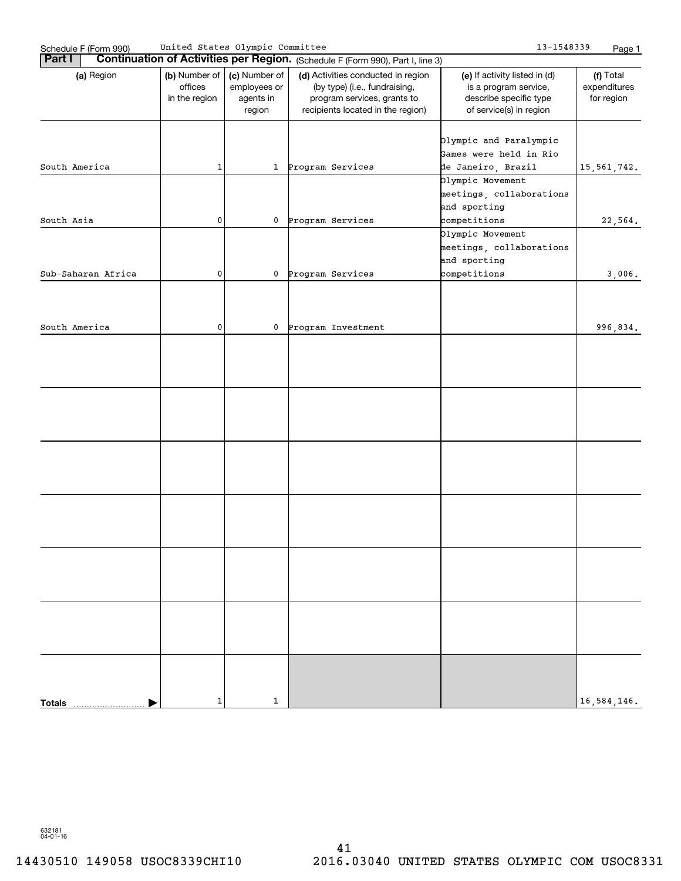| Schedule F (Form 990) | United States Olympic Committee           |                                                      |                                                                                                                                         | 13-1548339                                                                                                  | Page 1                                  |
|-----------------------|-------------------------------------------|------------------------------------------------------|-----------------------------------------------------------------------------------------------------------------------------------------|-------------------------------------------------------------------------------------------------------------|-----------------------------------------|
| <b>Part I</b>         |                                           |                                                      | <b>Continuation of Activities per Region.</b> (Schedule F (Form 990), Part I, line 3)                                                   |                                                                                                             |                                         |
| (a) Region            | (b) Number of<br>offices<br>in the region | (c) Number of<br>employees or<br>agents in<br>region | (d) Activities conducted in region<br>(by type) (i.e., fundraising,<br>program services, grants to<br>recipients located in the region) | (e) If activity listed in (d)<br>is a program service,<br>describe specific type<br>of service(s) in region | (f) Total<br>expenditures<br>for region |
| South America         | $\mathbf 1$                               |                                                      | 1 Program Services                                                                                                                      | Olympic and Paralympic<br>Games were held in Rio<br>de Janeiro, Brazil                                      | 15, 561, 742.                           |
|                       |                                           |                                                      |                                                                                                                                         | Olympic Movement<br>meetings, collaborations<br>and sporting                                                |                                         |
| South Asia            | 0                                         |                                                      | 0 Program Services                                                                                                                      | competitions                                                                                                | 22,564.                                 |
|                       |                                           |                                                      |                                                                                                                                         | Olympic Movement<br>meetings, collaborations<br>and sporting                                                |                                         |
| Sub-Saharan Africa    | 0                                         |                                                      | 0 Program Services                                                                                                                      | competitions                                                                                                | 3,006.                                  |
|                       |                                           |                                                      |                                                                                                                                         |                                                                                                             |                                         |
| South America         | 0                                         |                                                      | 0 Program Investment                                                                                                                    |                                                                                                             | 996,834.                                |
|                       |                                           |                                                      |                                                                                                                                         |                                                                                                             |                                         |
|                       |                                           |                                                      |                                                                                                                                         |                                                                                                             |                                         |
|                       |                                           |                                                      |                                                                                                                                         |                                                                                                             |                                         |
|                       |                                           |                                                      |                                                                                                                                         |                                                                                                             |                                         |
|                       |                                           |                                                      |                                                                                                                                         |                                                                                                             |                                         |
|                       |                                           |                                                      |                                                                                                                                         |                                                                                                             |                                         |
| <b>Totals</b>         | 1                                         | $\mathbf{1}$                                         |                                                                                                                                         |                                                                                                             | 16,584,146.                             |
|                       |                                           |                                                      |                                                                                                                                         |                                                                                                             |                                         |

632181 04-01-16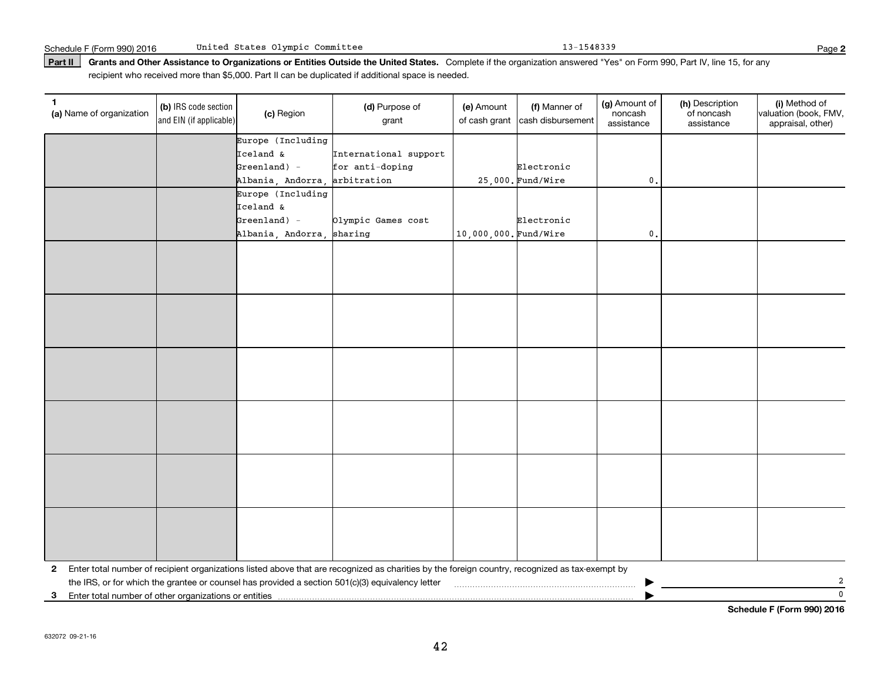Part II | Grants and Other Assistance to Organizations or Entities Outside the United States. Complete if the organization answered "Yes" on Form 990, Part IV, line 15, for any recipient who received more than \$5,000. Part II can be duplicated if additional space is needed.

| 1.<br>(a) Name of organization                          | (b) IRS code section<br>and EIN (if applicable) | (c) Region                    | (d) Purpose of<br>grant                                                                                                                         | (e) Amount<br>of cash grant | (f) Manner of<br>cash disbursement | (g) Amount of<br>noncash<br>assistance | (h) Description<br>of noncash<br>assistance | (i) Method of<br>valuation (book, FMV,<br>appraisal, other) |
|---------------------------------------------------------|-------------------------------------------------|-------------------------------|-------------------------------------------------------------------------------------------------------------------------------------------------|-----------------------------|------------------------------------|----------------------------------------|---------------------------------------------|-------------------------------------------------------------|
|                                                         |                                                 | Europe (Including             |                                                                                                                                                 |                             |                                    |                                        |                                             |                                                             |
|                                                         |                                                 | Iceland &                     | International support                                                                                                                           |                             |                                    |                                        |                                             |                                                             |
|                                                         |                                                 | $Greenland$ ) -               | for anti-doping                                                                                                                                 |                             | Electronic                         |                                        |                                             |                                                             |
|                                                         |                                                 | Albania, Andorra, arbitration |                                                                                                                                                 |                             | $25,000$ . Fund/Wire               | $\mathbf{0}$                           |                                             |                                                             |
|                                                         |                                                 | Europe (Including             |                                                                                                                                                 |                             |                                    |                                        |                                             |                                                             |
|                                                         |                                                 | Iceland &                     |                                                                                                                                                 |                             |                                    |                                        |                                             |                                                             |
|                                                         |                                                 | $Greenland$ ) -               | Olympic Games cost                                                                                                                              |                             | Electronic                         |                                        |                                             |                                                             |
|                                                         |                                                 | Albania, Andorra,             | sharing                                                                                                                                         | 10,000,000. Fund/Wire       |                                    | $\mathbf{0}$ .                         |                                             |                                                             |
|                                                         |                                                 |                               |                                                                                                                                                 |                             |                                    |                                        |                                             |                                                             |
|                                                         |                                                 |                               |                                                                                                                                                 |                             |                                    |                                        |                                             |                                                             |
|                                                         |                                                 |                               |                                                                                                                                                 |                             |                                    |                                        |                                             |                                                             |
|                                                         |                                                 |                               |                                                                                                                                                 |                             |                                    |                                        |                                             |                                                             |
|                                                         |                                                 |                               |                                                                                                                                                 |                             |                                    |                                        |                                             |                                                             |
|                                                         |                                                 |                               |                                                                                                                                                 |                             |                                    |                                        |                                             |                                                             |
|                                                         |                                                 |                               |                                                                                                                                                 |                             |                                    |                                        |                                             |                                                             |
|                                                         |                                                 |                               |                                                                                                                                                 |                             |                                    |                                        |                                             |                                                             |
|                                                         |                                                 |                               |                                                                                                                                                 |                             |                                    |                                        |                                             |                                                             |
|                                                         |                                                 |                               |                                                                                                                                                 |                             |                                    |                                        |                                             |                                                             |
|                                                         |                                                 |                               |                                                                                                                                                 |                             |                                    |                                        |                                             |                                                             |
|                                                         |                                                 |                               |                                                                                                                                                 |                             |                                    |                                        |                                             |                                                             |
|                                                         |                                                 |                               |                                                                                                                                                 |                             |                                    |                                        |                                             |                                                             |
|                                                         |                                                 |                               |                                                                                                                                                 |                             |                                    |                                        |                                             |                                                             |
|                                                         |                                                 |                               |                                                                                                                                                 |                             |                                    |                                        |                                             |                                                             |
|                                                         |                                                 |                               |                                                                                                                                                 |                             |                                    |                                        |                                             |                                                             |
|                                                         |                                                 |                               |                                                                                                                                                 |                             |                                    |                                        |                                             |                                                             |
|                                                         |                                                 |                               |                                                                                                                                                 |                             |                                    |                                        |                                             |                                                             |
|                                                         |                                                 |                               |                                                                                                                                                 |                             |                                    |                                        |                                             |                                                             |
|                                                         |                                                 |                               |                                                                                                                                                 |                             |                                    |                                        |                                             |                                                             |
|                                                         |                                                 |                               |                                                                                                                                                 |                             |                                    |                                        |                                             |                                                             |
|                                                         |                                                 |                               |                                                                                                                                                 |                             |                                    |                                        |                                             |                                                             |
|                                                         |                                                 |                               |                                                                                                                                                 |                             |                                    |                                        |                                             |                                                             |
| $\mathbf{2}$                                            |                                                 |                               | Enter total number of recipient organizations listed above that are recognized as charities by the foreign country, recognized as tax-exempt by |                             |                                    |                                        |                                             |                                                             |
|                                                         |                                                 |                               | the IRS, or for which the grantee or counsel has provided a section 501(c)(3) equivalency letter                                                |                             |                                    |                                        |                                             | 2                                                           |
| 3 Enter total number of other organizations or entities |                                                 |                               |                                                                                                                                                 |                             |                                    |                                        |                                             | $\mathbf{0}$                                                |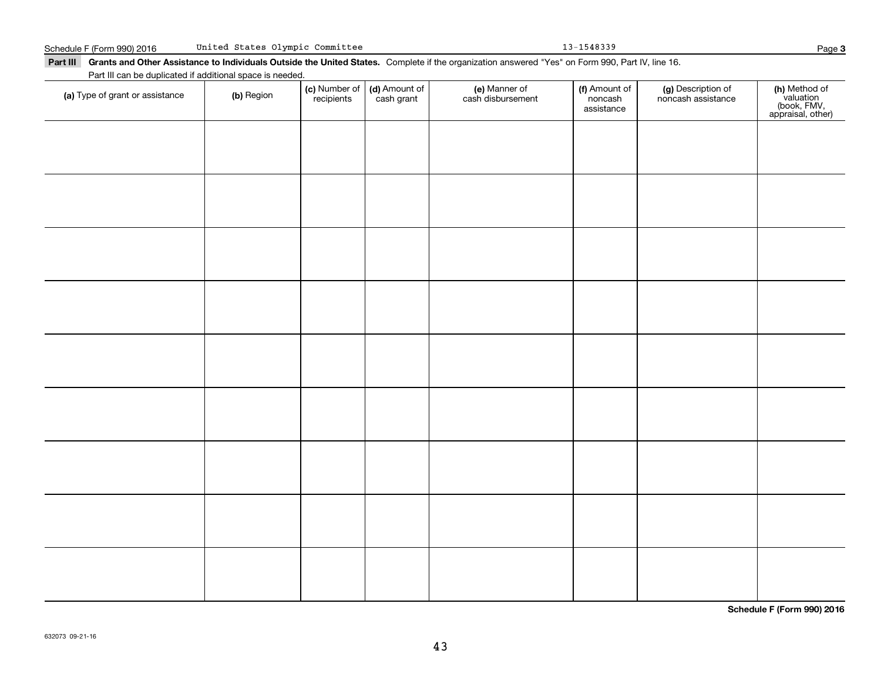Part III Grants and Other Assistance to Individuals Outside the United States. Complete if the organization answered "Yes" on Form 990, Part IV, line 16. Part III can be duplicated if additional space is needed. Number of Amount of Manner of Amount of

| (a) Type of grant or assistance | (b) Region | (c) Number of (d) Amount of<br>recipients cash grant | (e) Manner of<br>cash disbursement | (f) Amount of<br>noncash<br>assistance | (g) Description of<br>noncash assistance | (h) Method of<br>valuation<br>(book, FMV,<br>appraisal, other) |
|---------------------------------|------------|------------------------------------------------------|------------------------------------|----------------------------------------|------------------------------------------|----------------------------------------------------------------|
|                                 |            |                                                      |                                    |                                        |                                          |                                                                |
|                                 |            |                                                      |                                    |                                        |                                          |                                                                |
|                                 |            |                                                      |                                    |                                        |                                          |                                                                |
|                                 |            |                                                      |                                    |                                        |                                          |                                                                |
|                                 |            |                                                      |                                    |                                        |                                          |                                                                |
|                                 |            |                                                      |                                    |                                        |                                          |                                                                |
|                                 |            |                                                      |                                    |                                        |                                          |                                                                |
|                                 |            |                                                      |                                    |                                        |                                          |                                                                |
|                                 |            |                                                      |                                    |                                        |                                          |                                                                |
|                                 |            |                                                      |                                    |                                        |                                          |                                                                |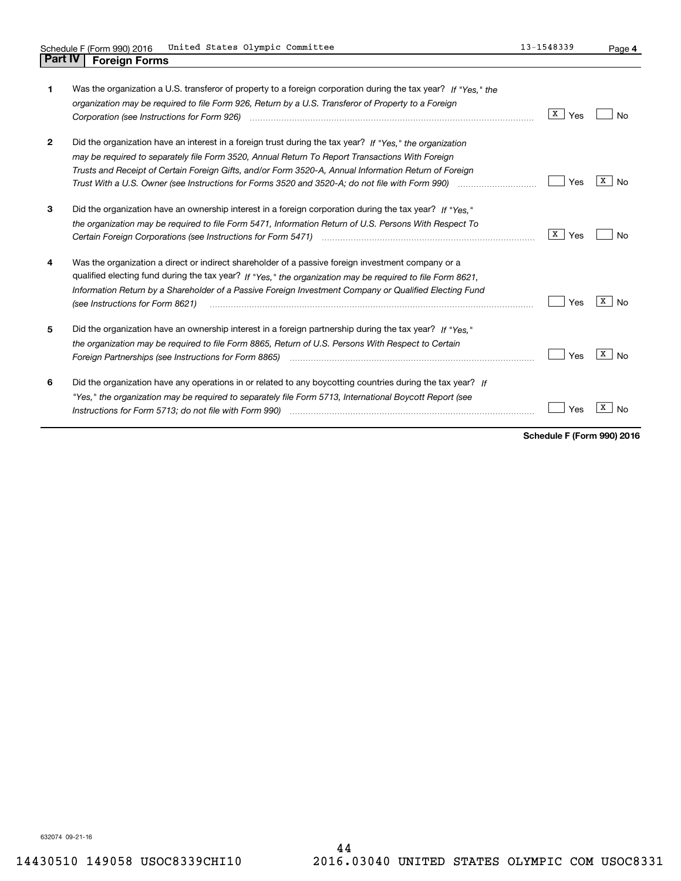| 1            | Was the organization a U.S. transferor of property to a foreign corporation during the tax year? If "Yes." the<br>organization may be required to file Form 926, Return by a U.S. Transferor of Property to a Foreign                                                                                                                                          | X  <br>Yes | Nο      |
|--------------|----------------------------------------------------------------------------------------------------------------------------------------------------------------------------------------------------------------------------------------------------------------------------------------------------------------------------------------------------------------|------------|---------|
| $\mathbf{2}$ | Did the organization have an interest in a foreign trust during the tax year? If "Yes." the organization<br>may be required to separately file Form 3520, Annual Return To Report Transactions With Foreign<br>Trusts and Receipt of Certain Foreign Gifts, and/or Form 3520-A, Annual Information Return of Foreign                                           | Yes        | x<br>No |
| 3            | Did the organization have an ownership interest in a foreign corporation during the tax year? If "Yes."<br>the organization may be required to file Form 5471, Information Return of U.S. Persons With Respect To                                                                                                                                              | X  <br>Yes | Nο      |
| 4            | Was the organization a direct or indirect shareholder of a passive foreign investment company or a<br>qualified electing fund during the tax year? If "Yes," the organization may be required to file Form 8621.<br>Information Return by a Shareholder of a Passive Foreign Investment Company or Qualified Electing Fund<br>(see Instructions for Form 8621) | Yes        | x<br>No |
| 5            | Did the organization have an ownership interest in a foreign partnership during the tax year? If "Yes."<br>the organization may be required to file Form 8865, Return of U.S. Persons With Respect to Certain                                                                                                                                                  | Yes        | X<br>No |
| 6            | Did the organization have any operations in or related to any boycotting countries during the tax year? If<br>"Yes," the organization may be required to separately file Form 5713, International Boycott Report (see<br>Instructions for Form 5713; do not file with Form 990)                                                                                | Yes        |         |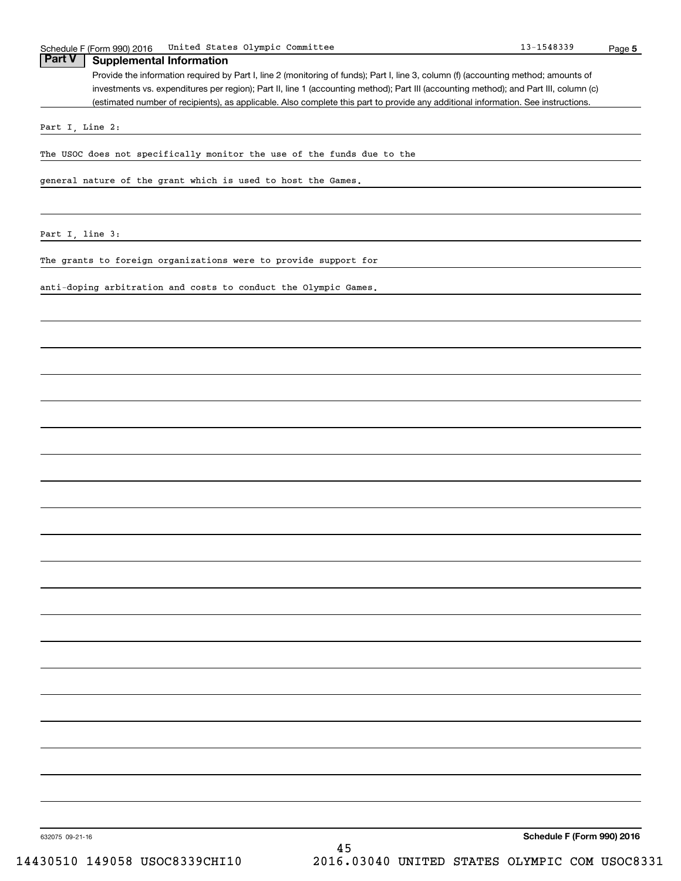**5** Schedule F (Form 990) 2016 United States Olympic Committee 13-1548339 Page Provide the information required by Part I, line 2 (monitoring of funds); Part I, line 3, column (f) (accounting method; amounts of investments vs. expenditures per region); Part II, line 1 (accounting method); Part III (accounting method); and Part III, column (c) (estimated number of recipients), as applicable. Also complete this part to provide any additional information. See instructions. **Part V Supplemental Information** Part I, Line 2: The USOC does not specifically monitor the use of the funds due to the general nature of the grant which is used to host the Games. Part I, line 3: The grants to foreign organizations were to provide support for anti-doping arbitration and costs to conduct the Olympic Games.

**Schedule F (Form 990) 2016**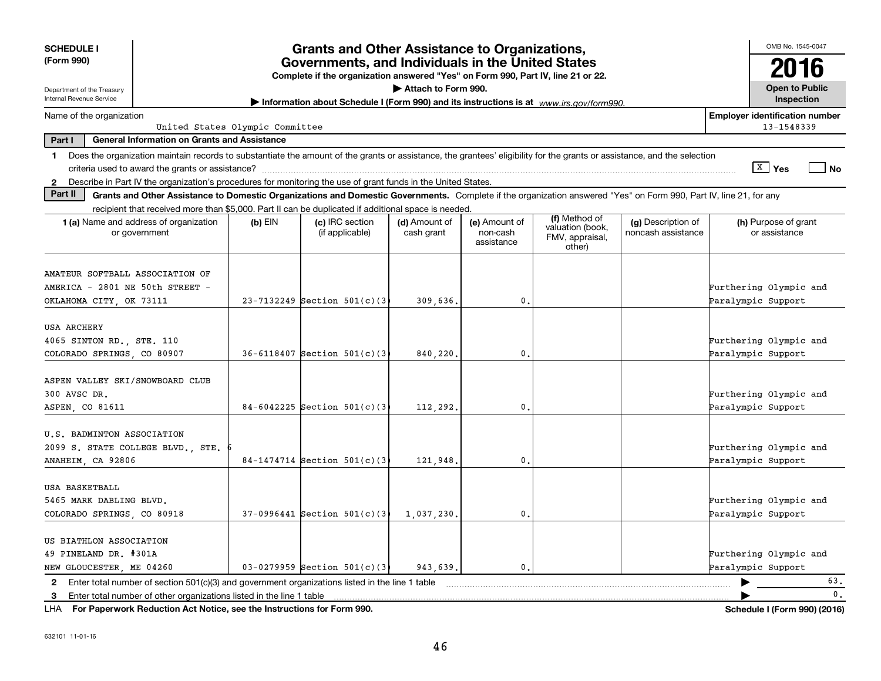| <b>SCHEDULE I</b>                                                          |                                                                      |           | <b>Grants and Other Assistance to Organizations,</b>                                                                                                                     |                             |                                         |                                               |                                          |                        | OMB No. 1545-0047                     |                                       |
|----------------------------------------------------------------------------|----------------------------------------------------------------------|-----------|--------------------------------------------------------------------------------------------------------------------------------------------------------------------------|-----------------------------|-----------------------------------------|-----------------------------------------------|------------------------------------------|------------------------|---------------------------------------|---------------------------------------|
| (Form 990)                                                                 |                                                                      |           | Governments, and Individuals in the United States<br>Complete if the organization answered "Yes" on Form 990, Part IV, line 21 or 22.                                    |                             |                                         |                                               |                                          |                        | 2016                                  |                                       |
| Department of the Treasury<br>Internal Revenue Service                     |                                                                      |           | Information about Schedule I (Form 990) and its instructions is at www.jrs.gov/form990.                                                                                  | Attach to Form 990.         |                                         |                                               |                                          |                        | <b>Open to Public</b><br>Inspection   |                                       |
| Name of the organization                                                   | United States Olympic Committee                                      |           |                                                                                                                                                                          |                             |                                         |                                               |                                          |                        | 13-1548339                            | <b>Employer identification number</b> |
| Part I                                                                     | <b>General Information on Grants and Assistance</b>                  |           |                                                                                                                                                                          |                             |                                         |                                               |                                          |                        |                                       |                                       |
| 1.                                                                         |                                                                      |           | Does the organization maintain records to substantiate the amount of the grants or assistance, the grantees' eligibility for the grants or assistance, and the selection |                             |                                         |                                               |                                          |                        |                                       |                                       |
|                                                                            | criteria used to award the grants or assistance?                     |           |                                                                                                                                                                          |                             |                                         |                                               |                                          |                        | $\sqrt{X}$ Yes                        | No                                    |
| $\mathbf{2}$                                                               |                                                                      |           | Describe in Part IV the organization's procedures for monitoring the use of grant funds in the United States.                                                            |                             |                                         |                                               |                                          |                        |                                       |                                       |
| Part II                                                                    |                                                                      |           | Grants and Other Assistance to Domestic Organizations and Domestic Governments. Complete if the organization answered "Yes" on Form 990, Part IV, line 21, for any       |                             |                                         |                                               |                                          |                        |                                       |                                       |
|                                                                            |                                                                      |           | recipient that received more than \$5,000. Part II can be duplicated if additional space is needed                                                                       |                             |                                         | (f) Method of                                 |                                          |                        |                                       |                                       |
| <b>1 (a)</b> Name and address of organization<br>or government             |                                                                      | $(b)$ EIN | (c) IRC section<br>(if applicable)                                                                                                                                       | (d) Amount of<br>cash grant | (e) Amount of<br>non-cash<br>assistance | valuation (book,<br>FMV, appraisal,<br>other) | (g) Description of<br>noncash assistance |                        | (h) Purpose of grant<br>or assistance |                                       |
| AMATEUR SOFTBALL ASSOCIATION OF<br>AMERICA - 2801 NE 50th STREET -         |                                                                      |           |                                                                                                                                                                          |                             |                                         |                                               |                                          | Furthering Olympic and |                                       |                                       |
| OKLAHOMA CITY, OK 73111                                                    |                                                                      |           | $23-7132249$ Section $501(c)(3)$                                                                                                                                         | 309,636.                    | $\mathbf{0}$                            |                                               |                                          | Paralympic Support     |                                       |                                       |
|                                                                            |                                                                      |           |                                                                                                                                                                          |                             |                                         |                                               |                                          |                        |                                       |                                       |
| USA ARCHERY                                                                |                                                                      |           |                                                                                                                                                                          |                             |                                         |                                               |                                          |                        |                                       |                                       |
| 4065 SINTON RD., STE. 110                                                  |                                                                      |           |                                                                                                                                                                          |                             |                                         |                                               |                                          | Furthering Olympic and |                                       |                                       |
| COLORADO SPRINGS, CO 80907                                                 |                                                                      |           | $36 - 6118407$ Section $501(c)$ (3)                                                                                                                                      | 840,220                     | 0.                                      |                                               |                                          | Paralympic Support     |                                       |                                       |
| ASPEN VALLEY SKI/SNOWBOARD CLUB                                            |                                                                      |           |                                                                                                                                                                          |                             |                                         |                                               |                                          |                        |                                       |                                       |
| 300 AVSC DR.                                                               |                                                                      |           |                                                                                                                                                                          |                             |                                         |                                               |                                          | Furthering Olympic and |                                       |                                       |
| ASPEN, CO 81611                                                            |                                                                      |           | $84-6042225$ Section $501(c)$ (3                                                                                                                                         | 112,292.                    | 0.                                      |                                               |                                          | Paralympic Support     |                                       |                                       |
|                                                                            |                                                                      |           |                                                                                                                                                                          |                             |                                         |                                               |                                          |                        |                                       |                                       |
| U.S. BADMINTON ASSOCIATION                                                 |                                                                      |           |                                                                                                                                                                          |                             |                                         |                                               |                                          |                        |                                       |                                       |
| 2099 S. STATE COLLEGE BLVD., STE.                                          |                                                                      |           | $84-1474714$ Section $501(c)$ (3                                                                                                                                         |                             | $\mathbf{0}$                            |                                               |                                          | Furthering Olympic and |                                       |                                       |
| ANAHEIM, CA 92806                                                          |                                                                      |           |                                                                                                                                                                          | 121,948.                    |                                         |                                               |                                          | Paralympic Support     |                                       |                                       |
| USA BASKETBALL                                                             |                                                                      |           |                                                                                                                                                                          |                             |                                         |                                               |                                          |                        |                                       |                                       |
| 5465 MARK DABLING BLVD.                                                    |                                                                      |           |                                                                                                                                                                          |                             |                                         |                                               |                                          | Furthering Olympic and |                                       |                                       |
| COLORADO SPRINGS, CO 80918                                                 |                                                                      |           | $37-0996441$ Section $501(c)$ (3)                                                                                                                                        | 1,037,230.                  | 0.                                      |                                               |                                          | Paralympic Support     |                                       |                                       |
|                                                                            |                                                                      |           |                                                                                                                                                                          |                             |                                         |                                               |                                          |                        |                                       |                                       |
| US BIATHLON ASSOCIATION                                                    |                                                                      |           |                                                                                                                                                                          |                             |                                         |                                               |                                          |                        |                                       |                                       |
| 49 PINELAND DR. #301A                                                      |                                                                      |           |                                                                                                                                                                          |                             |                                         |                                               |                                          | Furthering Olympic and |                                       |                                       |
| NEW GLOUCESTER, ME 04260                                                   |                                                                      |           | 03-0279959 Section $501(c)(3)$                                                                                                                                           | 943.639.                    | $\mathbf{0}$                            |                                               |                                          | Paralympic Support     |                                       |                                       |
| $\mathbf{2}$                                                               |                                                                      |           | Enter total number of section $501(c)(3)$ and government organizations listed in the line 1 table                                                                        |                             |                                         |                                               |                                          |                        |                                       | 63.                                   |
| 3                                                                          | Enter total number of other organizations listed in the line 1 table |           |                                                                                                                                                                          |                             |                                         |                                               |                                          |                        |                                       | $\mathbf{0}$ .                        |
| LHA For Paperwork Reduction Act Notice, see the Instructions for Form 990. |                                                                      |           |                                                                                                                                                                          |                             |                                         |                                               |                                          |                        |                                       | Schedule I (Form 990) (2016)          |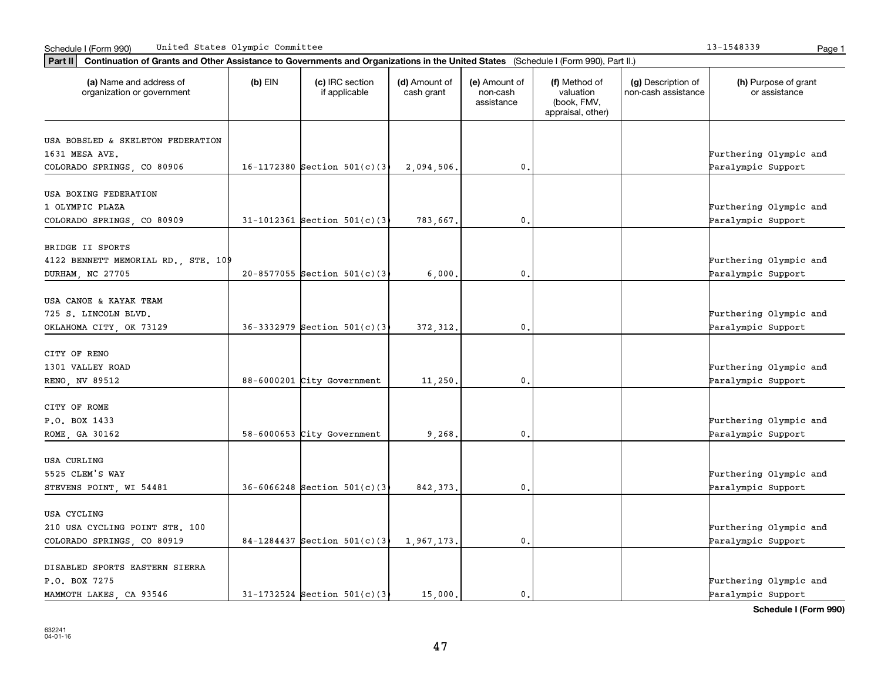|  | 13-1548339 | Dac |
|--|------------|-----|
|  |            |     |

| Part II   Continuation of Grants and Other Assistance to Governments and Organizations in the United States (Schedule I (Form 990), Part II.) |           |                                    |                             |                                         |                                                                |                                           |                                       |  |  |  |
|-----------------------------------------------------------------------------------------------------------------------------------------------|-----------|------------------------------------|-----------------------------|-----------------------------------------|----------------------------------------------------------------|-------------------------------------------|---------------------------------------|--|--|--|
| (a) Name and address of<br>organization or government                                                                                         | $(b)$ EIN | (c) IRC section<br>if applicable   | (d) Amount of<br>cash grant | (e) Amount of<br>non-cash<br>assistance | (f) Method of<br>valuation<br>(book, FMV,<br>appraisal, other) | (g) Description of<br>non-cash assistance | (h) Purpose of grant<br>or assistance |  |  |  |
| USA BOBSLED & SKELETON FEDERATION                                                                                                             |           |                                    |                             |                                         |                                                                |                                           |                                       |  |  |  |
| 1631 MESA AVE.                                                                                                                                |           |                                    |                             |                                         |                                                                |                                           | Furthering Olympic and                |  |  |  |
| COLORADO SPRINGS, CO 80906                                                                                                                    |           | 16-1172380 Section $501(c)(3)$     | 2,094,506.                  | 0.                                      |                                                                |                                           | Paralympic Support                    |  |  |  |
|                                                                                                                                               |           |                                    |                             |                                         |                                                                |                                           |                                       |  |  |  |
| USA BOXING FEDERATION                                                                                                                         |           |                                    |                             |                                         |                                                                |                                           |                                       |  |  |  |
| 1 OLYMPIC PLAZA                                                                                                                               |           |                                    |                             |                                         |                                                                |                                           | Furthering Olympic and                |  |  |  |
| COLORADO SPRINGS, CO 80909                                                                                                                    |           | $31-1012361$ Section $501(c)$ (3)  | 783.667.                    | 0.                                      |                                                                |                                           | Paralympic Support                    |  |  |  |
|                                                                                                                                               |           |                                    |                             |                                         |                                                                |                                           |                                       |  |  |  |
| BRIDGE II SPORTS                                                                                                                              |           |                                    |                             |                                         |                                                                |                                           |                                       |  |  |  |
| 4122 BENNETT MEMORIAL RD., STE. 109                                                                                                           |           |                                    |                             |                                         |                                                                |                                           | Furthering Olympic and                |  |  |  |
| DURHAM, NC 27705                                                                                                                              |           | $20 - 8577055$ Section $501(c)(3)$ | 6,000.                      | 0.                                      |                                                                |                                           | Paralympic Support                    |  |  |  |
| USA CANOE & KAYAK TEAM                                                                                                                        |           |                                    |                             |                                         |                                                                |                                           |                                       |  |  |  |
| 725 S. LINCOLN BLVD.                                                                                                                          |           |                                    |                             |                                         |                                                                |                                           | Furthering Olympic and                |  |  |  |
| OKLAHOMA CITY, OK 73129                                                                                                                       |           | $36-3332979$ Section $501(c)(3)$   | 372, 312.                   | 0.                                      |                                                                |                                           | Paralympic Support                    |  |  |  |
|                                                                                                                                               |           |                                    |                             |                                         |                                                                |                                           |                                       |  |  |  |
| CITY OF RENO                                                                                                                                  |           |                                    |                             |                                         |                                                                |                                           |                                       |  |  |  |
| 1301 VALLEY ROAD                                                                                                                              |           |                                    |                             |                                         |                                                                |                                           | Furthering Olympic and                |  |  |  |
| RENO, NV 89512                                                                                                                                |           | 88-6000201 City Government         | 11,250.                     | 0.                                      |                                                                |                                           | Paralympic Support                    |  |  |  |
|                                                                                                                                               |           |                                    |                             |                                         |                                                                |                                           |                                       |  |  |  |
| CITY OF ROME                                                                                                                                  |           |                                    |                             |                                         |                                                                |                                           |                                       |  |  |  |
| P.O. BOX 1433                                                                                                                                 |           |                                    |                             |                                         |                                                                |                                           | Furthering Olympic and                |  |  |  |
| ROME, GA 30162                                                                                                                                |           | 58-6000653 City Government         | 9,268.                      | 0.                                      |                                                                |                                           | Paralympic Support                    |  |  |  |
| USA CURLING                                                                                                                                   |           |                                    |                             |                                         |                                                                |                                           |                                       |  |  |  |
| 5525 CLEM'S WAY                                                                                                                               |           |                                    |                             |                                         |                                                                |                                           | Furthering Olympic and                |  |  |  |
| STEVENS POINT, WI 54481                                                                                                                       |           | $36 - 6066248$ Section $501(c)(3)$ | 842, 373.                   | 0.                                      |                                                                |                                           | Paralympic Support                    |  |  |  |
|                                                                                                                                               |           |                                    |                             |                                         |                                                                |                                           |                                       |  |  |  |
| USA CYCLING                                                                                                                                   |           |                                    |                             |                                         |                                                                |                                           |                                       |  |  |  |
| 210 USA CYCLING POINT STE. 100                                                                                                                |           |                                    |                             |                                         |                                                                |                                           | Furthering Olympic and                |  |  |  |
| COLORADO SPRINGS, CO 80919                                                                                                                    |           | 84-1284437 Section $501(c)(3)$     | 1,967,173.                  | $\mathbf 0$ .                           |                                                                |                                           | Paralympic Support                    |  |  |  |
|                                                                                                                                               |           |                                    |                             |                                         |                                                                |                                           |                                       |  |  |  |
| DISABLED SPORTS EASTERN SIERRA                                                                                                                |           |                                    |                             |                                         |                                                                |                                           |                                       |  |  |  |
| P.O. BOX 7275                                                                                                                                 |           |                                    |                             |                                         |                                                                |                                           | Furthering Olympic and                |  |  |  |
| MAMMOTH LAKES, CA 93546                                                                                                                       |           | $31-1732524$ Section $501(c)(3)$   | 15,000.                     | $\mathbf{0}$ .                          |                                                                |                                           | Paralympic Support                    |  |  |  |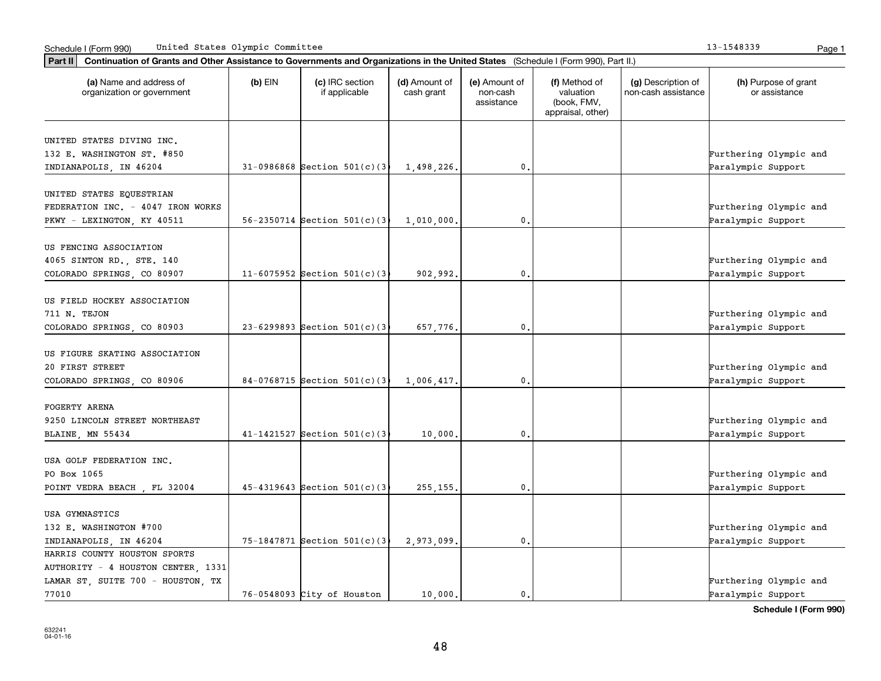| Part II   Continuation of Grants and Other Assistance to Governments and Organizations in the United States (Schedule I (Form 990), Part II.) |           |                                    |                             |                                         |                                                                |                                           |                                       |
|-----------------------------------------------------------------------------------------------------------------------------------------------|-----------|------------------------------------|-----------------------------|-----------------------------------------|----------------------------------------------------------------|-------------------------------------------|---------------------------------------|
| (a) Name and address of<br>organization or government                                                                                         | $(b)$ EIN | (c) IRC section<br>if applicable   | (d) Amount of<br>cash grant | (e) Amount of<br>non-cash<br>assistance | (f) Method of<br>valuation<br>(book, FMV,<br>appraisal, other) | (g) Description of<br>non-cash assistance | (h) Purpose of grant<br>or assistance |
| UNITED STATES DIVING INC.                                                                                                                     |           |                                    |                             |                                         |                                                                |                                           |                                       |
| 132 E. WASHINGTON ST. #850                                                                                                                    |           |                                    |                             |                                         |                                                                |                                           | Furthering Olympic and                |
| INDIANAPOLIS, IN 46204                                                                                                                        |           | $31-0986868$ Section $501(c)(3)$   | 1,498,226.                  | 0.                                      |                                                                |                                           | Paralympic Support                    |
|                                                                                                                                               |           |                                    |                             |                                         |                                                                |                                           |                                       |
| UNITED STATES EQUESTRIAN                                                                                                                      |           |                                    |                             |                                         |                                                                |                                           |                                       |
| FEDERATION INC. - 4047 IRON WORKS                                                                                                             |           |                                    |                             |                                         |                                                                |                                           | Furthering Olympic and                |
| PKWY - LEXINGTON, KY 40511                                                                                                                    |           | 56-2350714 Section $501(c)(3)$     | 1,010,000                   | 0.                                      |                                                                |                                           | Paralympic Support                    |
|                                                                                                                                               |           |                                    |                             |                                         |                                                                |                                           |                                       |
| US FENCING ASSOCIATION                                                                                                                        |           |                                    |                             |                                         |                                                                |                                           |                                       |
| 4065 SINTON RD., STE. 140                                                                                                                     |           |                                    |                             |                                         |                                                                |                                           | Furthering Olympic and                |
| COLORADO SPRINGS, CO 80907                                                                                                                    |           | 11-6075952 Section $501(c)$ (3)    | 902.992.                    | 0.                                      |                                                                |                                           | Paralympic Support                    |
|                                                                                                                                               |           |                                    |                             |                                         |                                                                |                                           |                                       |
| US FIELD HOCKEY ASSOCIATION                                                                                                                   |           |                                    |                             |                                         |                                                                |                                           |                                       |
| 711 N. TEJON                                                                                                                                  |           |                                    |                             |                                         |                                                                |                                           | Furthering Olympic and                |
| COLORADO SPRINGS, CO 80903                                                                                                                    |           | $23-6299893$ Section $501(c)(3)$   | 657,776.                    | 0.                                      |                                                                |                                           | Paralympic Support                    |
|                                                                                                                                               |           |                                    |                             |                                         |                                                                |                                           |                                       |
| US FIGURE SKATING ASSOCIATION                                                                                                                 |           |                                    |                             |                                         |                                                                |                                           |                                       |
| 20 FIRST STREET                                                                                                                               |           |                                    |                             |                                         |                                                                |                                           | Furthering Olympic and                |
| COLORADO SPRINGS, CO 80906                                                                                                                    |           | $84-0768715$ Section $501(c)$ (3)  | 1,006,417.                  | 0.                                      |                                                                |                                           | Paralympic Support                    |
|                                                                                                                                               |           |                                    |                             |                                         |                                                                |                                           |                                       |
| <b>FOGERTY ARENA</b>                                                                                                                          |           |                                    |                             |                                         |                                                                |                                           |                                       |
| 9250 LINCOLN STREET NORTHEAST                                                                                                                 |           |                                    |                             |                                         |                                                                |                                           | Furthering Olympic and                |
| BLAINE, MN 55434                                                                                                                              |           | $41-1421527$ Section $501(c)$ (3)  | 10,000,                     | 0.                                      |                                                                |                                           | Paralympic Support                    |
|                                                                                                                                               |           |                                    |                             |                                         |                                                                |                                           |                                       |
| USA GOLF FEDERATION INC.                                                                                                                      |           |                                    |                             |                                         |                                                                |                                           |                                       |
| PO Box 1065                                                                                                                                   |           |                                    |                             |                                         |                                                                |                                           | Furthering Olympic and                |
| POINT VEDRA BEACH, FL 32004                                                                                                                   |           | $45 - 4319643$ Section $501(c)$ (3 | 255, 155,                   | $\mathbf{0}$ .                          |                                                                |                                           | Paralympic Support                    |
|                                                                                                                                               |           |                                    |                             |                                         |                                                                |                                           |                                       |
| USA GYMNASTICS                                                                                                                                |           |                                    |                             |                                         |                                                                |                                           |                                       |
| 132 E. WASHINGTON #700                                                                                                                        |           |                                    |                             |                                         |                                                                |                                           | Furthering Olympic and                |
| INDIANAPOLIS, IN 46204                                                                                                                        |           | 75-1847871 Section $501(c)(3)$     | 2.973.099.                  | $\mathbf 0$ .                           |                                                                |                                           | Paralympic Support                    |
| HARRIS COUNTY HOUSTON SPORTS                                                                                                                  |           |                                    |                             |                                         |                                                                |                                           |                                       |
| AUTHORITY - 4 HOUSTON CENTER, 1331                                                                                                            |           |                                    |                             |                                         |                                                                |                                           |                                       |
| LAMAR ST, SUITE 700 - HOUSTON, TX                                                                                                             |           |                                    |                             |                                         |                                                                |                                           | Furthering Olympic and                |
| 77010                                                                                                                                         |           | $76-0548093$ City of Houston       | 10,000.                     | 0.                                      |                                                                |                                           | Paralympic Support                    |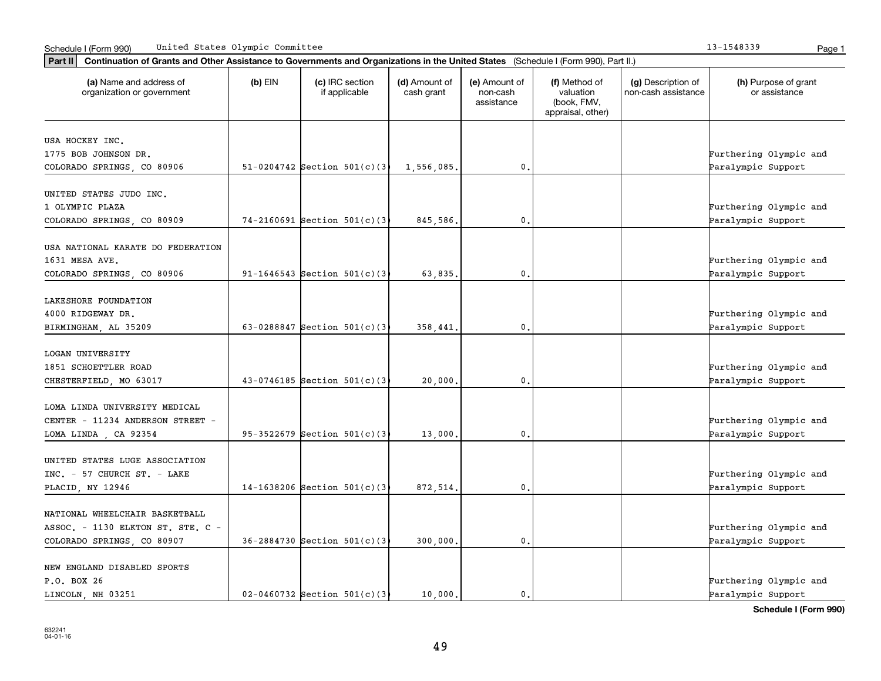| Continuation of Grants and Other Assistance to Governments and Organizations in the United States (Schedule I (Form 990), Part II.)<br>Part II |           |                                    |                             |                                         |                                                                |                                           |                                              |
|------------------------------------------------------------------------------------------------------------------------------------------------|-----------|------------------------------------|-----------------------------|-----------------------------------------|----------------------------------------------------------------|-------------------------------------------|----------------------------------------------|
| (a) Name and address of<br>organization or government                                                                                          | $(b)$ EIN | (c) IRC section<br>if applicable   | (d) Amount of<br>cash grant | (e) Amount of<br>non-cash<br>assistance | (f) Method of<br>valuation<br>(book, FMV,<br>appraisal, other) | (g) Description of<br>non-cash assistance | (h) Purpose of grant<br>or assistance        |
| USA HOCKEY INC.<br>1775 BOB JOHNSON DR.<br>COLORADO SPRINGS, CO 80906                                                                          |           | 51-0204742 Section $501(c)(3)$     | 1,556,085.                  | $\mathbf{0}$ .                          |                                                                |                                           | Furthering Olympic and<br>Paralympic Support |
| UNITED STATES JUDO INC.<br>1 OLYMPIC PLAZA<br>COLORADO SPRINGS, CO 80909                                                                       |           | $74 - 2160691$ Section 501(c)(3)   | 845,586.                    | 0.                                      |                                                                |                                           | Furthering Olympic and<br>Paralympic Support |
| USA NATIONAL KARATE DO FEDERATION<br>1631 MESA AVE.<br>COLORADO SPRINGS, CO 80906                                                              |           | 91-1646543 Section $501(c)(3)$     | 63,835.                     | $\mathbf 0$ .                           |                                                                |                                           | Furthering Olympic and<br>Paralympic Support |
| LAKESHORE FOUNDATION<br>4000 RIDGEWAY DR.<br>BIRMINGHAM, AL 35209                                                                              |           | 63-0288847 Section $501(c)(3)$     | 358,441.                    | 0.                                      |                                                                |                                           | Furthering Olympic and<br>Paralympic Support |
| <b>LOGAN UNIVERSITY</b><br>1851 SCHOETTLER ROAD<br>CHESTERFIELD, MO 63017                                                                      |           | $43-0746185$ Section $501(c)$ (3)  | 20,000,                     | 0.                                      |                                                                |                                           | Furthering Olympic and<br>Paralympic Support |
| LOMA LINDA UNIVERSITY MEDICAL<br>CENTER - 11234 ANDERSON STREET -<br>LOMA LINDA, CA 92354                                                      |           | 95-3522679 Section $501(c)$ (3)    | 13,000,                     | 0,                                      |                                                                |                                           | Furthering Olympic and<br>Paralympic Support |
| UNITED STATES LUGE ASSOCIATION<br>INC. - 57 CHURCH ST. - LAKE<br>PLACID, NY 12946                                                              |           | 14-1638206 Section $501(c)$ (3)    | 872,514.                    | 0.                                      |                                                                |                                           | Furthering Olympic and<br>Paralympic Support |
| NATIONAL WHEELCHAIR BASKETBALL<br>ASSOC. - 1130 ELKTON ST. STE. C -<br>COLORADO SPRINGS, CO 80907                                              |           | 36-2884730 Section 501(c)(3)       | 300,000.                    | $\mathbf{0}$ .                          |                                                                |                                           | Furthering Olympic and<br>Paralympic Support |
| NEW ENGLAND DISABLED SPORTS<br>P.O. BOX 26<br>LINCOLN, NH 03251                                                                                |           | $02 - 0460732$ Section $501(c)(3)$ | 10,000.                     | 0.                                      |                                                                |                                           | Furthering Olympic and<br>Paralympic Support |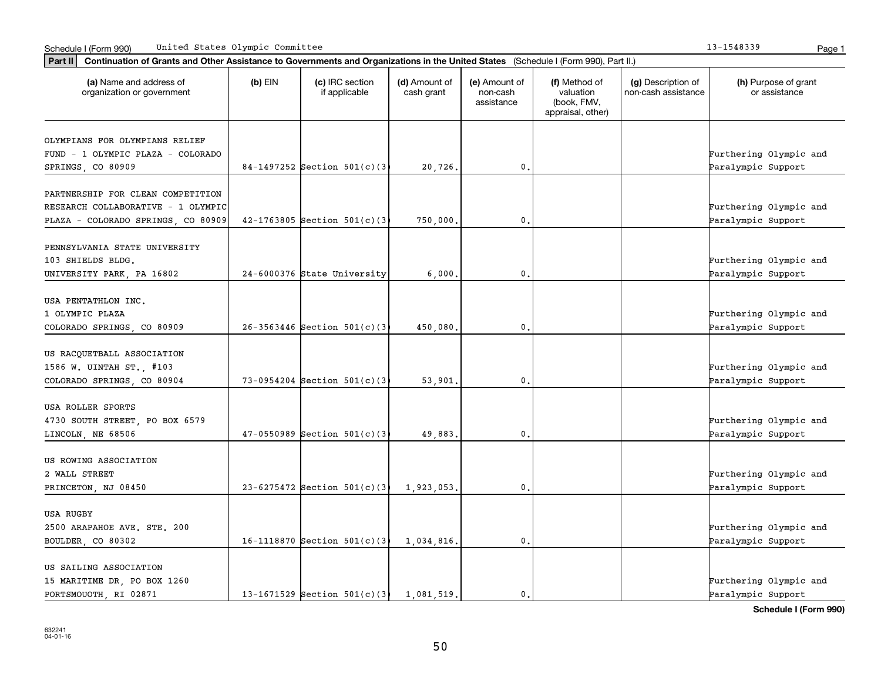|  | 13-1548339 | Doc |
|--|------------|-----|

| (a) Name and address of                | $(b)$ EIN | (c) IRC section                    | (d) Amount of | (e) Amount of          | (f) Method of                                 | (g) Description of  | (h) Purpose of grant   |
|----------------------------------------|-----------|------------------------------------|---------------|------------------------|-----------------------------------------------|---------------------|------------------------|
| organization or government             |           | if applicable                      | cash grant    | non-cash<br>assistance | valuation<br>(book, FMV,<br>appraisal, other) | non-cash assistance | or assistance          |
| OLYMPIANS FOR OLYMPIANS RELIEF         |           |                                    |               |                        |                                               |                     |                        |
| FUND - 1 OLYMPIC PLAZA - COLORADO      |           |                                    |               |                        |                                               |                     | Furthering Olympic and |
| SPRINGS, CO 80909                      |           | 84-1497252 Section $501(c)(3)$     | 20,726.       | $\mathbf{0}$ .         |                                               |                     | Paralympic Support     |
| PARTNERSHIP FOR CLEAN COMPETITION      |           |                                    |               |                        |                                               |                     |                        |
| RESEARCH COLLABORATIVE - 1 OLYMPIC     |           |                                    |               |                        |                                               |                     | Furthering Olympic and |
| PLAZA - COLORADO SPRINGS, CO 80909     |           | $42-1763805$ Section $501(c)$ (3   | 750,000       | $\mathbf{0}$ .         |                                               |                     | Paralympic Support     |
| PENNSYLVANIA STATE UNIVERSITY          |           |                                    |               |                        |                                               |                     |                        |
| 103 SHIELDS BLDG.                      |           |                                    |               |                        |                                               |                     | Furthering Olympic and |
| UNIVERSITY PARK, PA 16802              |           | 24-6000376 State University        | 6,000.        | $\mathbf{0}$ .         |                                               |                     | Paralympic Support     |
|                                        |           |                                    |               |                        |                                               |                     |                        |
| USA PENTATHLON INC.                    |           |                                    |               |                        |                                               |                     |                        |
| 1 OLYMPIC PLAZA                        |           |                                    |               |                        |                                               |                     | Furthering Olympic and |
| COLORADO SPRINGS, CO 80909             |           | $26 - 3563446$ Section $501(c)(3)$ | 450,080,      | 0.                     |                                               |                     | Paralympic Support     |
| US RACQUETBALL ASSOCIATION             |           |                                    |               |                        |                                               |                     |                        |
| 1586 W. UINTAH ST., #103               |           |                                    |               |                        |                                               |                     | Furthering Olympic and |
| COLORADO SPRINGS, CO 80904             |           | 73-0954204 Section $501(c)$ (3)    | 53,901        | 0.                     |                                               |                     | Paralympic Support     |
| USA ROLLER SPORTS                      |           |                                    |               |                        |                                               |                     |                        |
| 4730 SOUTH STREET, PO BOX 6579         |           |                                    |               |                        |                                               |                     | Furthering Olympic and |
| LINCOLN, NE 68506                      |           | $47-0550989$ Section $501(c)(3)$   | 49,883.       | $\mathbf{0}$ .         |                                               |                     | Paralympic Support     |
|                                        |           |                                    |               |                        |                                               |                     |                        |
| US ROWING ASSOCIATION<br>2 WALL STREET |           |                                    |               |                        |                                               |                     | Furthering Olympic and |
|                                        |           |                                    |               |                        |                                               |                     |                        |
| PRINCETON, NJ 08450                    |           | 23-6275472 Section $501(c)(3)$     | 1,923,053.    | $\mathbf{0}$ .         |                                               |                     | Paralympic Support     |
| <b>USA RUGBY</b>                       |           |                                    |               |                        |                                               |                     |                        |
| 2500 ARAPAHOE AVE. STE. 200            |           |                                    |               |                        |                                               |                     | Furthering Olympic and |
| BOULDER, CO 80302                      |           | 16-1118870 Section $501(c)(3)$     | 1,034,816.    | $\mathbf{0}$ .         |                                               |                     | Paralympic Support     |
| US SAILING ASSOCIATION                 |           |                                    |               |                        |                                               |                     |                        |
| 15 MARITIME DR, PO BOX 1260            |           |                                    |               |                        |                                               |                     | Furthering Olympic and |
| PORTSMOUOTH RI 02871                   |           | 13-1671529 Section $501(c)(3)$     | 1,081,519.    | 0.                     |                                               |                     | Paralympic Support     |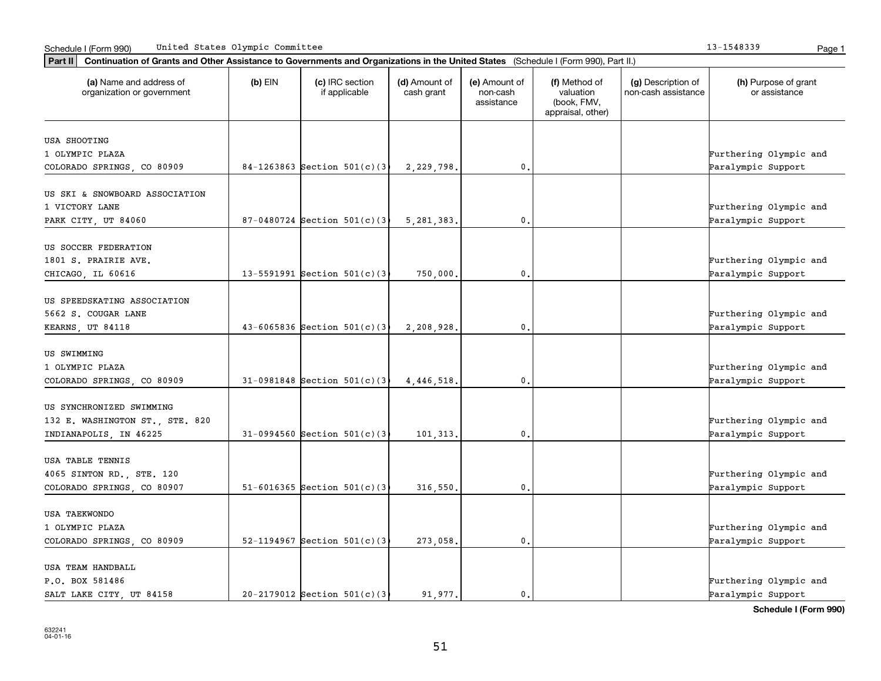| (a) Name and address of<br>organization or government       | $(b)$ EIN | (c) IRC section<br>if applicable   | (d) Amount of<br>cash grant | (e) Amount of<br>non-cash<br>assistance | (f) Method of<br>valuation<br>(book, FMV,<br>appraisal, other) | (g) Description of<br>non-cash assistance | (h) Purpose of grant<br>or assistance |
|-------------------------------------------------------------|-----------|------------------------------------|-----------------------------|-----------------------------------------|----------------------------------------------------------------|-------------------------------------------|---------------------------------------|
| <b>USA SHOOTING</b>                                         |           |                                    |                             |                                         |                                                                |                                           |                                       |
| 1 OLYMPIC PLAZA                                             |           |                                    |                             |                                         |                                                                |                                           | Furthering Olympic and                |
| COLORADO SPRINGS, CO 80909                                  |           | 84-1263863 Section $501(c)$ (3)    | 2,229,798.                  | 0.                                      |                                                                |                                           | Paralympic Support                    |
| US SKI & SNOWBOARD ASSOCIATION                              |           |                                    |                             |                                         |                                                                |                                           |                                       |
| 1 VICTORY LANE                                              |           |                                    |                             |                                         |                                                                |                                           | Furthering Olympic and                |
| PARK CITY, UT 84060                                         |           | $87-0480724$ Section $501(c)(3)$   | 5, 281, 383,                | 0.                                      |                                                                |                                           | Paralympic Support                    |
| US SOCCER FEDERATION                                        |           |                                    |                             |                                         |                                                                |                                           |                                       |
| 1801 S. PRAIRIE AVE.                                        |           |                                    |                             |                                         |                                                                |                                           | Furthering Olympic and                |
| CHICAGO, IL 60616                                           |           | 13-5591991 Section $501(c)(3)$     | 750,000.                    | $\mathbf{0}$ .                          |                                                                |                                           | Paralympic Support                    |
|                                                             |           |                                    |                             |                                         |                                                                |                                           |                                       |
| US SPEEDSKATING ASSOCIATION                                 |           |                                    |                             |                                         |                                                                |                                           |                                       |
| 5662 S. COUGAR LANE                                         |           |                                    |                             |                                         |                                                                |                                           | Furthering Olympic and                |
| KEARNS, UT 84118                                            |           | $43 - 6065836$ Section $501(c)$ (3 | 2,208,928.                  | 0.                                      |                                                                |                                           | Paralympic Support                    |
| US SWIMMING                                                 |           |                                    |                             |                                         |                                                                |                                           |                                       |
| 1 OLYMPIC PLAZA                                             |           |                                    |                             |                                         |                                                                |                                           | Furthering Olympic and                |
| COLORADO SPRINGS, CO 80909                                  |           | $31-0981848$ Section $501(c)(3)$   | 4, 446, 518.                | 0.                                      |                                                                |                                           | Paralympic Support                    |
|                                                             |           |                                    |                             |                                         |                                                                |                                           |                                       |
| US SYNCHRONIZED SWIMMING<br>132 E. WASHINGTON ST., STE. 820 |           |                                    |                             |                                         |                                                                |                                           | Furthering Olympic and                |
| INDIANAPOLIS, IN 46225                                      |           | $31-0994560$ Section $501(c)$ (3)  | 101,313.                    | 0.                                      |                                                                |                                           | Paralympic Support                    |
|                                                             |           |                                    |                             |                                         |                                                                |                                           |                                       |
| USA TABLE TENNIS                                            |           |                                    |                             |                                         |                                                                |                                           |                                       |
| 4065 SINTON RD., STE. 120                                   |           |                                    |                             |                                         |                                                                |                                           | Furthering Olympic and                |
| COLORADO SPRINGS, CO 80907                                  |           | 51-6016365 Section $501(c)$ (3)    | 316,550.                    | 0.                                      |                                                                |                                           | Paralympic Support                    |
| <b>USA TAEKWONDO</b>                                        |           |                                    |                             |                                         |                                                                |                                           |                                       |
| 1 OLYMPIC PLAZA                                             |           |                                    |                             |                                         |                                                                |                                           | Furthering Olympic and                |
| COLORADO SPRINGS, CO 80909                                  |           | 52-1194967 Section $501(c)(3)$     | 273,058.                    | $\mathbf{0}$ .                          |                                                                |                                           | Paralympic Support                    |
|                                                             |           |                                    |                             |                                         |                                                                |                                           |                                       |
| USA TEAM HANDBALL                                           |           |                                    |                             |                                         |                                                                |                                           |                                       |
| P.O. BOX 581486                                             |           |                                    |                             |                                         |                                                                |                                           | Furthering Olympic and                |
| SALT LAKE CITY, UT 84158                                    |           | $20-2179012$ Section $501(c)(3)$   | 91.977.                     | 0.                                      |                                                                |                                           | Paralympic Support                    |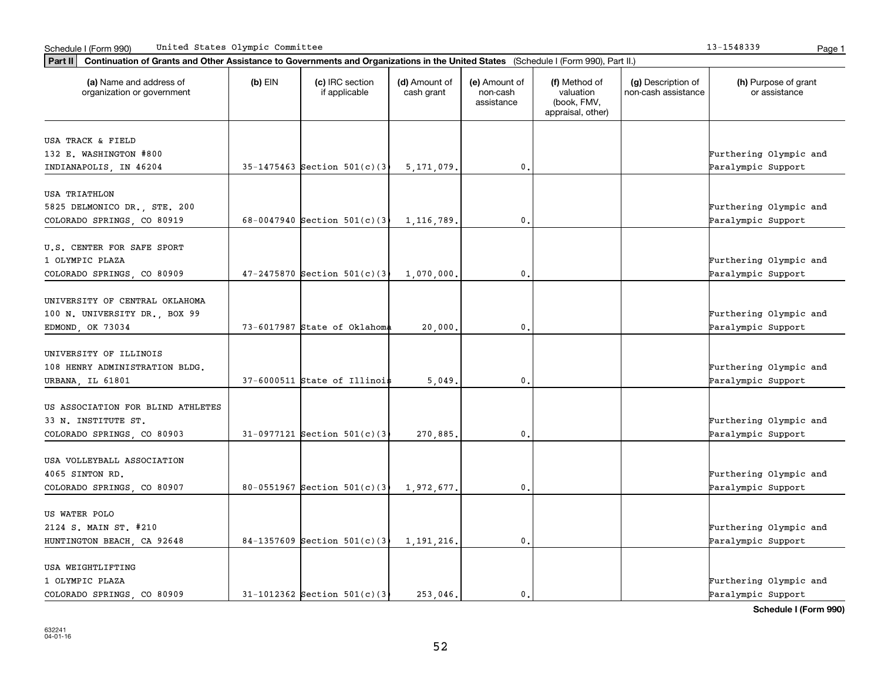|  | 13-1548339 |  | Pa∩ |
|--|------------|--|-----|

| (a) Name and address of<br>organization or government | $(b)$ EIN | (c) IRC section<br>if applicable    | (d) Amount of<br>cash grant | (e) Amount of<br>non-cash<br>assistance | (f) Method of<br>valuation<br>(book, FMV,<br>appraisal, other) | (g) Description of<br>non-cash assistance | (h) Purpose of grant<br>or assistance        |
|-------------------------------------------------------|-----------|-------------------------------------|-----------------------------|-----------------------------------------|----------------------------------------------------------------|-------------------------------------------|----------------------------------------------|
| USA TRACK & FIELD                                     |           |                                     |                             |                                         |                                                                |                                           |                                              |
| 132 E. WASHINGTON #800                                |           |                                     |                             |                                         |                                                                |                                           | Furthering Olympic and                       |
| INDIANAPOLIS, IN 46204                                |           | $35-1475463$ Section $501(c)(3)$    | 5, 171, 079.                | 0.                                      |                                                                |                                           | Paralympic Support                           |
| <b>USA TRIATHLON</b>                                  |           |                                     |                             |                                         |                                                                |                                           |                                              |
| 5825 DELMONICO DR., STE. 200                          |           |                                     |                             |                                         |                                                                |                                           | Furthering Olympic and                       |
| COLORADO SPRINGS, CO 80919                            |           | 68-0047940 Section $501(c)$ (3      | 1,116,789,                  | 0.                                      |                                                                |                                           | Paralympic Support                           |
| U.S. CENTER FOR SAFE SPORT                            |           |                                     |                             |                                         |                                                                |                                           |                                              |
| 1 OLYMPIC PLAZA                                       |           |                                     |                             |                                         |                                                                |                                           | Furthering Olympic and                       |
| COLORADO SPRINGS, CO 80909                            |           | $47 - 2475870$ Section $501(c)$ (3) | 1,070,000.                  | $\mathbf{0}$ .                          |                                                                |                                           | Paralympic Support                           |
| UNIVERSITY OF CENTRAL OKLAHOMA                        |           |                                     |                             |                                         |                                                                |                                           |                                              |
| 100 N. UNIVERSITY DR., BOX 99                         |           |                                     |                             |                                         |                                                                |                                           | Furthering Olympic and                       |
| EDMOND, OK 73034                                      |           | 73-6017987 State of Oklahoma        | 20,000,                     | $\mathbf 0$ .                           |                                                                |                                           | Paralympic Support                           |
|                                                       |           |                                     |                             |                                         |                                                                |                                           |                                              |
| UNIVERSITY OF ILLINOIS                                |           |                                     |                             |                                         |                                                                |                                           |                                              |
| 108 HENRY ADMINISTRATION BLDG.                        |           |                                     |                             |                                         |                                                                |                                           | Furthering Olympic and                       |
| URBANA, IL 61801                                      |           | $37-6000511$ State of Illinoi\$     | 5.049.                      | $\mathbf{0}$ .                          |                                                                |                                           | Paralympic Support                           |
| US ASSOCIATION FOR BLIND ATHLETES                     |           |                                     |                             |                                         |                                                                |                                           |                                              |
| 33 N. INSTITUTE ST.                                   |           |                                     |                             |                                         |                                                                |                                           | Furthering Olympic and                       |
| COLORADO SPRINGS, CO 80903                            |           | $31-0977121$ Section $501(c)$ (3)   | 270,885.                    | 0.                                      |                                                                |                                           | Paralympic Support                           |
| USA VOLLEYBALL ASSOCIATION                            |           |                                     |                             |                                         |                                                                |                                           |                                              |
| 4065 SINTON RD.                                       |           |                                     |                             |                                         |                                                                |                                           | Furthering Olympic and                       |
| COLORADO SPRINGS, CO 80907                            |           | 80-0551967 Section $501(c)(3)$      | 1,972,677.                  | 0.                                      |                                                                |                                           | Paralympic Support                           |
|                                                       |           |                                     |                             |                                         |                                                                |                                           |                                              |
| US WATER POLO<br>2124 S. MAIN ST. #210                |           |                                     |                             |                                         |                                                                |                                           | Furthering Olympic and                       |
| HUNTINGTON BEACH, CA 92648                            |           | 84-1357609 Section $501(c)(3)$      | 1, 191, 216.                | 0.                                      |                                                                |                                           | Paralympic Support                           |
|                                                       |           |                                     |                             |                                         |                                                                |                                           |                                              |
| USA WEIGHTLIFTING                                     |           |                                     |                             |                                         |                                                                |                                           |                                              |
| 1 OLYMPIC PLAZA<br>COLORADO SPRINGS CO 80909          |           | $31-1012362$ Section $501(c)(3)$    | 253.046.                    | 0.                                      |                                                                |                                           | Furthering Olympic and<br>Paralympic Support |
|                                                       |           |                                     |                             |                                         |                                                                |                                           |                                              |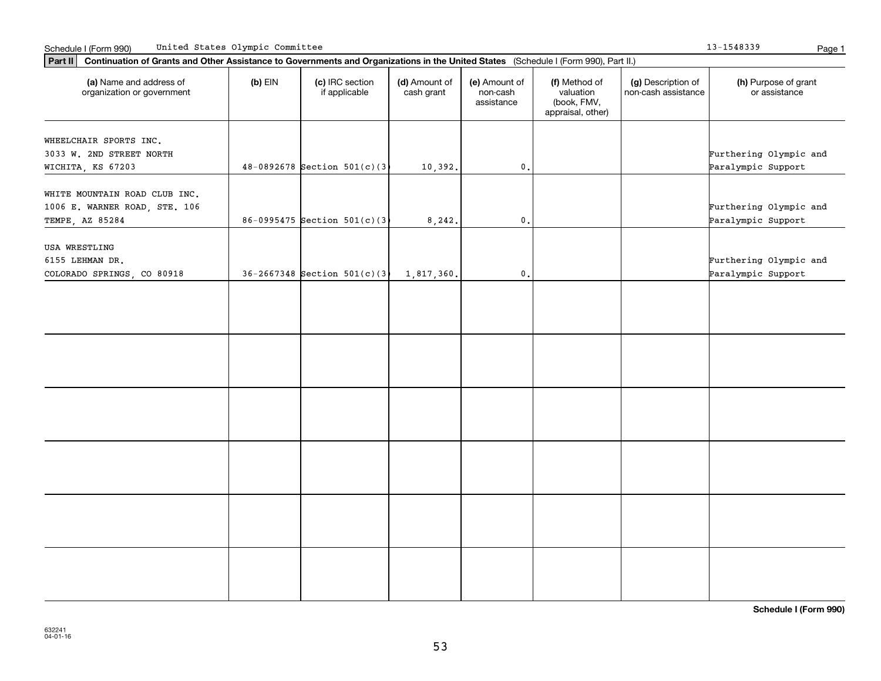13-1548339

| Part II   Continuation of Grants and Other Assistance to Governments and Organizations in the United States (Schedule I (Form 990), Part II.) |           |                                    |                             |                                         |                                                                |                                           |                                       |
|-----------------------------------------------------------------------------------------------------------------------------------------------|-----------|------------------------------------|-----------------------------|-----------------------------------------|----------------------------------------------------------------|-------------------------------------------|---------------------------------------|
| (a) Name and address of<br>organization or government                                                                                         | $(b)$ EIN | (c) IRC section<br>if applicable   | (d) Amount of<br>cash grant | (e) Amount of<br>non-cash<br>assistance | (f) Method of<br>valuation<br>(book, FMV,<br>appraisal, other) | (g) Description of<br>non-cash assistance | (h) Purpose of grant<br>or assistance |
|                                                                                                                                               |           |                                    |                             |                                         |                                                                |                                           |                                       |
| WHEELCHAIR SPORTS INC.<br>3033 W. 2ND STREET NORTH                                                                                            |           |                                    |                             |                                         |                                                                |                                           | Furthering Olympic and                |
| WICHITA, KS 67203                                                                                                                             |           | $48-0892678$ Section 501(c)(3)     | 10,392.                     | $\mathsf{0}\,$ .                        |                                                                |                                           | Paralympic Support                    |
|                                                                                                                                               |           |                                    |                             |                                         |                                                                |                                           |                                       |
| WHITE MOUNTAIN ROAD CLUB INC.                                                                                                                 |           |                                    |                             |                                         |                                                                |                                           |                                       |
| 1006 E. WARNER ROAD, STE. 106                                                                                                                 |           |                                    |                             |                                         |                                                                |                                           | Furthering Olympic and                |
| TEMPE, AZ 85284                                                                                                                               |           | 86-0995475 Section $501(c)(3)$     | 8, 242.                     | $\mathsf{0}\,.$                         |                                                                |                                           | Paralympic Support                    |
|                                                                                                                                               |           |                                    |                             |                                         |                                                                |                                           |                                       |
| USA WRESTLING                                                                                                                                 |           |                                    |                             |                                         |                                                                |                                           |                                       |
| 6155 LEHMAN DR.                                                                                                                               |           |                                    |                             |                                         |                                                                |                                           | Furthering Olympic and                |
| COLORADO SPRINGS, CO 80918                                                                                                                    |           | $36 - 2667348$ Section $501(c)(3)$ | 1,817,360.                  | $\mathbf 0$ .                           |                                                                |                                           | Paralympic Support                    |
|                                                                                                                                               |           |                                    |                             |                                         |                                                                |                                           |                                       |
|                                                                                                                                               |           |                                    |                             |                                         |                                                                |                                           |                                       |
|                                                                                                                                               |           |                                    |                             |                                         |                                                                |                                           |                                       |
|                                                                                                                                               |           |                                    |                             |                                         |                                                                |                                           |                                       |
|                                                                                                                                               |           |                                    |                             |                                         |                                                                |                                           |                                       |
|                                                                                                                                               |           |                                    |                             |                                         |                                                                |                                           |                                       |
|                                                                                                                                               |           |                                    |                             |                                         |                                                                |                                           |                                       |
|                                                                                                                                               |           |                                    |                             |                                         |                                                                |                                           |                                       |
|                                                                                                                                               |           |                                    |                             |                                         |                                                                |                                           |                                       |
|                                                                                                                                               |           |                                    |                             |                                         |                                                                |                                           |                                       |
|                                                                                                                                               |           |                                    |                             |                                         |                                                                |                                           |                                       |
|                                                                                                                                               |           |                                    |                             |                                         |                                                                |                                           |                                       |
|                                                                                                                                               |           |                                    |                             |                                         |                                                                |                                           |                                       |
|                                                                                                                                               |           |                                    |                             |                                         |                                                                |                                           |                                       |
|                                                                                                                                               |           |                                    |                             |                                         |                                                                |                                           |                                       |
|                                                                                                                                               |           |                                    |                             |                                         |                                                                |                                           |                                       |
|                                                                                                                                               |           |                                    |                             |                                         |                                                                |                                           |                                       |
|                                                                                                                                               |           |                                    |                             |                                         |                                                                |                                           |                                       |
|                                                                                                                                               |           |                                    |                             |                                         |                                                                |                                           |                                       |
|                                                                                                                                               |           |                                    |                             |                                         |                                                                |                                           |                                       |
|                                                                                                                                               |           |                                    |                             |                                         |                                                                |                                           |                                       |
|                                                                                                                                               |           |                                    |                             |                                         |                                                                |                                           |                                       |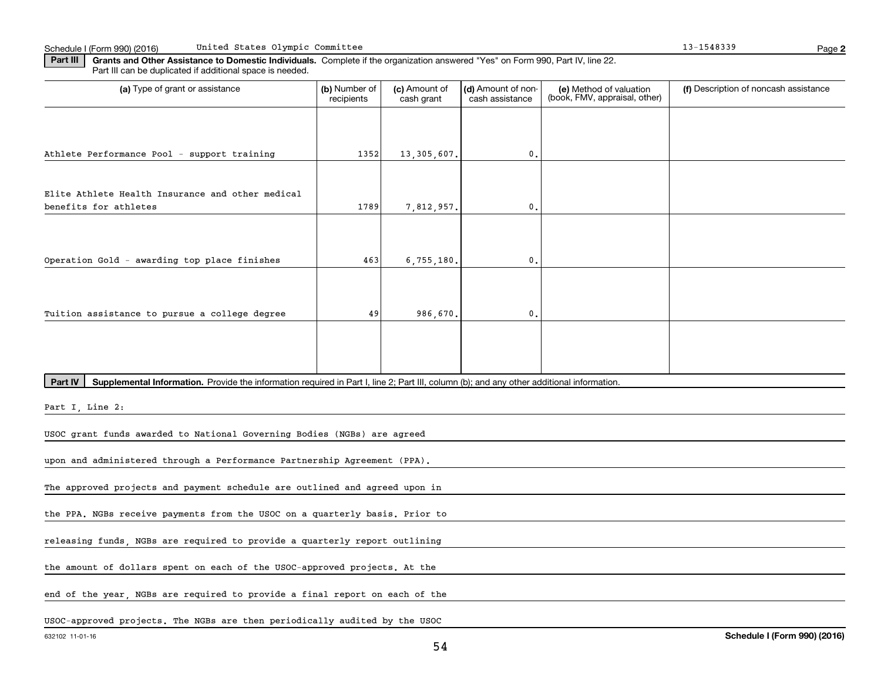| Part III | Grants and Other Assistance to Domestic Individuals. Complete if the organization answered "Yes" on Form 990, Part IV, line 22. |  |  |
|----------|---------------------------------------------------------------------------------------------------------------------------------|--|--|
|          | Part III can be duplicated if additional space is needed.                                                                       |  |  |
|          |                                                                                                                                 |  |  |

| (a) Type of grant or assistance                                                                                                                      | (b) Number of<br>recipients                                                 | (c) Amount of<br>cash grant | (d) Amount of non-<br>cash assistance | (e) Method of valuation<br>(book, FMV, appraisal, other) | (f) Description of noncash assistance |  |  |  |
|------------------------------------------------------------------------------------------------------------------------------------------------------|-----------------------------------------------------------------------------|-----------------------------|---------------------------------------|----------------------------------------------------------|---------------------------------------|--|--|--|
|                                                                                                                                                      |                                                                             |                             |                                       |                                                          |                                       |  |  |  |
|                                                                                                                                                      |                                                                             |                             |                                       |                                                          |                                       |  |  |  |
| Athlete Performance Pool - support training                                                                                                          | 1352                                                                        | 13, 305, 607.               | $\mathbf{0}$ .                        |                                                          |                                       |  |  |  |
| Elite Athlete Health Insurance and other medical                                                                                                     |                                                                             |                             |                                       |                                                          |                                       |  |  |  |
| benefits for athletes                                                                                                                                | 1789                                                                        | 7,812,957.                  | $\mathbf{0}$                          |                                                          |                                       |  |  |  |
|                                                                                                                                                      |                                                                             |                             |                                       |                                                          |                                       |  |  |  |
| Operation Gold - awarding top place finishes                                                                                                         | 463                                                                         | 6, 755, 180.                | $\mathbf{0}$                          |                                                          |                                       |  |  |  |
|                                                                                                                                                      |                                                                             |                             |                                       |                                                          |                                       |  |  |  |
|                                                                                                                                                      |                                                                             |                             |                                       |                                                          |                                       |  |  |  |
| Tuition assistance to pursue a college degree                                                                                                        | 49                                                                          | 986,670.                    | $\mathbf{0}$ .                        |                                                          |                                       |  |  |  |
|                                                                                                                                                      |                                                                             |                             |                                       |                                                          |                                       |  |  |  |
|                                                                                                                                                      |                                                                             |                             |                                       |                                                          |                                       |  |  |  |
| Part IV<br>Supplemental Information. Provide the information required in Part I, line 2; Part III, column (b); and any other additional information. |                                                                             |                             |                                       |                                                          |                                       |  |  |  |
| Part I, Line 2:                                                                                                                                      |                                                                             |                             |                                       |                                                          |                                       |  |  |  |
| USOC grant funds awarded to National Governing Bodies (NGBs) are agreed                                                                              |                                                                             |                             |                                       |                                                          |                                       |  |  |  |
| upon and administered through a Performance Partnership Agreement (PPA).                                                                             |                                                                             |                             |                                       |                                                          |                                       |  |  |  |
| The approved projects and payment schedule are outlined and agreed upon in                                                                           |                                                                             |                             |                                       |                                                          |                                       |  |  |  |
|                                                                                                                                                      |                                                                             |                             |                                       |                                                          |                                       |  |  |  |
| the PPA. NGBs receive payments from the USOC on a quarterly basis. Prior to                                                                          |                                                                             |                             |                                       |                                                          |                                       |  |  |  |
| releasing funds, NGBs are required to provide a quarterly report outlining                                                                           |                                                                             |                             |                                       |                                                          |                                       |  |  |  |
| the amount of dollars spent on each of the USOC-approved projects. At the                                                                            |                                                                             |                             |                                       |                                                          |                                       |  |  |  |
|                                                                                                                                                      | end of the year, NGBs are required to provide a final report on each of the |                             |                                       |                                                          |                                       |  |  |  |
| USOC-approved projects. The NGBs are then periodically audited by the USOC                                                                           |                                                                             |                             |                                       |                                                          |                                       |  |  |  |

**2**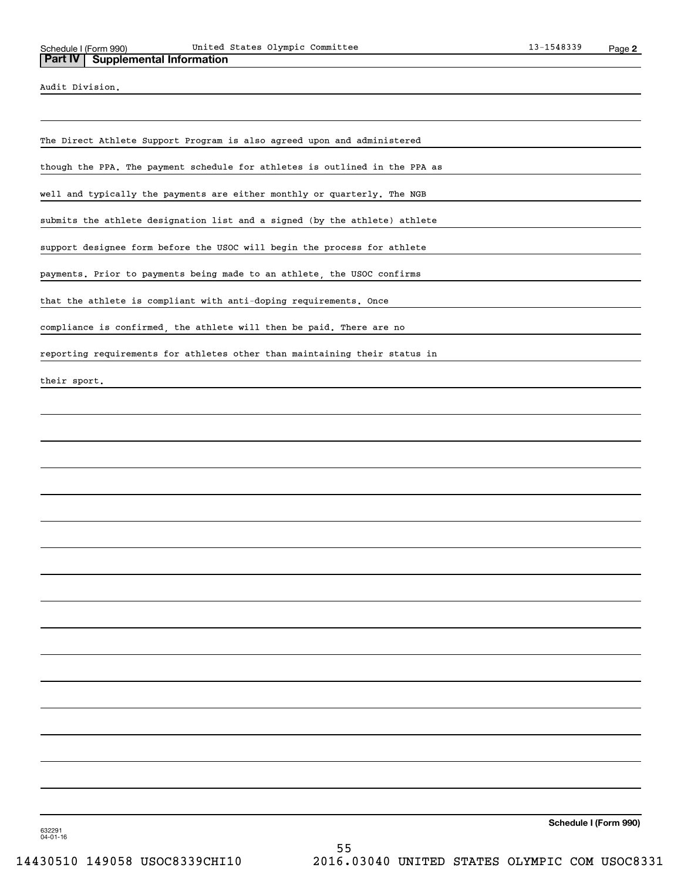Audit Division.

The Direct Athlete Support Program is also agreed upon and administered

though the PPA. The payment schedule for athletes is outlined in the PPA as

well and typically the payments are either monthly or quarterly. The NGB

submits the athlete designation list and a signed (by the athlete) athlete

support designee form before the USOC will begin the process for athlete

payments. Prior to payments being made to an athlete, the USOC confirms

that the athlete is compliant with anti-doping requirements. Once

compliance is confirmed, the athlete will then be paid. There are no

reporting requirements for athletes other than maintaining their status in

their sport.

**Schedule I (Form 990)**

632291 04-01-16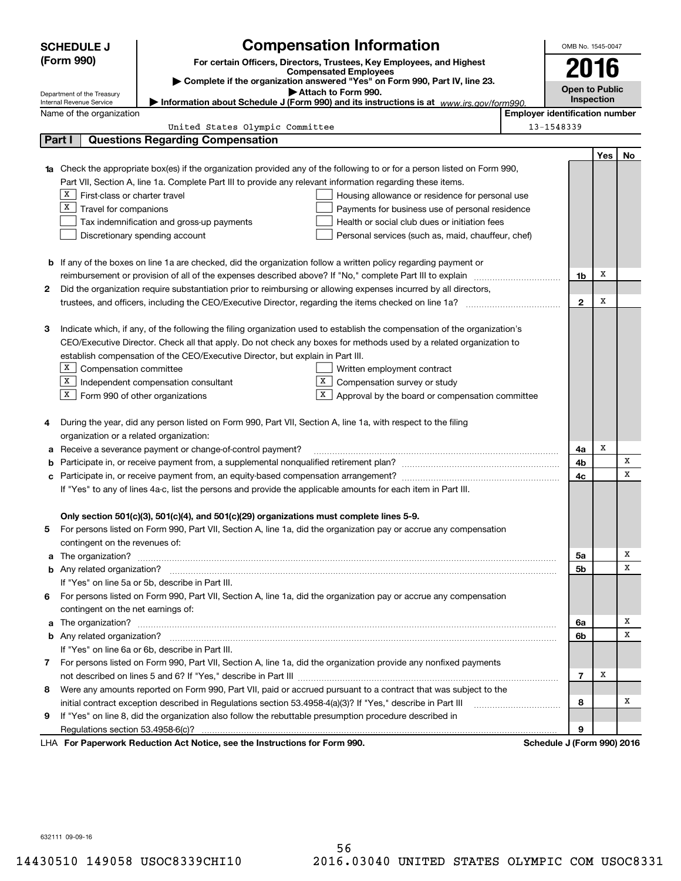|                                                                                                                                | <b>SCHEDULE J</b>                                                                                  |                                                                                                                        | <b>Compensation Information</b>                                                                                                  |  | OMB No. 1545-0047          |     |    |  |
|--------------------------------------------------------------------------------------------------------------------------------|----------------------------------------------------------------------------------------------------|------------------------------------------------------------------------------------------------------------------------|----------------------------------------------------------------------------------------------------------------------------------|--|----------------------------|-----|----|--|
|                                                                                                                                | (Form 990)                                                                                         |                                                                                                                        | For certain Officers, Directors, Trustees, Key Employees, and Highest                                                            |  | 2016                       |     |    |  |
|                                                                                                                                |                                                                                                    |                                                                                                                        | <b>Compensated Employees</b>                                                                                                     |  |                            |     |    |  |
|                                                                                                                                |                                                                                                    |                                                                                                                        | Complete if the organization answered "Yes" on Form 990, Part IV, line 23.<br>Attach to Form 990.                                |  | <b>Open to Public</b>      |     |    |  |
|                                                                                                                                | Department of the Treasury<br>Internal Revenue Service                                             |                                                                                                                        | Information about Schedule J (Form 990) and its instructions is at www.irs.gov/form990.                                          |  | Inspection                 |     |    |  |
|                                                                                                                                | <b>Employer identification number</b><br>Name of the organization                                  |                                                                                                                        |                                                                                                                                  |  |                            |     |    |  |
| United States Olympic Committee<br>13-1548339                                                                                  |                                                                                                    |                                                                                                                        |                                                                                                                                  |  |                            |     |    |  |
| Part I                                                                                                                         |                                                                                                    | <b>Questions Regarding Compensation</b>                                                                                |                                                                                                                                  |  |                            |     |    |  |
|                                                                                                                                |                                                                                                    |                                                                                                                        |                                                                                                                                  |  |                            | Yes | No |  |
|                                                                                                                                |                                                                                                    |                                                                                                                        | <b>1a</b> Check the appropriate box(es) if the organization provided any of the following to or for a person listed on Form 990, |  |                            |     |    |  |
|                                                                                                                                |                                                                                                    | Part VII, Section A, line 1a. Complete Part III to provide any relevant information regarding these items.             |                                                                                                                                  |  |                            |     |    |  |
|                                                                                                                                | $X$   First-class or charter travel                                                                |                                                                                                                        | Housing allowance or residence for personal use                                                                                  |  |                            |     |    |  |
|                                                                                                                                | $X$ Travel for companions                                                                          |                                                                                                                        | Payments for business use of personal residence                                                                                  |  |                            |     |    |  |
|                                                                                                                                |                                                                                                    | Tax indemnification and gross-up payments                                                                              | Health or social club dues or initiation fees                                                                                    |  |                            |     |    |  |
|                                                                                                                                |                                                                                                    | Discretionary spending account                                                                                         | Personal services (such as, maid, chauffeur, chef)                                                                               |  |                            |     |    |  |
|                                                                                                                                |                                                                                                    |                                                                                                                        |                                                                                                                                  |  |                            |     |    |  |
|                                                                                                                                |                                                                                                    | <b>b</b> If any of the boxes on line 1a are checked, did the organization follow a written policy regarding payment or |                                                                                                                                  |  |                            |     |    |  |
|                                                                                                                                |                                                                                                    | reimbursement or provision of all of the expenses described above? If "No," complete Part III to explain               |                                                                                                                                  |  | 1b                         | х   |    |  |
| 2                                                                                                                              |                                                                                                    |                                                                                                                        | Did the organization require substantiation prior to reimbursing or allowing expenses incurred by all directors,                 |  |                            |     |    |  |
|                                                                                                                                |                                                                                                    |                                                                                                                        |                                                                                                                                  |  | $\mathbf{2}$               | х   |    |  |
|                                                                                                                                |                                                                                                    |                                                                                                                        |                                                                                                                                  |  |                            |     |    |  |
| Indicate which, if any, of the following the filing organization used to establish the compensation of the organization's<br>З |                                                                                                    |                                                                                                                        |                                                                                                                                  |  |                            |     |    |  |
| CEO/Executive Director. Check all that apply. Do not check any boxes for methods used by a related organization to             |                                                                                                    |                                                                                                                        |                                                                                                                                  |  |                            |     |    |  |
| establish compensation of the CEO/Executive Director, but explain in Part III.                                                 |                                                                                                    |                                                                                                                        |                                                                                                                                  |  |                            |     |    |  |
|                                                                                                                                | $X$ Compensation committee<br>Written employment contract                                          |                                                                                                                        |                                                                                                                                  |  |                            |     |    |  |
|                                                                                                                                | X                                                                                                  | Independent compensation consultant                                                                                    | X<br>Compensation survey or study                                                                                                |  |                            |     |    |  |
|                                                                                                                                | $X$ Form 990 of other organizations                                                                |                                                                                                                        | X  <br>Approval by the board or compensation committee                                                                           |  |                            |     |    |  |
|                                                                                                                                |                                                                                                    |                                                                                                                        |                                                                                                                                  |  |                            |     |    |  |
| 4                                                                                                                              |                                                                                                    | During the year, did any person listed on Form 990, Part VII, Section A, line 1a, with respect to the filing           |                                                                                                                                  |  |                            |     |    |  |
|                                                                                                                                | organization or a related organization:                                                            |                                                                                                                        |                                                                                                                                  |  |                            | х   |    |  |
| а                                                                                                                              |                                                                                                    | Receive a severance payment or change-of-control payment?                                                              |                                                                                                                                  |  | 4a                         |     | X  |  |
| b                                                                                                                              |                                                                                                    |                                                                                                                        |                                                                                                                                  |  | 4b                         |     | x  |  |
| с                                                                                                                              |                                                                                                    |                                                                                                                        |                                                                                                                                  |  | 4c                         |     |    |  |
|                                                                                                                                |                                                                                                    | If "Yes" to any of lines 4a-c, list the persons and provide the applicable amounts for each item in Part III.          |                                                                                                                                  |  |                            |     |    |  |
|                                                                                                                                |                                                                                                    | Only section 501(c)(3), 501(c)(4), and 501(c)(29) organizations must complete lines 5-9.                               |                                                                                                                                  |  |                            |     |    |  |
|                                                                                                                                |                                                                                                    |                                                                                                                        | For persons listed on Form 990, Part VII, Section A, line 1a, did the organization pay or accrue any compensation                |  |                            |     |    |  |
|                                                                                                                                | contingent on the revenues of:                                                                     |                                                                                                                        |                                                                                                                                  |  |                            |     |    |  |
|                                                                                                                                |                                                                                                    |                                                                                                                        | a The organization? <b>Entitation</b> 2008 Communication of the organization of the organization?                                |  | 5a                         |     | х  |  |
|                                                                                                                                |                                                                                                    |                                                                                                                        |                                                                                                                                  |  | 5b                         |     | х  |  |
|                                                                                                                                |                                                                                                    | If "Yes" on line 5a or 5b, describe in Part III.                                                                       |                                                                                                                                  |  |                            |     |    |  |
| 6.                                                                                                                             |                                                                                                    |                                                                                                                        | For persons listed on Form 990, Part VII, Section A, line 1a, did the organization pay or accrue any compensation                |  |                            |     |    |  |
|                                                                                                                                | contingent on the net earnings of:                                                                 |                                                                                                                        |                                                                                                                                  |  |                            |     |    |  |
|                                                                                                                                | a The organization? <b>Entitled Strategies and Strategies and Strategies</b> and The organization? |                                                                                                                        |                                                                                                                                  |  |                            |     | х  |  |
|                                                                                                                                |                                                                                                    |                                                                                                                        |                                                                                                                                  |  |                            |     | х  |  |
|                                                                                                                                |                                                                                                    | If "Yes" on line 6a or 6b, describe in Part III.                                                                       |                                                                                                                                  |  | 6b                         |     |    |  |
|                                                                                                                                |                                                                                                    |                                                                                                                        | 7 For persons listed on Form 990, Part VII, Section A, line 1a, did the organization provide any nonfixed payments               |  |                            |     |    |  |
|                                                                                                                                |                                                                                                    |                                                                                                                        |                                                                                                                                  |  | $\overline{7}$             | х   |    |  |
| 8                                                                                                                              |                                                                                                    |                                                                                                                        | Were any amounts reported on Form 990, Part VII, paid or accrued pursuant to a contract that was subject to the                  |  |                            |     |    |  |
|                                                                                                                                |                                                                                                    | initial contract exception described in Regulations section 53.4958-4(a)(3)? If "Yes," describe in Part III            |                                                                                                                                  |  | 8                          |     | х  |  |
| 9.                                                                                                                             |                                                                                                    | If "Yes" on line 8, did the organization also follow the rebuttable presumption procedure described in                 |                                                                                                                                  |  |                            |     |    |  |
|                                                                                                                                |                                                                                                    |                                                                                                                        |                                                                                                                                  |  | 9                          |     |    |  |
|                                                                                                                                |                                                                                                    | LHA For Paperwork Reduction Act Notice, see the Instructions for Form 990.                                             |                                                                                                                                  |  | Schedule J (Form 990) 2016 |     |    |  |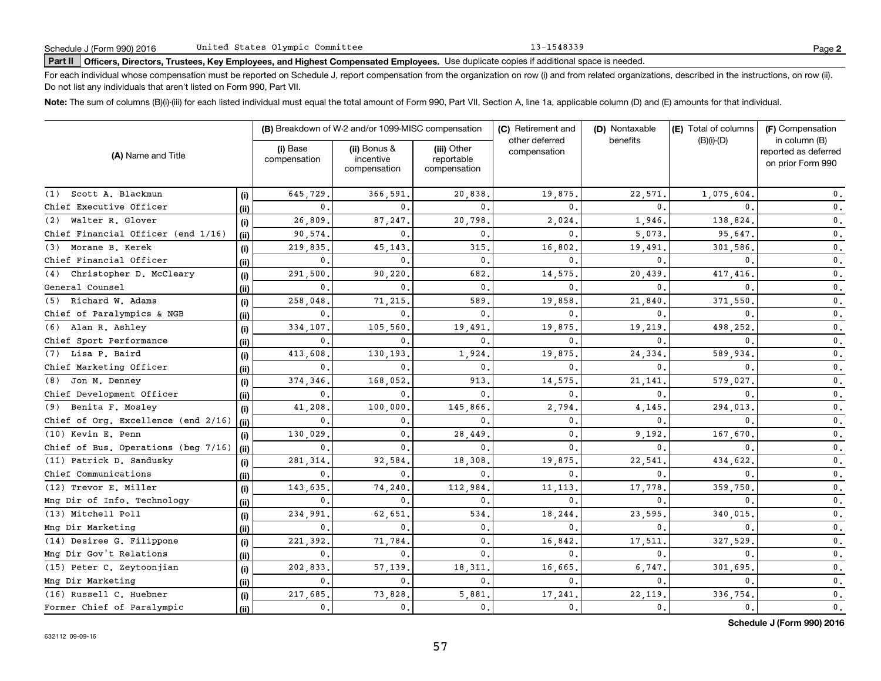13-1548339

# **Part II Officers, Directors, Trustees, Key Employees, and Highest Compensated Employees.**  Schedule J (Form 990) 2016 Page Use duplicate copies if additional space is needed.

For each individual whose compensation must be reported on Schedule J, report compensation from the organization on row (i) and from related organizations, described in the instructions, on row (ii). Do not list any individuals that aren't listed on Form 990, Part VII.

**Note:**  The sum of columns (B)(i)-(iii) for each listed individual must equal the total amount of Form 990, Part VII, Section A, line 1a, applicable column (D) and (E) amounts for that individual.

|                                     |       | (B) Breakdown of W-2 and/or 1099-MISC compensation |                                           |                                           | (C) Retirement and             | (D) Nontaxable | (E) Total of columns | (F) Compensation<br>in column (B)         |  |
|-------------------------------------|-------|----------------------------------------------------|-------------------------------------------|-------------------------------------------|--------------------------------|----------------|----------------------|-------------------------------------------|--|
| (A) Name and Title                  |       | (i) Base<br>compensation                           | (ii) Bonus &<br>incentive<br>compensation | (iii) Other<br>reportable<br>compensation | other deferred<br>compensation | benefits       | $(B)(i)-(D)$         | reported as deferred<br>on prior Form 990 |  |
| (1) Scott A. Blackmun               | (i)   | 645.729                                            | 366.591.                                  | 20,838.                                   | 19,875                         | 22,571         | 1,075,604            | 0.                                        |  |
| Chief Executive Officer             | (ii)  | $\mathbf{0}$ .                                     |                                           | $\mathbf{0}$ .                            | $\Omega$                       | $\Omega$       |                      | $\mathfrak o$ .                           |  |
| (2) Walter R. Glover                | (i)   | 26,809                                             | 87,247.                                   | 20,798.                                   | 2,024                          | 1,946.         | 138,824              | $\mathbf 0$ .                             |  |
| Chief Financial Officer (end 1/16)  | (ii)  | 90,574.                                            | <sup>0</sup>                              | $\mathbf{0}$                              | $\Omega$                       | 5,073.         | 95,647.              | $\mathfrak o$ .                           |  |
| (3) Morane B. Kerek                 | (i)   | 219,835                                            | 45,143                                    | 315                                       | 16,802                         | 19,491.        | 301,586              | $\mathfrak o$ .                           |  |
| Chief Financial Officer             | (ii)  | 0.                                                 | <sup>0</sup>                              | $\mathbf{0}$ .                            | $\Omega$                       | $\Omega$       | $\Omega$             | $\mathbf{0}$ .                            |  |
| (4) Christopher D. McCleary         | (i)   | 291,500                                            | 90,220                                    | 682                                       | 14,575                         | 20,439         | 417,416              | $\mathbf{0}$ .                            |  |
| General Counsel                     | (ii)  | $\mathbf{0}$ .                                     | <sup>0</sup>                              | $\mathbf{0}$ .                            | $\Omega$                       | $\Omega$       | $\Omega$             | $\mathbf{0}$ .                            |  |
| (5) Richard W. Adams                | (i)   | 258,048                                            | 71,215                                    | 589                                       | 19,858                         | 21,840         | 371,550              | $\mathbf{0}$ .                            |  |
| Chief of Paralympics & NGB          | (ii)  | 0.                                                 | $\Omega$                                  | 0.                                        | $\Omega$                       | $\Omega$       | 0                    | $\mathbf{0}$ .                            |  |
| (6) Alan R. Ashley                  | (i)   | 334,107.                                           | 105,560                                   | 19,491                                    | 19,875                         | 19,219         | 498,252              | $\mathbf 0$ .                             |  |
| Chief Sport Performance             | (ii)  | 0.                                                 | 0                                         | $\mathbf{0}$ .                            | $\mathbf{0}$                   | $\mathbf{0}$ . | $\mathbf{0}$ .       | $\mathbf{0}$ .                            |  |
| (7) Lisa P. Baird                   | (i)   | 413,608                                            | 130,193                                   | 1,924                                     | 19,875                         | 24,334         | 589,934              | $\mathbf 0$ .                             |  |
| Chief Marketing Officer             | (ii)  | 0.                                                 | 0                                         | 0.                                        | $\mathbf{0}$                   | $\mathbf{0}$ . | $\mathbf 0$ .        | 0.                                        |  |
| (8) Jon M. Denney                   | (i)   | 374,346.                                           | 168,052                                   | 913                                       | 14,575                         | 21,141         | 579,027              | 0.                                        |  |
| Chief Development Officer           | (ii)  | 0.                                                 | 0                                         | $\mathbf{0}$                              | $\Omega$                       | $\Omega$       | 0                    | $\mathbf{0}$ .                            |  |
| (9) Benita F. Mosley                | (i)   | 41,208                                             | 100,000,                                  | 145,866                                   | 2,794                          | 4,145          | 294,013              | $\mathbf{0}$ .                            |  |
| Chief of Org. Excellence (end 2/16) | (ii)  | 0.                                                 | 0.                                        | $\mathbf{0}$                              | $\mathbf 0$                    | $\mathbf{0}$   | 0                    | $\mathbf{0}$ .                            |  |
| (10) Kevin E. Penn                  | (i)   | 130,029                                            | 0.                                        | 28,449                                    | 0                              | 9.192          | 167,670              | $\mathbf{0}$ .                            |  |
| Chief of Bus. Operations (beg 7/16) | (ii)  | 0.                                                 | $\Omega$                                  | $\mathbf{0}$ .                            | $\Omega$                       | $\mathbf{0}$   |                      | $\mathbf{0}$ .                            |  |
| (11) Patrick D. Sandusky            | (i)   | 281,314                                            | 92,584                                    | 18,308.                                   | 19,875                         | 22,541         | 434,622              | $\mathbf{0}$ .                            |  |
| Chief Communications                | (ii)  | 0.                                                 | $\mathbf{0}$ .                            | 0.                                        | $\mathbf{0}$                   | $\mathbf 0$ .  | 0                    | 0.                                        |  |
| (12) Trevor E. Miller               | (i)   | 143,635                                            | 74,240                                    | 112,984.                                  | 11,113                         | 17,778         | 359,750              | 0.                                        |  |
| Mng Dir of Info. Technology         | (ii)  | 0.                                                 | $\mathbf{0}$ .                            | 0.                                        | $\mathbf{0}$                   | 0.             | $\mathbf 0$ .        | $\mathbf{0}$ .                            |  |
| (13) Mitchell Poll                  | (i)   | 234,991                                            | 62,651                                    | 534.                                      | 18,244                         | 23,595         | 340,015              | $\mathbf{0}$ .                            |  |
| Mng Dir Marketing                   | (ii)  | 0.                                                 | $\mathbf{0}$ .                            | 0.                                        | $\mathbf{0}$                   | $\mathbf{0}$ . | 0.                   | $\mathbf{0}$ .                            |  |
| (14) Desiree G. Filippone           | (i)   | 221, 392.                                          | 71,784                                    | 0.                                        | 16,842                         | 17,511         | 327,529              | $\mathbf{0}$ .                            |  |
| Mng Dir Gov't Relations             | (iii) | 0.                                                 | 0.                                        | $\mathbf 0$ .                             | $\mathbf{0}$                   | $\mathbf 0$ .  | 0.                   | $\mathbf 0$ .                             |  |
| $(15)$ Peter C. Zeytoonjian         | (i)   | 202,833,                                           | 57.139.                                   | 18, 311,                                  | 16,665                         | 6,747.         | 301.695              | $\mathbf{0}$ .                            |  |
| Mng Dir Marketing                   | (ii)  | 0.                                                 | $\mathbf{0}$ .                            | 0.                                        | $\mathbf{0}$                   | $\mathbf{0}$ . | 0.                   | $\mathbf 0$ .                             |  |
| (16) Russell C. Huebner             | (i)   | 217,685.                                           | 73,828                                    | 5,881.                                    | 17,241                         | 22,119         | 336,754              | $\mathbf 0$ .                             |  |
| Former Chief of Paralympic          | (ii)  | 0.                                                 | 0.                                        | $\mathbf{0}$ .                            | $\mathbf 0$ .                  | $\mathbf{0}$ . | 0.                   | $\mathbf{0}$ .                            |  |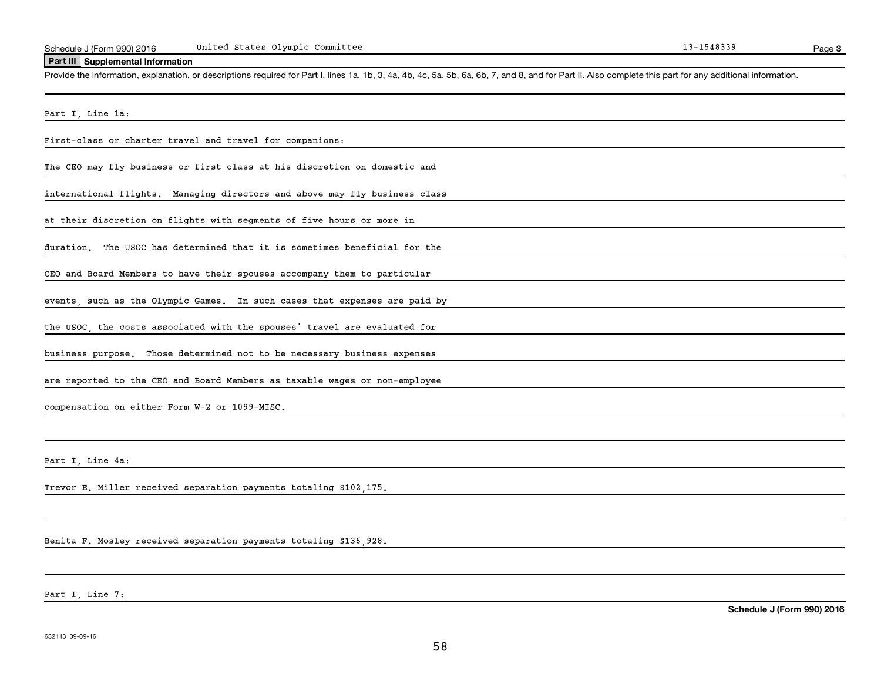#### **Part III Supplemental Information**

Schedule J (Form 990) 2016 United States Olympic Committee<br>Part III Supplemental Information<br>Provide the information, explanation, or descriptions required for Part I, lines 1a, 1b, 3, 4a, 4b, 4c, 5a, 5b, 6a, 6b, 7, and 8,

Part I, Line 1a:

First-class or charter travel and travel for companions:

The CEO may fly business or first class at his discretion on domestic and

international flights. Managing directors and above may fly business class

at their discretion on flights with segments of five hours or more in

duration. The USOC has determined that it is sometimes beneficial for the

CEO and Board Members to have their spouses accompany them to particular

events, such as the Olympic Games. In such cases that expenses are paid by

the USOC, the costs associated with the spouses' travel are evaluated for

business purpose. Those determined not to be necessary business expenses

are reported to the CEO and Board Members as taxable wages or non-employee

compensation on either Form W-2 or 1099-MISC.

Part I Line 4a:

Trevor E. Miller received separation payments totaling \$102,175.

Benita F. Mosley received separation payments totaling \$136,928.

Part I, Line 7: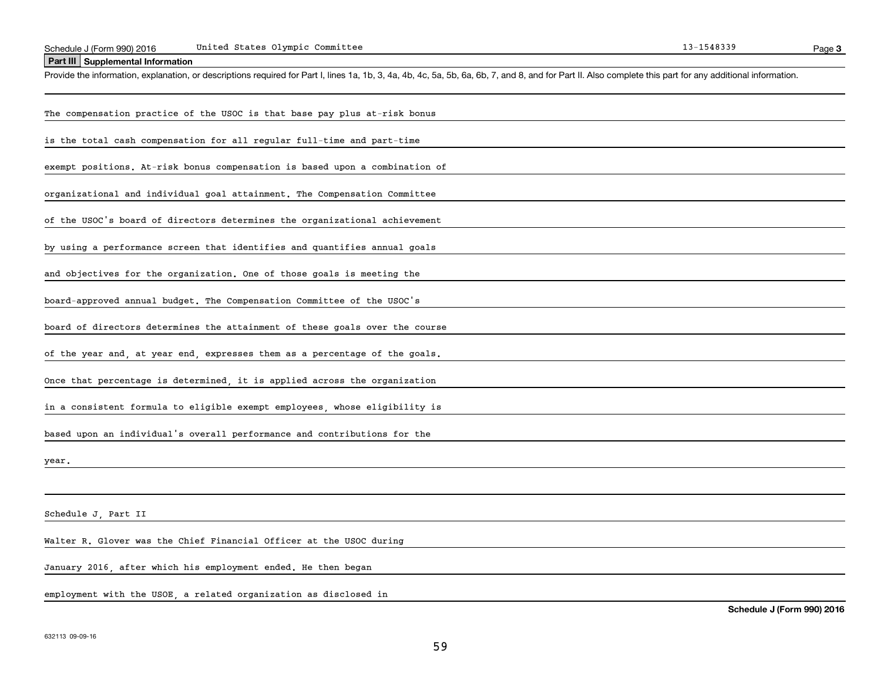| Schedule J (Form 990) 2016 | United States Olympic Committee | 1548339- |
|----------------------------|---------------------------------|----------|
|                            |                                 |          |

**Part III Supplemental Information**

Schedule J (Form 990) 2016 United States Olympic Committee<br>
Part III Supplemental Information<br>
Provide the information, explanation, or descriptions required for Part I, lines 1a, 1b, 3, 4a, 4b, 4c, 5a, 5b, 6a, 6b, 7, and

| The compensation practice of the USOC is that base pay plus at-risk bonus                      |
|------------------------------------------------------------------------------------------------|
| is the total cash compensation for all regular full-time and part-time                         |
| exempt positions. At-risk bonus compensation is based upon a combination of                    |
| organizational and individual goal attainment. The Compensation Committee                      |
| of the USOC's board of directors determines the organizational achievement                     |
| by using a performance screen that identifies and quantifies annual goals                      |
| and objectives for the organization. One of those goals is meeting the                         |
| board-approved annual budget. The Compensation Committee of the USOC's                         |
| board of directors determines the attainment of these goals over the course                    |
| of the year and, at year end, expresses them as a percentage of the goals.                     |
| Once that percentage is determined, it is applied across the organization                      |
| in a consistent formula to eligible exempt employees, whose eligibility is                     |
| based upon an individual's overall performance and contributions for the                       |
| year.                                                                                          |
|                                                                                                |
| Schedule J, Part II                                                                            |
| Walter R. Glover was the Chief Financial Officer at the USOC during                            |
| January 2016, after which his employment ended. He then began                                  |
| employment with the USOE, a related organization as disclosed in<br>Schedule J (Form 990) 2016 |
|                                                                                                |

**3**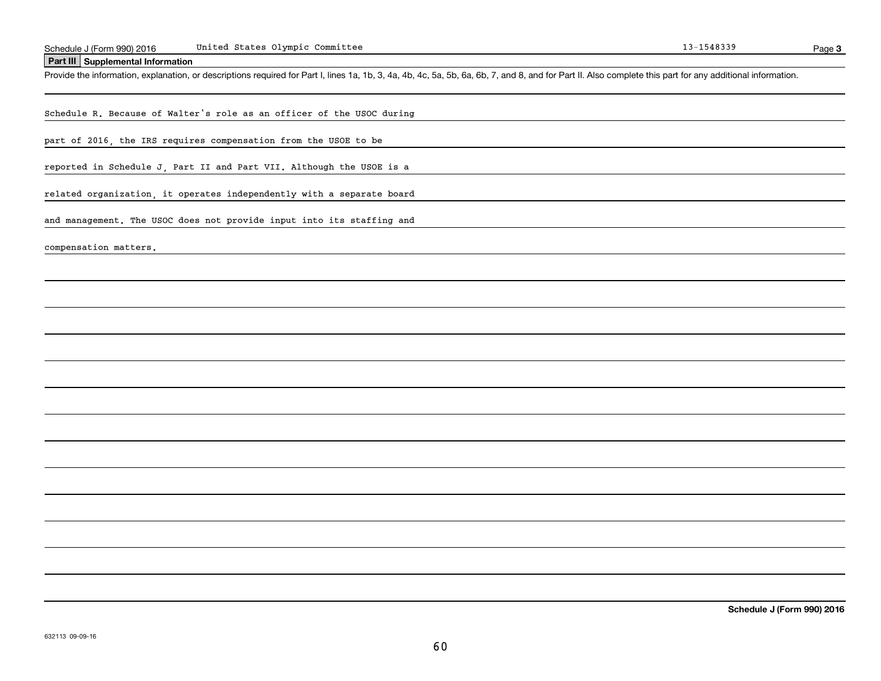#### United States Olympic Committee

#### **Part III Supplemental Information**

Schedule J (Form 990) 2016 United States Olympic Committee<br>Part III Supplemental Information<br>Provide the information, explanation, or descriptions required for Part I, lines 1a, 1b, 3, 4a, 4b, 4c, 5a, 5b, 6a, 6b, 7, and 8,

Schedule R. Because of Walter's role as an officer of the USOC during

part of 2016, the IRS requires compensation from the USOE to be

reported in Schedule J, Part II and Part VII. Although the USOE is a

related organization, it operates independently with a separate board

and management. The USOC does not provide input into its staffing and

compensation matters.

**3**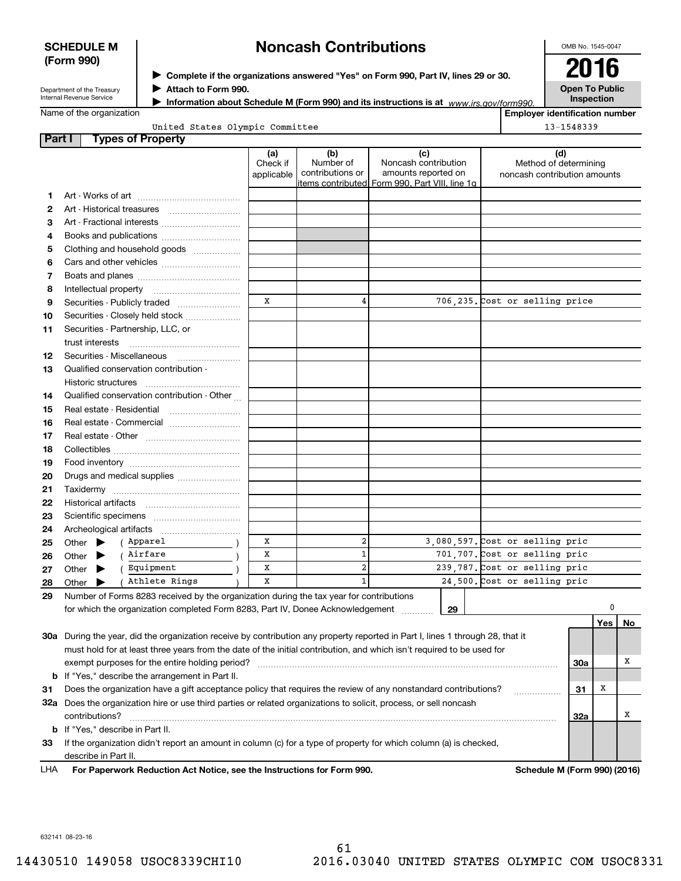### **SCHEDULE M (Form 990)**

# **Noncash Contributions**

OMB No. 1545-0047

| Department of the Treasury |
|----------------------------|
| Internal Revenue Service   |

**Complete if the organizations answered "Yes" on Form 990, Part IV, lines 29 or 30.** <sup>J</sup>**2016 Attach to Form 990.** J

**Information about Schedule M (Form 990) and its instructions is at** *www.irs.gov/form990.* 

**Open To Public Inspection**

**Employer identification number**

Name of the organization

|  | United States Olympic Committee |  |
|--|---------------------------------|--|

|        | United States Olympic Committee                                                                                                |                               |                                      |                                                                                                      |                                                              | 13-1548339 |     |    |
|--------|--------------------------------------------------------------------------------------------------------------------------------|-------------------------------|--------------------------------------|------------------------------------------------------------------------------------------------------|--------------------------------------------------------------|------------|-----|----|
| Part I | <b>Types of Property</b>                                                                                                       |                               |                                      |                                                                                                      |                                                              |            |     |    |
|        |                                                                                                                                | (a)<br>Check if<br>applicable | (b)<br>Number of<br>contributions or | (c)<br>Noncash contribution<br>amounts reported on<br>items contributed Form 990, Part VIII, line 1g | (d)<br>Method of determining<br>noncash contribution amounts |            |     |    |
| 1      |                                                                                                                                |                               |                                      |                                                                                                      |                                                              |            |     |    |
| 2      | Art - Historical treasures                                                                                                     |                               |                                      |                                                                                                      |                                                              |            |     |    |
| З      | Art - Fractional interests                                                                                                     |                               |                                      |                                                                                                      |                                                              |            |     |    |
| 4      | Books and publications                                                                                                         |                               |                                      |                                                                                                      |                                                              |            |     |    |
| 5      | Clothing and household goods                                                                                                   |                               |                                      |                                                                                                      |                                                              |            |     |    |
| 6      |                                                                                                                                |                               |                                      |                                                                                                      |                                                              |            |     |    |
| 7      |                                                                                                                                |                               |                                      |                                                                                                      |                                                              |            |     |    |
| 8      |                                                                                                                                |                               |                                      |                                                                                                      |                                                              |            |     |    |
| 9      | Securities - Publicly traded                                                                                                   | X                             | 4                                    |                                                                                                      | 706,235. Cost or selling price                               |            |     |    |
| 10     | Securities - Closely held stock                                                                                                |                               |                                      |                                                                                                      |                                                              |            |     |    |
| 11     | Securities - Partnership, LLC, or                                                                                              |                               |                                      |                                                                                                      |                                                              |            |     |    |
|        | trust interests                                                                                                                |                               |                                      |                                                                                                      |                                                              |            |     |    |
| 12     | Securities - Miscellaneous                                                                                                     |                               |                                      |                                                                                                      |                                                              |            |     |    |
| 13     | Qualified conservation contribution -                                                                                          |                               |                                      |                                                                                                      |                                                              |            |     |    |
|        | Historic structures                                                                                                            |                               |                                      |                                                                                                      |                                                              |            |     |    |
| 14     | Qualified conservation contribution - Other                                                                                    |                               |                                      |                                                                                                      |                                                              |            |     |    |
| 15     | Real estate - Residential                                                                                                      |                               |                                      |                                                                                                      |                                                              |            |     |    |
| 16     | Real estate - Commercial                                                                                                       |                               |                                      |                                                                                                      |                                                              |            |     |    |
| 17     |                                                                                                                                |                               |                                      |                                                                                                      |                                                              |            |     |    |
| 18     |                                                                                                                                |                               |                                      |                                                                                                      |                                                              |            |     |    |
| 19     |                                                                                                                                |                               |                                      |                                                                                                      |                                                              |            |     |    |
| 20     | Drugs and medical supplies                                                                                                     |                               |                                      |                                                                                                      |                                                              |            |     |    |
| 21     |                                                                                                                                |                               |                                      |                                                                                                      |                                                              |            |     |    |
| 22     |                                                                                                                                |                               |                                      |                                                                                                      |                                                              |            |     |    |
| 23     |                                                                                                                                |                               |                                      |                                                                                                      |                                                              |            |     |    |
| 24     | Archeological artifacts                                                                                                        |                               |                                      |                                                                                                      |                                                              |            |     |    |
| 25     | ( Apparel<br>Other $\blacktriangleright$                                                                                       | X                             | $\overline{\mathbf{2}}$              |                                                                                                      | 3,080,597. Cost or selling pric                              |            |     |    |
| 26     | Airfare<br>Other<br>▶                                                                                                          | x                             | $\mathbf 1$                          |                                                                                                      | 701,707. Cost or selling pric                                |            |     |    |
| 27     | Equipment<br>Other<br>▶                                                                                                        | X                             | $\overline{\mathbf{2}}$              |                                                                                                      | 239,787. Cost or selling pric                                |            |     |    |
| 28     | Athlete Rings<br>Other $\blacktriangleright$                                                                                   | X                             | $\mathbf{1}$                         |                                                                                                      | 24,500. Cost or selling pric                                 |            |     |    |
| 29     | Number of Forms 8283 received by the organization during the tax year for contributions                                        |                               |                                      |                                                                                                      |                                                              |            |     |    |
|        | for which the organization completed Form 8283, Part IV, Donee Acknowledgement                                                 |                               |                                      | 29                                                                                                   |                                                              |            | 0   |    |
|        |                                                                                                                                |                               |                                      |                                                                                                      |                                                              |            | Yes | No |
|        | 30a During the year, did the organization receive by contribution any property reported in Part I, lines 1 through 28, that it |                               |                                      |                                                                                                      |                                                              |            |     |    |
|        | must hold for at least three years from the date of the initial contribution, and which isn't required to be used for          |                               |                                      |                                                                                                      |                                                              |            |     |    |
|        | exempt purposes for the entire holding period?                                                                                 |                               |                                      |                                                                                                      |                                                              | 30a        |     | х  |
| b      | If "Yes," describe the arrangement in Part II.                                                                                 |                               |                                      |                                                                                                      |                                                              |            |     |    |
| 31     | Does the organization have a gift acceptance policy that requires the review of any nonstandard contributions?                 |                               |                                      |                                                                                                      |                                                              | 31         | х   |    |
|        | 32a Does the organization hire or use third parties or related organizations to solicit, process, or sell noncash              |                               |                                      |                                                                                                      |                                                              |            |     |    |
|        | contributions?                                                                                                                 |                               |                                      |                                                                                                      |                                                              | 32a        |     | х  |
|        | b If "Yes," describe in Part II.                                                                                               |                               |                                      |                                                                                                      |                                                              |            |     |    |

**33**If the organization didn't report an amount in column (c) for a type of property for which column (a) is checked, describe in Part II.

**For Paperwork Reduction Act Notice, see the Instructions for Form 990. Schedule M (Form 990) (2016)** LHA

632141 08-23-16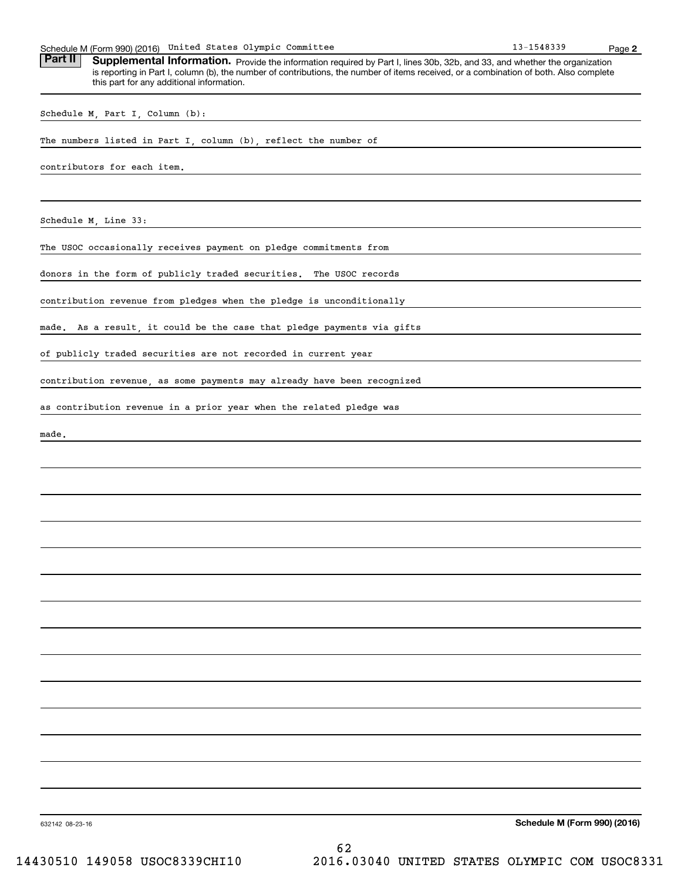| Schedule M (Form 990) (2016) United States Olympic Committee                                                                                                                                                                                                                    | 13-1548339 | Page 2 |
|---------------------------------------------------------------------------------------------------------------------------------------------------------------------------------------------------------------------------------------------------------------------------------|------------|--------|
| Part II<br>Supplemental Information. Provide the information required by Part I, lines 30b, 32b, and 33, and whether the organization<br>is reporting in Part I, column (b), the number of contributions, the number of items received, or a combination of both. Also complete |            |        |
| this part for any additional information.                                                                                                                                                                                                                                       |            |        |
| Schedule M, Part I, Column (b):                                                                                                                                                                                                                                                 |            |        |
| The numbers listed in Part I, column (b), reflect the number of                                                                                                                                                                                                                 |            |        |
| contributors for each item.                                                                                                                                                                                                                                                     |            |        |
|                                                                                                                                                                                                                                                                                 |            |        |
| Schedule M, Line 33:                                                                                                                                                                                                                                                            |            |        |
| The USOC occasionally receives payment on pledge commitments from                                                                                                                                                                                                               |            |        |
| donors in the form of publicly traded securities. The USOC records                                                                                                                                                                                                              |            |        |
| contribution revenue from pledges when the pledge is unconditionally                                                                                                                                                                                                            |            |        |
| As a result, it could be the case that pledge payments via gifts<br>made.                                                                                                                                                                                                       |            |        |
| of publicly traded securities are not recorded in current year                                                                                                                                                                                                                  |            |        |
| contribution revenue, as some payments may already have been recognized                                                                                                                                                                                                         |            |        |
| as contribution revenue in a prior year when the related pledge was                                                                                                                                                                                                             |            |        |
| made.                                                                                                                                                                                                                                                                           |            |        |
|                                                                                                                                                                                                                                                                                 |            |        |
|                                                                                                                                                                                                                                                                                 |            |        |
|                                                                                                                                                                                                                                                                                 |            |        |
|                                                                                                                                                                                                                                                                                 |            |        |
|                                                                                                                                                                                                                                                                                 |            |        |
|                                                                                                                                                                                                                                                                                 |            |        |
|                                                                                                                                                                                                                                                                                 |            |        |
|                                                                                                                                                                                                                                                                                 |            |        |
|                                                                                                                                                                                                                                                                                 |            |        |
|                                                                                                                                                                                                                                                                                 |            |        |
|                                                                                                                                                                                                                                                                                 |            |        |
|                                                                                                                                                                                                                                                                                 |            |        |
|                                                                                                                                                                                                                                                                                 |            |        |

**Schedule M (Form 990) (2016)**

632142 08-23-16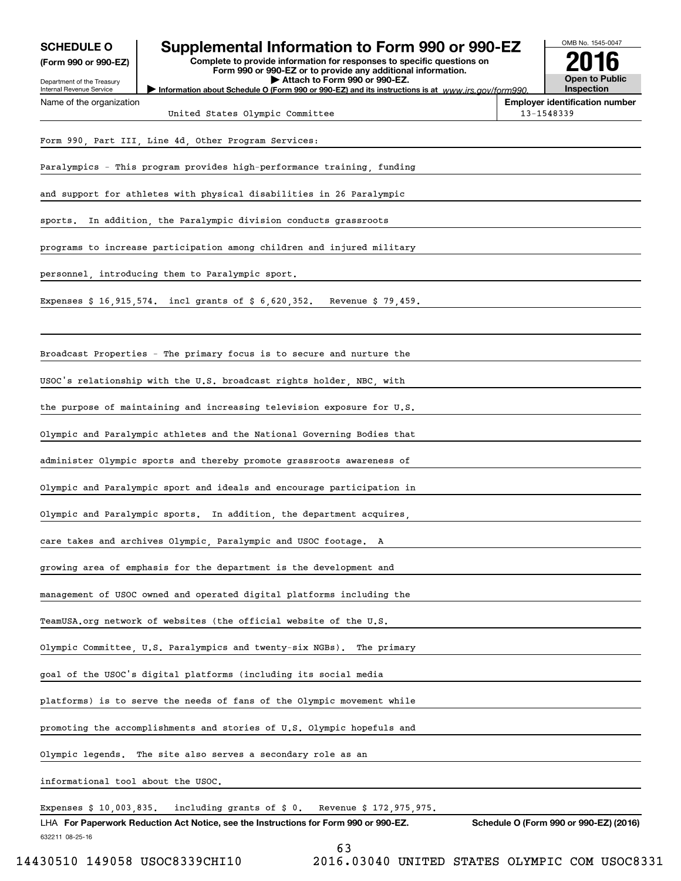| <b>SCHEDULE O</b><br>(Form 990 or 990-EZ)<br>Department of the Treasury | Supplemental Information to Form 990 or 990-EZ<br>Complete to provide information for responses to specific questions on<br>Form 990 or 990-EZ or to provide any additional information.<br>Attach to Form 990 or 990-EZ. | OMB No. 1545-0047<br>Open to Public                 |
|-------------------------------------------------------------------------|---------------------------------------------------------------------------------------------------------------------------------------------------------------------------------------------------------------------------|-----------------------------------------------------|
| Internal Revenue Service<br>Name of the organization                    | Information about Schedule O (Form 990 or 990-EZ) and its instructions is at $www.irs.gov/form990$ .                                                                                                                      | Inspection<br><b>Employer identification number</b> |
|                                                                         | United States Olympic Committee                                                                                                                                                                                           | 13-1548339                                          |
|                                                                         | Form 990, Part III, Line 4d, Other Program Services:                                                                                                                                                                      |                                                     |
|                                                                         | Paralympics - This program provides high-performance training, funding                                                                                                                                                    |                                                     |
|                                                                         | and support for athletes with physical disabilities in 26 Paralympic                                                                                                                                                      |                                                     |
| sports.                                                                 | In addition, the Paralympic division conducts grassroots                                                                                                                                                                  |                                                     |
|                                                                         | programs to increase participation among children and injured military                                                                                                                                                    |                                                     |
|                                                                         | personnel introducing them to Paralympic sport.                                                                                                                                                                           |                                                     |
|                                                                         | Expenses $$16,915,574.$ incl grants of $$6,620,352.$ Revenue $$79,459.$                                                                                                                                                   |                                                     |
|                                                                         | Broadcast Properties – The primary focus is to secure and nurture the                                                                                                                                                     |                                                     |
|                                                                         | USOC's relationship with the U.S. broadcast rights holder, NBC, with                                                                                                                                                      |                                                     |
|                                                                         | the purpose of maintaining and increasing television exposure for U.S.                                                                                                                                                    |                                                     |
|                                                                         | Olympic and Paralympic athletes and the National Governing Bodies that                                                                                                                                                    |                                                     |
|                                                                         | administer Olympic sports and thereby promote grassroots awareness of                                                                                                                                                     |                                                     |
|                                                                         | Olympic and Paralympic sport and ideals and encourage participation in                                                                                                                                                    |                                                     |
|                                                                         | Olympic and Paralympic sports. In addition, the department acquires,                                                                                                                                                      |                                                     |
|                                                                         | care takes and archives Olympic, Paralympic and USOC footage.<br>А                                                                                                                                                        |                                                     |
|                                                                         | growing area of emphasis for the department is the development and                                                                                                                                                        |                                                     |
|                                                                         | management of USOC owned and operated digital platforms including the                                                                                                                                                     |                                                     |
|                                                                         | TeamUSA.org network of websites (the official website of the U.S.                                                                                                                                                         |                                                     |
|                                                                         | Olympic Committee, U.S. Paralympics and twenty-six NGBs).<br>The primary                                                                                                                                                  |                                                     |
|                                                                         | goal of the USOC's digital platforms (including its social media                                                                                                                                                          |                                                     |
|                                                                         | platforms) is to serve the needs of fans of the Olympic movement while                                                                                                                                                    |                                                     |
|                                                                         | promoting the accomplishments and stories of U.S. Olympic hopefuls and                                                                                                                                                    |                                                     |
| Olympic legends.                                                        | The site also serves a secondary role as an                                                                                                                                                                               |                                                     |
| informational tool about the USOC.                                      |                                                                                                                                                                                                                           |                                                     |
| Expenses \$ 10,003,835.                                                 | including grants of \$ 0.<br>Revenue \$ 172,975,975.                                                                                                                                                                      |                                                     |
| 632211 08-25-16                                                         | LHA For Paperwork Reduction Act Notice, see the Instructions for Form 990 or 990-EZ.<br>ເລ                                                                                                                                | Schedule O (Form 990 or 990-EZ) (2016)              |

<sup>63</sup>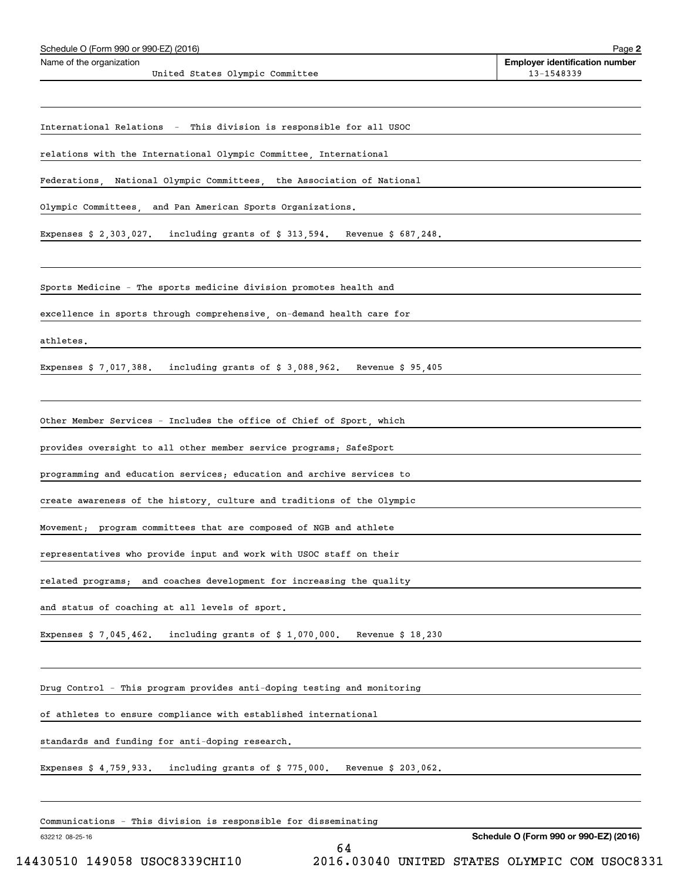| Schedule O (Form 990 or 990-EZ) (2016)                                          | Page 2                                              |
|---------------------------------------------------------------------------------|-----------------------------------------------------|
| Name of the organization<br>United States Olympic Committee                     | <b>Employer identification number</b><br>13-1548339 |
|                                                                                 |                                                     |
| International Relations - This division is responsible for all USOC             |                                                     |
| relations with the International Olympic Committee, International               |                                                     |
| Federations, National Olympic Committees, the Association of National           |                                                     |
| Olympic Committees, and Pan American Sports Organizations.                      |                                                     |
| Expenses \$ 2,303,027. including grants of \$ 313,594. Revenue \$ 687,248.      |                                                     |
| Sports Medicine - The sports medicine division promotes health and              |                                                     |
| excellence in sports through comprehensive, on-demand health care for           |                                                     |
| athletes.                                                                       |                                                     |
|                                                                                 |                                                     |
| Expenses \$ 7,017,388. including grants of \$ 3,088,962. Revenue \$ 95,405      |                                                     |
| Other Member Services - Includes the office of Chief of Sport, which            |                                                     |
| provides oversight to all other member service programs; SafeSport              |                                                     |
| programming and education services; education and archive services to           |                                                     |
| create awareness of the history, culture and traditions of the Olympic          |                                                     |
| Movement; program committees that are composed of NGB and athlete               |                                                     |
| representatives who provide input and work with USOC staff on their             |                                                     |
| related programs;<br>and coaches development for increasing the quality         |                                                     |
| and status of coaching at all levels of sport.                                  |                                                     |
| Expenses $$7,045,462$ . including grants of $$1,070,000$ . Revenue $$18,230$    |                                                     |
|                                                                                 |                                                     |
| Drug Control - This program provides anti-doping testing and monitoring         |                                                     |
| of athletes to ensure compliance with established international                 |                                                     |
| standards and funding for anti-doping research.                                 |                                                     |
| Expenses $$4,759,933$ . including grants of $$775,000$ .<br>Revenue \$ 203,062. |                                                     |
| Communications - This division is responsible for disseminating                 |                                                     |
| 632212 08-25-16                                                                 | Schedule O (Form 990 or 990-EZ) (2016)              |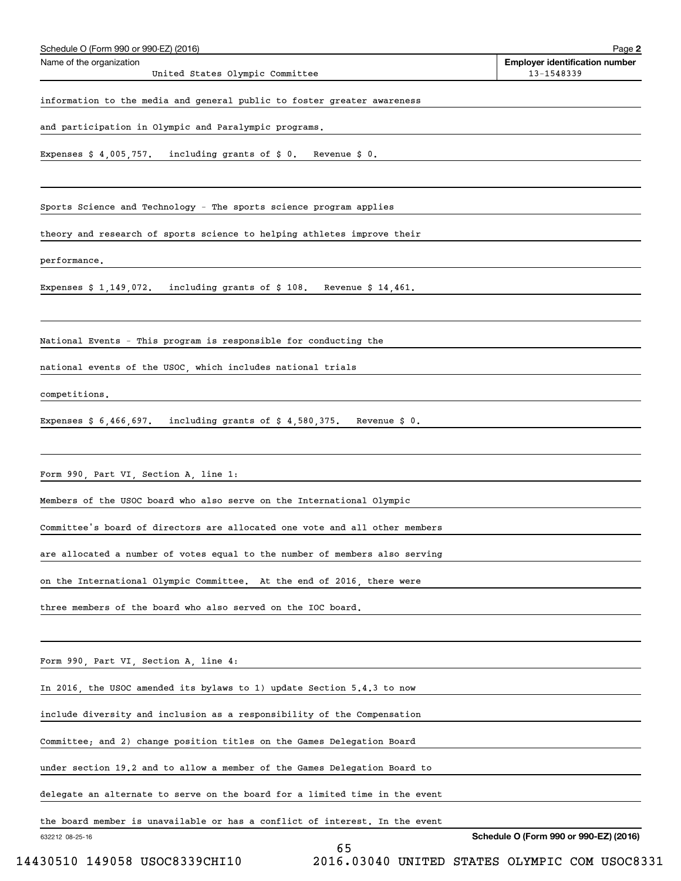| Schedule O (Form 990 or 990-EZ) (2016)<br>Name of the organization          | Page 2<br><b>Employer identification number</b> |
|-----------------------------------------------------------------------------|-------------------------------------------------|
| United States Olympic Committee                                             | 13-1548339                                      |
| information to the media and general public to foster greater awareness     |                                                 |
| and participation in Olympic and Paralympic programs.                       |                                                 |
| Expenses $$4,005,757$ . including grants of $$0$ . Revenue $$0$ .           |                                                 |
|                                                                             |                                                 |
| Sports Science and Technology – The sports science program applies          |                                                 |
| theory and research of sports science to helping athletes improve their     |                                                 |
| performance.                                                                |                                                 |
| Expenses $$1,149,072$ . including grants of $$108$ . Revenue $$14,461$ .    |                                                 |
|                                                                             |                                                 |
| National Events – This program is responsible for conducting the            |                                                 |
| national events of the USOC, which includes national trials                 |                                                 |
| competitions.                                                               |                                                 |
| Expenses $$6,466,697$ . including grants of $$4,580,375$ . Revenue $$0.$    |                                                 |
|                                                                             |                                                 |
| Form 990, Part VI, Section A, line 1:                                       |                                                 |
| Members of the USOC board who also serve on the International Olympic       |                                                 |
| Committee's board of directors are allocated one vote and all other members |                                                 |
| are allocated a number of votes equal to the number of members also serving |                                                 |
| on the International Olympic Committee. At the end of 2016, there were      |                                                 |
| three members of the board who also served on the IOC board.                |                                                 |
|                                                                             |                                                 |
|                                                                             |                                                 |
| Form 990, Part VI, Section A, line 4:                                       |                                                 |
| In 2016, the USOC amended its bylaws to 1) update Section 5.4.3 to now      |                                                 |
| include diversity and inclusion as a responsibility of the Compensation     |                                                 |
| Committee; and 2) change position titles on the Games Delegation Board      |                                                 |
| under section 19.2 and to allow a member of the Games Delegation Board to   |                                                 |
| delegate an alternate to serve on the board for a limited time in the event |                                                 |
| the board member is unavailable or has a conflict of interest. In the event |                                                 |
| 632212 08-25-16<br>65                                                       | Schedule O (Form 990 or 990-EZ) (2016)          |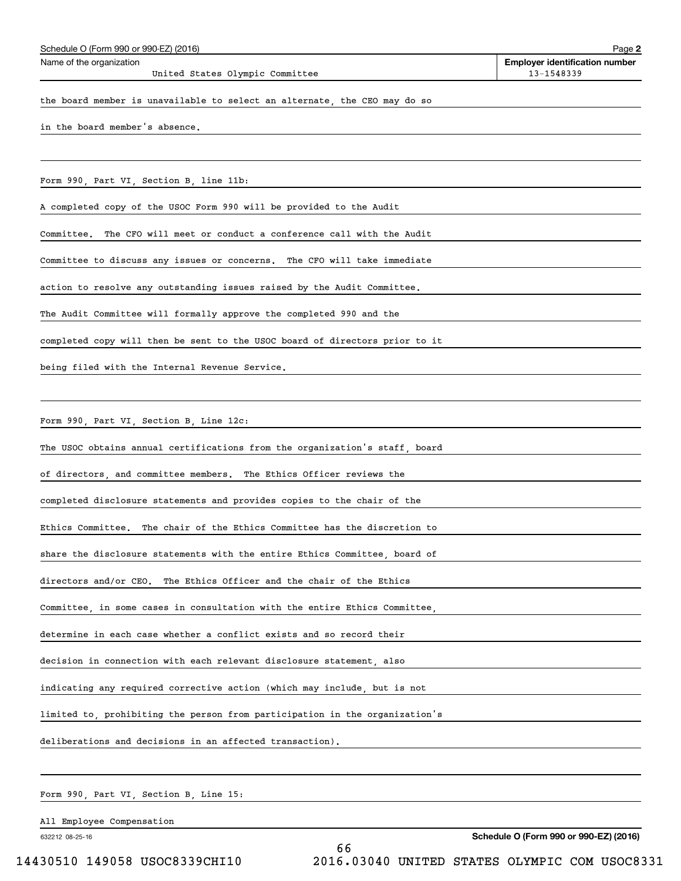| Schedule O (Form 990 or 990-EZ) (2016)                                      | Page 2                                              |
|-----------------------------------------------------------------------------|-----------------------------------------------------|
| Name of the organization<br>United States Olympic Committee                 | <b>Employer identification number</b><br>13-1548339 |
| the board member is unavailable to select an alternate, the CEO may do so   |                                                     |
| in the board member's absence.                                              |                                                     |
|                                                                             |                                                     |
| Form 990, Part VI, Section B, line 11b:                                     |                                                     |
| A completed copy of the USOC Form 990 will be provided to the Audit         |                                                     |
| The CFO will meet or conduct a conference call with the Audit<br>Committee. |                                                     |
| Committee to discuss any issues or concerns. The CFO will take immediate    |                                                     |
| action to resolve any outstanding issues raised by the Audit Committee.     |                                                     |
| The Audit Committee will formally approve the completed 990 and the         |                                                     |
| completed copy will then be sent to the USOC board of directors prior to it |                                                     |
| being filed with the Internal Revenue Service.                              |                                                     |
|                                                                             |                                                     |
| Form 990, Part VI, Section B, Line 12c:                                     |                                                     |
| The USOC obtains annual certifications from the organization's staff, board |                                                     |
| of directors, and committee members. The Ethics Officer reviews the         |                                                     |
| completed disclosure statements and provides copies to the chair of the     |                                                     |
| Ethics Committee. The chair of the Ethics Committee has the discretion to   |                                                     |
| share the disclosure statements with the entire Ethics Committee, board of  |                                                     |
| directors and/or CEO. The Ethics Officer and the chair of the Ethics        |                                                     |
| Committee, in some cases in consultation with the entire Ethics Committee,  |                                                     |
| determine in each case whether a conflict exists and so record their        |                                                     |
| decision in connection with each relevant disclosure statement, also        |                                                     |
| indicating any required corrective action (which may include, but is not    |                                                     |
| limited to, prohibiting the person from participation in the organization's |                                                     |
| deliberations and decisions in an affected transaction).                    |                                                     |
|                                                                             |                                                     |
| Form 990, Part VI, Section B, Line 15:                                      |                                                     |

All Employee Compensation

Schedule O (Form 990 or 990-EZ) (2016)

632212 08-25-16

66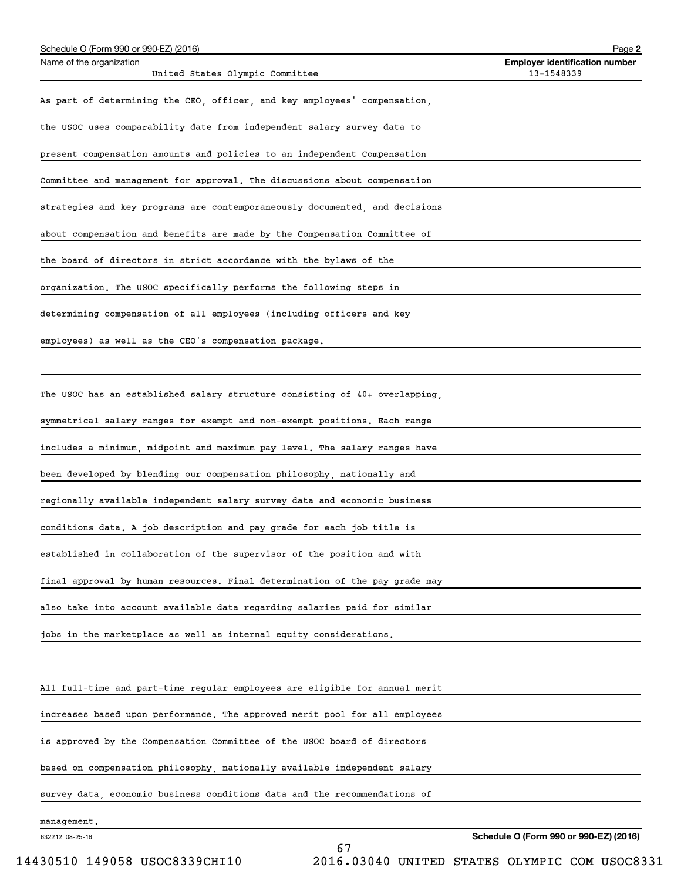| Schedule O (Form 990 or 990-EZ) (2016)                                      | Page 2                                              |
|-----------------------------------------------------------------------------|-----------------------------------------------------|
| Name of the organization<br>United States Olympic Committee                 | <b>Employer identification number</b><br>13-1548339 |
| As part of determining the CEO, officer, and key employees' compensation,   |                                                     |
| the USOC uses comparability date from independent salary survey data to     |                                                     |
| present compensation amounts and policies to an independent Compensation    |                                                     |
| Committee and management for approval. The discussions about compensation   |                                                     |
| strategies and key programs are contemporaneously documented, and decisions |                                                     |
| about compensation and benefits are made by the Compensation Committee of   |                                                     |
| the board of directors in strict accordance with the bylaws of the          |                                                     |
| organization. The USOC specifically performs the following steps in         |                                                     |
| determining compensation of all employees (including officers and key       |                                                     |
| employees) as well as the CEO's compensation package.                       |                                                     |
|                                                                             |                                                     |
| The USOC has an established salary structure consisting of 40+ overlapping  |                                                     |
| symmetrical salary ranges for exempt and non-exempt positions. Each range   |                                                     |
| includes a minimum, midpoint and maximum pay level. The salary ranges have  |                                                     |
| been developed by blending our compensation philosophy, nationally and      |                                                     |
| regionally available independent salary survey data and economic business   |                                                     |
| conditions data. A job description and pay grade for each job title is      |                                                     |
| established in collaboration of the supervisor of the position and with     |                                                     |
| final approval by human resources. Final determination of the pay grade may |                                                     |
|                                                                             |                                                     |
| also take into account available data regarding salaries paid for similar   |                                                     |
| jobs in the marketplace as well as internal equity considerations.          |                                                     |
|                                                                             |                                                     |
| All full-time and part-time regular employees are eligible for annual merit |                                                     |
| increases based upon performance. The approved merit pool for all employees |                                                     |
| is approved by the Compensation Committee of the USOC board of directors    |                                                     |
| based on compensation philosophy, nationally available independent salary   |                                                     |
| survey data, economic business conditions data and the recommendations of   |                                                     |
| management.<br>632212 08-25-16                                              | Schedule O (Form 990 or 990-EZ) (2016)              |
| 67                                                                          |                                                     |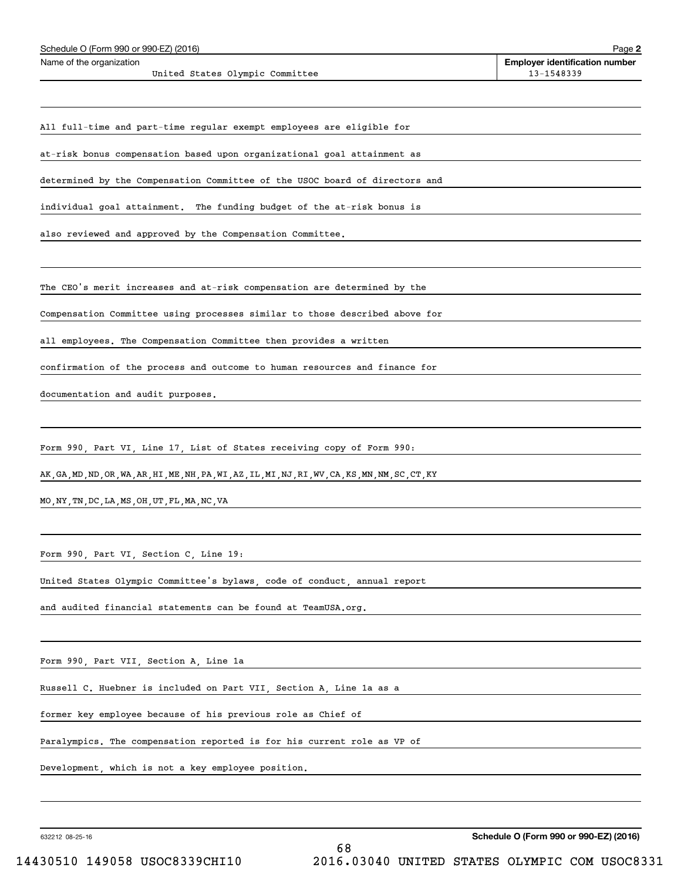| Schedule O (Form 990 or 990-EZ) (2016)                                                             | Page 2                                              |
|----------------------------------------------------------------------------------------------------|-----------------------------------------------------|
| Name of the organization<br>United States Olympic Committee                                        | <b>Employer identification number</b><br>13-1548339 |
|                                                                                                    |                                                     |
| All full-time and part-time regular exempt employees are eligible for                              |                                                     |
| at-risk bonus compensation based upon organizational goal attainment as                            |                                                     |
| determined by the Compensation Committee of the USOC board of directors and                        |                                                     |
| individual goal attainment. The funding budget of the at-risk bonus is                             |                                                     |
| also reviewed and approved by the Compensation Committee.                                          |                                                     |
| The CEO's merit increases and at-risk compensation are determined by the                           |                                                     |
| Compensation Committee using processes similar to those described above for                        |                                                     |
| all employees. The Compensation Committee then provides a written                                  |                                                     |
| confirmation of the process and outcome to human resources and finance for                         |                                                     |
| documentation and audit purposes.                                                                  |                                                     |
|                                                                                                    |                                                     |
| Form 990, Part VI, Line 17, List of States receiving copy of Form 990:                             |                                                     |
| AK, GA, MD, ND, OR, WA, AR, HI, ME, NH, PA, WI, AZ, IL, MI, NJ, RI, WV, CA, KS, MN, NM, SC, CT, KY |                                                     |
| MO, NY, TN, DC, LA, MS, OH, UT, FL, MA, NC, VA                                                     |                                                     |
| Form 990, Part VI, Section C, Line 19:                                                             |                                                     |
| United States Olympic Committee's bylaws, code of conduct, annual report                           |                                                     |
| and audited financial statements can be found at TeamUSA.org.                                      |                                                     |
|                                                                                                    |                                                     |
| Form 990, Part VII, Section A, Line 1a                                                             |                                                     |
| Russell C. Huebner is included on Part VII, Section A, Line 1a as a                                |                                                     |
| former key employee because of his previous role as Chief of                                       |                                                     |

Paralympics. The compensation reported is for his current role as VP of

Development, which is not a key employee position.

632212 08-25-16

**Schedule O (Form 990 or 990-EZ) (2016)**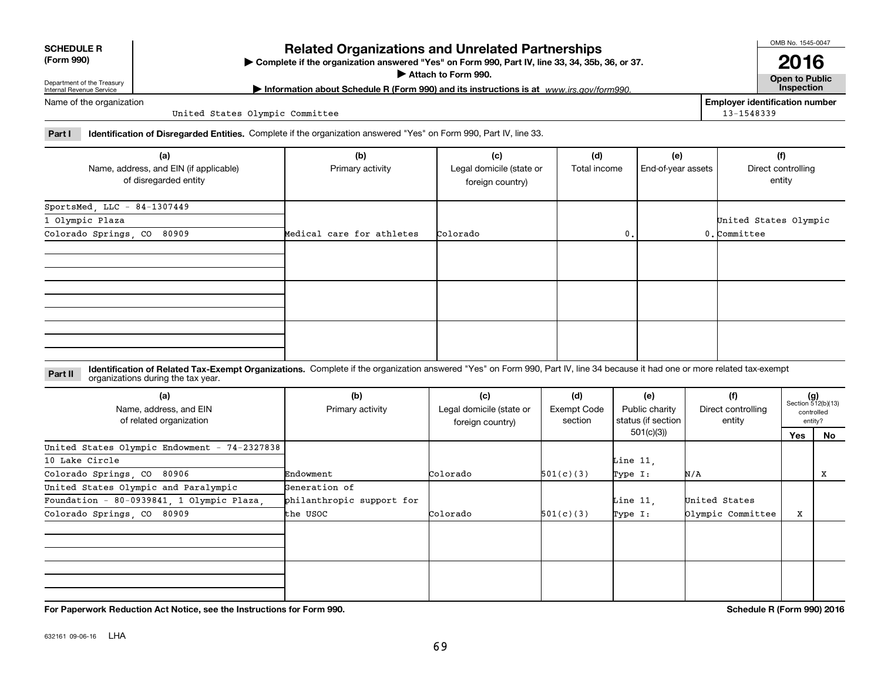632161 09-06-16 LHA

#### **SCHEDULE R (Form 990)**

# **Related Organizations and Unrelated Partnerships**

**Complete if the organization answered "Yes" on Form 990, Part IV, line 33, 34, 35b, 36, or 37.** |

**Attach to Form 990.**  |

**| Information about Schedule R (Form 990) and its instructions is at Inspection** *www.irs.gov/form990.*

**Employer identification number**

13-1548339

Department of the Treasury Internal Revenue Service Name of the organization

United States Olympic Committee

**Part I Identification of Disregarded Entities.**  Complete if the organization answered "Yes" on Form 990, Part IV, line 33.

| (a)                                                             | (b)                       | (c)                                          | (d)          | (e)                | (f)                          |
|-----------------------------------------------------------------|---------------------------|----------------------------------------------|--------------|--------------------|------------------------------|
| Name, address, and EIN (if applicable)<br>of disregarded entity | Primary activity          | Legal domicile (state or<br>foreign country) | Total income | End-of-year assets | Direct controlling<br>entity |
| SportsMed, LLC - 84-1307449                                     |                           |                                              |              |                    |                              |
| 1 Olympic Plaza                                                 |                           |                                              |              |                    | United States Olympic        |
| Colorado Springs, CO 80909                                      | Medical care for athletes | Colorado                                     | 0.           |                    | $0$ . Committee              |
|                                                                 |                           |                                              |              |                    |                              |
|                                                                 |                           |                                              |              |                    |                              |
|                                                                 |                           |                                              |              |                    |                              |

#### **Identification of Related Tax-Exempt Organizations.** Complete if the organization answered "Yes" on Form 990, Part IV, line 34 because it had one or more related tax-exempt **Part II** organizations during the tax year.

| (a)<br>Name, address, and EIN<br>of related organization | (b)<br>Primary activity   | (c)<br>Legal domicile (state or<br>foreign country) | (d)<br>Exempt Code<br>section | (e)<br>Public charity<br>status (if section | (f)<br>Direct controlling<br>entity |     | $(g)$<br>Section 512(b)(13)<br>controlled<br>entity? |
|----------------------------------------------------------|---------------------------|-----------------------------------------------------|-------------------------------|---------------------------------------------|-------------------------------------|-----|------------------------------------------------------|
|                                                          |                           |                                                     |                               | 501(c)(3))                                  |                                     | Yes | No                                                   |
| United States Olympic Endowment - 74-2327838             |                           |                                                     |                               |                                             |                                     |     |                                                      |
| 10 Lake Circle                                           |                           |                                                     |                               | Line $11$ ,                                 |                                     |     |                                                      |
| Colorado Springs, CO 80906                               | Endowment                 | Colorado                                            | 501(c)(3)                     | Type I:                                     | N/A                                 |     | х                                                    |
| United States Olympic and Paralympic                     | Generation of             |                                                     |                               |                                             |                                     |     |                                                      |
| Foundation - 80-0939841, 1 Olympic Plaza,                | philanthropic support for |                                                     |                               | Line $11$ ,                                 | United States                       |     |                                                      |
| Colorado Springs, CO 80909                               | the USOC                  | Colorado                                            | 501(c)(3)                     | Type I:                                     | Olympic Committee                   | X   |                                                      |
|                                                          |                           |                                                     |                               |                                             |                                     |     |                                                      |
|                                                          |                           |                                                     |                               |                                             |                                     |     |                                                      |
|                                                          |                           |                                                     |                               |                                             |                                     |     |                                                      |
|                                                          |                           |                                                     |                               |                                             |                                     |     |                                                      |

**For Paperwork Reduction Act Notice, see the Instructions for Form 990. Schedule R (Form 990) 2016**

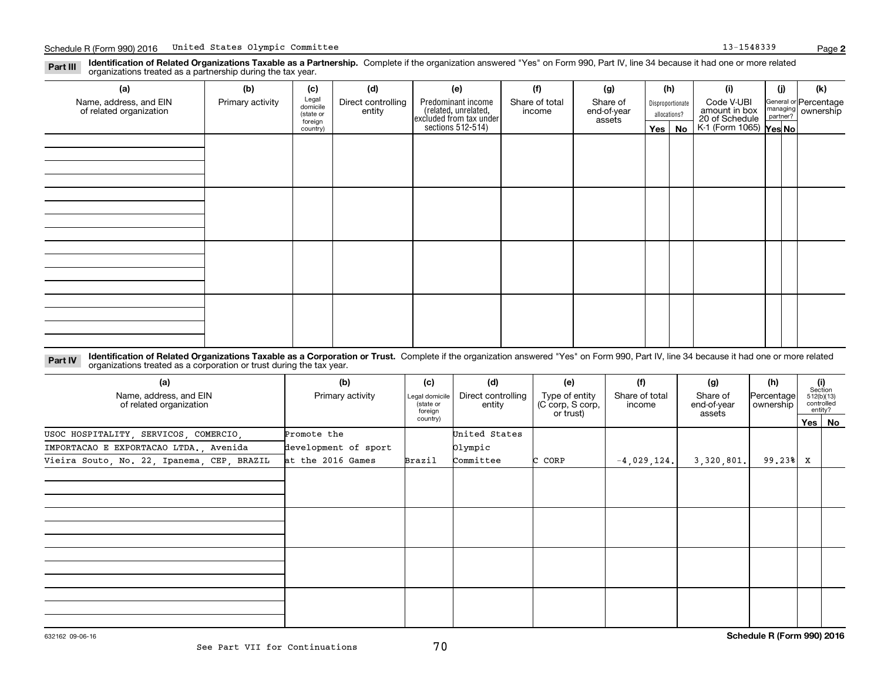**Identification of Related Organizations Taxable as a Partnership.** Complete if the organization answered "Yes" on Form 990, Part IV, line 34 because it had one or more related **Part III** organizations treated as a partnership during the tax year.

| (a)                                               | (b)              | (c)                 | (d)                | (e)                                                                                        | (f)            | (g)         |              | (h)              | (i)                                                       | (j) | (k)                                                       |
|---------------------------------------------------|------------------|---------------------|--------------------|--------------------------------------------------------------------------------------------|----------------|-------------|--------------|------------------|-----------------------------------------------------------|-----|-----------------------------------------------------------|
| Name, address, and EIN<br>of related organization | Primary activity | Legal<br>domicile   | Direct controlling | Predominant income<br>(related, unrelated,<br>excluded from tax under<br>sections 512-514) | Share of total | Share of    |              | Disproportionate | Code V-UBI                                                |     | General or Percentage<br>managing<br>partner?<br>partner? |
|                                                   |                  | (state or           | entity             |                                                                                            | income         | end-of-year | allocations? |                  | amount in box<br>20 of Schedule<br>K-1 (Form 1065) Yes No |     |                                                           |
|                                                   |                  | foreign<br>country) |                    |                                                                                            |                | assets      | $Yes \mid$   | No               |                                                           |     |                                                           |
|                                                   |                  |                     |                    |                                                                                            |                |             |              |                  |                                                           |     |                                                           |
|                                                   |                  |                     |                    |                                                                                            |                |             |              |                  |                                                           |     |                                                           |
|                                                   |                  |                     |                    |                                                                                            |                |             |              |                  |                                                           |     |                                                           |
|                                                   |                  |                     |                    |                                                                                            |                |             |              |                  |                                                           |     |                                                           |
|                                                   |                  |                     |                    |                                                                                            |                |             |              |                  |                                                           |     |                                                           |
|                                                   |                  |                     |                    |                                                                                            |                |             |              |                  |                                                           |     |                                                           |
|                                                   |                  |                     |                    |                                                                                            |                |             |              |                  |                                                           |     |                                                           |
|                                                   |                  |                     |                    |                                                                                            |                |             |              |                  |                                                           |     |                                                           |
|                                                   |                  |                     |                    |                                                                                            |                |             |              |                  |                                                           |     |                                                           |
|                                                   |                  |                     |                    |                                                                                            |                |             |              |                  |                                                           |     |                                                           |
|                                                   |                  |                     |                    |                                                                                            |                |             |              |                  |                                                           |     |                                                           |
|                                                   |                  |                     |                    |                                                                                            |                |             |              |                  |                                                           |     |                                                           |
|                                                   |                  |                     |                    |                                                                                            |                |             |              |                  |                                                           |     |                                                           |
|                                                   |                  |                     |                    |                                                                                            |                |             |              |                  |                                                           |     |                                                           |
|                                                   |                  |                     |                    |                                                                                            |                |             |              |                  |                                                           |     |                                                           |
|                                                   |                  |                     |                    |                                                                                            |                |             |              |                  |                                                           |     |                                                           |
|                                                   |                  |                     |                    |                                                                                            |                |             |              |                  |                                                           |     |                                                           |
|                                                   |                  |                     |                    |                                                                                            |                |             |              |                  |                                                           |     |                                                           |
|                                                   |                  |                     |                    |                                                                                            |                |             |              |                  |                                                           |     |                                                           |
|                                                   |                  |                     |                    |                                                                                            |                |             |              |                  |                                                           |     |                                                           |

**Identification of Related Organizations Taxable as a Corporation or Trust.** Complete if the organization answered "Yes" on Form 990, Part IV, line 34 because it had one or more related **Part IV** organizations treated as a corporation or trust during the tax year.

| (a)<br>Name, address, and EIN<br>of related organization | (b)<br>Primary activity | (c)<br>Legal domicile<br>(state or<br>foreign | (d)<br>Direct controlling<br>entity | (e)<br>Type of entity<br>(C corp, S corp,<br>or trust) | (f)<br>Share of total<br>income | (g)<br>Share of<br>end-of-year<br>assets | (h)<br>Percentage<br>ownership |   | (i)<br>Section<br>512(b)(13)<br>controlled<br>entity? |
|----------------------------------------------------------|-------------------------|-----------------------------------------------|-------------------------------------|--------------------------------------------------------|---------------------------------|------------------------------------------|--------------------------------|---|-------------------------------------------------------|
|                                                          |                         | country)                                      |                                     |                                                        |                                 |                                          |                                |   | Yes   No                                              |
| USOC HOSPITALITY, SERVICOS, COMERCIO,                    | Promote the             |                                               | United States                       |                                                        |                                 |                                          |                                |   |                                                       |
| IMPORTACAO E EXPORTACAO LTDA., Avenida                   | development of sport    |                                               | Olympic                             |                                                        |                                 |                                          |                                |   |                                                       |
| Vieira Souto, No. 22, Ipanema, CEP, BRAZIL               | at the 2016 Games       | Brazil                                        | Committee                           | C CORP                                                 | $-4,029,124.$                   | 3,320,801.                               | $99, 23$ <sup>8</sup>          | x |                                                       |
|                                                          |                         |                                               |                                     |                                                        |                                 |                                          |                                |   |                                                       |
|                                                          |                         |                                               |                                     |                                                        |                                 |                                          |                                |   |                                                       |
|                                                          |                         |                                               |                                     |                                                        |                                 |                                          |                                |   |                                                       |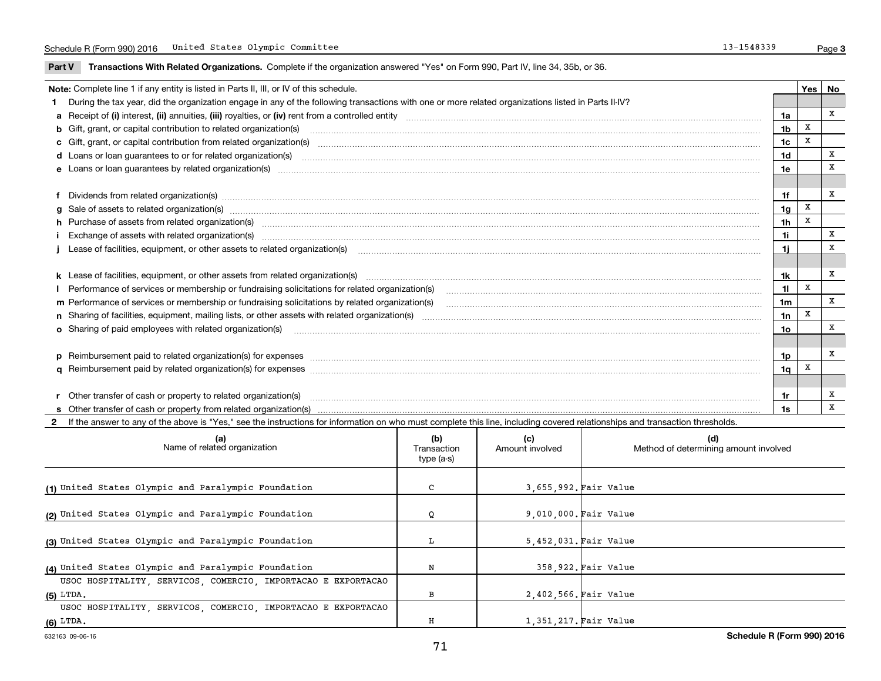**Part V** T**ransactions With Related Organizations.** Complete if the organization answered "Yes" on Form 990, Part IV, line 34, 35b, or 36.

| Note: Complete line 1 if any entity is listed in Parts II, III, or IV of this schedule.                                                                                                                                        |                | Yes   No |   |
|--------------------------------------------------------------------------------------------------------------------------------------------------------------------------------------------------------------------------------|----------------|----------|---|
| 1 During the tax year, did the organization engage in any of the following transactions with one or more related organizations listed in Parts II-IV?                                                                          |                |          |   |
|                                                                                                                                                                                                                                | 1a             |          | x |
| <b>b</b> Gift, grant, or capital contribution to related organization(s)                                                                                                                                                       | 1 <sub>b</sub> | X        |   |
| c Gift, grant, or capital contribution from related organization(s)                                                                                                                                                            | 1c             | X        |   |
| <b>d</b> Loans or loan quarantees to or for related organization(s)                                                                                                                                                            | 1 <sub>d</sub> |          | X |
| e Loans or loan quarantees by related organization(s)                                                                                                                                                                          | 1e             |          | X |
|                                                                                                                                                                                                                                |                |          |   |
| f Dividends from related organization(s) manufactured contains and contained a series of the contact of the contact of the contact of the contact of the contact of the contact of the contact of the contact of the contact o | 1f             |          | X |
| g Sale of assets to related organization(s) www.assettion.com/www.assettion.com/www.assettion.com/www.assettion.com/www.assettion.com/www.assettion.com/www.assettion.com/www.assettion.com/www.assettion.com/www.assettion.co | 1 <sub>q</sub> | X        |   |
| h Purchase of assets from related organization(s) manufactured and content to content the content of assets from related organization(s)                                                                                       | 1 <sub>h</sub> | X        |   |
| Exchange of assets with related organization(s) www.assettion.com/www.assettion.com/www.assettion.com/www.assettion.com/www.assettion.com/www.assettion.com/www.assettion.com/www.assettion.com/www.assettion.com/www.assettio | 11             |          | X |
|                                                                                                                                                                                                                                | 1i.            |          | X |
|                                                                                                                                                                                                                                |                |          |   |
|                                                                                                                                                                                                                                | 1k             |          | x |
| Performance of services or membership or fundraising solicitations for related organization(s)                                                                                                                                 | 11             | X        |   |
| m Performance of services or membership or fundraising solicitations by related organization(s)                                                                                                                                | 1 <sub>m</sub> |          | X |
|                                                                                                                                                                                                                                | 1n             | X        |   |
| <b>o</b> Sharing of paid employees with related organization(s)                                                                                                                                                                | 1o             |          | X |
|                                                                                                                                                                                                                                |                |          |   |
| p Reimbursement paid to related organization(s) for expenses [1111] and manufacture manufacture manufacture manufacture manufacture manufacture manufacture manufacture manufacture manufacture manufacture manufacture manufa | 1p             |          | X |
|                                                                                                                                                                                                                                | 1 <sub>q</sub> | X        |   |
|                                                                                                                                                                                                                                |                |          |   |
| r Other transfer of cash or property to related organization(s)                                                                                                                                                                | 1r             |          | х |
|                                                                                                                                                                                                                                | 1s             |          | X |

**2**If the answer to any of the above is "Yes," see the instructions for information on who must complete this line, including covered relationships and transaction thresholds.

| (a)<br>Name of related organization                           | (b)<br>Transaction<br>type (a-s) | (c)<br>Amount involved | (d)<br>Method of determining amount involved |
|---------------------------------------------------------------|----------------------------------|------------------------|----------------------------------------------|
| (1) United States Olympic and Paralympic Foundation           | C                                | 3,655,992. Fair Value  |                                              |
| (2) United States Olympic and Paralympic Foundation           | Q                                | 9,010,000. Fair Value  |                                              |
| (3) United States Olympic and Paralympic Foundation           | L                                | 5,452,031. Fair Value  |                                              |
| (4) United States Olympic and Paralympic Foundation           | Ν                                |                        | 358.922. Fair Value                          |
| USOC HOSPITALITY, SERVICOS, COMERCIO, IMPORTACAO E EXPORTACAO |                                  |                        |                                              |
| $(5)$ LTDA.                                                   | в                                | 2,402,566. Fair Value  |                                              |
| USOC HOSPITALITY, SERVICOS, COMERCIO, IMPORTACAO E EXPORTACAO |                                  |                        |                                              |
| $(6)$ LTDA.                                                   | н                                | 1,351,217. Fair Value  |                                              |

 $\overline{\phantom{a}}$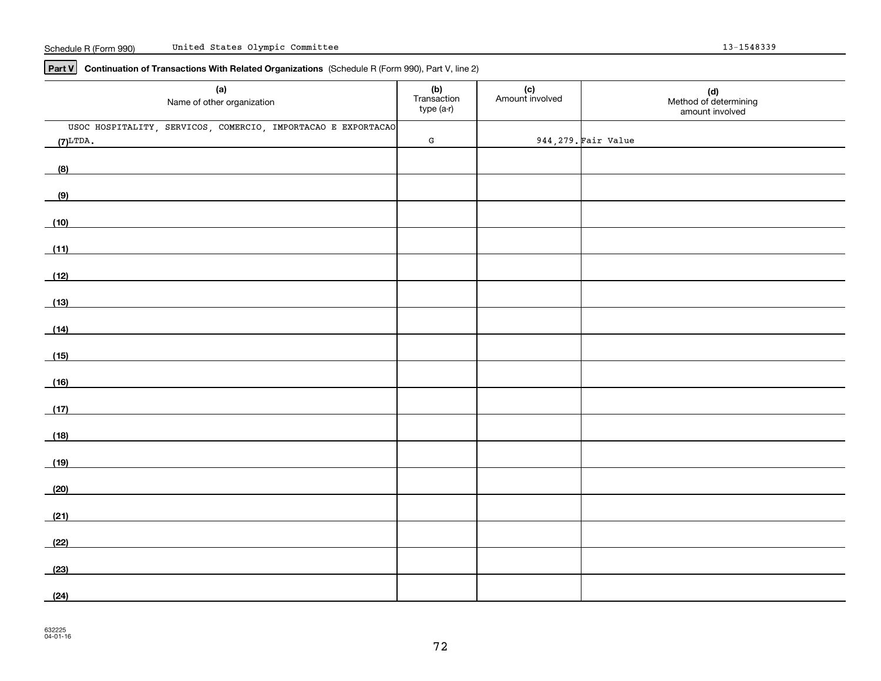**Part V Continuation of Transactions With Related Organizations**  (Schedule R (Form 990), Part V, line 2)

| (a)<br>Name of other organization                                                                                                                                                                                                            | (b)<br>Transaction<br>type (a-r) | (c)<br>Amount involved | (d)<br>Method of determining<br>amount involved |
|----------------------------------------------------------------------------------------------------------------------------------------------------------------------------------------------------------------------------------------------|----------------------------------|------------------------|-------------------------------------------------|
| USOC HOSPITALITY, SERVICOS, COMERCIO, IMPORTACAO E EXPORTACAO                                                                                                                                                                                |                                  |                        |                                                 |
| $(7)^{LTDA}$ .                                                                                                                                                                                                                               | ${\bf G}$                        |                        | 944, 279. Fair Value                            |
| (8)                                                                                                                                                                                                                                          |                                  |                        |                                                 |
| (9)                                                                                                                                                                                                                                          |                                  |                        |                                                 |
| (10)                                                                                                                                                                                                                                         |                                  |                        |                                                 |
| (11)                                                                                                                                                                                                                                         |                                  |                        |                                                 |
| (12)<br><u>and the state of the state of the state of the state of the state of the state of the state of the state of the state of the state of the state of the state of the state of the state of the state of the state of the state</u> |                                  |                        |                                                 |
| (13)                                                                                                                                                                                                                                         |                                  |                        |                                                 |
| (14)                                                                                                                                                                                                                                         |                                  |                        |                                                 |
| (15)                                                                                                                                                                                                                                         |                                  |                        |                                                 |
| (16)<br><u> 1980 - Jan Stein Stein Stein Stein Stein Stein Stein Stein Stein Stein Stein Stein Stein Stein Stein Stein S</u>                                                                                                                 |                                  |                        |                                                 |
| (17)                                                                                                                                                                                                                                         |                                  |                        |                                                 |
| (18)<br>and the control of the control of the control of the control of the control of the control of the control of the                                                                                                                     |                                  |                        |                                                 |
| (19)                                                                                                                                                                                                                                         |                                  |                        |                                                 |
| (20)                                                                                                                                                                                                                                         |                                  |                        |                                                 |
| (21)                                                                                                                                                                                                                                         |                                  |                        |                                                 |
| (22)                                                                                                                                                                                                                                         |                                  |                        |                                                 |
| (23)                                                                                                                                                                                                                                         |                                  |                        |                                                 |
| (24)                                                                                                                                                                                                                                         |                                  |                        |                                                 |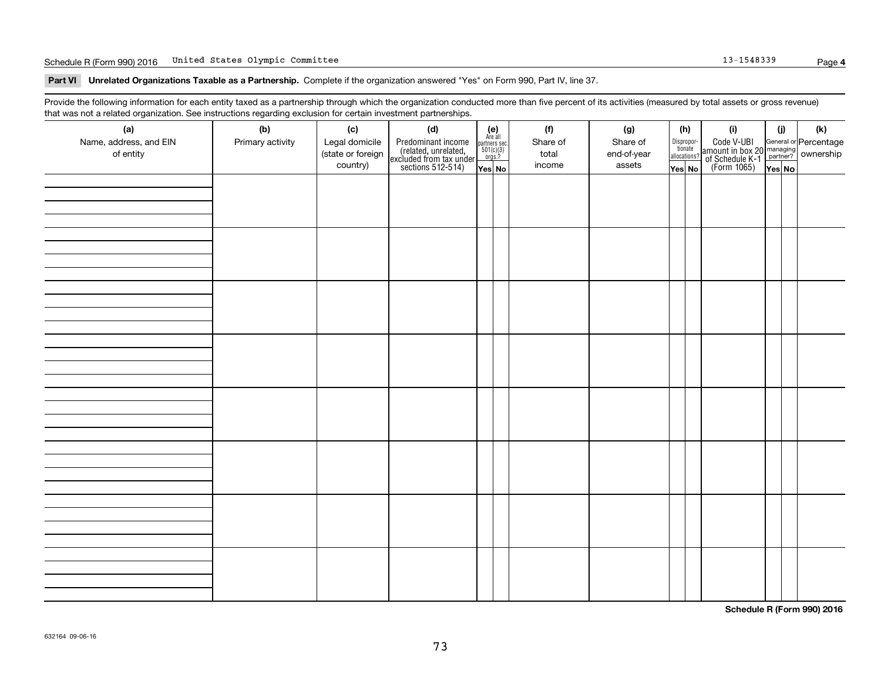#### Schedule R (Form 990) 2016 Page Page Page 13-1548339 Page 13-1548339 Page 13-1548339 Page 13-1548339 Page

**Part VI Unrelated Organizations Taxable as a Partnership. Complete if the organization answered "Yes" on Form 990, Part IV, line 37.** 

Provide the following information for each entity taxed as a partnership through which the organization conducted more than five percent of its activities (measured by total assets or gross revenue) that was not a related organization. See instructions regarding exclusion for certain investment partnerships.

| (a)<br>Name, address, and EIN<br>of entity | (b)<br>Primary activity | (c)<br>Legal domicile<br>(state or foreign<br>country) | (d)<br>Predominant income<br>(related, unrelated,<br>excluded from tax under<br>sections 512-514) | $\begin{array}{c} \textbf{(e)}\\ \text{Are all} \\ \text{partners sec.}\\ 501(c)(3)\\ \text{orgs.?} \end{array}$<br>$Yes$ No | (f)<br>Share of<br>total<br>income | (g)<br>Share of<br>end-of-year<br>assets | (h)<br>Dispropor-<br>tionate<br>allocations?<br>Yes No | (i)<br>Code V-UBI<br>amount in box 20 managing<br>of Schedule K-1 partner? ownership<br>(Form 1065)<br>ves No | (i)<br>Yes No | (k) |
|--------------------------------------------|-------------------------|--------------------------------------------------------|---------------------------------------------------------------------------------------------------|------------------------------------------------------------------------------------------------------------------------------|------------------------------------|------------------------------------------|--------------------------------------------------------|---------------------------------------------------------------------------------------------------------------|---------------|-----|
|                                            |                         |                                                        |                                                                                                   |                                                                                                                              |                                    |                                          |                                                        |                                                                                                               |               |     |
|                                            |                         |                                                        |                                                                                                   |                                                                                                                              |                                    |                                          |                                                        |                                                                                                               |               |     |
|                                            |                         |                                                        |                                                                                                   |                                                                                                                              |                                    |                                          |                                                        |                                                                                                               |               |     |
|                                            |                         |                                                        |                                                                                                   |                                                                                                                              |                                    |                                          |                                                        |                                                                                                               |               |     |
|                                            |                         |                                                        |                                                                                                   |                                                                                                                              |                                    |                                          |                                                        |                                                                                                               |               |     |
|                                            |                         |                                                        |                                                                                                   |                                                                                                                              |                                    |                                          |                                                        |                                                                                                               |               |     |
|                                            |                         |                                                        |                                                                                                   |                                                                                                                              |                                    |                                          |                                                        |                                                                                                               |               |     |
|                                            |                         |                                                        |                                                                                                   |                                                                                                                              |                                    |                                          |                                                        |                                                                                                               |               |     |